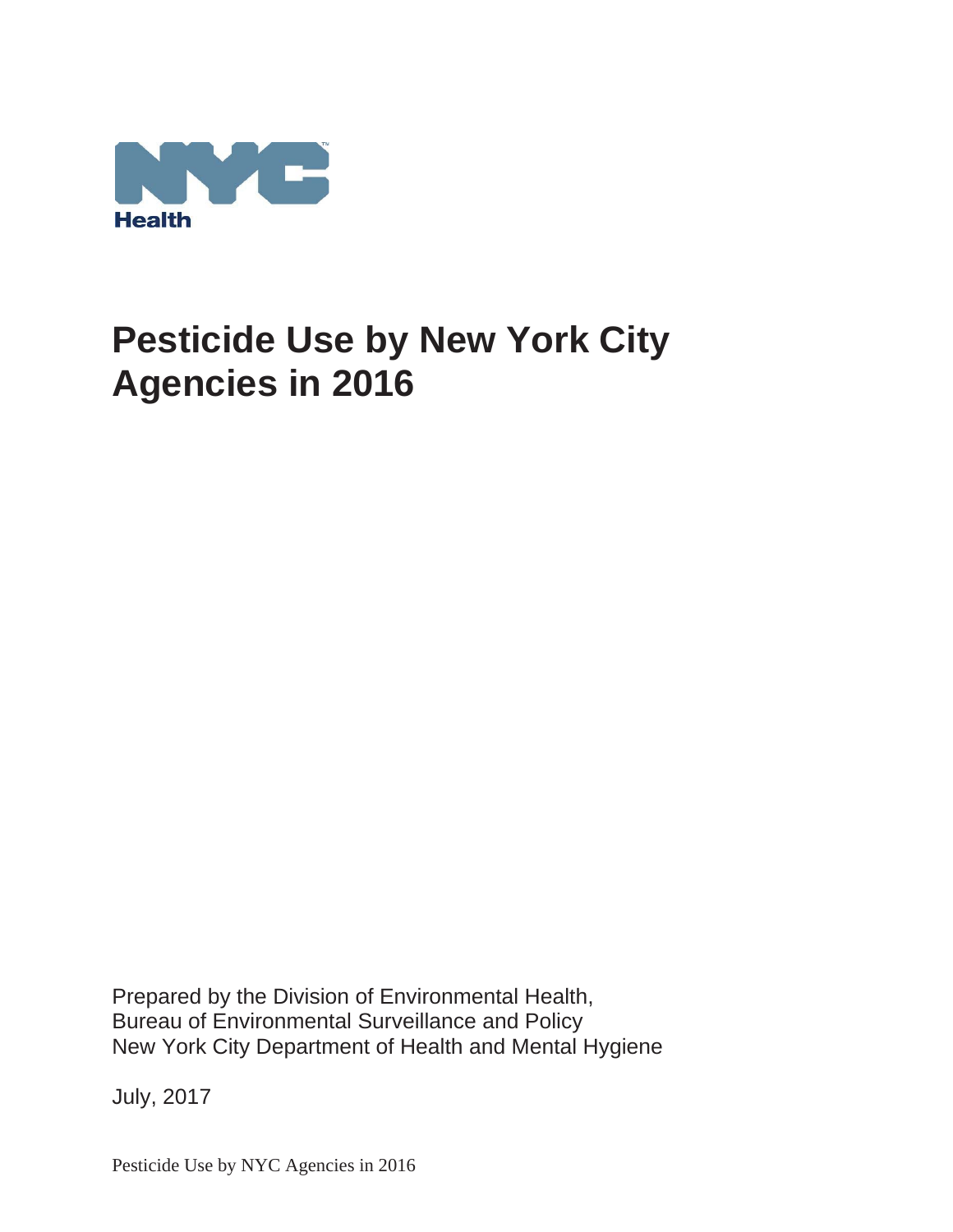

Prepared by the Division of Environmental Health, Bureau of Environmental Surveillance and Policy New York City Department of Health and Mental Hygiene

July, 2017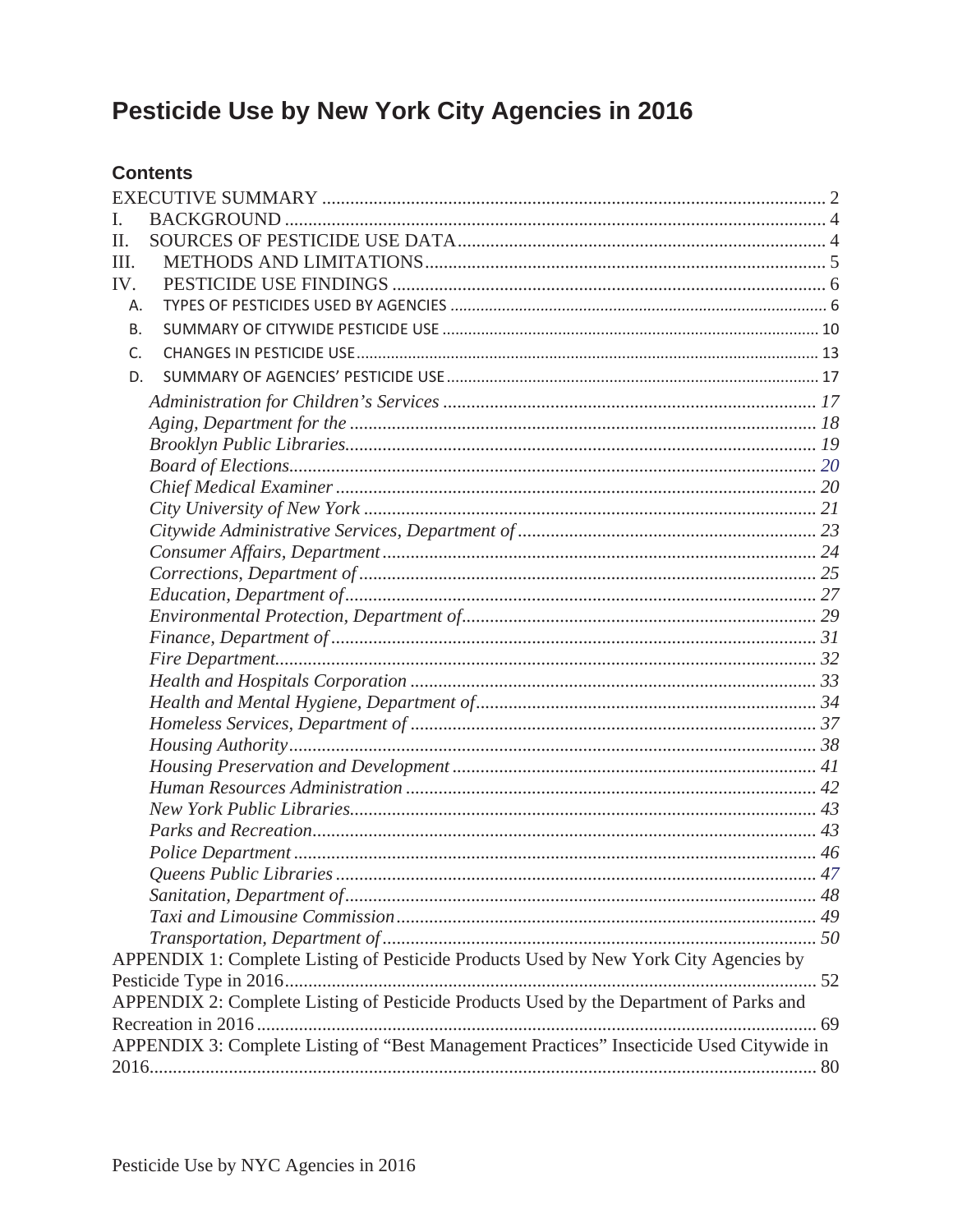# **Contents**

| L                                                                                        |  |
|------------------------------------------------------------------------------------------|--|
| H.                                                                                       |  |
| III.                                                                                     |  |
| IV.                                                                                      |  |
| Α.                                                                                       |  |
| В.                                                                                       |  |
| $C_{\cdot}$                                                                              |  |
| D.                                                                                       |  |
|                                                                                          |  |
|                                                                                          |  |
|                                                                                          |  |
|                                                                                          |  |
|                                                                                          |  |
|                                                                                          |  |
|                                                                                          |  |
|                                                                                          |  |
|                                                                                          |  |
|                                                                                          |  |
|                                                                                          |  |
|                                                                                          |  |
|                                                                                          |  |
|                                                                                          |  |
|                                                                                          |  |
|                                                                                          |  |
|                                                                                          |  |
|                                                                                          |  |
|                                                                                          |  |
|                                                                                          |  |
|                                                                                          |  |
|                                                                                          |  |
|                                                                                          |  |
|                                                                                          |  |
|                                                                                          |  |
|                                                                                          |  |
| APPENDIX 1: Complete Listing of Pesticide Products Used by New York City Agencies by     |  |
|                                                                                          |  |
| APPENDIX 2: Complete Listing of Pesticide Products Used by the Department of Parks and   |  |
|                                                                                          |  |
| APPENDIX 3: Complete Listing of "Best Management Practices" Insecticide Used Citywide in |  |
|                                                                                          |  |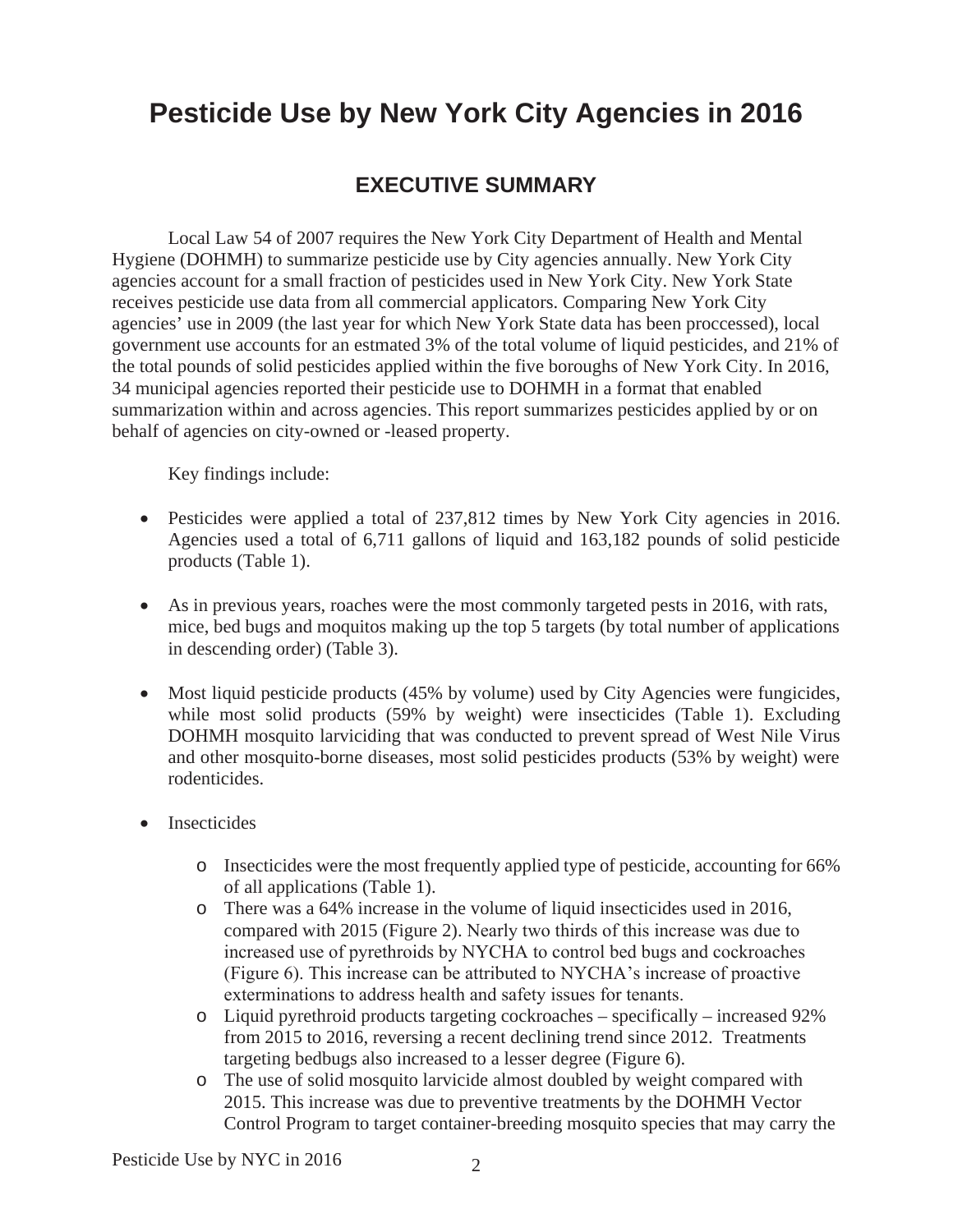# **EXECUTIVE SUMMARY**

Local Law 54 of 2007 requires the New York City Department of Health and Mental Hygiene (DOHMH) to summarize pesticide use by City agencies annually. New York City agencies account for a small fraction of pesticides used in New York City. New York State receives pesticide use data from all commercial applicators. Comparing New York City agencies' use in 2009 (the last year for which New York State data has been proccessed), local government use accounts for an estmated 3% of the total volume of liquid pesticides, and 21% of the total pounds of solid pesticides applied within the five boroughs of New York City. In 2016, 34 municipal agencies reported their pesticide use to DOHMH in a format that enabled summarization within and across agencies. This report summarizes pesticides applied by or on behalf of agencies on city-owned or -leased property.

Key findings include:

- Pesticides were applied a total of 237,812 times by New York City agencies in 2016. Agencies used a total of 6,711 gallons of liquid and 163,182 pounds of solid pesticide products (Table 1).
- As in previous years, roaches were the most commonly targeted pests in 2016, with rats, mice, bed bugs and moquitos making up the top 5 targets (by total number of applications in descending order) (Table 3).
- $\bullet$  Most liquid pesticide products (45% by volume) used by City Agencies were fungicides, while most solid products (59% by weight) were insecticides (Table 1). Excluding DOHMH mosquito larviciding that was conducted to prevent spread of West Nile Virus and other mosquito-borne diseases, most solid pesticides products (53% by weight) were rodenticides.
- Insecticides
	- o Insecticides were the most frequently applied type of pesticide, accounting for 66% of all applications (Table 1).
	- o There was a 64% increase in the volume of liquid insecticides used in 2016, compared with 2015 (Figure 2). Nearly two thirds of this increase was due to increased use of pyrethroids by NYCHA to control bed bugs and cockroaches (Figure 6). This increase can be attributed to NYCHA's increase of proactive exterminations to address health and safety issues for tenants.
	- o Liquid pyrethroid products targeting cockroaches specifically increased 92% from 2015 to 2016, reversing a recent declining trend since 2012. Treatments targeting bedbugs also increased to a lesser degree (Figure 6).
	- o The use of solid mosquito larvicide almost doubled by weight compared with 2015. This increase was due to preventive treatments by the DOHMH Vector Control Program to target container-breeding mosquito species that may carry the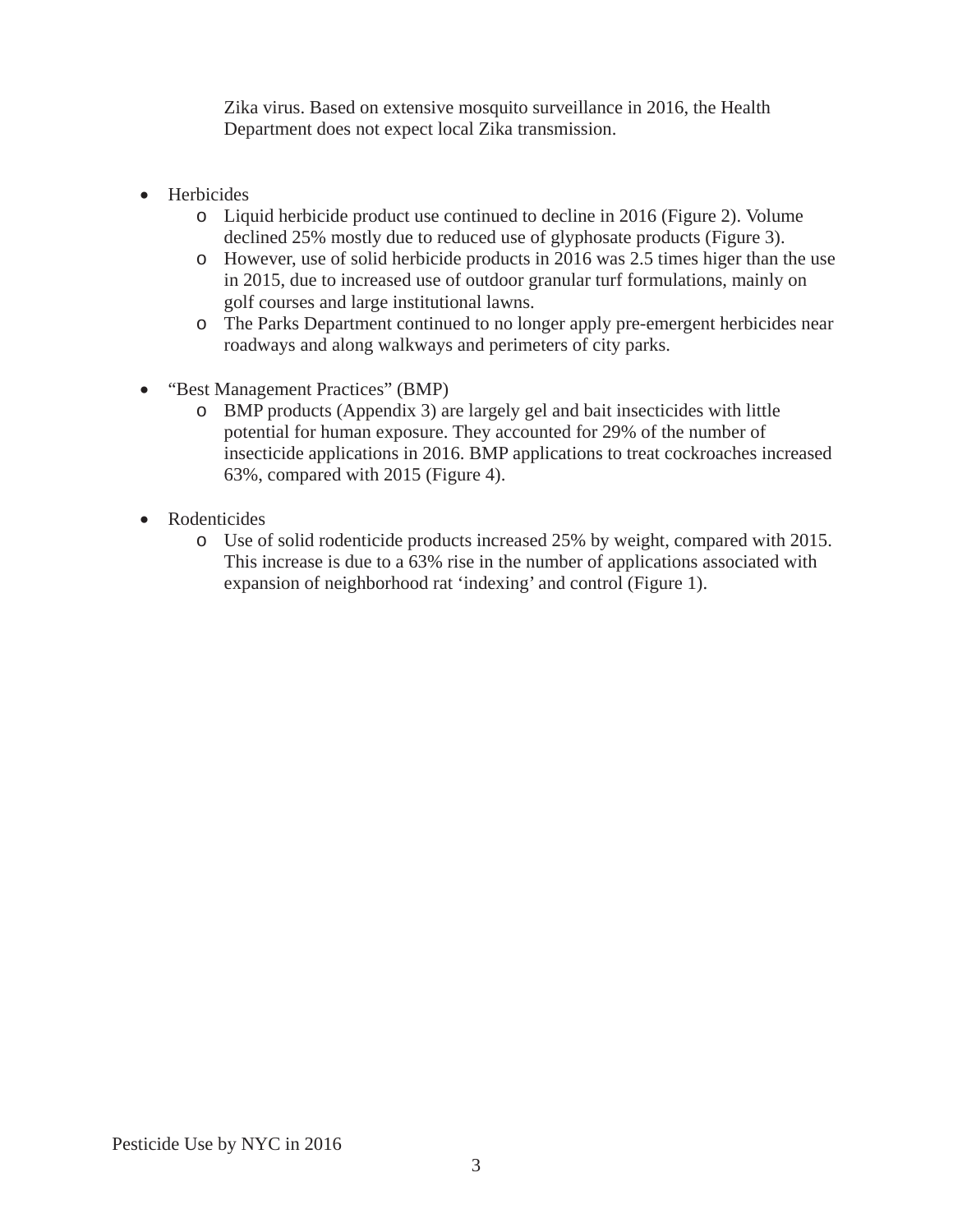Zika virus. Based on extensive mosquito surveillance in 2016, the Health Department does not expect local Zika transmission.

- Herbicides
	- o Liquid herbicide product use continued to decline in 2016 (Figure 2). Volume declined 25% mostly due to reduced use of glyphosate products (Figure 3).
	- o However, use of solid herbicide products in 2016 was 2.5 times higer than the use in 2015, due to increased use of outdoor granular turf formulations, mainly on golf courses and large institutional lawns.
	- o The Parks Department continued to no longer apply pre-emergent herbicides near roadways and along walkways and perimeters of city parks.
- "Best Management Practices" (BMP)
	- o BMP products (Appendix 3) are largely gel and bait insecticides with little potential for human exposure. They accounted for 29% of the number of insecticide applications in 2016. BMP applications to treat cockroaches increased 63%, compared with 2015 (Figure 4).
- Rodenticides
	- o Use of solid rodenticide products increased 25% by weight, compared with 2015. This increase is due to a 63% rise in the number of applications associated with expansion of neighborhood rat 'indexing' and control (Figure 1).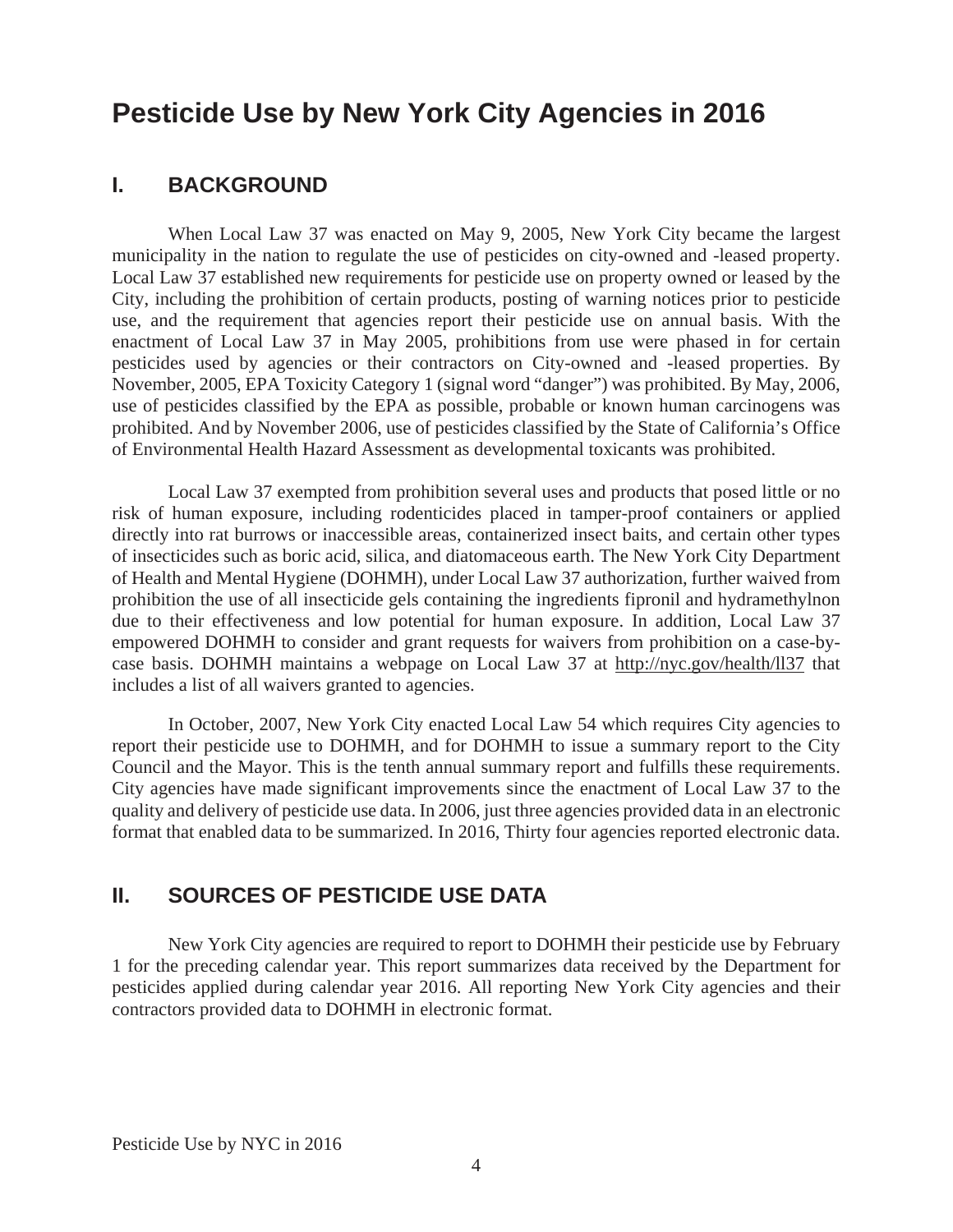# **I. BACKGROUND**

When Local Law 37 was enacted on May 9, 2005, New York City became the largest municipality in the nation to regulate the use of pesticides on city-owned and -leased property. Local Law 37 established new requirements for pesticide use on property owned or leased by the City, including the prohibition of certain products, posting of warning notices prior to pesticide use, and the requirement that agencies report their pesticide use on annual basis. With the enactment of Local Law 37 in May 2005, prohibitions from use were phased in for certain pesticides used by agencies or their contractors on City-owned and -leased properties. By November, 2005, EPA Toxicity Category 1 (signal word "danger") was prohibited. By May, 2006, use of pesticides classified by the EPA as possible, probable or known human carcinogens was prohibited. And by November 2006, use of pesticides classified by the State of California's Office of Environmental Health Hazard Assessment as developmental toxicants was prohibited.

Local Law 37 exempted from prohibition several uses and products that posed little or no risk of human exposure, including rodenticides placed in tamper-proof containers or applied directly into rat burrows or inaccessible areas, containerized insect baits, and certain other types of insecticides such as boric acid, silica, and diatomaceous earth. The New York City Department of Health and Mental Hygiene (DOHMH), under Local Law 37 authorization, further waived from prohibition the use of all insecticide gels containing the ingredients fipronil and hydramethylnon due to their effectiveness and low potential for human exposure. In addition, Local Law 37 empowered DOHMH to consider and grant requests for waivers from prohibition on a case-bycase basis. DOHMH maintains a webpage on Local Law 37 at http://nyc.gov/health/ll37 that includes a list of all waivers granted to agencies.

In October, 2007, New York City enacted Local Law 54 which requires City agencies to report their pesticide use to DOHMH, and for DOHMH to issue a summary report to the City Council and the Mayor. This is the tenth annual summary report and fulfills these requirements. City agencies have made significant improvements since the enactment of Local Law 37 to the quality and delivery of pesticide use data. In 2006, just three agencies provided data in an electronic format that enabled data to be summarized. In 2016, Thirty four agencies reported electronic data.

# **II. SOURCES OF PESTICIDE USE DATA**

New York City agencies are required to report to DOHMH their pesticide use by February 1 for the preceding calendar year. This report summarizes data received by the Department for pesticides applied during calendar year 2016. All reporting New York City agencies and their contractors provided data to DOHMH in electronic format.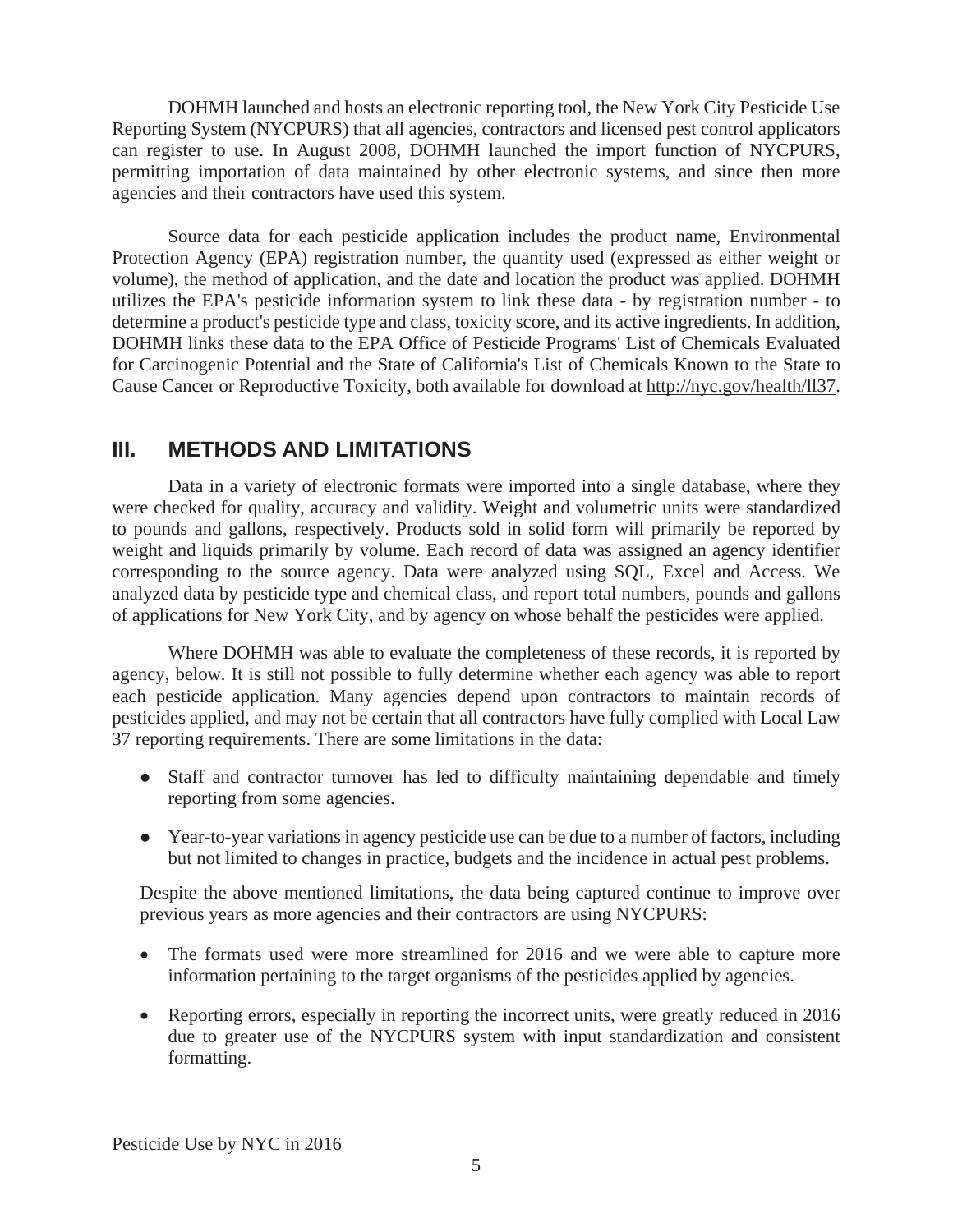DOHMH launched and hosts an electronic reporting tool, the New York City Pesticide Use Reporting System (NYCPURS) that all agencies, contractors and licensed pest control applicators can register to use. In August 2008, DOHMH launched the import function of NYCPURS, permitting importation of data maintained by other electronic systems, and since then more agencies and their contractors have used this system.

Source data for each pesticide application includes the product name, Environmental Protection Agency (EPA) registration number, the quantity used (expressed as either weight or volume), the method of application, and the date and location the product was applied. DOHMH utilizes the EPA's pesticide information system to link these data - by registration number - to determine a product's pesticide type and class, toxicity score, and its active ingredients. In addition, DOHMH links these data to the EPA Office of Pesticide Programs' List of Chemicals Evaluated for Carcinogenic Potential and the State of California's List of Chemicals Known to the State to Cause Cancer or Reproductive Toxicity, both available for download at http://nyc.gov/health/ll37.

# **III. METHODS AND LIMITATIONS**

Data in a variety of electronic formats were imported into a single database, where they were checked for quality, accuracy and validity. Weight and volumetric units were standardized to pounds and gallons, respectively. Products sold in solid form will primarily be reported by weight and liquids primarily by volume. Each record of data was assigned an agency identifier corresponding to the source agency. Data were analyzed using SQL, Excel and Access. We analyzed data by pesticide type and chemical class, and report total numbers, pounds and gallons of applications for New York City, and by agency on whose behalf the pesticides were applied.

Where DOHMH was able to evaluate the completeness of these records, it is reported by agency, below. It is still not possible to fully determine whether each agency was able to report each pesticide application. Many agencies depend upon contractors to maintain records of pesticides applied, and may not be certain that all contractors have fully complied with Local Law 37 reporting requirements. There are some limitations in the data:

- Staff and contractor turnover has led to difficulty maintaining dependable and timely reporting from some agencies.
- Year-to-year variations in agency pesticide use can be due to a number of factors, including but not limited to changes in practice, budgets and the incidence in actual pest problems.

Despite the above mentioned limitations, the data being captured continue to improve over previous years as more agencies and their contractors are using NYCPURS:

- The formats used were more streamlined for 2016 and we were able to capture more information pertaining to the target organisms of the pesticides applied by agencies.
- Reporting errors, especially in reporting the incorrect units, were greatly reduced in 2016 due to greater use of the NYCPURS system with input standardization and consistent formatting.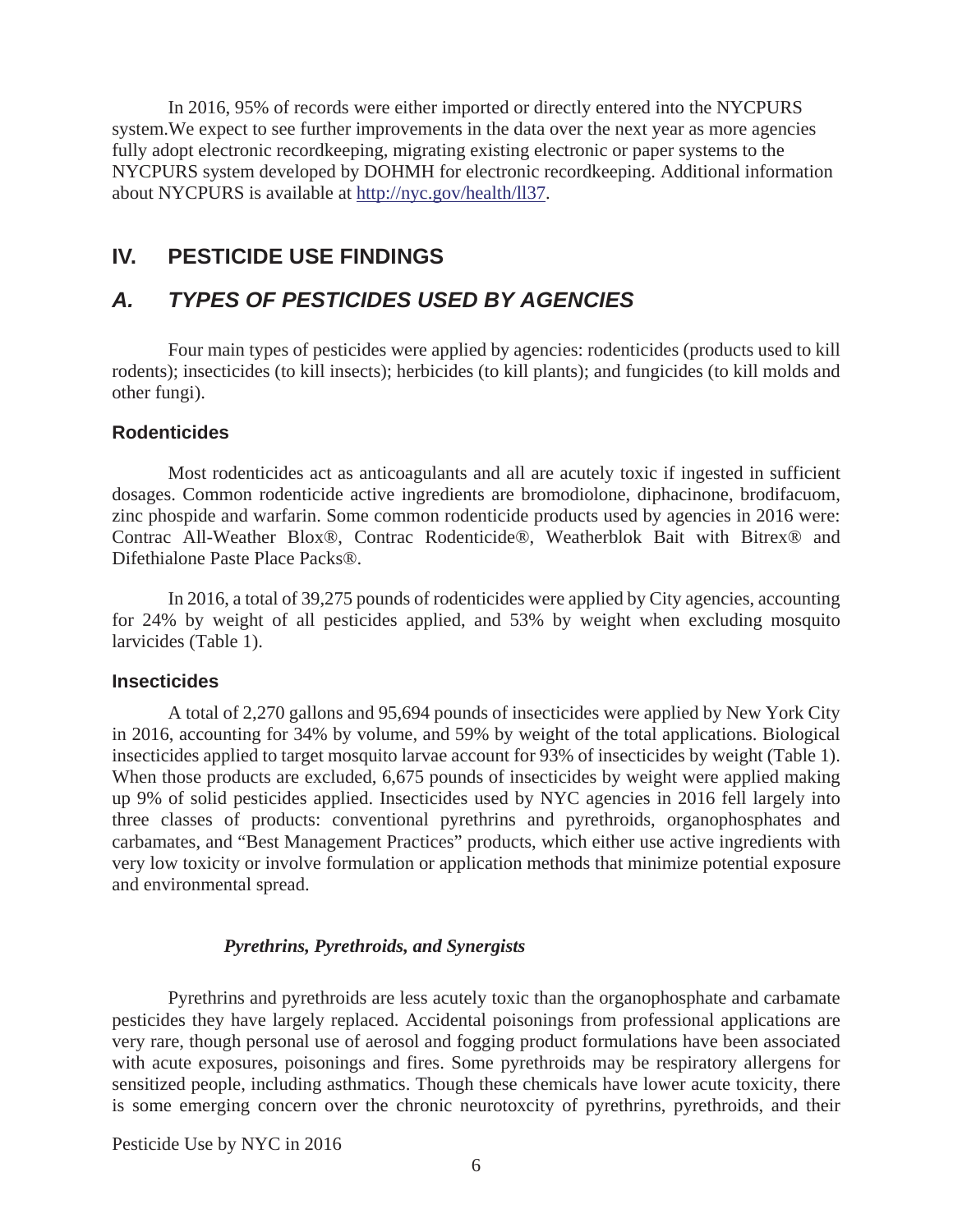In 2016, 95% of records were either imported or directly entered into the NYCPURS system.We expect to see further improvements in the data over the next year as more agencies fully adopt electronic recordkeeping, migrating existing electronic or paper systems to the NYCPURS system developed by DOHMH for electronic recordkeeping. Additional information about NYCPURS is available at http://nyc.gov/health/ll37.

# **IV. PESTICIDE USE FINDINGS**

# *A. TYPES OF PESTICIDES USED BY AGENCIES*

Four main types of pesticides were applied by agencies: rodenticides (products used to kill rodents); insecticides (to kill insects); herbicides (to kill plants); and fungicides (to kill molds and other fungi).

#### **Rodenticides**

Most rodenticides act as anticoagulants and all are acutely toxic if ingested in sufficient dosages. Common rodenticide active ingredients are bromodiolone, diphacinone, brodifacuom, zinc phospide and warfarin. Some common rodenticide products used by agencies in 2016 were: Contrac All-Weather Blox®, Contrac Rodenticide®, Weatherblok Bait with Bitrex® and Difethialone Paste Place Packs®.

In 2016, a total of 39,275 pounds of rodenticides were applied by City agencies, accounting for 24% by weight of all pesticides applied, and 53% by weight when excluding mosquito larvicides (Table 1).

#### **Insecticides**

A total of 2,270 gallons and 95,694 pounds of insecticides were applied by New York City in 2016, accounting for 34% by volume, and 59% by weight of the total applications. Biological insecticides applied to target mosquito larvae account for 93% of insecticides by weight (Table 1). When those products are excluded, 6,675 pounds of insecticides by weight were applied making up 9% of solid pesticides applied. Insecticides used by NYC agencies in 2016 fell largely into three classes of products: conventional pyrethrins and pyrethroids, organophosphates and carbamates, and "Best Management Practices" products, which either use active ingredients with very low toxicity or involve formulation or application methods that minimize potential exposure and environmental spread.

#### *Pyrethrins, Pyrethroids, and Synergists*

Pyrethrins and pyrethroids are less acutely toxic than the organophosphate and carbamate pesticides they have largely replaced. Accidental poisonings from professional applications are very rare, though personal use of aerosol and fogging product formulations have been associated with acute exposures, poisonings and fires. Some pyrethroids may be respiratory allergens for sensitized people, including asthmatics. Though these chemicals have lower acute toxicity, there is some emerging concern over the chronic neurotoxcity of pyrethrins, pyrethroids, and their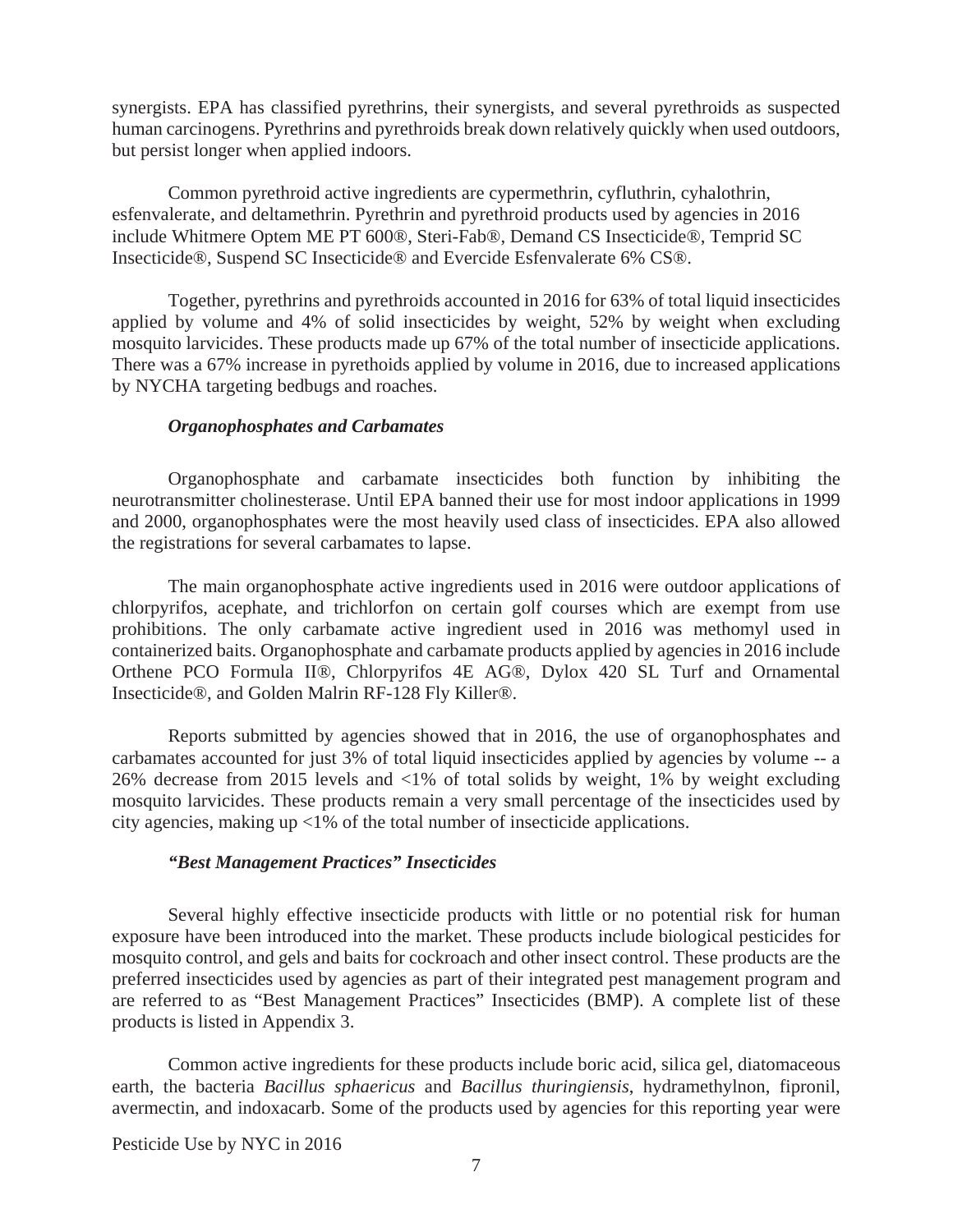synergists. EPA has classified pyrethrins, their synergists, and several pyrethroids as suspected human carcinogens. Pyrethrins and pyrethroids break down relatively quickly when used outdoors, but persist longer when applied indoors.

Common pyrethroid active ingredients are cypermethrin, cyfluthrin, cyhalothrin, esfenvalerate, and deltamethrin. Pyrethrin and pyrethroid products used by agencies in 2016 include Whitmere Optem ME PT 600®, Steri-Fab®, Demand CS Insecticide®, Temprid SC Insecticide®, Suspend SC Insecticide® and Evercide Esfenvalerate 6% CS®.

Together, pyrethrins and pyrethroids accounted in 2016 for 63% of total liquid insecticides applied by volume and 4% of solid insecticides by weight, 52% by weight when excluding mosquito larvicides. These products made up 67% of the total number of insecticide applications. There was a 67% increase in pyrethoids applied by volume in 2016, due to increased applications by NYCHA targeting bedbugs and roaches.

#### *Organophosphates and Carbamates*

Organophosphate and carbamate insecticides both function by inhibiting the neurotransmitter cholinesterase. Until EPA banned their use for most indoor applications in 1999 and 2000, organophosphates were the most heavily used class of insecticides. EPA also allowed the registrations for several carbamates to lapse.

The main organophosphate active ingredients used in 2016 were outdoor applications of chlorpyrifos, acephate, and trichlorfon on certain golf courses which are exempt from use prohibitions. The only carbamate active ingredient used in 2016 was methomyl used in containerized baits. Organophosphate and carbamate products applied by agencies in 2016 include Orthene PCO Formula II®, Chlorpyrifos 4E AG®, Dylox 420 SL Turf and Ornamental Insecticide®, and Golden Malrin RF-128 Fly Killer®.

Reports submitted by agencies showed that in 2016, the use of organophosphates and carbamates accounted for just 3% of total liquid insecticides applied by agencies by volume -- a 26% decrease from 2015 levels and <1% of total solids by weight, 1% by weight excluding mosquito larvicides. These products remain a very small percentage of the insecticides used by city agencies, making up <1% of the total number of insecticide applications.

#### *"Best Management Practices" Insecticides*

Several highly effective insecticide products with little or no potential risk for human exposure have been introduced into the market. These products include biological pesticides for mosquito control, and gels and baits for cockroach and other insect control. These products are the preferred insecticides used by agencies as part of their integrated pest management program and are referred to as "Best Management Practices" Insecticides (BMP). A complete list of these products is listed in Appendix 3.

Common active ingredients for these products include boric acid, silica gel, diatomaceous earth, the bacteria *Bacillus sphaericus* and *Bacillus thuringiensis*, hydramethylnon, fipronil, avermectin, and indoxacarb. Some of the products used by agencies for this reporting year were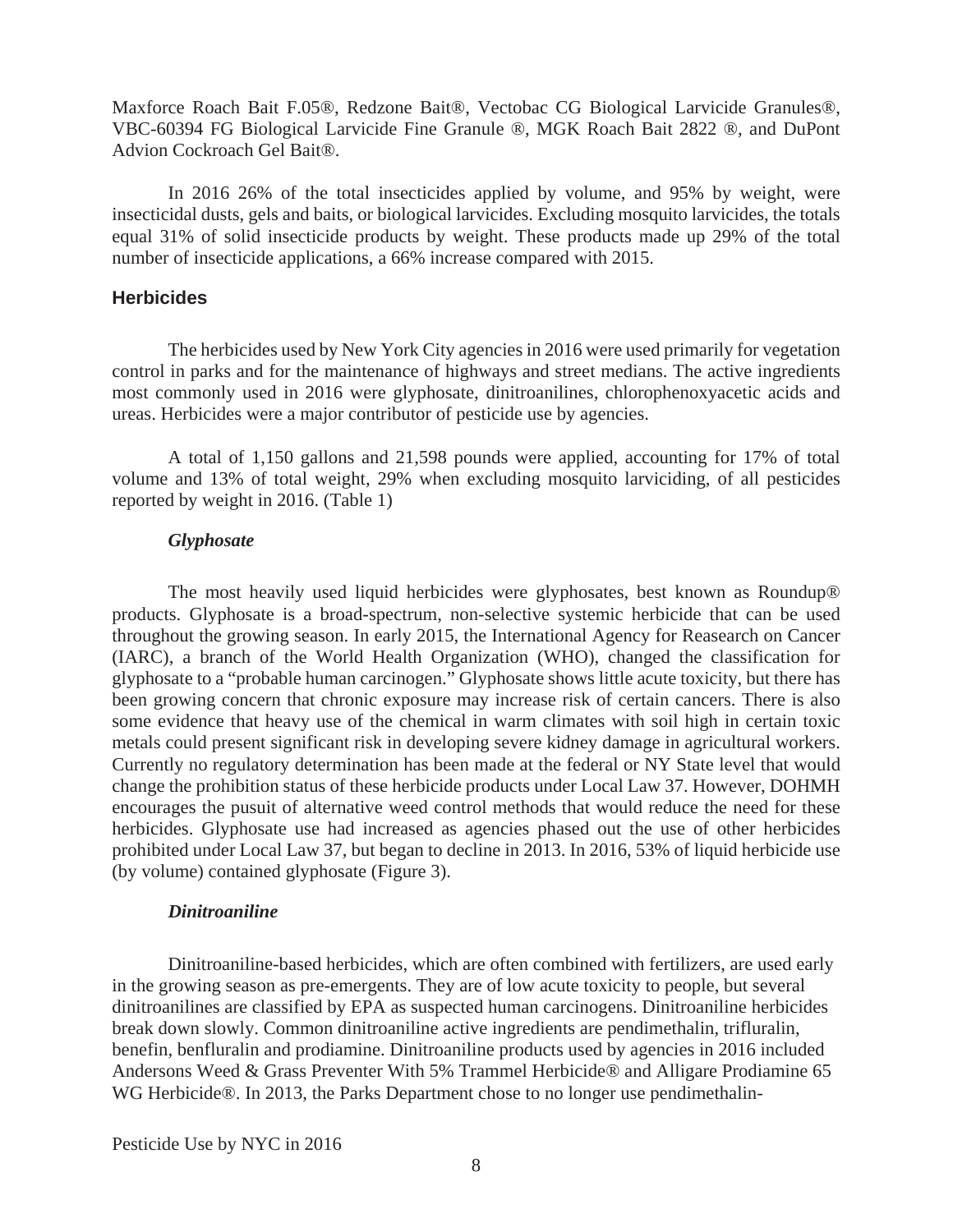Maxforce Roach Bait F.05®, Redzone Bait®, Vectobac CG Biological Larvicide Granules®, VBC-60394 FG Biological Larvicide Fine Granule ®, MGK Roach Bait 2822 ®, and DuPont Advion Cockroach Gel Bait®.

 In 2016 26% of the total insecticides applied by volume, and 95% by weight, were insecticidal dusts, gels and baits, or biological larvicides. Excluding mosquito larvicides, the totals equal 31% of solid insecticide products by weight. These products made up 29% of the total number of insecticide applications, a 66% increase compared with 2015.

#### **Herbicides**

The herbicides used by New York City agencies in 2016 were used primarily for vegetation control in parks and for the maintenance of highways and street medians. The active ingredients most commonly used in 2016 were glyphosate, dinitroanilines, chlorophenoxyacetic acids and ureas. Herbicides were a major contributor of pesticide use by agencies.

 A total of 1,150 gallons and 21,598 pounds were applied, accounting for 17% of total volume and 13% of total weight, 29% when excluding mosquito larviciding, of all pesticides reported by weight in 2016. (Table 1)

#### *Glyphosate*

 The most heavily used liquid herbicides were glyphosates, best known as Roundup® products. Glyphosate is a broad-spectrum, non-selective systemic herbicide that can be used throughout the growing season. In early 2015, the International Agency for Reasearch on Cancer (IARC), a branch of the World Health Organization (WHO), changed the classification for glyphosate to a "probable human carcinogen." Glyphosate shows little acute toxicity, but there has been growing concern that chronic exposure may increase risk of certain cancers. There is also some evidence that heavy use of the chemical in warm climates with soil high in certain toxic metals could present significant risk in developing severe kidney damage in agricultural workers. Currently no regulatory determination has been made at the federal or NY State level that would change the prohibition status of these herbicide products under Local Law 37. However, DOHMH encourages the pusuit of alternative weed control methods that would reduce the need for these herbicides. Glyphosate use had increased as agencies phased out the use of other herbicides prohibited under Local Law 37, but began to decline in 2013. In 2016, 53% of liquid herbicide use (by volume) contained glyphosate (Figure 3).

#### *Dinitroaniline*

 Dinitroaniline-based herbicides, which are often combined with fertilizers, are used early in the growing season as pre-emergents. They are of low acute toxicity to people, but several dinitroanilines are classified by EPA as suspected human carcinogens. Dinitroaniline herbicides break down slowly. Common dinitroaniline active ingredients are pendimethalin, trifluralin, benefin, benfluralin and prodiamine. Dinitroaniline products used by agencies in 2016 included Andersons Weed & Grass Preventer With 5% Trammel Herbicide® and Alligare Prodiamine 65 WG Herbicide®. In 2013, the Parks Department chose to no longer use pendimethalin-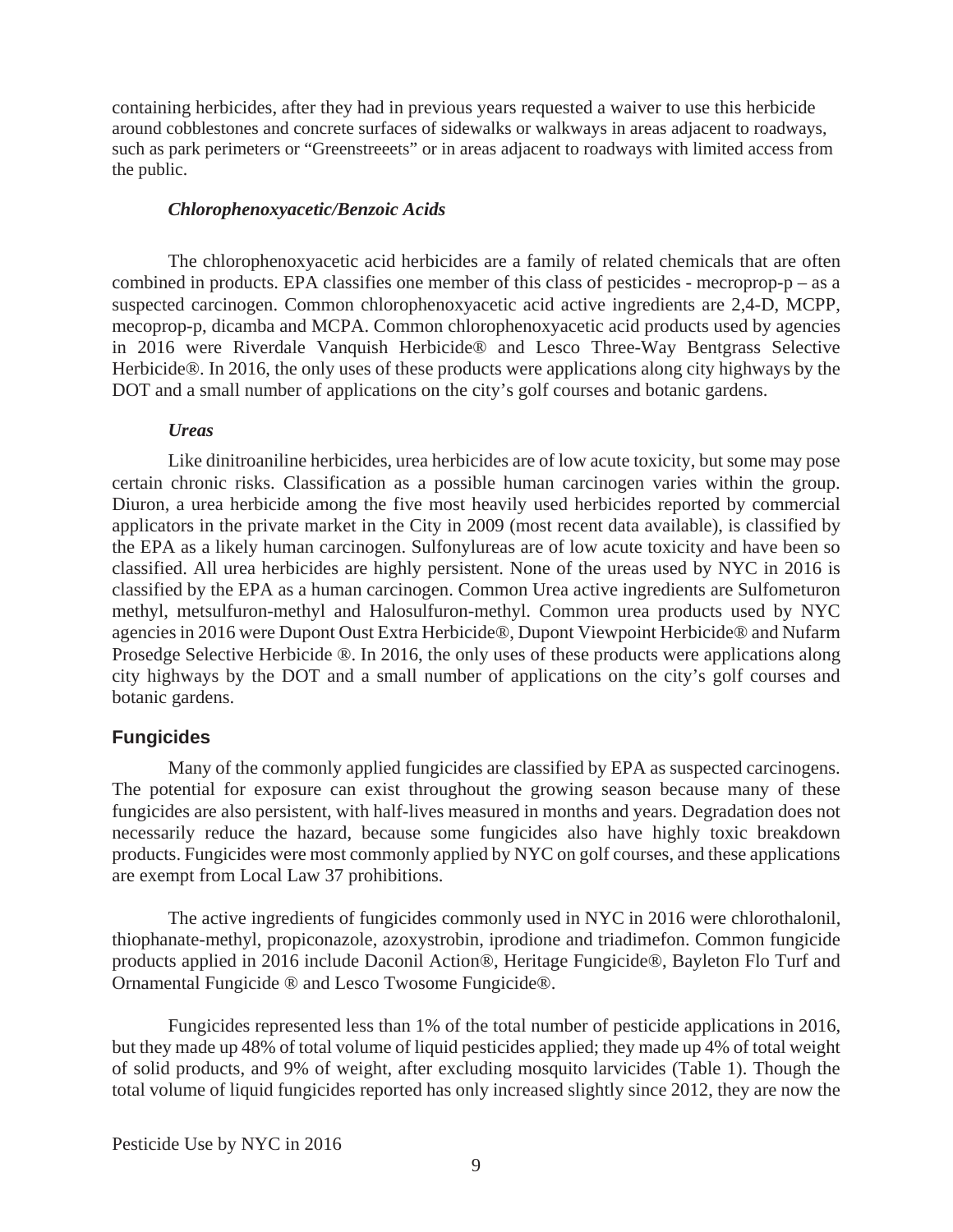containing herbicides, after they had in previous years requested a waiver to use this herbicide around cobblestones and concrete surfaces of sidewalks or walkways in areas adjacent to roadways, such as park perimeters or "Greenstreeets" or in areas adjacent to roadways with limited access from the public.

#### *Chlorophenoxyacetic/Benzoic Acids*

 The chlorophenoxyacetic acid herbicides are a family of related chemicals that are often combined in products. EPA classifies one member of this class of pesticides - mecroprop-p – as a suspected carcinogen. Common chlorophenoxyacetic acid active ingredients are 2,4-D, MCPP, mecoprop-p, dicamba and MCPA. Common chlorophenoxyacetic acid products used by agencies in 2016 were Riverdale Vanquish Herbicide® and Lesco Three-Way Bentgrass Selective Herbicide®. In 2016, the only uses of these products were applications along city highways by the DOT and a small number of applications on the city's golf courses and botanic gardens.

#### *Ureas*

 Like dinitroaniline herbicides, urea herbicides are of low acute toxicity, but some may pose certain chronic risks. Classification as a possible human carcinogen varies within the group. Diuron, a urea herbicide among the five most heavily used herbicides reported by commercial applicators in the private market in the City in 2009 (most recent data available), is classified by the EPA as a likely human carcinogen. Sulfonylureas are of low acute toxicity and have been so classified. All urea herbicides are highly persistent. None of the ureas used by NYC in 2016 is classified by the EPA as a human carcinogen. Common Urea active ingredients are Sulfometuron methyl, metsulfuron-methyl and Halosulfuron-methyl. Common urea products used by NYC agencies in 2016 were Dupont Oust Extra Herbicide®, Dupont Viewpoint Herbicide® and Nufarm Prosedge Selective Herbicide ®. In 2016, the only uses of these products were applications along city highways by the DOT and a small number of applications on the city's golf courses and botanic gardens.

#### **Fungicides**

 Many of the commonly applied fungicides are classified by EPA as suspected carcinogens. The potential for exposure can exist throughout the growing season because many of these fungicides are also persistent, with half-lives measured in months and years. Degradation does not necessarily reduce the hazard, because some fungicides also have highly toxic breakdown products. Fungicides were most commonly applied by NYC on golf courses, and these applications are exempt from Local Law 37 prohibitions.

 The active ingredients of fungicides commonly used in NYC in 2016 were chlorothalonil, thiophanate-methyl, propiconazole, azoxystrobin, iprodione and triadimefon. Common fungicide products applied in 2016 include Daconil Action®, Heritage Fungicide®, Bayleton Flo Turf and Ornamental Fungicide ® and Lesco Twosome Fungicide®.

 Fungicides represented less than 1% of the total number of pesticide applications in 2016, but they made up 48% of total volume of liquid pesticides applied; they made up 4% of total weight of solid products, and 9% of weight, after excluding mosquito larvicides (Table 1). Though the total volume of liquid fungicides reported has only increased slightly since 2012, they are now the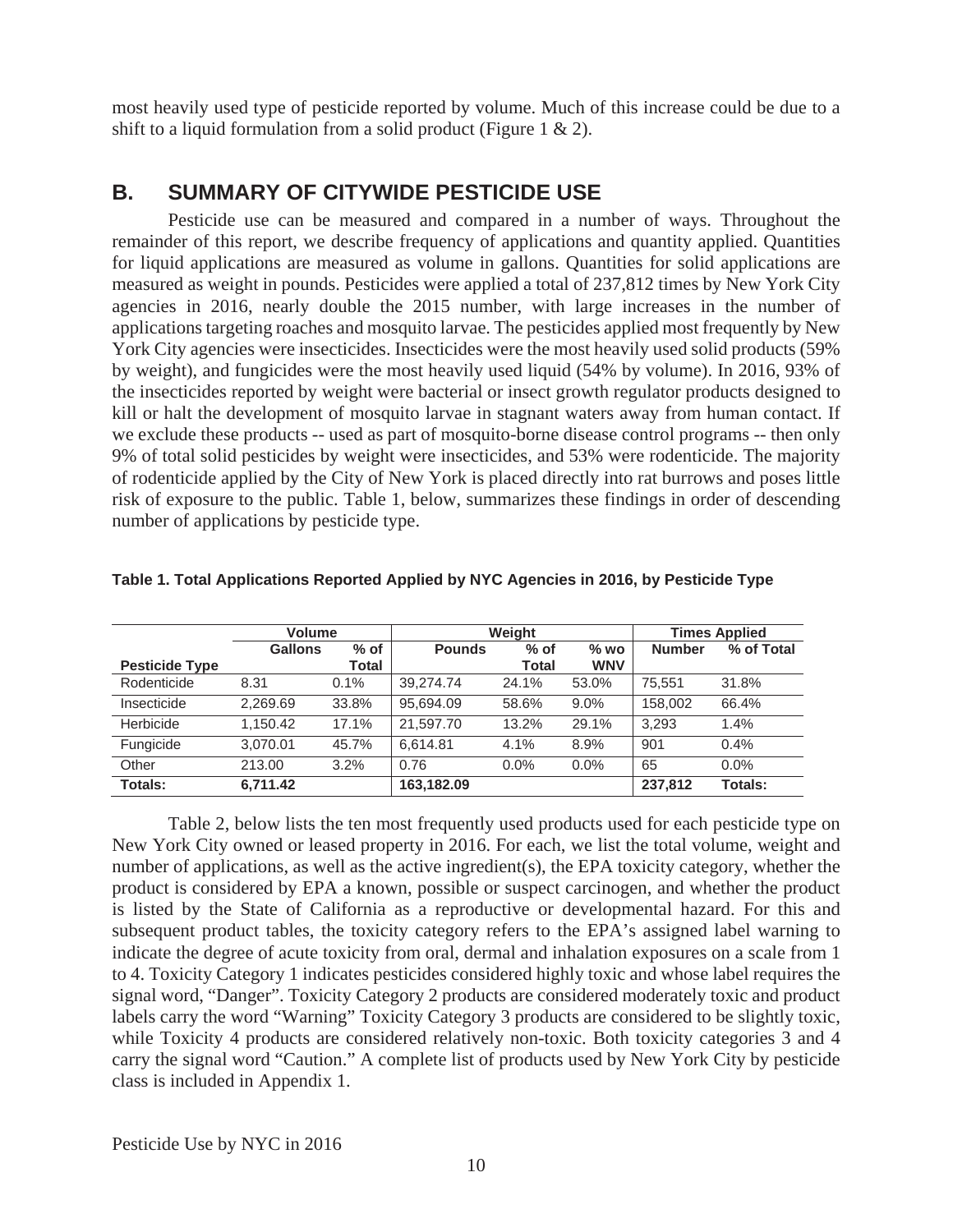most heavily used type of pesticide reported by volume. Much of this increase could be due to a shift to a liquid formulation from a solid product (Figure 1 & 2).

# **B. SUMMARY OF CITYWIDE PESTICIDE USE**

Pesticide use can be measured and compared in a number of ways. Throughout the remainder of this report, we describe frequency of applications and quantity applied. Quantities for liquid applications are measured as volume in gallons. Quantities for solid applications are measured as weight in pounds. Pesticides were applied a total of 237,812 times by New York City agencies in 2016, nearly double the 2015 number, with large increases in the number of applications targeting roaches and mosquito larvae. The pesticides applied most frequently by New York City agencies were insecticides. Insecticides were the most heavily used solid products (59% by weight), and fungicides were the most heavily used liquid (54% by volume). In 2016, 93% of the insecticides reported by weight were bacterial or insect growth regulator products designed to kill or halt the development of mosquito larvae in stagnant waters away from human contact. If we exclude these products -- used as part of mosquito-borne disease control programs -- then only 9% of total solid pesticides by weight were insecticides, and 53% were rodenticide. The majority of rodenticide applied by the City of New York is placed directly into rat burrows and poses little risk of exposure to the public. Table 1, below, summarizes these findings in order of descending number of applications by pesticide type.

|                       | Volume         |        |               | Weight  | <b>Times Applied</b> |               |            |
|-----------------------|----------------|--------|---------------|---------|----------------------|---------------|------------|
|                       | <b>Gallons</b> | $%$ of | <b>Pounds</b> | $%$ of  | $%$ WO               | <b>Number</b> | % of Total |
| <b>Pesticide Type</b> |                | Total  |               | Total   | <b>WNV</b>           |               |            |
| Rodenticide           | 8.31           | 0.1%   | 39.274.74     | 24.1%   | 53.0%                | 75.551        | 31.8%      |
| Insecticide           | 2.269.69       | 33.8%  | 95,694.09     | 58.6%   | 9.0%                 | 158,002       | 66.4%      |
| Herbicide             | 1.150.42       | 17.1%  | 21.597.70     | 13.2%   | 29.1%                | 3.293         | 1.4%       |
| Fungicide             | 3.070.01       | 45.7%  | 6.614.81      | 4.1%    | 8.9%                 | 901           | 0.4%       |
| Other                 | 213.00         | 3.2%   | 0.76          | $0.0\%$ | $0.0\%$              | 65            | $0.0\%$    |
| Totals:               | 6,711.42       |        | 163,182.09    |         |                      | 237,812       | Totals:    |

|  |  | Table 1. Total Applications Reported Applied by NYC Agencies in 2016, by Pesticide Type |
|--|--|-----------------------------------------------------------------------------------------|
|  |  |                                                                                         |
|  |  |                                                                                         |

Table 2, below lists the ten most frequently used products used for each pesticide type on New York City owned or leased property in 2016. For each, we list the total volume, weight and number of applications, as well as the active ingredient(s), the EPA toxicity category, whether the product is considered by EPA a known, possible or suspect carcinogen, and whether the product is listed by the State of California as a reproductive or developmental hazard. For this and subsequent product tables, the toxicity category refers to the EPA's assigned label warning to indicate the degree of acute toxicity from oral, dermal and inhalation exposures on a scale from 1 to 4. Toxicity Category 1 indicates pesticides considered highly toxic and whose label requires the signal word, "Danger". Toxicity Category 2 products are considered moderately toxic and product labels carry the word "Warning" Toxicity Category 3 products are considered to be slightly toxic, while Toxicity 4 products are considered relatively non-toxic. Both toxicity categories 3 and 4 carry the signal word "Caution." A complete list of products used by New York City by pesticide class is included in Appendix 1.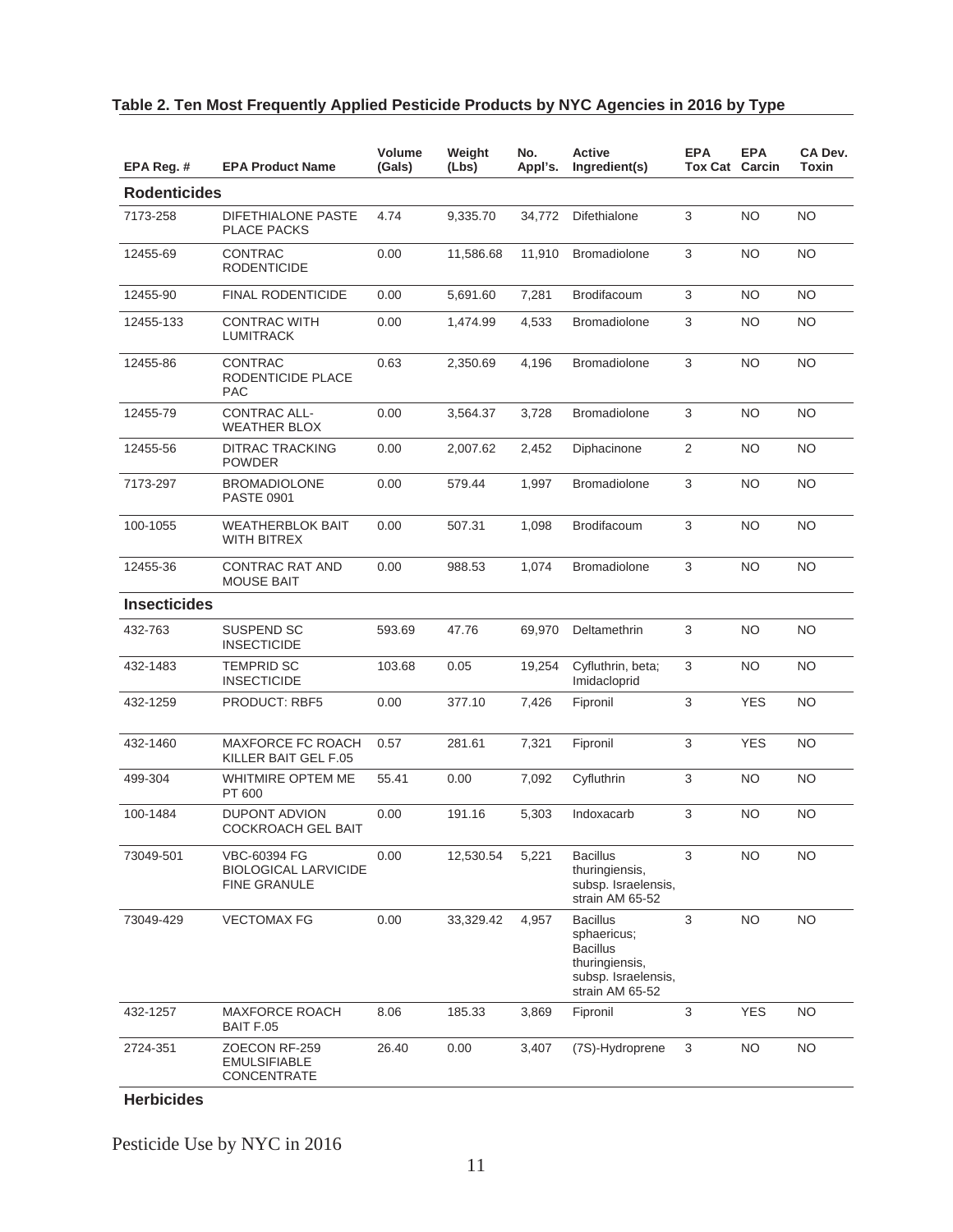| EPA Reg. #          | <b>EPA Product Name</b>                                            | Volume<br>(Gals) | Weight<br>(Lbs) | No.<br>Appl's. | <b>Active</b><br>Ingredient(s)                                                                                | <b>EPA</b><br><b>Tox Cat Carcin</b> | <b>EPA</b> | CA Dev.<br>Toxin |
|---------------------|--------------------------------------------------------------------|------------------|-----------------|----------------|---------------------------------------------------------------------------------------------------------------|-------------------------------------|------------|------------------|
| <b>Rodenticides</b> |                                                                    |                  |                 |                |                                                                                                               |                                     |            |                  |
| 7173-258            | <b>DIFETHIALONE PASTE</b><br><b>PLACE PACKS</b>                    | 4.74             | 9,335.70        | 34,772         | <b>Difethialone</b>                                                                                           | 3                                   | NO.        | <b>NO</b>        |
| 12455-69            | <b>CONTRAC</b><br><b>RODENTICIDE</b>                               | 0.00             | 11,586.68       | 11,910         | <b>Bromadiolone</b>                                                                                           | 3                                   | NO.        | NO.              |
| 12455-90            | <b>FINAL RODENTICIDE</b>                                           | 0.00             | 5,691.60        | 7,281          | Brodifacoum                                                                                                   | 3                                   | NO.        | NO.              |
| 12455-133           | <b>CONTRAC WITH</b><br><b>LUMITRACK</b>                            | 0.00             | 1.474.99        | 4,533          | <b>Bromadiolone</b>                                                                                           | 3                                   | NO.        | <b>NO</b>        |
| 12455-86            | <b>CONTRAC</b><br>RODENTICIDE PLACE<br><b>PAC</b>                  | 0.63             | 2,350.69        | 4,196          | <b>Bromadiolone</b>                                                                                           | 3                                   | NO.        | <b>NO</b>        |
| 12455-79            | CONTRAC ALL-<br><b>WEATHER BLOX</b>                                | 0.00             | 3,564.37        | 3,728          | <b>Bromadiolone</b>                                                                                           | 3                                   | <b>NO</b>  | <b>NO</b>        |
| 12455-56            | <b>DITRAC TRACKING</b><br>POWDER                                   | 0.00             | 2,007.62        | 2,452          | Diphacinone                                                                                                   | 2                                   | NO.        | ΝO               |
| 7173-297            | <b>BROMADIOLONE</b><br><b>PASTE 0901</b>                           | 0.00             | 579.44          | 1,997          | <b>Bromadiolone</b>                                                                                           | 3                                   | NO.        | ΝO               |
| 100-1055            | <b>WEATHERBLOK BAIT</b><br>WITH BITREX                             | 0.00             | 507.31          | 1,098          | Brodifacoum                                                                                                   | 3                                   | NO.        | <b>NO</b>        |
| 12455-36            | <b>CONTRAC RAT AND</b><br><b>MOUSE BAIT</b>                        | 0.00             | 988.53          | 1,074          | <b>Bromadiolone</b>                                                                                           | 3                                   | NO.        | NO.              |
| <b>Insecticides</b> |                                                                    |                  |                 |                |                                                                                                               |                                     |            |                  |
| 432-763             | SUSPEND SC<br><b>INSECTICIDE</b>                                   | 593.69           | 47.76           | 69,970         | Deltamethrin                                                                                                  | 3                                   | NO.        | NO               |
| 432-1483            | <b>TEMPRID SC</b><br><b>INSECTICIDE</b>                            | 103.68           | 0.05            | 19,254         | Cyfluthrin, beta;<br>Imidacloprid                                                                             | 3                                   | NO.        | NO               |
| 432-1259            | <b>PRODUCT: RBF5</b>                                               | 0.00             | 377.10          | 7,426          | Fipronil                                                                                                      | 3                                   | <b>YES</b> | NO               |
| 432-1460            | MAXFORCE FC ROACH<br>KILLER BAIT GEL F.05                          | 0.57             | 281.61          | 7,321          | Fipronil                                                                                                      | 3                                   | <b>YES</b> | NO               |
| 499-304             | WHITMIRE OPTEM ME<br>PT 600                                        | 55.41            | 0.00            | 7,092          | Cyfluthrin                                                                                                    | 3                                   | NO         | NO               |
| 100-1484            | <b>DUPONT ADVION</b><br><b>COCKROACH GEL BAIT</b>                  | 0.00             | 191.16          | 5,303          | Indoxacarb                                                                                                    | 3                                   | NO.        | NO               |
| 73049-501           | VBC-60394 FG<br><b>BIOLOGICAL LARVICIDE</b><br><b>FINE GRANULE</b> | 0.00             | 12,530.54       | 5,221          | <b>Bacillus</b><br>thuringiensis,<br>subsp. Israelensis,<br>strain AM 65-52                                   | 3                                   | <b>NO</b>  | <b>NO</b>        |
| 73049-429           | <b>VECTOMAX FG</b>                                                 | 0.00             | 33,329.42       | 4,957          | <b>Bacillus</b><br>sphaericus;<br><b>Bacillus</b><br>thuringiensis,<br>subsp. Israelensis,<br>strain AM 65-52 | 3                                   | <b>NO</b>  | <b>NO</b>        |
| 432-1257            | <b>MAXFORCE ROACH</b><br>BAIT F.05                                 | 8.06             | 185.33          | 3,869          | Fipronil                                                                                                      | 3                                   | <b>YES</b> | <b>NO</b>        |
| 2724-351            | ZOECON RF-259<br><b>EMULSIFIABLE</b><br>CONCENTRATE                | 26.40            | 0.00            | 3,407          | (7S)-Hydroprene                                                                                               | $\mathbf{3}$                        | <b>NO</b>  | <b>NO</b>        |

# **Table 2. Ten Most Frequently Applied Pesticide Products by NYC Agencies in 2016 by Type**

**Herbicides**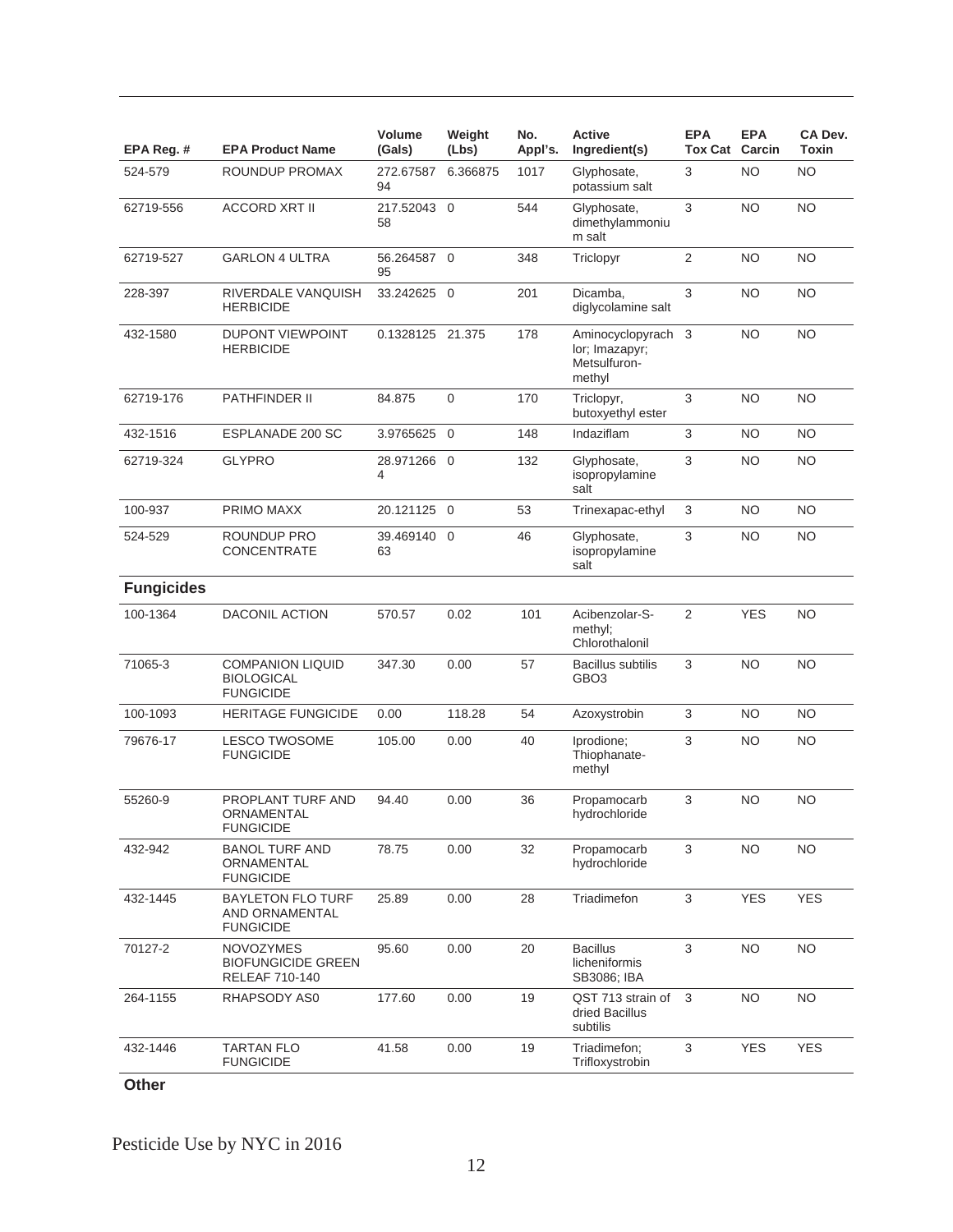| EPA Reg. #        | <b>EPA Product Name</b>                                         | Volume<br>(Gals)  | Weight<br>(Lbs) | No.<br>Appl's. | <b>Active</b><br>Ingredient(s)                               | <b>EPA</b><br><b>Tox Cat Carcin</b> | <b>EPA</b> | CA Dev.<br>Toxin |
|-------------------|-----------------------------------------------------------------|-------------------|-----------------|----------------|--------------------------------------------------------------|-------------------------------------|------------|------------------|
| 524-579           | ROUNDUP PROMAX                                                  | 272.67587<br>94   | 6.366875        | 1017           | Glyphosate,<br>potassium salt                                | 3                                   | <b>NO</b>  | <b>NO</b>        |
| 62719-556         | <b>ACCORD XRT II</b>                                            | 217.52043 0<br>58 |                 | 544            | Glyphosate,<br>dimethylammoniu<br>m salt                     | 3                                   | <b>NO</b>  | NO.              |
| 62719-527         | <b>GARLON 4 ULTRA</b>                                           | 56.264587 0<br>95 |                 | 348            | Triclopyr                                                    | 2                                   | <b>NO</b>  | NO.              |
| 228-397           | RIVERDALE VANQUISH<br><b>HERBICIDE</b>                          | 33.242625 0       |                 | 201            | Dicamba,<br>diglycolamine salt                               | 3                                   | <b>NO</b>  | <b>NO</b>        |
| 432-1580          | <b>DUPONT VIEWPOINT</b><br><b>HERBICIDE</b>                     | 0.1328125 21.375  |                 | 178            | Aminocyclopyrach<br>lor; Imazapyr;<br>Metsulfuron-<br>methyl | 3                                   | <b>NO</b>  | <b>NO</b>        |
| 62719-176         | PATHFINDER II                                                   | 84.875            | $\mathbf 0$     | 170            | Triclopyr,<br>butoxyethyl ester                              | 3                                   | <b>NO</b>  | <b>NO</b>        |
| 432-1516          | ESPLANADE 200 SC                                                | 3.9765625 0       |                 | 148            | Indaziflam                                                   | 3                                   | <b>NO</b>  | NO.              |
| 62719-324         | <b>GLYPRO</b>                                                   | 28.971266 0<br>4  |                 | 132            | Glyphosate,<br>isopropylamine<br>salt                        | 3                                   | <b>NO</b>  | <b>NO</b>        |
| 100-937           | PRIMO MAXX                                                      | 20.121125 0       |                 | 53             | Trinexapac-ethyl                                             | 3                                   | <b>NO</b>  | NO.              |
| 524-529           | ROUNDUP PRO<br><b>CONCENTRATE</b>                               | 39.469140 0<br>63 |                 | 46             | Glyphosate,<br>isopropylamine<br>salt                        | 3                                   | <b>NO</b>  | NO.              |
| <b>Fungicides</b> |                                                                 |                   |                 |                |                                                              |                                     |            |                  |
| 100-1364          | <b>DACONIL ACTION</b>                                           | 570.57            | 0.02            | 101            | Acibenzolar-S-<br>methyl;<br>Chlorothalonil                  | 2                                   | <b>YES</b> | <b>NO</b>        |
| 71065-3           | <b>COMPANION LIQUID</b><br>BIOLOGICAL<br><b>FUNGICIDE</b>       | 347.30            | 0.00            | 57             | <b>Bacillus subtilis</b><br>GBO3                             | 3                                   | <b>NO</b>  | <b>NO</b>        |
| 100-1093          | <b>HERITAGE FUNGICIDE</b>                                       | 0.00              | 118.28          | 54             | Azoxystrobin                                                 | 3                                   | <b>NO</b>  | NO.              |
| 79676-17          | <b>LESCO TWOSOME</b><br><b>FUNGICIDE</b>                        | 105.00            | 0.00            | 40             | Iprodione;<br>Thiophanate-<br>methyl                         | 3                                   | <b>NO</b>  | <b>NO</b>        |
| 55260-9           | PROPLANT TURF AND<br>ORNAMENTAL<br><b>FUNGICIDE</b>             | 94.40             | 0.00            | 36             | Propamocarb<br>hydrochloride                                 | 3                                   | ΝO         | <b>NO</b>        |
| 432-942           | <b>BANOL TURF AND</b><br>ORNAMENTAL<br><b>FUNGICIDE</b>         | 78.75             | 0.00            | 32             | Propamocarb<br>hydrochloride                                 | 3                                   | <b>NO</b>  | <b>NO</b>        |
| 432-1445          | <b>BAYLETON FLO TURF</b><br>AND ORNAMENTAL<br><b>FUNGICIDE</b>  | 25.89             | 0.00            | 28             | Triadimefon                                                  | 3                                   | <b>YES</b> | <b>YES</b>       |
| 70127-2           | <b>NOVOZYMES</b><br><b>BIOFUNGICIDE GREEN</b><br>RELEAF 710-140 | 95.60             | 0.00            | 20             | <b>Bacillus</b><br>licheniformis<br>SB3086; IBA              | 3                                   | <b>NO</b>  | <b>NO</b>        |
| 264-1155          | RHAPSODY AS0                                                    | 177.60            | 0.00            | 19             | QST 713 strain of<br>dried Bacillus<br>subtilis              | 3                                   | <b>NO</b>  | <b>NO</b>        |
| 432-1446          | <b>TARTAN FLO</b><br><b>FUNGICIDE</b>                           | 41.58             | 0.00            | 19             | Triadimefon;<br>Trifloxystrobin                              | 3                                   | <b>YES</b> | <b>YES</b>       |

**Other**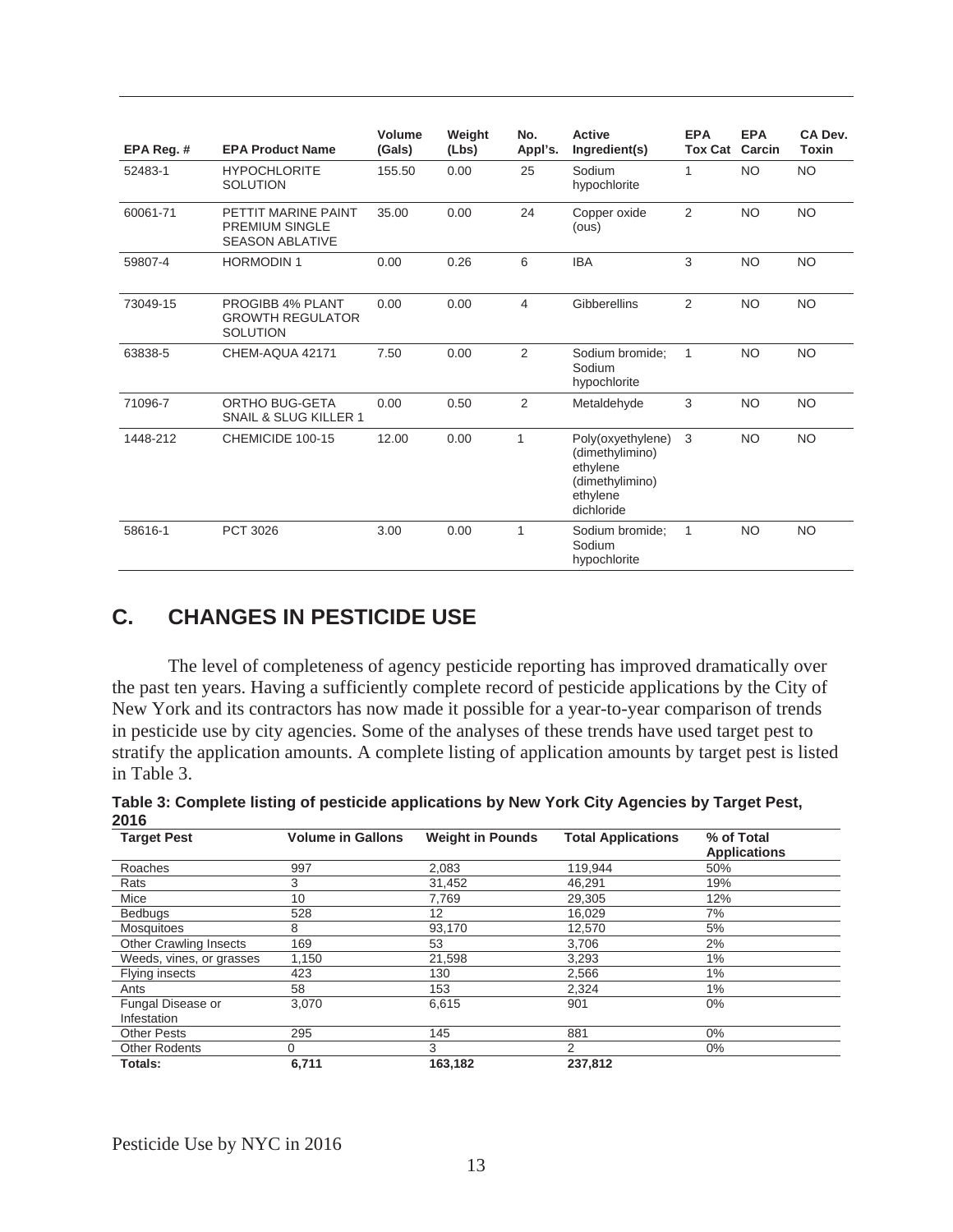| EPA Reg. # | <b>EPA Product Name</b>                                                | Volume<br>(Gals) | Weight<br>(Lbs) | No.<br>Appl's. | <b>Active</b><br>Ingredient(s)                                                                | <b>EPA</b><br><b>Tox Cat</b> | <b>EPA</b><br>Carcin | CA Dev.<br>Toxin |
|------------|------------------------------------------------------------------------|------------------|-----------------|----------------|-----------------------------------------------------------------------------------------------|------------------------------|----------------------|------------------|
| 52483-1    | <b>HYPOCHLORITE</b><br><b>SOLUTION</b>                                 | 155.50           | 0.00            | 25             | Sodium<br>hypochlorite                                                                        | 1                            | <b>NO</b>            | <b>NO</b>        |
| 60061-71   | PETTIT MARINE PAINT<br><b>PREMIUM SINGLE</b><br><b>SEASON ABLATIVE</b> | 35.00            | 0.00            | 24             | Copper oxide<br>(ous)                                                                         | 2                            | <b>NO</b>            | <b>NO</b>        |
| 59807-4    | <b>HORMODIN1</b>                                                       | 0.00             | 0.26            | 6              | <b>IBA</b>                                                                                    | 3                            | <b>NO</b>            | <b>NO</b>        |
| 73049-15   | PROGIBB 4% PLANT<br><b>GROWTH REGULATOR</b><br><b>SOLUTION</b>         | 0.00             | 0.00            | 4              | Gibberellins                                                                                  | 2                            | <b>NO</b>            | <b>NO</b>        |
| 63838-5    | CHEM-AQUA 42171                                                        | 7.50             | 0.00            | 2              | Sodium bromide:<br>Sodium<br>hypochlorite                                                     | 1                            | <b>NO</b>            | <b>NO</b>        |
| 71096-7    | ORTHO BUG-GETA<br><b>SNAIL &amp; SLUG KILLER 1</b>                     | 0.00             | 0.50            | 2              | Metaldehyde                                                                                   | 3                            | <b>NO</b>            | <b>NO</b>        |
| 1448-212   | CHEMICIDE 100-15                                                       | 12.00            | 0.00            | 1              | Poly(oxyethylene)<br>(dimethylimino)<br>ethylene<br>(dimethylimino)<br>ethylene<br>dichloride | 3                            | <b>NO</b>            | <b>NO</b>        |
| 58616-1    | PCT 3026                                                               | 3.00             | 0.00            | $\mathbf{1}$   | Sodium bromide;<br>Sodium<br>hypochlorite                                                     | 1                            | <b>NO</b>            | <b>NO</b>        |

# **C. CHANGES IN PESTICIDE USE**

 The level of completeness of agency pesticide reporting has improved dramatically over the past ten years. Having a sufficiently complete record of pesticide applications by the City of New York and its contractors has now made it possible for a year-to-year comparison of trends in pesticide use by city agencies. Some of the analyses of these trends have used target pest to stratify the application amounts. A complete listing of application amounts by target pest is listed in Table 3.

| <b>Target Pest</b>               | <b>Volume in Gallons</b> | <b>Weight in Pounds</b> | <b>Total Applications</b> | % of Total<br><b>Applications</b> |
|----------------------------------|--------------------------|-------------------------|---------------------------|-----------------------------------|
| Roaches                          | 997                      | 2,083                   | 119,944                   | 50%                               |
| Rats                             | 3                        | 31.452                  | 46.291                    | 19%                               |
| Mice                             | 10                       | 7,769                   | 29,305                    | 12%                               |
| <b>Bedbugs</b>                   | 528                      | 12                      | 16,029                    | 7%                                |
| <b>Mosquitoes</b>                | 8                        | 93,170                  | 12,570                    | 5%                                |
| <b>Other Crawling Insects</b>    | 169                      | 53                      | 3,706                     | 2%                                |
| Weeds, vines, or grasses         | 1,150                    | 21,598                  | 3,293                     | 1%                                |
| Flying insects                   | 423                      | 130                     | 2,566                     | 1%                                |
| Ants                             | 58                       | 153                     | 2,324                     | 1%                                |
| Fungal Disease or<br>Infestation | 3,070                    | 6,615                   | 901                       | $0\%$                             |
| <b>Other Pests</b>               | 295                      | 145                     | 881                       | $0\%$                             |
| <b>Other Rodents</b>             | 0                        | 3                       | 2                         | 0%                                |
| Totals:                          | 6,711                    | 163.182                 | 237.812                   |                                   |

**Table 3: Complete listing of pesticide applications by New York City Agencies by Target Pest, 2016**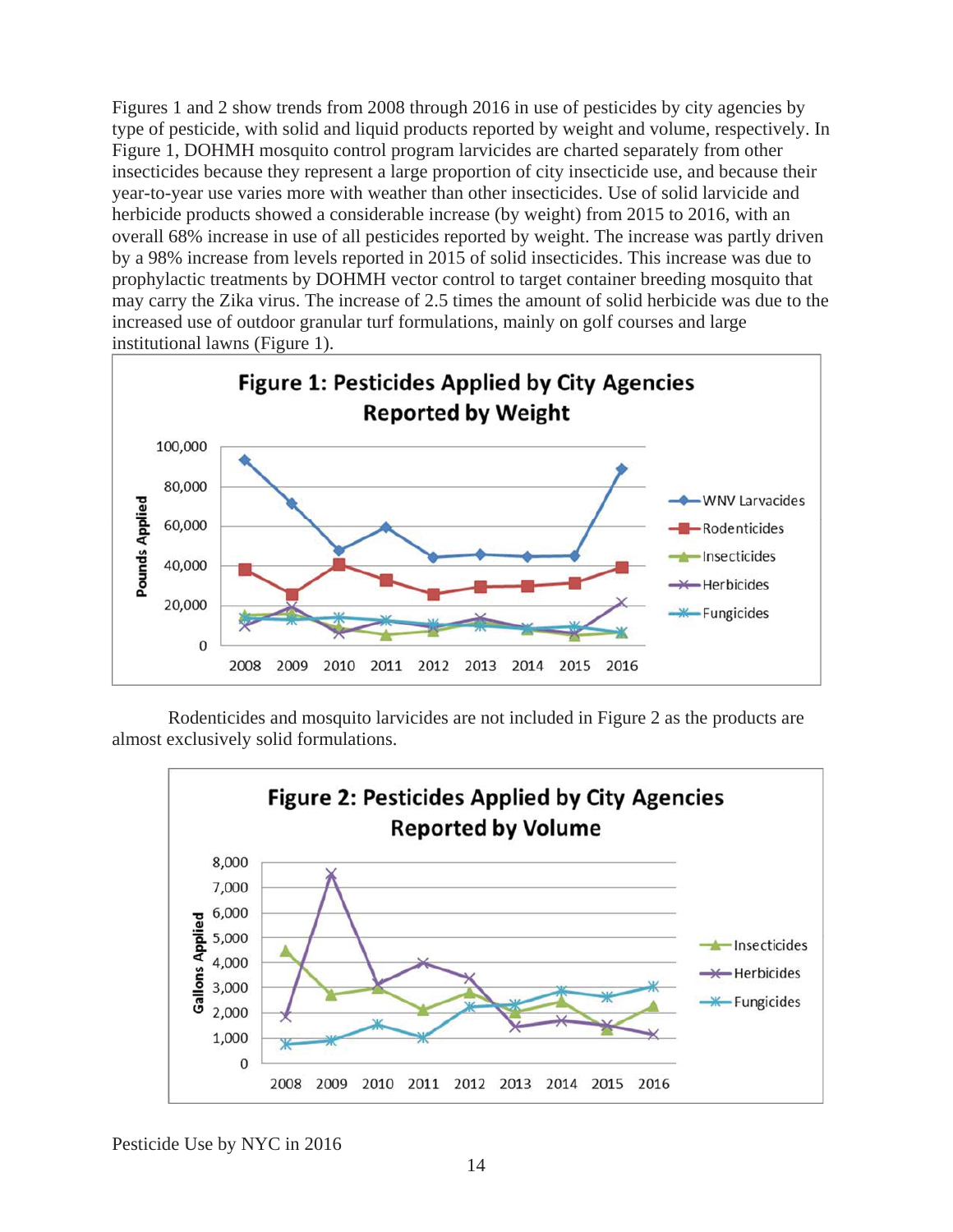Figures 1 and 2 show trends from 2008 through 2016 in use of pesticides by city agencies by type of pesticide, with solid and liquid products reported by weight and volume, respectively. In Figure 1, DOHMH mosquito control program larvicides are charted separately from other insecticides because they represent a large proportion of city insecticide use, and because their year-to-year use varies more with weather than other insecticides. Use of solid larvicide and herbicide products showed a considerable increase (by weight) from 2015 to 2016, with an overall 68% increase in use of all pesticides reported by weight. The increase was partly driven by a 98% increase from levels reported in 2015 of solid insecticides. This increase was due to prophylactic treatments by DOHMH vector control to target container breeding mosquito that may carry the Zika virus. The increase of 2.5 times the amount of solid herbicide was due to the increased use of outdoor granular turf formulations, mainly on golf courses and large institutional lawns (Figure 1).



Rodenticides and mosquito larvicides are not included in Figure 2 as the products are almost exclusively solid formulations.

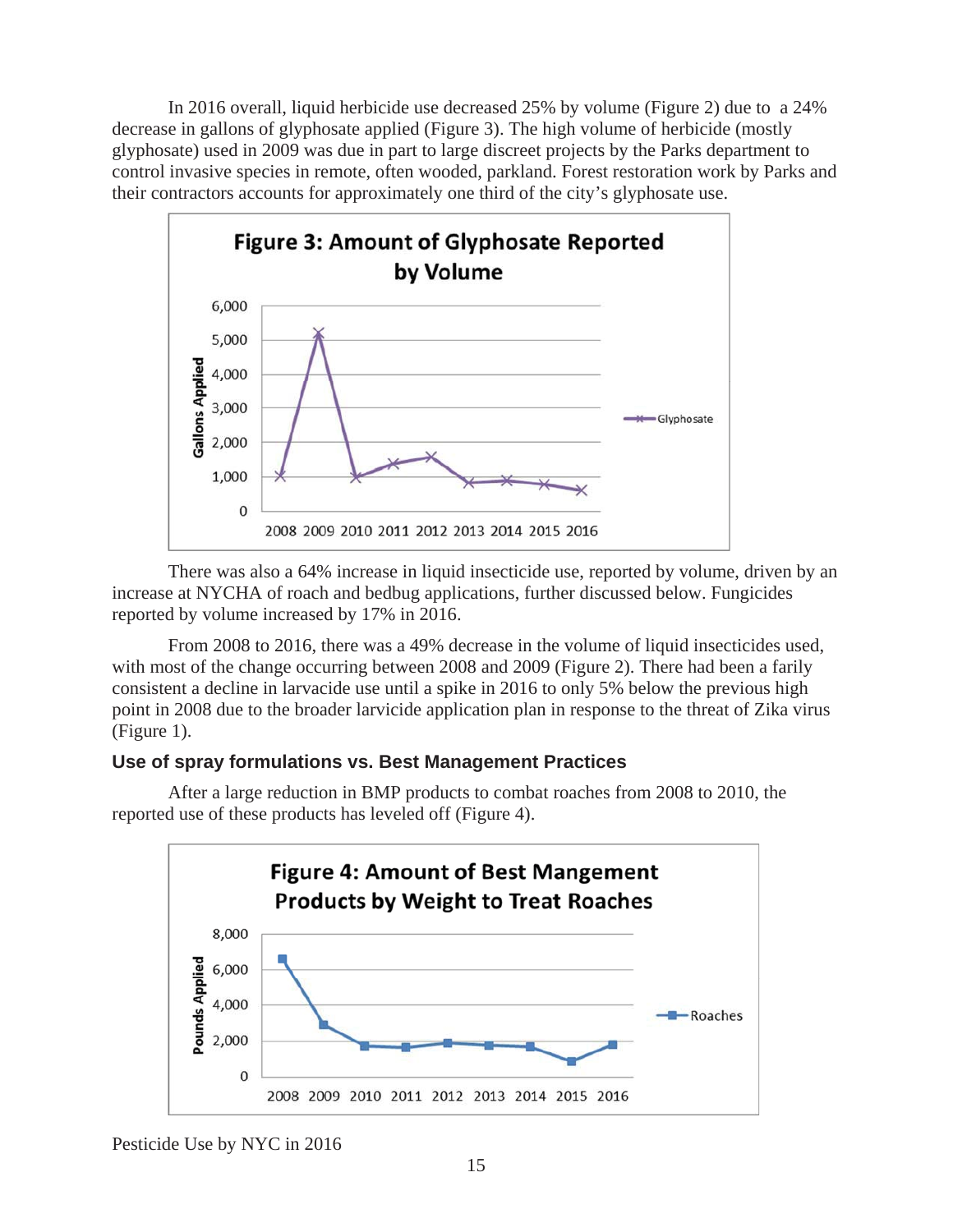In 2016 overall, liquid herbicide use decreased 25% by volume (Figure 2) due to a 24% decrease in gallons of glyphosate applied (Figure 3). The high volume of herbicide (mostly glyphosate) used in 2009 was due in part to large discreet projects by the Parks department to control invasive species in remote, often wooded, parkland. Forest restoration work by Parks and their contractors accounts for approximately one third of the city's glyphosate use.



There was also a 64% increase in liquid insecticide use, reported by volume, driven by an increase at NYCHA of roach and bedbug applications, further discussed below. Fungicides reported by volume increased by 17% in 2016.

From 2008 to 2016, there was a 49% decrease in the volume of liquid insecticides used, with most of the change occurring between 2008 and 2009 (Figure 2). There had been a farily consistent a decline in larvacide use until a spike in 2016 to only 5% below the previous high point in 2008 due to the broader larvicide application plan in response to the threat of Zika virus (Figure 1).

## **Use of spray formulations vs. Best Management Practices**



After a large reduction in BMP products to combat roaches from 2008 to 2010, the reported use of these products has leveled off (Figure 4).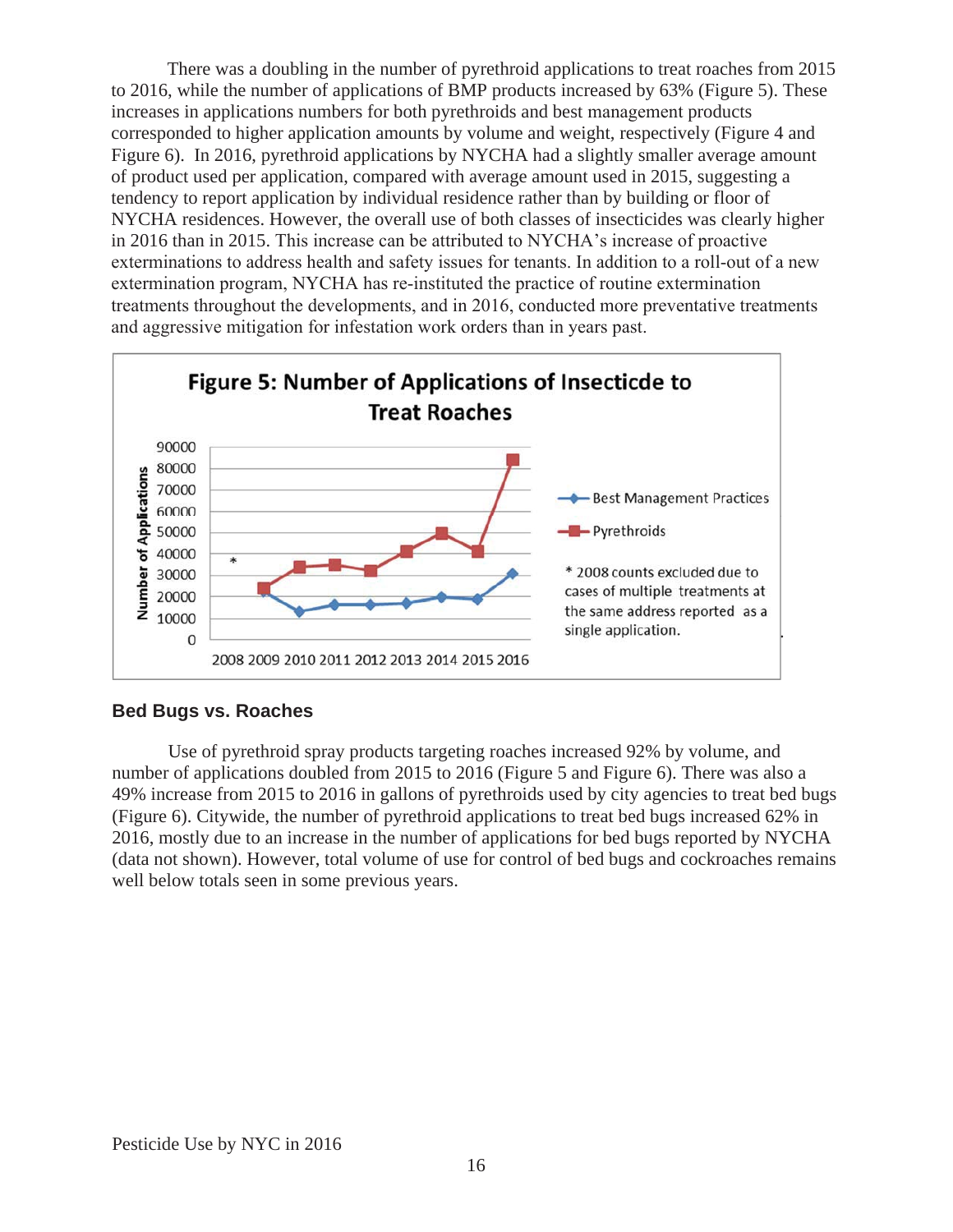There was a doubling in the number of pyrethroid applications to treat roaches from 2015 to 2016, while the number of applications of BMP products increased by 63% (Figure 5). These increases in applications numbers for both pyrethroids and best management products corresponded to higher application amounts by volume and weight, respectively (Figure 4 and Figure 6). In 2016, pyrethroid applications by NYCHA had a slightly smaller average amount of product used per application, compared with average amount used in 2015, suggesting a tendency to report application by individual residence rather than by building or floor of NYCHA residences. However, the overall use of both classes of insecticides was clearly higher in 2016 than in 2015. This increase can be attributed to NYCHA's increase of proactive exterminations to address health and safety issues for tenants. In addition to a roll-out of a new extermination program, NYCHA has re-instituted the practice of routine extermination treatments throughout the developments, and in 2016, conducted more preventative treatments and aggressive mitigation for infestation work orders than in years past.



## **Bed Bugs vs. Roaches**

Use of pyrethroid spray products targeting roaches increased 92% by volume, and number of applications doubled from 2015 to 2016 (Figure 5 and Figure 6). There was also a 49% increase from 2015 to 2016 in gallons of pyrethroids used by city agencies to treat bed bugs (Figure 6). Citywide, the number of pyrethroid applications to treat bed bugs increased 62% in 2016, mostly due to an increase in the number of applications for bed bugs reported by NYCHA (data not shown). However, total volume of use for control of bed bugs and cockroaches remains well below totals seen in some previous years.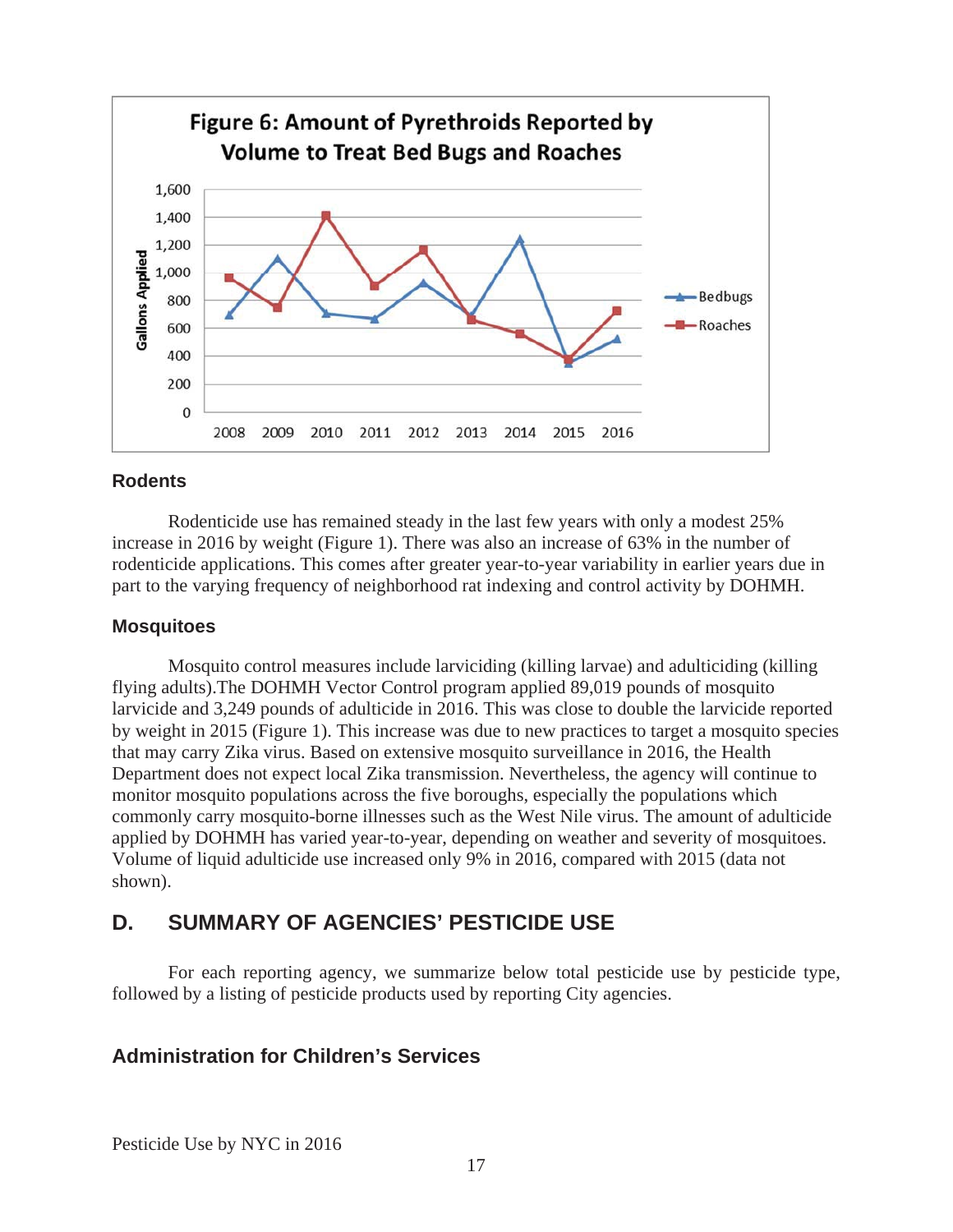

#### **Rodents**

Rodenticide use has remained steady in the last few years with only a modest 25% increase in 2016 by weight (Figure 1). There was also an increase of 63% in the number of rodenticide applications. This comes after greater year-to-year variability in earlier years due in part to the varying frequency of neighborhood rat indexing and control activity by DOHMH.

#### **Mosquitoes**

Mosquito control measures include larviciding (killing larvae) and adulticiding (killing flying adults).The DOHMH Vector Control program applied 89,019 pounds of mosquito larvicide and 3,249 pounds of adulticide in 2016. This was close to double the larvicide reported by weight in 2015 (Figure 1). This increase was due to new practices to target a mosquito species that may carry Zika virus. Based on extensive mosquito surveillance in 2016, the Health Department does not expect local Zika transmission. Nevertheless, the agency will continue to monitor mosquito populations across the five boroughs, especially the populations which commonly carry mosquito-borne illnesses such as the West Nile virus. The amount of adulticide applied by DOHMH has varied year-to-year, depending on weather and severity of mosquitoes. Volume of liquid adulticide use increased only 9% in 2016, compared with 2015 (data not shown).

# **D. SUMMARY OF AGENCIES' PESTICIDE USE**

For each reporting agency, we summarize below total pesticide use by pesticide type, followed by a listing of pesticide products used by reporting City agencies.

## **Administration for Children's Services**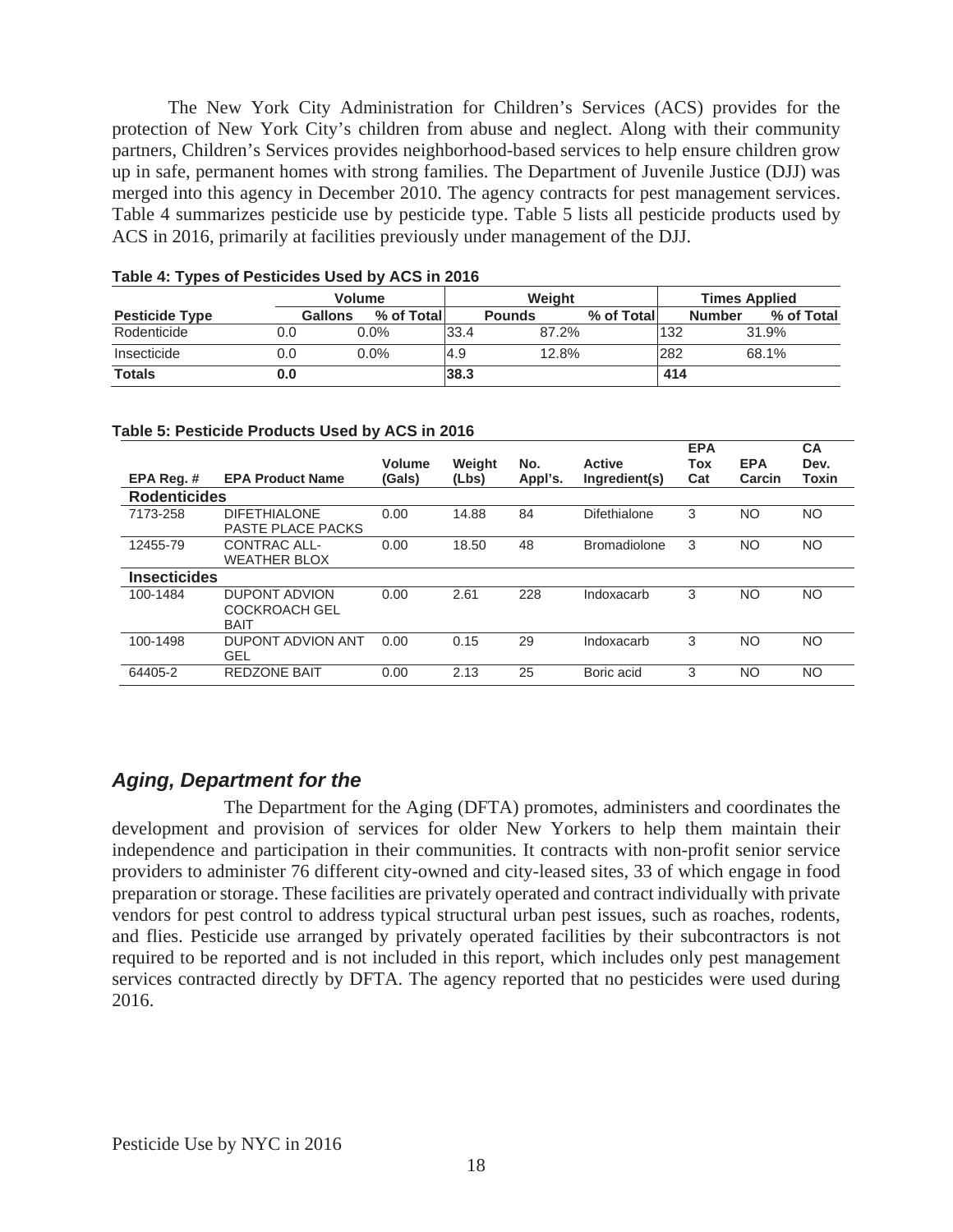The New York City Administration for Children's Services (ACS) provides for the protection of New York City's children from abuse and neglect. Along with their community partners, Children's Services provides neighborhood-based services to help ensure children grow up in safe, permanent homes with strong families. The Department of Juvenile Justice (DJJ) was merged into this agency in December 2010. The agency contracts for pest management services. Table 4 summarizes pesticide use by pesticide type. Table 5 lists all pesticide products used by ACS in 2016, primarily at facilities previously under management of the DJJ.

|                       |     | <b>Volume</b>                |      | Weight        |            | <b>Times Applied</b> |                             |  |
|-----------------------|-----|------------------------------|------|---------------|------------|----------------------|-----------------------------|--|
| <b>Pesticide Type</b> |     | <b>Gallons</b><br>% of Total |      | <b>Pounds</b> | % of Total |                      | % of Total<br><b>Number</b> |  |
| Rodenticide           | 0.0 | $0.0\%$                      | 33.4 | 87.2%         |            | 132                  | 31.9%                       |  |
| Insecticide           | 0.0 | $0.0\%$                      | l4.9 | 12.8%         |            | 282                  | 68.1%                       |  |
| <b>Totals</b>         | J.O |                              | 38.3 |               |            | 414                  |                             |  |

#### **Table 4: Types of Pesticides Used by ACS in 2016**

#### **Table 5: Pesticide Products Used by ACS in 2016**

|                     |                                                      | Volume | Weight | No.     | <b>Active</b>       | <b>EPA</b><br>Tox | <b>EPA</b> | <b>CA</b><br>Dev. |
|---------------------|------------------------------------------------------|--------|--------|---------|---------------------|-------------------|------------|-------------------|
| EPA Reg.#           | <b>EPA Product Name</b>                              | (Gals) | (Lbs)  | Appl's. | Ingredient(s)       | Cat               | Carcin     | Toxin             |
| <b>Rodenticides</b> |                                                      |        |        |         |                     |                   |            |                   |
| 7173-258            | <b>DIFETHIALONE</b><br><b>PASTE PLACE PACKS</b>      | 0.00   | 14.88  | 84      | Difethialone        | 3                 | NO.        | <b>NO</b>         |
| 12455-79            | CONTRAC ALL-<br><b>WEATHER BLOX</b>                  | 0.00   | 18.50  | 48      | <b>Bromadiolone</b> | 3                 | NO.        | <b>NO</b>         |
| <b>Insecticides</b> |                                                      |        |        |         |                     |                   |            |                   |
| 100-1484            | DUPONT ADVION<br><b>COCKROACH GEL</b><br><b>BAIT</b> | 0.00   | 2.61   | 228     | Indoxacarb          | 3                 | NO.        | <b>NO</b>         |
| 100-1498            | DUPONT ADVION ANT<br>GEL                             | 0.00   | 0.15   | 29      | Indoxacarb          | 3                 | NO.        | <b>NO</b>         |
| 64405-2             | <b>REDZONE BAIT</b>                                  | 0.00   | 2.13   | 25      | Boric acid          | 3                 | NO         | <b>NO</b>         |

## *Aging, Department for the*

The Department for the Aging (DFTA) promotes, administers and coordinates the development and provision of services for older New Yorkers to help them maintain their independence and participation in their communities. It contracts with non-profit senior service providers to administer 76 different city-owned and city-leased sites, 33 of which engage in food preparation or storage. These facilities are privately operated and contract individually with private vendors for pest control to address typical structural urban pest issues, such as roaches, rodents, and flies. Pesticide use arranged by privately operated facilities by their subcontractors is not required to be reported and is not included in this report, which includes only pest management services contracted directly by DFTA. The agency reported that no pesticides were used during 2016.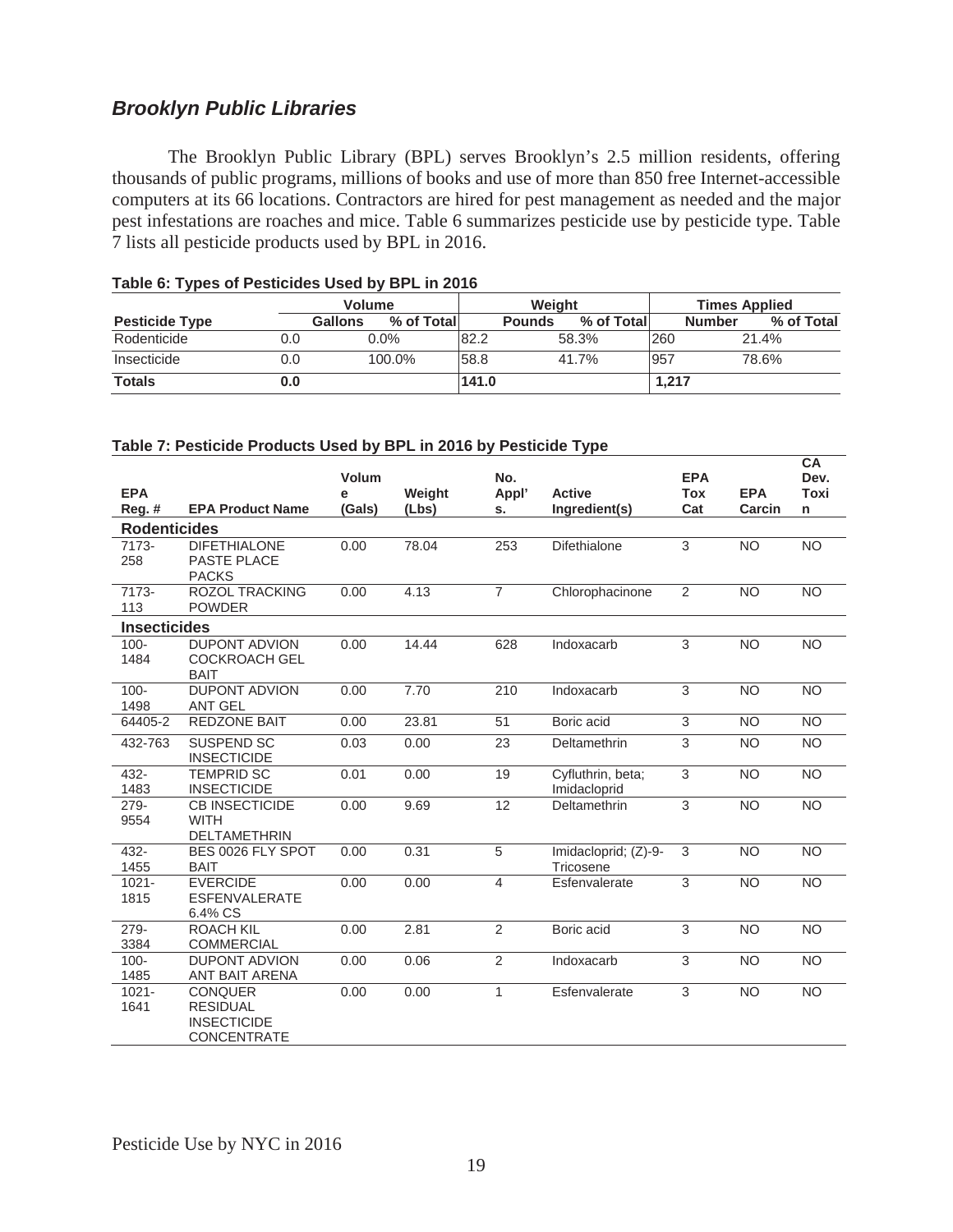## *Brooklyn Public Libraries*

The Brooklyn Public Library (BPL) serves Brooklyn's 2.5 million residents, offering thousands of public programs, millions of books and use of more than 850 free Internet-accessible computers at its 66 locations. Contractors are hired for pest management as needed and the major pest infestations are roaches and mice. Table 6 summarizes pesticide use by pesticide type. Table 7 lists all pesticide products used by BPL in 2016.

|                       |     | <b>Volume</b>                |       | Weight        |            |       | <b>Times Applied</b>        |  |  |
|-----------------------|-----|------------------------------|-------|---------------|------------|-------|-----------------------------|--|--|
| <b>Pesticide Type</b> |     | % of Total<br><b>Gallons</b> |       | <b>Pounds</b> | % of Total |       | % of Total<br><b>Number</b> |  |  |
| Rodenticide           | 0.0 | $0.0\%$                      | 82.2  |               | 58.3%      | 260   | 21.4%                       |  |  |
| Insecticide           | 0.0 | 100.0%                       | 58.8  |               | 41.7%      | 957   | 78.6%                       |  |  |
| <b>Totals</b>         | 0.0 |                              | 141.0 |               |            | 1.217 |                             |  |  |

#### **Table 6: Types of Pesticides Used by BPL in 2016**

|                     |                                          |        |        |                |                                   |                |                | CA              |
|---------------------|------------------------------------------|--------|--------|----------------|-----------------------------------|----------------|----------------|-----------------|
|                     |                                          | Volum  |        | No.            |                                   | <b>EPA</b>     |                | Dev.            |
| <b>EPA</b>          |                                          | e      | Weight | Appl'          | <b>Active</b>                     | <b>Tox</b>     | <b>EPA</b>     | <b>Toxi</b>     |
| $Reg.$ #            | <b>EPA Product Name</b>                  | (Gals) | (Lbs)  | s.             | Ingredient(s)                     | Cat            | Carcin         | n               |
| <b>Rodenticides</b> |                                          |        |        |                |                                   |                |                |                 |
| 7173-               | <b>DIFETHIALONE</b>                      | 0.00   | 78.04  | 253            | Difethialone                      | 3              | <b>NO</b>      | <b>NO</b>       |
| 258                 | <b>PASTE PLACE</b>                       |        |        |                |                                   |                |                |                 |
|                     | <b>PACKS</b>                             |        |        |                |                                   |                |                |                 |
| 7173-               | <b>ROZOL TRACKING</b>                    | 0.00   | 4.13   | $\overline{7}$ | Chlorophacinone                   | 2              | <b>NO</b>      | <b>NO</b>       |
| 113                 | <b>POWDER</b>                            |        |        |                |                                   |                |                |                 |
| <b>Insecticides</b> |                                          |        |        |                |                                   |                |                |                 |
| $100 -$             | <b>DUPONT ADVION</b>                     | 0.00   | 14.44  | 628            | Indoxacarb                        | 3              | <b>NO</b>      | <b>NO</b>       |
| 1484                | <b>COCKROACH GEL</b>                     |        |        |                |                                   |                |                |                 |
|                     | <b>BAIT</b>                              |        |        |                |                                   |                |                |                 |
| $100 -$             | <b>DUPONT ADVION</b>                     | 0.00   | 7.70   | 210            | Indoxacarb                        | 3              | <b>NO</b>      | <b>NO</b>       |
| 1498                | <b>ANT GEL</b>                           |        |        |                |                                   |                |                |                 |
| 64405-2             | <b>REDZONE BAIT</b>                      | 0.00   | 23.81  | 51             | Boric acid                        | 3              | <b>NO</b>      | <b>NO</b>       |
| 432-763             | <b>SUSPEND SC</b>                        | 0.03   | 0.00   | 23             | Deltamethrin                      | $\sqrt{3}$     | <b>NO</b>      | <b>NO</b>       |
|                     | <b>INSECTICIDE</b>                       |        |        |                |                                   |                |                |                 |
| 432-                | <b>TEMPRID SC</b>                        | 0.01   | 0.00   | 19             | Cyfluthrin, beta;                 | 3              | <b>NO</b>      | <b>NO</b>       |
| 1483                | <b>INSECTICIDE</b>                       |        |        |                | Imidacloprid                      |                |                |                 |
| $279 -$             | <b>CB INSECTICIDE</b>                    | 0.00   | 9.69   | 12             | Deltamethrin                      | $\overline{3}$ | N <sub>O</sub> | N <sub>O</sub>  |
| 9554                | <b>WITH</b>                              |        |        |                |                                   |                |                |                 |
| $432 -$             | <b>DELTAMETHRIN</b><br>BES 0026 FLY SPOT | 0.00   | 0.31   | $\overline{5}$ |                                   | 3              |                |                 |
| 1455                | <b>BAIT</b>                              |        |        |                | Imidacloprid; (Z)-9-<br>Tricosene |                | <b>NO</b>      | <b>NO</b>       |
| $1021 -$            | <b>EVERCIDE</b>                          | 0.00   | 0.00   | $\overline{4}$ | Esfenvalerate                     | $\overline{3}$ | N <sub>O</sub> | <b>NO</b>       |
| 1815                | <b>ESFENVALERATE</b>                     |        |        |                |                                   |                |                |                 |
|                     | 6.4% CS                                  |        |        |                |                                   |                |                |                 |
| 279-                | <b>ROACH KIL</b>                         | 0.00   | 2.81   | 2              | Boric acid                        | 3              | <b>NO</b>      | <b>NO</b>       |
| 3384                | <b>COMMERCIAL</b>                        |        |        |                |                                   |                |                |                 |
| $100 -$             | <b>DUPONT ADVION</b>                     | 0.00   | 0.06   | $\overline{2}$ | Indoxacarb                        | $\overline{3}$ | <b>NO</b>      | $\overline{NO}$ |
| 1485                | ANT BAIT ARENA                           |        |        |                |                                   |                |                |                 |
| $1021 -$            | <b>CONQUER</b>                           | 0.00   | 0.00   | $\mathbf{1}$   | Esfenvalerate                     | 3              | N <sub>O</sub> | $\overline{NO}$ |
| 1641                | <b>RESIDUAL</b>                          |        |        |                |                                   |                |                |                 |
|                     | <b>INSECTICIDE</b>                       |        |        |                |                                   |                |                |                 |
|                     | <b>CONCENTRATE</b>                       |        |        |                |                                   |                |                |                 |

#### **Table 7: Pesticide Products Used by BPL in 2016 by Pesticide Type**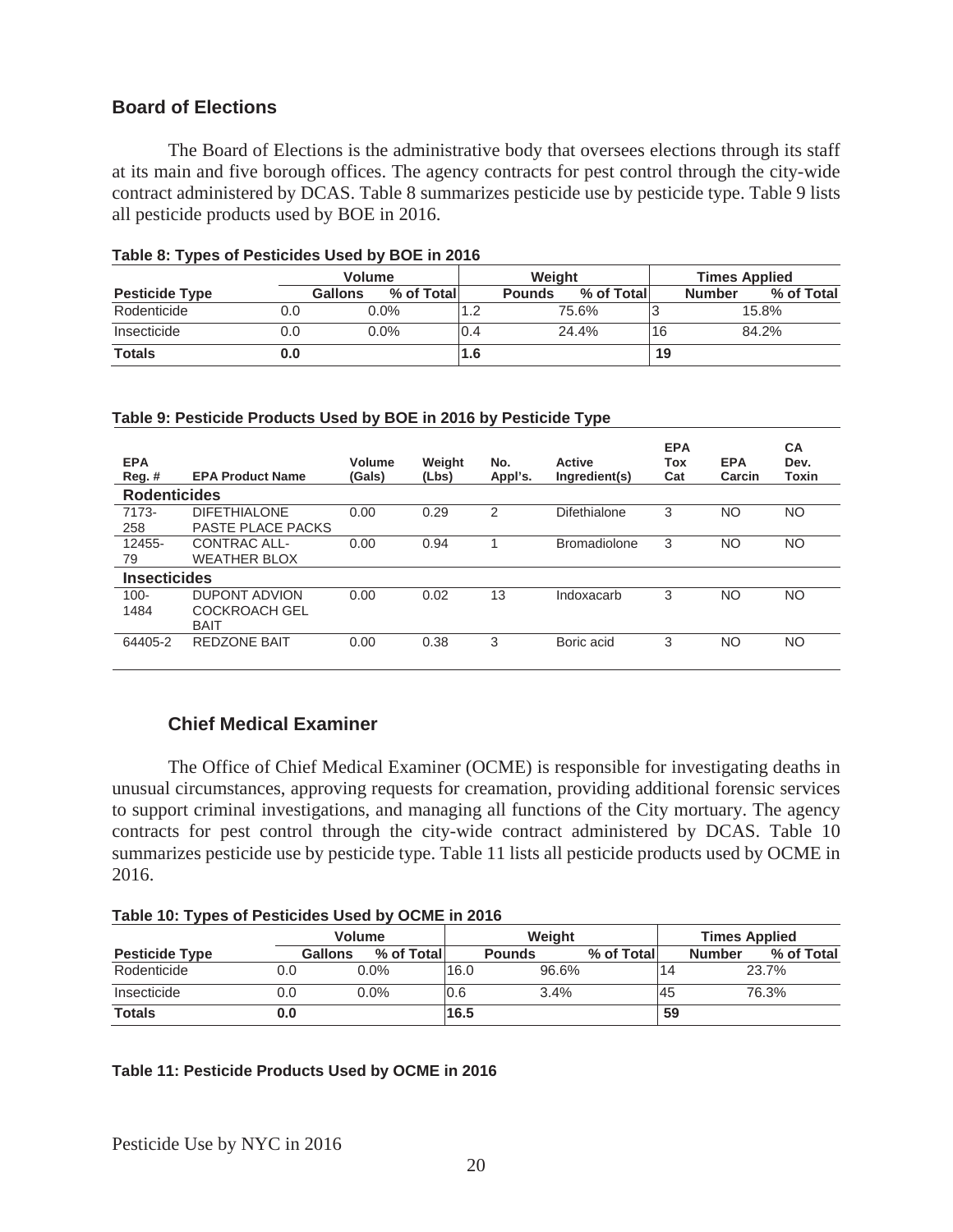## **Board of Elections**

The Board of Elections is the administrative body that oversees elections through its staff at its main and five borough offices. The agency contracts for pest control through the city-wide contract administered by DCAS. Table 8 summarizes pesticide use by pesticide type. Table 9 lists all pesticide products used by BOE in 2016.

|                       |     | <b>Volume</b>         |     | Weight        |            |    | <b>Times Applied</b>        |
|-----------------------|-----|-----------------------|-----|---------------|------------|----|-----------------------------|
| <b>Pesticide Type</b> |     | % of Total<br>Gallons |     | <b>Pounds</b> | % of Total |    | % of Total<br><b>Number</b> |
| Rodenticide           | 0.0 | $0.0\%$               |     |               | 75.6%      |    | 15.8%                       |
| Insecticide           | 0.0 | $0.0\%$               | 0.4 |               | 24.4%      | 16 | 84.2%                       |
| <b>Totals</b>         | 0.0 |                       | 1.6 |               |            | 19 |                             |

#### **Table 8: Types of Pesticides Used by BOE in 2016**

#### **Table 9: Pesticide Products Used by BOE in 2016 by Pesticide Type**

| <b>EPA</b><br>$Reg.$ # | <b>EPA Product Name</b>  | Volume<br>(Gals) | Weight<br>(Lbs) | No.<br>Appl's. | <b>Active</b><br>Ingredient(s) | <b>EPA</b><br>Tox<br>Cat | <b>EPA</b><br>Carcin | <b>CA</b><br>Dev.<br><b>Toxin</b> |
|------------------------|--------------------------|------------------|-----------------|----------------|--------------------------------|--------------------------|----------------------|-----------------------------------|
| <b>Rodenticides</b>    |                          |                  |                 |                |                                |                          |                      |                                   |
| 7173-                  | <b>DIFETHIALONE</b>      | 0.00             | 0.29            | $\mathcal{P}$  | Difethialone                   | 3                        | NO.                  | NO.                               |
| 258                    | <b>PASTE PLACE PACKS</b> |                  |                 |                |                                |                          |                      |                                   |
| 12455-                 | CONTRAC ALL-             | 0.00             | 0.94            |                | <b>Bromadiolone</b>            | 3                        | <b>NO</b>            | NO.                               |
| 79                     | <b>WEATHER BLOX</b>      |                  |                 |                |                                |                          |                      |                                   |
| <b>Insecticides</b>    |                          |                  |                 |                |                                |                          |                      |                                   |
| $100 -$                | <b>DUPONT ADVION</b>     | 0.00             | 0.02            | 13             | Indoxacarb                     | 3                        | <b>NO</b>            | NO                                |
| 1484                   | <b>COCKROACH GEL</b>     |                  |                 |                |                                |                          |                      |                                   |
|                        | <b>BAIT</b>              |                  |                 |                |                                |                          |                      |                                   |
| 64405-2                | <b>REDZONE BAIT</b>      | 0.00             | 0.38            | 3              | Boric acid                     | 3                        | NO.                  | NO.                               |
|                        |                          |                  |                 |                |                                |                          |                      |                                   |

#### **Chief Medical Examiner**

The Office of Chief Medical Examiner (OCME) is responsible for investigating deaths in unusual circumstances, approving requests for creamation, providing additional forensic services to support criminal investigations, and managing all functions of the City mortuary. The agency contracts for pest control through the city-wide contract administered by DCAS. Table 10 summarizes pesticide use by pesticide type. Table 11 lists all pesticide products used by OCME in 2016.

|  |  | Table 10: Types of Pesticides Used by OCME in 2016 |  |
|--|--|----------------------------------------------------|--|
|  |  |                                                    |  |

|                       |     | <b>Volume</b> |             |      | Weiaht        |            |     | <b>Times Applied</b> |            |  |
|-----------------------|-----|---------------|-------------|------|---------------|------------|-----|----------------------|------------|--|
| <b>Pesticide Type</b> |     | Gallons       | % of Totall |      | <b>Pounds</b> | % of Total |     | <b>Number</b>        | % of Total |  |
| Rodenticide           | 0.0 | $0.0\%$       |             | 16.0 | 96.6%         |            | '14 |                      | 23.7%      |  |
| Insecticide           | 0.0 | $0.0\%$       |             | 0.6  | 3.4%          |            | 45  |                      | 76.3%      |  |
| <b>Totals</b>         | 0.0 |               |             | 16.5 |               |            | 59  |                      |            |  |

#### **Table 11: Pesticide Products Used by OCME in 2016**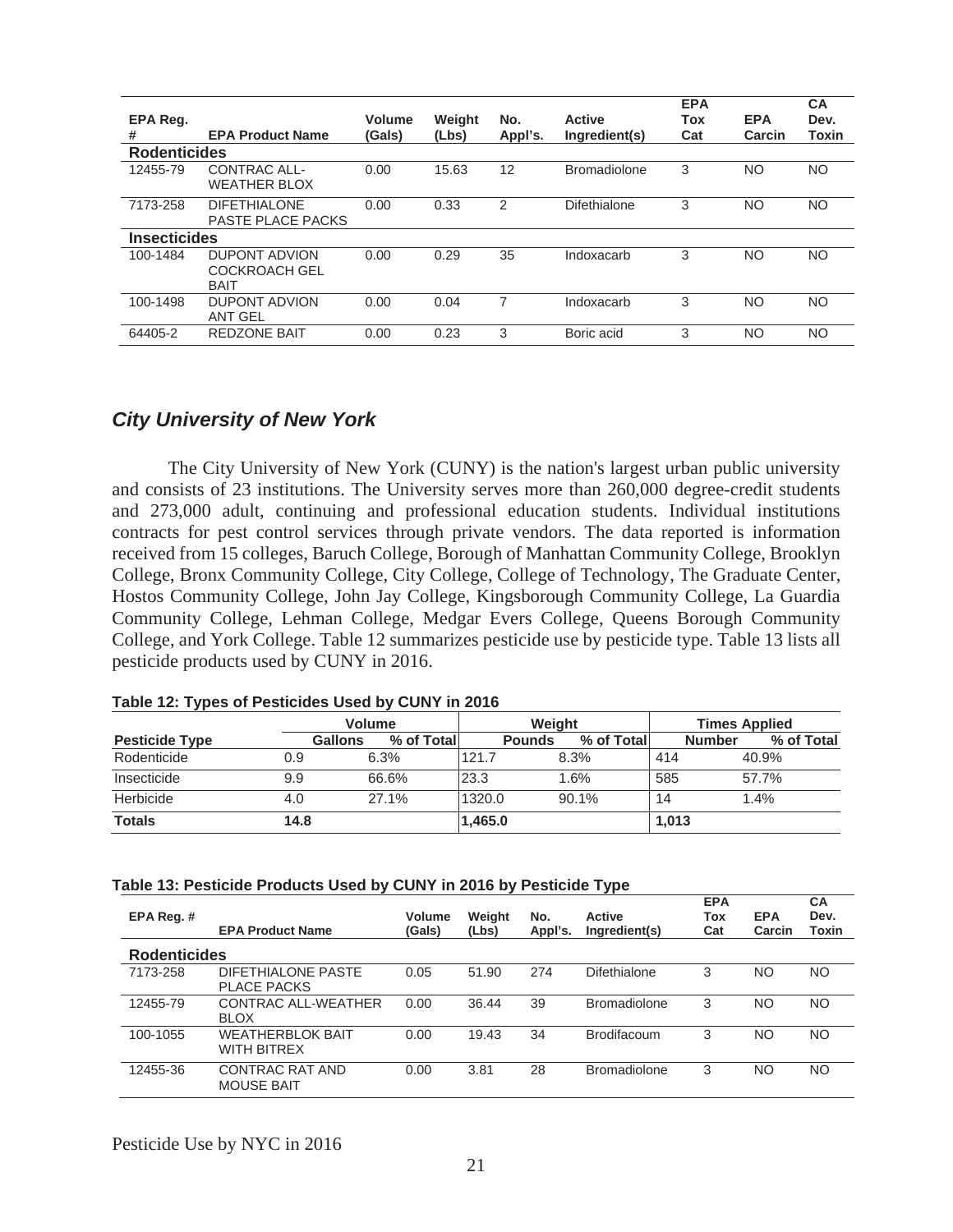| EPA Reg.<br>#       | <b>EPA Product Name</b>                                     | <b>Volume</b><br>(Gals) | Weight<br>(Lbs) | No.<br>Appl's. | <b>Active</b><br>Ingredient(s) | <b>EPA</b><br>Tox<br>Cat | <b>EPA</b><br>Carcin | <b>CA</b><br>Dev.<br>Toxin |
|---------------------|-------------------------------------------------------------|-------------------------|-----------------|----------------|--------------------------------|--------------------------|----------------------|----------------------------|
| <b>Rodenticides</b> |                                                             |                         |                 |                |                                |                          |                      |                            |
| 12455-79            | <b>CONTRAC ALL-</b><br><b>WEATHER BLOX</b>                  | 0.00                    | 15.63           | 12             | <b>Bromadiolone</b>            | 3                        | NO                   | <b>NO</b>                  |
| 7173-258            | <b>DIFETHIALONE</b><br><b>PASTE PLACE PACKS</b>             | 0.00                    | 0.33            | $\mathfrak{p}$ | <b>Difethialone</b>            | 3                        | NO                   | <b>NO</b>                  |
| <b>Insecticides</b> |                                                             |                         |                 |                |                                |                          |                      |                            |
| 100-1484            | <b>DUPONT ADVION</b><br><b>COCKROACH GEL</b><br><b>BAIT</b> | 0.00                    | 0.29            | 35             | Indoxacarb                     | 3                        | NO.                  | <b>NO</b>                  |
| 100-1498            | <b>DUPONT ADVION</b><br><b>ANT GEL</b>                      | 0.00                    | 0.04            | 7              | Indoxacarb                     | 3                        | <b>NO</b>            | NO                         |
| 64405-2             | <b>REDZONE BAIT</b>                                         | 0.00                    | 0.23            | 3              | Boric acid                     | 3                        | ΝO                   | NO                         |

## *City University of New York*

The City University of New York (CUNY) is the nation's largest urban public university and consists of 23 institutions. The University serves more than 260,000 degree-credit students and 273,000 adult, continuing and professional education students. Individual institutions contracts for pest control services through private vendors. The data reported is information received from 15 colleges, Baruch College, Borough of Manhattan Community College, Brooklyn College, Bronx Community College, City College, College of Technology, The Graduate Center, Hostos Community College, John Jay College, Kingsborough Community College, La Guardia Community College, Lehman College, Medgar Evers College, Queens Borough Community College, and York College. Table 12 summarizes pesticide use by pesticide type. Table 13 lists all pesticide products used by CUNY in 2016.

|                       |                | <b>Volume</b> | Weight        |             | <b>Times Applied</b> |            |  |
|-----------------------|----------------|---------------|---------------|-------------|----------------------|------------|--|
| <b>Pesticide Type</b> | <b>Gallons</b> | % of Total    | <b>Pounds</b> | % of Totall | <b>Number</b>        | % of Total |  |
| Rodenticide           | 0.9            | 6.3%          | 121.7         | 8.3%        | 414                  | 40.9%      |  |
| Insecticide           | 9.9            | 66.6%         | 23.3          | 1.6%        | 585                  | 57.7%      |  |
| Herbicide             | 4.0            | 27.1%         | 1320.0        | 90.1%       | 14                   | 1.4%       |  |
| <b>Totals</b>         | 14.8           |               | 1,465.0       |             | 1,013                |            |  |

#### **Table 12: Types of Pesticides Used by CUNY in 2016**

#### **Table 13: Pesticide Products Used by CUNY in 2016 by Pesticide Type**

| EPA Reg. #          | <b>EPA Product Name</b>                        | Volume<br>(Gals) | Weight<br>(Lbs) | No.<br>Appl's. | <b>Active</b><br>Ingredient(s) | <b>EPA</b><br>Tox<br>Cat | <b>EPA</b><br>Carcin | CA<br>Dev.<br>Toxin |
|---------------------|------------------------------------------------|------------------|-----------------|----------------|--------------------------------|--------------------------|----------------------|---------------------|
| <b>Rodenticides</b> |                                                |                  |                 |                |                                |                          |                      |                     |
| 7173-258            | DIFETHIALONE PASTE<br><b>PLACE PACKS</b>       | 0.05             | 51.90           | 274            | Difethialone                   | 3                        | <b>NO</b>            | NO                  |
| 12455-79            | <b>CONTRAC ALL-WEATHER</b><br><b>BLOX</b>      | 0.00             | 36.44           | 39             | <b>Bromadiolone</b>            | 3                        | <b>NO</b>            | NO                  |
| 100-1055            | <b>WEATHERBI OK BAIT</b><br><b>WITH BITREX</b> | 0.00             | 19.43           | 34             | <b>Brodifacoum</b>             | 3                        | <b>NO</b>            | NO.                 |
| 12455-36            | CONTRAC RAT AND<br><b>MOUSE BAIT</b>           | 0.00             | 3.81            | 28             | <b>Bromadiolone</b>            | 3                        | <b>NO</b>            | NO.                 |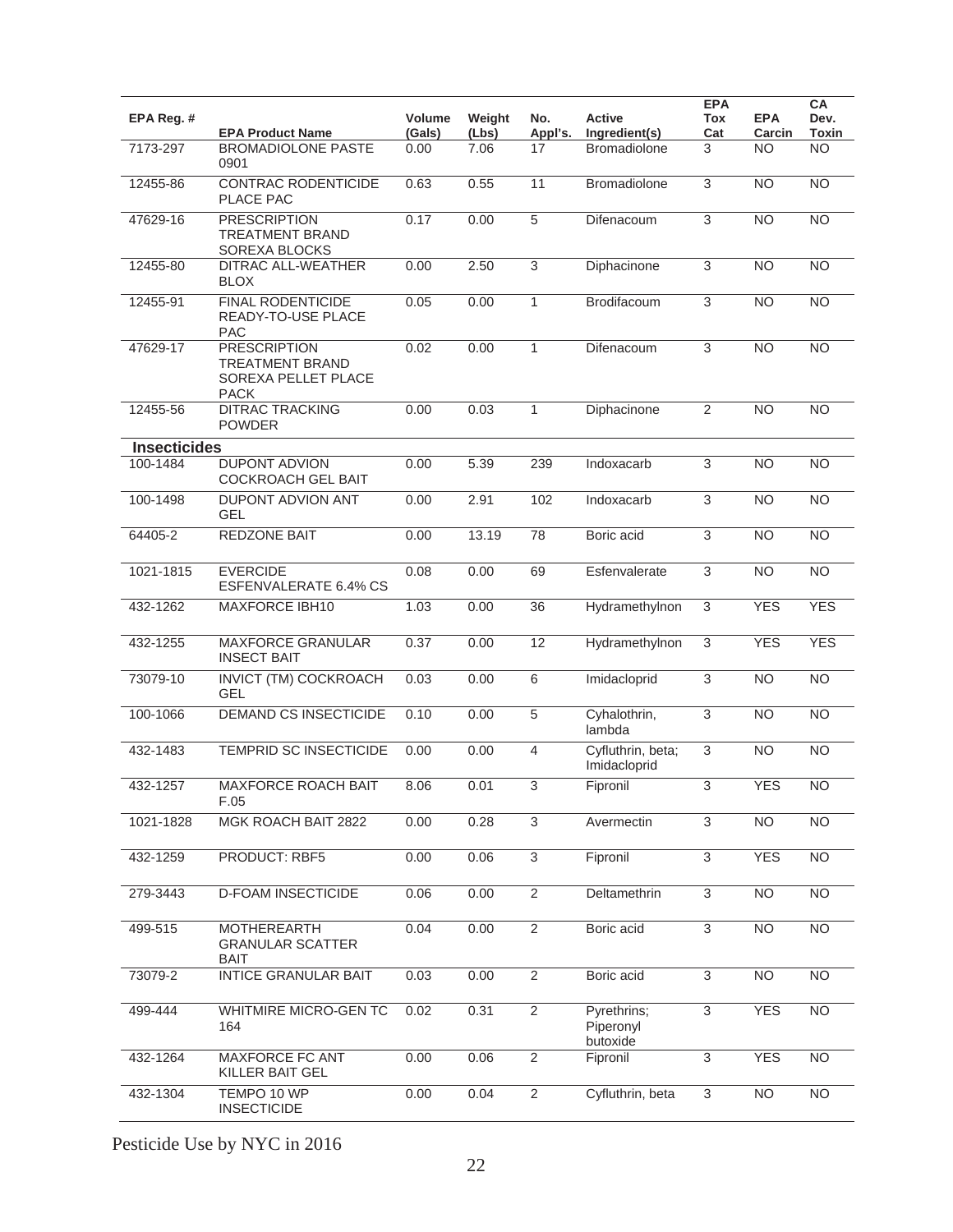| EPA Reg. #          | <b>EPA Product Name</b>                                                             | <b>Volume</b><br>(Gals) | Weight<br>(Lbs) | No.<br>Appl's. | Active<br>Ingredient(s)              | <b>EPA</b><br>Tox<br>Cat | <b>EPA</b><br>Carcin | CA<br>Dev.<br><b>Toxin</b> |
|---------------------|-------------------------------------------------------------------------------------|-------------------------|-----------------|----------------|--------------------------------------|--------------------------|----------------------|----------------------------|
| 7173-297            | <b>BROMADIOLONE PASTE</b><br>0901                                                   | 0.00                    | 7.06            | 17             | <b>Bromadiolone</b>                  | 3                        | <b>NO</b>            | N <sub>O</sub>             |
| 12455-86            | CONTRAC RODENTICIDE<br>PLACE PAC                                                    | 0.63                    | 0.55            | 11             | Bromadiolone                         | 3                        | <b>NO</b>            | <b>NO</b>                  |
| 47629-16            | <b>PRESCRIPTION</b><br><b>TREATMENT BRAND</b><br>SOREXA BLOCKS                      | 0.17                    | 0.00            | $\overline{5}$ | Difenacoum                           | 3                        | <b>NO</b>            | $\overline{NO}$            |
| 12455-80            | DITRAC ALL-WEATHER<br><b>BLOX</b>                                                   | 0.00                    | 2.50            | $\overline{3}$ | Diphacinone                          | $\overline{3}$           | <b>NO</b>            | $\overline{NO}$            |
| 12455-91            | <b>FINAL RODENTICIDE</b><br>READY-TO-USE PLACE<br><b>PAC</b>                        | 0.05                    | 0.00            | $\mathbf{1}$   | Brodifacoum                          | 3                        | <b>NO</b>            | <b>NO</b>                  |
| 47629-17            | <b>PRESCRIPTION</b><br><b>TREATMENT BRAND</b><br>SOREXA PELLET PLACE<br><b>PACK</b> | 0.02                    | 0.00            | 1              | Difenacoum                           | $\overline{3}$           | <b>NO</b>            | <b>NO</b>                  |
| 12455-56            | <b>DITRAC TRACKING</b><br><b>POWDER</b>                                             | 0.00                    | 0.03            | $\mathbf{1}$   | Diphacinone                          | $\overline{2}$           | <b>NO</b>            | <b>NO</b>                  |
| <b>Insecticides</b> |                                                                                     |                         |                 |                |                                      |                          |                      |                            |
| 100-1484            | <b>DUPONT ADVION</b><br><b>COCKROACH GEL BAIT</b>                                   | 0.00                    | 5.39            | 239            | Indoxacarb                           | 3                        | <b>NO</b>            | <b>NO</b>                  |
| 100-1498            | <b>DUPONT ADVION ANT</b><br><b>GEL</b>                                              | 0.00                    | 2.91            | 102            | Indoxacarb                           | 3                        | <b>NO</b>            | <b>NO</b>                  |
| 64405-2             | REDZONE BAIT                                                                        | 0.00                    | 13.19           | 78             | Boric acid                           | 3                        | <b>NO</b>            | $\overline{NO}$            |
| 1021-1815           | <b>EVERCIDE</b><br><b>ESFENVALERATE 6.4% CS</b>                                     | 0.08                    | 0.00            | 69             | Esfenvalerate                        | 3                        | N <sub>O</sub>       | N <sub>O</sub>             |
| 432-1262            | <b>MAXFORCE IBH10</b>                                                               | 1.03                    | 0.00            | 36             | Hydramethylnon                       | 3                        | <b>YES</b>           | <b>YES</b>                 |
| 432-1255            | <b>MAXFORCE GRANULAR</b><br><b>INSECT BAIT</b>                                      | 0.37                    | 0.00            | 12             | Hydramethylnon                       | 3                        | <b>YES</b>           | <b>YES</b>                 |
| 73079-10            | INVICT (TM) COCKROACH<br><b>GEL</b>                                                 | 0.03                    | 0.00            | 6              | Imidacloprid                         | $\mathfrak{S}$           | <b>NO</b>            | $\overline{NO}$            |
| 100-1066            | <b>DEMAND CS INSECTICIDE</b>                                                        | 0.10                    | 0.00            | $\overline{5}$ | Cyhalothrin,<br>lambda               | 3                        | <b>NO</b>            | <b>NO</b>                  |
| 432-1483            | TEMPRID SC INSECTICIDE                                                              | 0.00                    | 0.00            | $\overline{4}$ | Cyfluthrin, beta;<br>Imidacloprid    | $\sqrt{3}$               | <b>NO</b>            | <b>NO</b>                  |
| 432-1257            | <b>MAXFORCE ROACH BAIT</b><br>F.05                                                  | 8.06                    | 0.01            | $\overline{3}$ | Fipronil                             | $\overline{3}$           | <b>YES</b>           | $\overline{NO}$            |
| 1021-1828           | MGK ROACH BAIT 2822                                                                 | 0.00                    | 0.28            | 3              | Avermectin                           | 3                        | $\overline{NO}$      | $\overline{NO}$            |
| 432-1259            | PRODUCT: RBF5                                                                       | 0.00                    | 0.06            | $\overline{3}$ | Fipronil                             | 3                        | <b>YES</b>           | $\overline{NO}$            |
| 279-3443            | <b>D-FOAM INSECTICIDE</b>                                                           | 0.06                    | 0.00            | $\overline{2}$ | Deltamethrin                         | 3                        | <b>NO</b>            | <b>NO</b>                  |
| $499 - 515$         | <b>MOTHEREARTH</b><br><b>GRANULAR SCATTER</b><br><b>BAIT</b>                        | 0.04                    | 0.00            | $\overline{2}$ | Boric acid                           | 3                        | <b>NO</b>            | <b>NO</b>                  |
| 73079-2             | <b>INTICE GRANULAR BAIT</b>                                                         | 0.03                    | 0.00            | $\overline{2}$ | Boric acid                           | 3                        | <b>NO</b>            | <b>NO</b>                  |
| 499-444             | WHITMIRE MICRO-GEN TC<br>164                                                        | 0.02                    | 0.31            | $\overline{2}$ | Pyrethrins;<br>Piperonyl<br>butoxide | 3                        | <b>YES</b>           | <b>NO</b>                  |
| 432-1264            | <b>MAXFORCE FC ANT</b><br>KILLER BAIT GEL                                           | 0.00                    | 0.06            | $\overline{2}$ | Fipronil                             | $\overline{3}$           | <b>YES</b>           | <b>NO</b>                  |
| 432-1304            | TEMPO 10 WP<br><b>INSECTICIDE</b>                                                   | 0.00                    | 0.04            | $\overline{2}$ | Cyfluthrin, beta                     | 3                        | <b>NO</b>            | <b>NO</b>                  |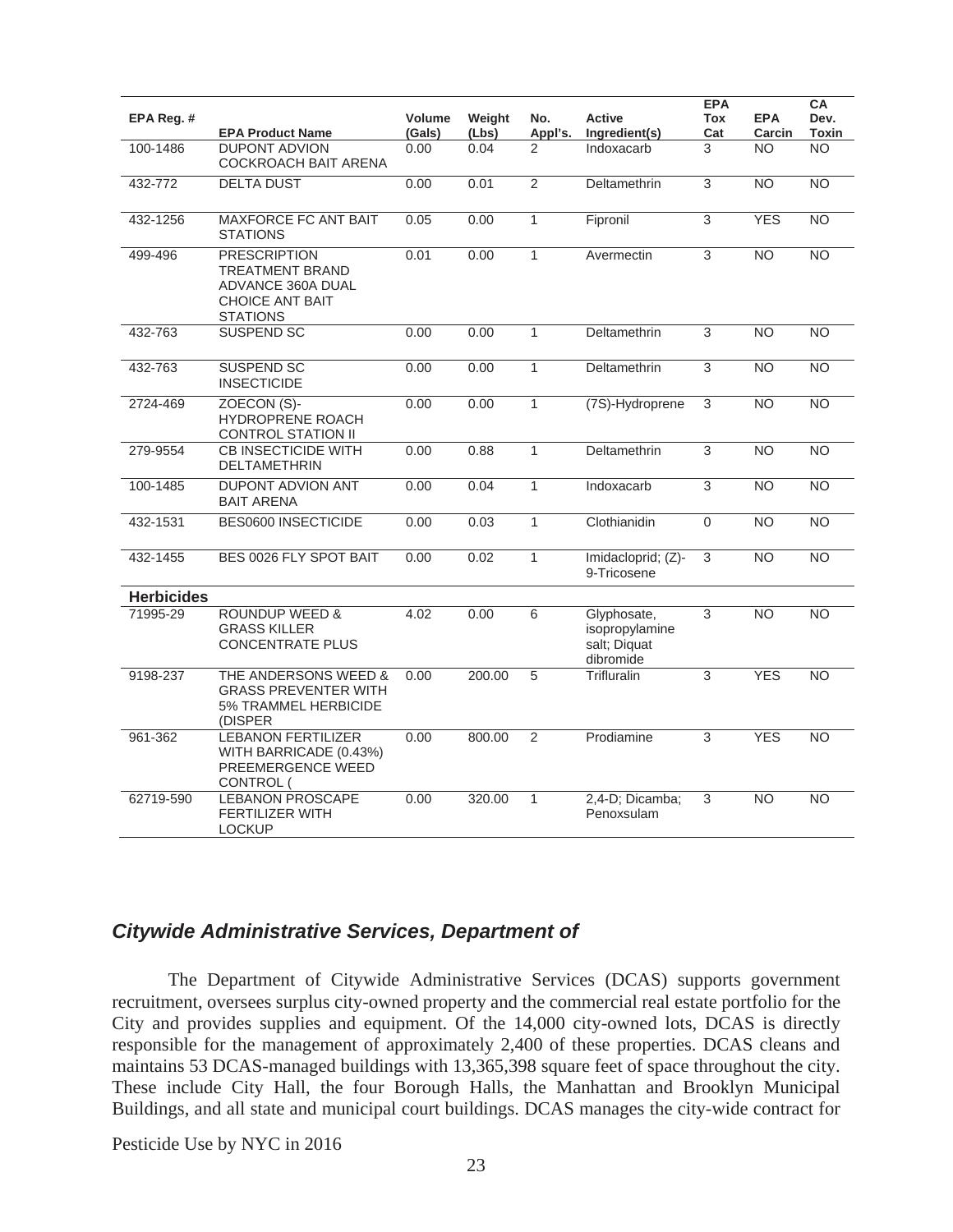|                   |                                                                                                                 |                         |                 |                |                                                            | <b>EPA</b>     |                      | CA                   |
|-------------------|-----------------------------------------------------------------------------------------------------------------|-------------------------|-----------------|----------------|------------------------------------------------------------|----------------|----------------------|----------------------|
| EPA Reg. #        | <b>EPA Product Name</b>                                                                                         | <b>Volume</b><br>(Gals) | Weight<br>(Lbs) | No.<br>Appl's. | Active<br>Ingredient(s)                                    | Tox<br>Cat     | <b>EPA</b><br>Carcin | Dev.<br><b>Toxin</b> |
| 100-1486          | <b>DUPONT ADVION</b><br>COCKROACH BAIT ARENA                                                                    | 0.00                    | 0.04            | 2              | Indoxacarb                                                 | 3              | <b>NO</b>            | <b>NO</b>            |
| 432-772           | <b>DELTA DUST</b>                                                                                               | 0.00                    | 0.01            | $\overline{2}$ | Deltamethrin                                               | 3              | <b>NO</b>            | NO                   |
| 432-1256          | <b>MAXFORCE FC ANT BAIT</b><br><b>STATIONS</b>                                                                  | 0.05                    | 0.00            | $\mathbf{1}$   | Fipronil                                                   | 3              | <b>YES</b>           | NO                   |
| 499-496           | <b>PRESCRIPTION</b><br><b>TREATMENT BRAND</b><br>ADVANCE 360A DUAL<br><b>CHOICE ANT BAIT</b><br><b>STATIONS</b> | 0.01                    | 0.00            | 1              | Avermectin                                                 | $\overline{3}$ | N <sub>O</sub>       | $\overline{NO}$      |
| 432-763           | <b>SUSPEND SC</b>                                                                                               | 0.00                    | 0.00            | 1              | Deltamethrin                                               | 3              | <b>NO</b>            | <b>NO</b>            |
| 432-763           | <b>SUSPEND SC</b><br><b>INSECTICIDE</b>                                                                         | 0.00                    | 0.00            | $\mathbf{1}$   | Deltamethrin                                               | $\overline{3}$ | N <sub>O</sub>       | N <sub>O</sub>       |
| 2724-469          | ZOECON (S)-<br>HYDROPRENE ROACH<br>CONTROL STATION II                                                           | 0.00                    | 0.00            | $\mathbf{1}$   | (7S)-Hydroprene                                            | 3              | N <sub>O</sub>       | $\overline{NO}$      |
| 279-9554          | <b>CB INSECTICIDE WITH</b><br><b>DELTAMETHRIN</b>                                                               | 0.00                    | 0.88            | $\mathbf{1}$   | Deltamethrin                                               | 3              | <b>NO</b>            | <b>NO</b>            |
| 100-1485          | <b>DUPONT ADVION ANT</b><br><b>BAIT ARENA</b>                                                                   | 0.00                    | 0.04            | 1              | Indoxacarb                                                 | 3              | N <sub>O</sub>       | $\overline{NO}$      |
| 432-1531          | <b>BES0600 INSECTICIDE</b>                                                                                      | 0.00                    | 0.03            | 1              | Clothianidin                                               | $\mathbf 0$    | <b>NO</b>            | <b>NO</b>            |
| 432-1455          | BES 0026 FLY SPOT BAIT                                                                                          | 0.00                    | 0.02            | $\mathbf{1}$   | Imidacloprid; (Z)-<br>9-Tricosene                          | 3              | <b>NO</b>            | <b>NO</b>            |
| <b>Herbicides</b> |                                                                                                                 |                         |                 |                |                                                            |                |                      |                      |
| 71995-29          | <b>ROUNDUP WEED &amp;</b><br><b>GRASS KILLER</b><br><b>CONCENTRATE PLUS</b>                                     | 4.02                    | 0.00            | 6              | Glyphosate,<br>isopropylamine<br>salt; Diquat<br>dibromide | 3              | <b>NO</b>            | <b>NO</b>            |
| 9198-237          | THE ANDERSONS WEED &<br><b>GRASS PREVENTER WITH</b><br><b>5% TRAMMEL HERBICIDE</b><br>(DISPER                   | 0.00                    | 200.00          | 5              | Trifluralin                                                | $\overline{3}$ | <b>YES</b>           | N <sub>O</sub>       |
| $961 - 362$       | <b>LEBANON FERTILIZER</b><br>WITH BARRICADE (0.43%)<br>PREEMERGENCE WEED<br>CONTROL (                           | 0.00                    | 800.00          | $\overline{2}$ | Prodiamine                                                 | 3              | <b>YES</b>           | N <sub>O</sub>       |
| 62719-590         | <b>LEBANON PROSCAPE</b><br><b>FERTILIZER WITH</b><br><b>LOCKUP</b>                                              | 0.00                    | 320.00          | 1              | 2,4-D; Dicamba;<br>Penoxsulam                              | 3              | <b>NO</b>            | <b>NO</b>            |

## *Citywide Administrative Services, Department of*

The Department of Citywide Administrative Services (DCAS) supports government recruitment, oversees surplus city-owned property and the commercial real estate portfolio for the City and provides supplies and equipment. Of the 14,000 city-owned lots, DCAS is directly responsible for the management of approximately 2,400 of these properties. DCAS cleans and maintains 53 DCAS-managed buildings with 13,365,398 square feet of space throughout the city. These include City Hall, the four Borough Halls, the Manhattan and Brooklyn Municipal Buildings, and all state and municipal court buildings. DCAS manages the city-wide contract for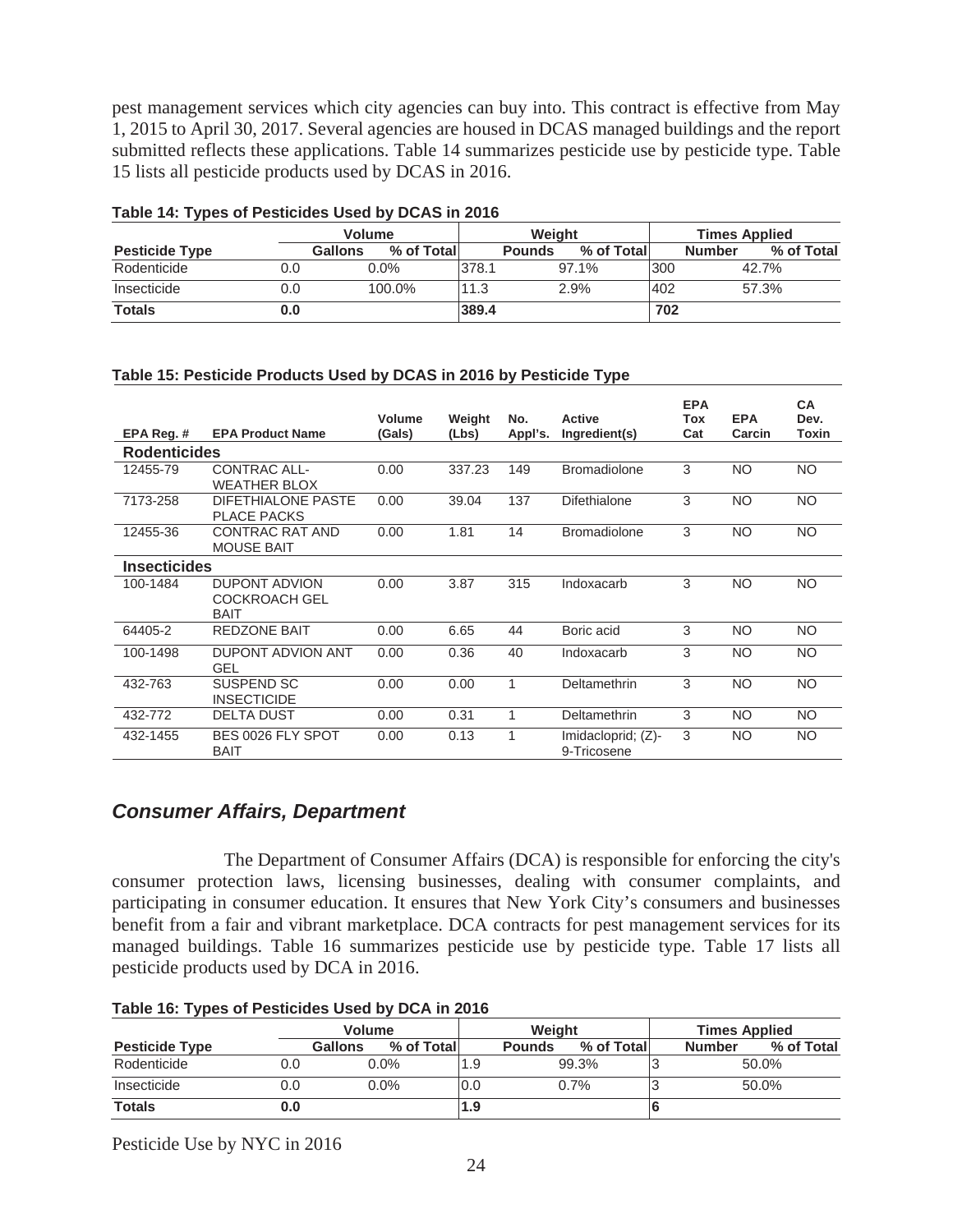pest management services which city agencies can buy into. This contract is effective from May 1, 2015 to April 30, 2017. Several agencies are housed in DCAS managed buildings and the report submitted reflects these applications. Table 14 summarizes pesticide use by pesticide type. Table 15 lists all pesticide products used by DCAS in 2016.

|                       | Table 17. Types of I estiblides used by DOAO III ZOTO |                              |       |                             |     |                             |  |  |  |  |  |
|-----------------------|-------------------------------------------------------|------------------------------|-------|-----------------------------|-----|-----------------------------|--|--|--|--|--|
|                       |                                                       | <b>Volume</b>                |       | Weight                      |     | <b>Times Applied</b>        |  |  |  |  |  |
| <b>Pesticide Type</b> |                                                       | % of Total<br><b>Gallons</b> |       | % of Total<br><b>Pounds</b> |     | % of Total<br><b>Number</b> |  |  |  |  |  |
| Rodenticide           | 0.0                                                   | $0.0\%$                      | 378.1 | 97.1%                       | 300 | 42.7%                       |  |  |  |  |  |
| Insecticide           | 0.0                                                   | 100.0%                       | 11.3  | 2.9%                        | 402 | 57.3%                       |  |  |  |  |  |
| <b>Totals</b>         | 0.0                                                   |                              | 389.4 |                             | 702 |                             |  |  |  |  |  |

#### **Table 14: Types of Pesticides Used by DCAS in 2016**

#### **Table 15: Pesticide Products Used by DCAS in 2016 by Pesticide Type**

| EPA Reg. #          | <b>EPA Product Name</b>                                     | <b>Volume</b><br>(Gals) | Weight<br>(Lbs) | No.<br>Appl's. | <b>Active</b><br>Ingredient(s)       | <b>EPA</b><br>Tox<br>Cat | <b>EPA</b><br>Carcin | <b>CA</b><br>Dev.<br>Toxin |
|---------------------|-------------------------------------------------------------|-------------------------|-----------------|----------------|--------------------------------------|--------------------------|----------------------|----------------------------|
| <b>Rodenticides</b> |                                                             |                         |                 |                |                                      |                          |                      |                            |
| 12455-79            | CONTRAC ALL-<br><b>WEATHER BLOX</b>                         | 0.00                    | 337.23          | 149            | <b>Bromadiolone</b>                  | 3                        | NO.                  | <b>NO</b>                  |
| 7173-258            | DIFETHIALONE PASTE<br><b>PLACE PACKS</b>                    | 0.00                    | 39.04           | 137            | Difethialone                         | 3                        | NO.                  | <b>NO</b>                  |
| 12455-36            | CONTRAC RAT AND<br><b>MOUSE BAIT</b>                        | 0.00                    | 1.81            | 14             | <b>Bromadiolone</b>                  | 3                        | NO.                  | <b>NO</b>                  |
| Insecticides        |                                                             |                         |                 |                |                                      |                          |                      |                            |
| 100-1484            | <b>DUPONT ADVION</b><br><b>COCKROACH GEL</b><br><b>BAIT</b> | 0.00                    | 3.87            | 315            | Indoxacarb                           | 3                        | <b>NO</b>            | <b>NO</b>                  |
| 64405-2             | <b>REDZONE BAIT</b>                                         | 0.00                    | 6.65            | 44             | Boric acid                           | 3                        | <b>NO</b>            | <b>NO</b>                  |
| 100-1498            | DUPONT ADVION ANT<br><b>GEL</b>                             | 0.00                    | 0.36            | 40             | Indoxacarb                           | 3                        | <b>NO</b>            | <b>NO</b>                  |
| 432-763             | SUSPEND SC<br><b>INSECTICIDE</b>                            | 0.00                    | 0.00            | 1              | Deltamethrin                         | 3                        | NO.                  | NO                         |
| 432-772             | <b>DELTA DUST</b>                                           | 0.00                    | 0.31            | 1              | Deltamethrin                         | 3                        | NO.                  | <b>NO</b>                  |
| 432-1455            | BES 0026 FLY SPOT<br><b>BAIT</b>                            | 0.00                    | 0.13            | 1              | Imidacloprid; $(Z)$ -<br>9-Tricosene | 3                        | NO.                  | <b>NO</b>                  |

## *Consumer Affairs, Department*

 The Department of Consumer Affairs (DCA) is responsible for enforcing the city's consumer protection laws, licensing businesses, dealing with consumer complaints, and participating in consumer education. It ensures that New York City's consumers and businesses benefit from a fair and vibrant marketplace. DCA contracts for pest management services for its managed buildings. Table 16 summarizes pesticide use by pesticide type. Table 17 lists all pesticide products used by DCA in 2016.

|                       | <b>Volume</b> |                       |      | Weight                      |       | <b>Times Applied</b> |                             |  |
|-----------------------|---------------|-----------------------|------|-----------------------------|-------|----------------------|-----------------------------|--|
| <b>Pesticide Type</b> |               | % of Total<br>Gallons |      | % of Total<br><b>Pounds</b> |       |                      | % of Total<br><b>Number</b> |  |
| Rodenticide           | 0.0           | $0.0\%$               | 1.9  |                             | 99.3% |                      | 50.0%                       |  |
| Insecticide           | 0.0           | $0.0\%$               | l0.0 |                             | 0.7%  |                      | 50.0%                       |  |
| <b>Totals</b>         | 0.0           |                       | 1.9  |                             |       |                      |                             |  |

**Table 16: Types of Pesticides Used by DCA in 2016**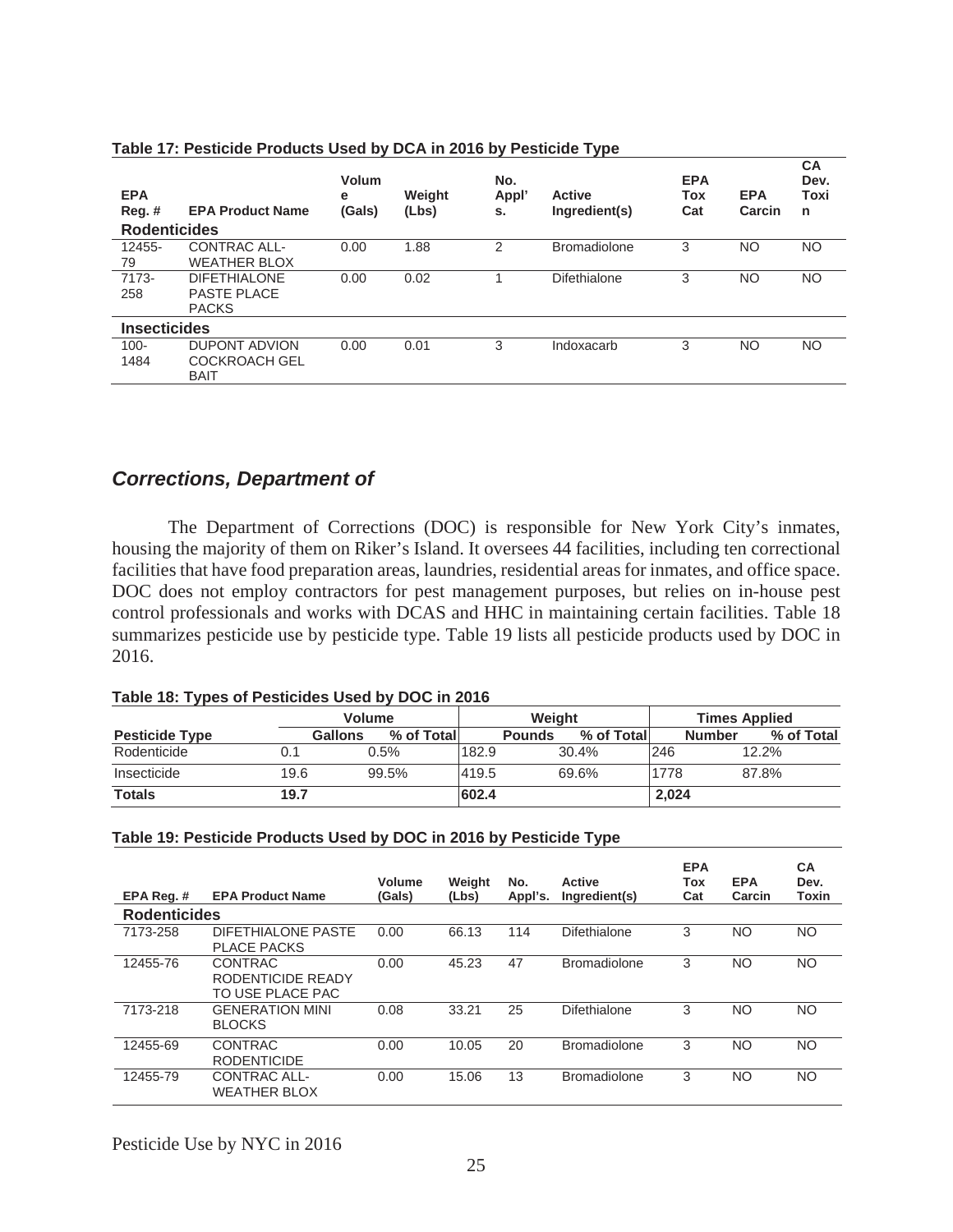| <b>EPA</b><br>$Reg.$ #<br><b>Rodenticides</b> | <b>EPA Product Name</b> | Volum<br>e<br>(Gals) | Weight<br>(Lbs) | No.<br>Appl'<br>s. | <b>Active</b><br>Ingredient(s) | <b>EPA</b><br>Tox<br>Cat | <b>EPA</b><br>Carcin | <b>CA</b><br>Dev.<br>Toxi<br>n |
|-----------------------------------------------|-------------------------|----------------------|-----------------|--------------------|--------------------------------|--------------------------|----------------------|--------------------------------|
| 12455-                                        | <b>CONTRAC ALL-</b>     | 0.00                 | 1.88            | 2                  | <b>Bromadiolone</b>            | 3                        | NO.                  | <b>NO</b>                      |
| 79                                            | <b>WEATHER BLOX</b>     |                      |                 |                    |                                |                          |                      |                                |
| 7173-                                         | <b>DIFETHIALONE</b>     | 0.00                 | 0.02            |                    | Difethialone                   | 3                        | <b>NO</b>            | <b>NO</b>                      |
| 258                                           | <b>PASTE PLACE</b>      |                      |                 |                    |                                |                          |                      |                                |
|                                               | <b>PACKS</b>            |                      |                 |                    |                                |                          |                      |                                |
| <b>Insecticides</b>                           |                         |                      |                 |                    |                                |                          |                      |                                |
| $100 -$                                       | <b>DUPONT ADVION</b>    | 0.00                 | 0.01            | 3                  | Indoxacarb                     | 3                        | NO                   | <b>NO</b>                      |
| 1484                                          | <b>COCKROACH GEL</b>    |                      |                 |                    |                                |                          |                      |                                |
|                                               | <b>BAIT</b>             |                      |                 |                    |                                |                          |                      |                                |

#### **Table 17: Pesticide Products Used by DCA in 2016 by Pesticide Type**

## *Corrections, Department of*

 The Department of Corrections (DOC) is responsible for New York City's inmates, housing the majority of them on Riker's Island. It oversees 44 facilities, including ten correctional facilities that have food preparation areas, laundries, residential areas for inmates, and office space. DOC does not employ contractors for pest management purposes, but relies on in-house pest control professionals and works with DCAS and HHC in maintaining certain facilities. Table 18 summarizes pesticide use by pesticide type. Table 19 lists all pesticide products used by DOC in 2016.

|  |  |  |  | Table 18: Types of Pesticides Used by DOC in 2016 |
|--|--|--|--|---------------------------------------------------|
|--|--|--|--|---------------------------------------------------|

|                       |      | Volume                |       |               | Weight |             |       |               | <b>Times Applied</b> |            |  |
|-----------------------|------|-----------------------|-------|---------------|--------|-------------|-------|---------------|----------------------|------------|--|
| <b>Pesticide Type</b> |      | Gallons<br>% of Total |       | <b>Pounds</b> |        | % of Totall |       | <b>Number</b> |                      | % of Total |  |
| Rodenticide           | 0.1  | $0.5\%$               | 182.9 |               | 30.4%  |             | 246   |               | 12.2%                |            |  |
| Insecticide           | 19.6 | 99.5%                 | 419.5 |               | 69.6%  |             | 1778  |               | 87.8%                |            |  |
| <b>Totals</b>         | 19.7 |                       | 602.4 |               |        |             | 2,024 |               |                      |            |  |

#### **Table 19: Pesticide Products Used by DOC in 2016 by Pesticide Type**

| EPA Rea. #          | <b>EPA Product Name</b>                                 | Volume<br>(Gals) | Weight<br>(Lbs) | No.<br>Appl's. | Active<br>Ingredient(s) | <b>EPA</b><br>Tox<br>Cat | <b>EPA</b><br>Carcin | <b>CA</b><br>Dev.<br>Toxin |
|---------------------|---------------------------------------------------------|------------------|-----------------|----------------|-------------------------|--------------------------|----------------------|----------------------------|
| <b>Rodenticides</b> |                                                         |                  |                 |                |                         |                          |                      |                            |
| 7173-258            | DIFETHIALONE PASTE<br><b>PLACE PACKS</b>                | 0.00             | 66.13           | 114            | Difethialone            | 3                        | NO.                  | <b>NO</b>                  |
| 12455-76            | <b>CONTRAC</b><br>RODENTICIDE READY<br>TO USE PLACE PAC | 0.00             | 45.23           | 47             | <b>Bromadiolone</b>     | 3                        | NO.                  | <b>NO</b>                  |
| 7173-218            | <b>GENERATION MINI</b><br><b>BLOCKS</b>                 | 0.08             | 33.21           | 25             | Difethialone            | 3                        | NO.                  | <b>NO</b>                  |
| 12455-69            | <b>CONTRAC</b><br><b>RODENTICIDE</b>                    | 0.00             | 10.05           | 20             | <b>Bromadiolone</b>     | 3                        | NO.                  | <b>NO</b>                  |
| 12455-79            | <b>CONTRAC ALL-</b><br><b>WEATHER BLOX</b>              | 0.00             | 15.06           | 13             | <b>Bromadiolone</b>     | 3                        | NO.                  | <b>NO</b>                  |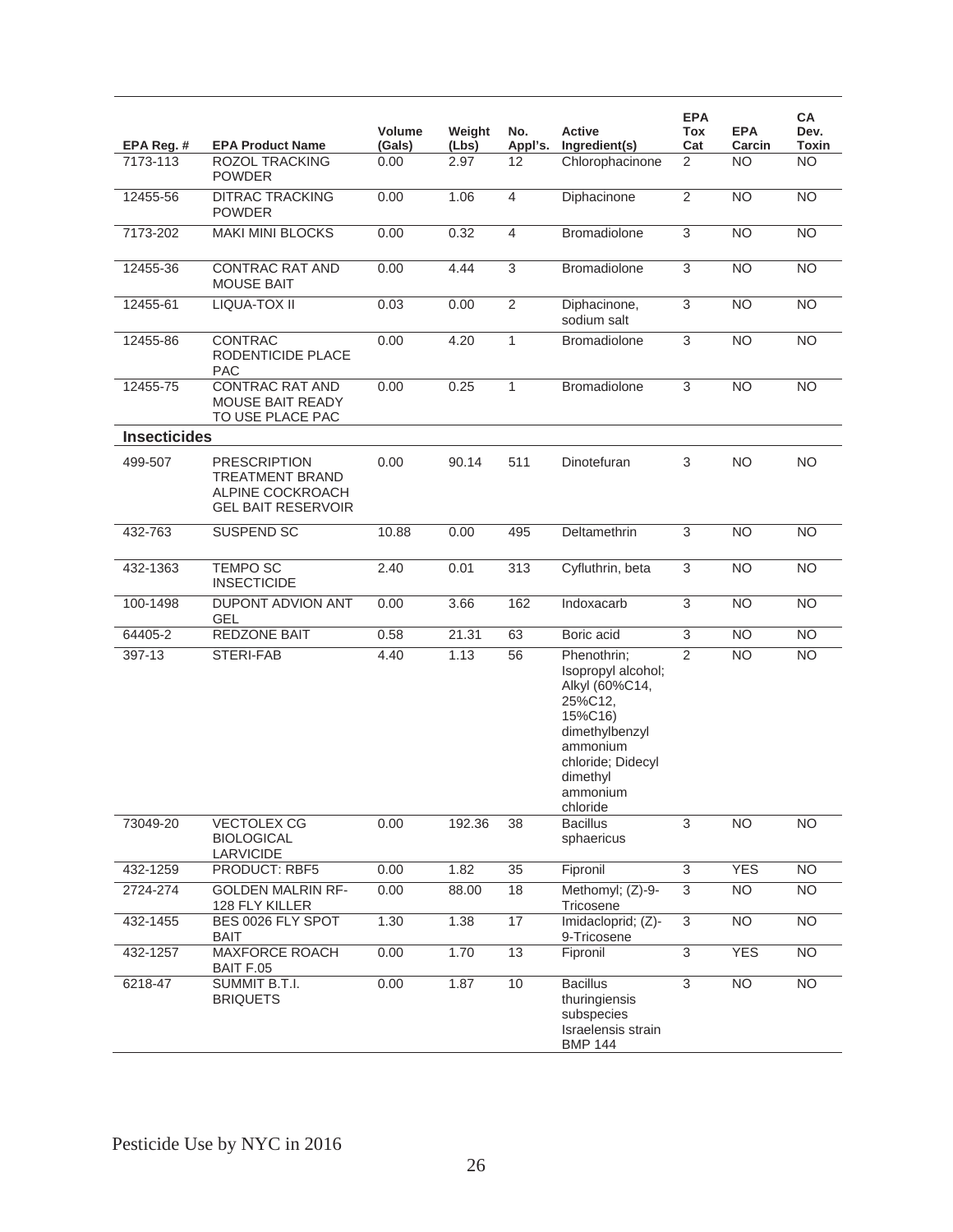| EPA Reg. #          | <b>EPA Product Name</b>                                                                        | <b>Volume</b><br>(Gals) | Weight<br>(Lbs) | No.<br>Appl's. | Active<br>Ingredient(s)                                                                                                                                          | <b>EPA</b><br>Tox<br>Cat | <b>EPA</b><br>Carcin | CA<br>Dev.<br>Toxin |
|---------------------|------------------------------------------------------------------------------------------------|-------------------------|-----------------|----------------|------------------------------------------------------------------------------------------------------------------------------------------------------------------|--------------------------|----------------------|---------------------|
| 7173-113            | <b>ROZOL TRACKING</b><br><b>POWDER</b>                                                         | 0.00                    | 2.97            | 12             | Chlorophacinone                                                                                                                                                  | 2                        | <b>NO</b>            | <b>NO</b>           |
| 12455-56            | <b>DITRAC TRACKING</b><br><b>POWDER</b>                                                        | 0.00                    | 1.06            | $\overline{4}$ | Diphacinone                                                                                                                                                      | $\overline{2}$           | <b>NO</b>            | <b>NO</b>           |
| 7173-202            | <b>MAKI MINI BLOCKS</b>                                                                        | 0.00                    | 0.32            | $\overline{4}$ | Bromadiolone                                                                                                                                                     | $\overline{3}$           | $\overline{NO}$      | NO                  |
| 12455-36            | <b>CONTRAC RAT AND</b><br><b>MOUSE BAIT</b>                                                    | 0.00                    | 4.44            | 3              | Bromadiolone                                                                                                                                                     | $\overline{3}$           | $\overline{NO}$      | $\overline{NO}$     |
| 12455-61            | LIQUA-TOX II                                                                                   | 0.03                    | 0.00            | $\overline{2}$ | Diphacinone,<br>sodium salt                                                                                                                                      | $\overline{3}$           | <b>NO</b>            | <b>NO</b>           |
| 12455-86            | <b>CONTRAC</b><br>RODENTICIDE PLACE<br><b>PAC</b>                                              | 0.00                    | 4.20            | $\mathbf{1}$   | <b>Bromadiolone</b>                                                                                                                                              | 3                        | <b>NO</b>            | <b>NO</b>           |
| 12455-75            | <b>CONTRAC RAT AND</b><br>MOUSE BAIT READY<br>TO USE PLACE PAC                                 | 0.00                    | 0.25            | $\mathbf{1}$   | Bromadiolone                                                                                                                                                     | 3                        | <b>NO</b>            | <b>NO</b>           |
| <b>Insecticides</b> |                                                                                                |                         |                 |                |                                                                                                                                                                  |                          |                      |                     |
| 499-507             | <b>PRESCRIPTION</b><br><b>TREATMENT BRAND</b><br>ALPINE COCKROACH<br><b>GEL BAIT RESERVOIR</b> | 0.00                    | 90.14           | 511            | Dinotefuran                                                                                                                                                      | 3                        | <b>NO</b>            | <b>NO</b>           |
| 432-763             | SUSPEND SC                                                                                     | 10.88                   | 0.00            | 495            | Deltamethrin                                                                                                                                                     | $\overline{3}$           | <b>NO</b>            | $\overline{NO}$     |
| 432-1363            | <b>TEMPO SC</b><br><b>INSECTICIDE</b>                                                          | 2.40                    | 0.01            | 313            | Cyfluthrin, beta                                                                                                                                                 | $\overline{3}$           | <b>NO</b>            | $\overline{NO}$     |
| 100-1498            | DUPONT ADVION ANT<br><b>GEL</b>                                                                | 0.00                    | 3.66            | 162            | Indoxacarb                                                                                                                                                       | 3                        | <b>NO</b>            | $\overline{NO}$     |
| 64405-2             | REDZONE BAIT                                                                                   | 0.58                    | 21.31           | 63             | Boric acid                                                                                                                                                       | $\overline{3}$           | <b>NO</b>            | $\overline{NO}$     |
| 397-13              | STERI-FAB                                                                                      | 4.40                    | 1.13            | 56             | Phenothrin;<br>Isopropyl alcohol;<br>Alkyl (60%C14,<br>25%C12,<br>15%C16)<br>dimethylbenzyl<br>ammonium<br>chloride; Didecyl<br>dimethyl<br>ammonium<br>chloride | 2                        | <b>NO</b>            | <b>NO</b>           |
| 73049-20            | <b>VECTOLEX CG</b><br><b>BIOLOGICAL</b><br>LARVICIDE                                           | 0.00                    | 192.36          | 38             | <b>Bacillus</b><br>sphaericus                                                                                                                                    | 3                        | <b>NO</b>            | <b>NO</b>           |
| 432-1259            | PRODUCT: RBF5                                                                                  | 0.00                    | 1.82            | 35             | Fipronil                                                                                                                                                         | $\overline{3}$           | <b>YES</b>           | <b>NO</b>           |
| 2724-274            | <b>GOLDEN MALRIN RF-</b><br>128 FLY KILLER                                                     | 0.00                    | 88.00           | 18             | Methomyl; (Z)-9-<br>Tricosene                                                                                                                                    | $\overline{3}$           | <b>NO</b>            | N <sub>O</sub>      |
| 432-1455            | BES 0026 FLY SPOT<br>BAIT                                                                      | 1.30                    | 1.38            | 17             | Imidacloprid; (Z)-<br>9-Tricosene                                                                                                                                | $\overline{3}$           | N <sub>O</sub>       | N <sub>O</sub>      |
| 432-1257            | <b>MAXFORCE ROACH</b><br>BAIT F.05                                                             | 0.00                    | 1.70            | 13             | Fipronil                                                                                                                                                         | $\overline{3}$           | <b>YES</b>           | N <sub>O</sub>      |
| 6218-47             | SUMMIT B.T.I.<br><b>BRIQUETS</b>                                                               | 0.00                    | 1.87            | 10             | <b>Bacillus</b><br>thuringiensis<br>subspecies<br>Israelensis strain<br><b>BMP 144</b>                                                                           | 3                        | $\overline{NO}$      | N <sub>O</sub>      |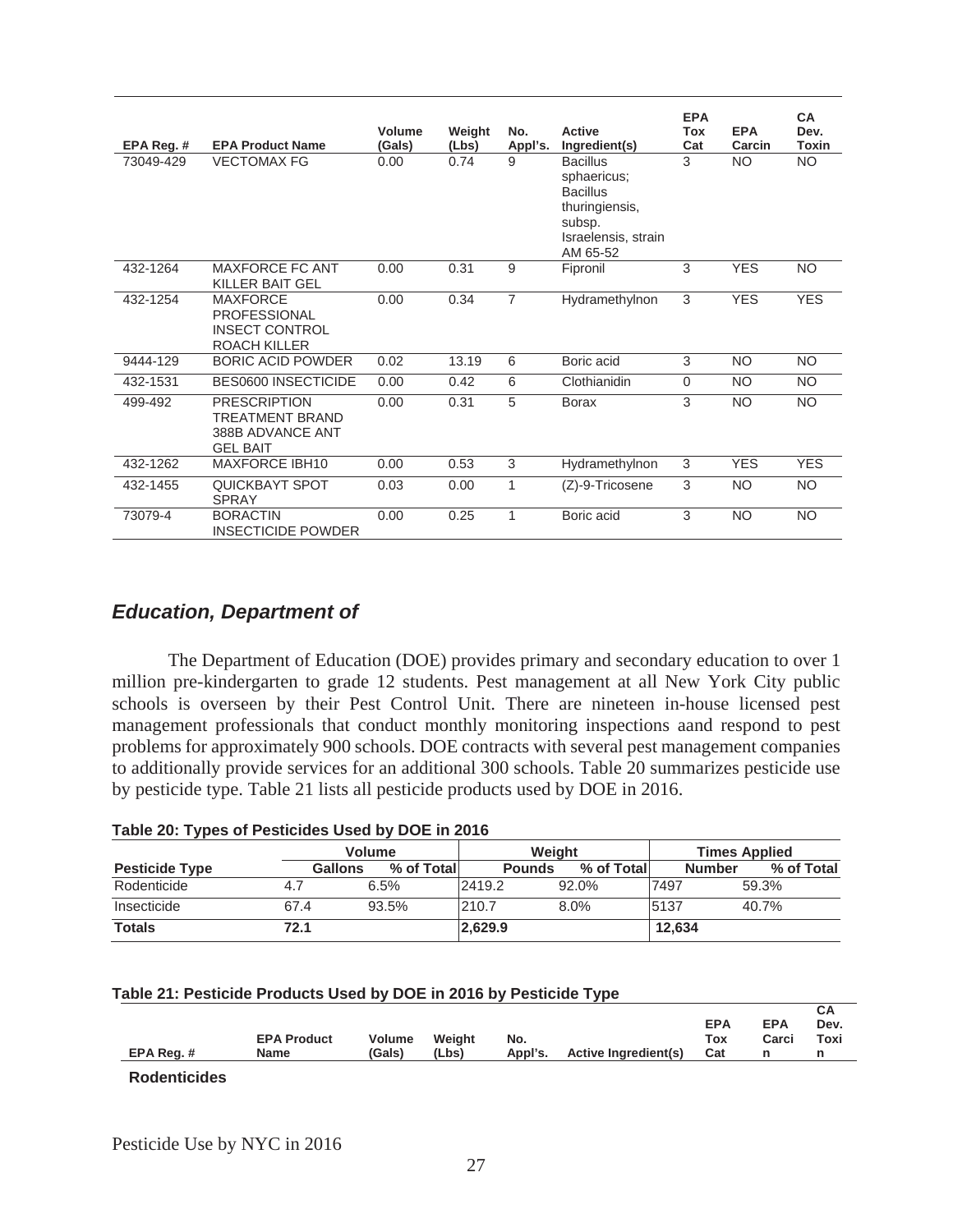| EPA Reg. # | <b>EPA Product Name</b>                                                                | Volume<br>(Gals) | Weight<br>(Lbs) | No.<br>Appl's. | <b>Active</b><br>Ingredient(s)                                                                                   | <b>EPA</b><br>Tox<br>Cat | <b>EPA</b><br>Carcin | <b>CA</b><br>Dev.<br><b>Toxin</b> |
|------------|----------------------------------------------------------------------------------------|------------------|-----------------|----------------|------------------------------------------------------------------------------------------------------------------|--------------------------|----------------------|-----------------------------------|
| 73049-429  | <b>VECTOMAX FG</b>                                                                     | 0.00             | 0.74            | 9              | <b>Bacillus</b><br>sphaericus;<br><b>Bacillus</b><br>thuringiensis,<br>subsp.<br>Israelensis, strain<br>AM 65-52 | 3                        | <b>NO</b>            | <b>NO</b>                         |
| 432-1264   | <b>MAXFORCE FC ANT</b><br><b>KILLER BAIT GEL</b>                                       | 0.00             | 0.31            | 9              | Fipronil                                                                                                         | 3                        | <b>YES</b>           | <b>NO</b>                         |
| 432-1254   | <b>MAXFORCE</b><br><b>PROFESSIONAL</b><br><b>INSECT CONTROL</b><br><b>ROACH KILLER</b> | 0.00             | 0.34            | $\overline{7}$ | Hydramethylnon                                                                                                   | 3                        | <b>YES</b>           | <b>YES</b>                        |
| 9444-129   | <b>BORIC ACID POWDER</b>                                                               | 0.02             | 13.19           | 6              | Boric acid                                                                                                       | 3                        | NO.                  | <b>NO</b>                         |
| 432-1531   | BES0600 INSECTICIDE                                                                    | 0.00             | 0.42            | 6              | Clothianidin                                                                                                     | $\Omega$                 | <b>NO</b>            | NO.                               |
| 499-492    | <b>PRESCRIPTION</b><br>TRFATMFNT BRAND<br>388B ADVANCE ANT<br><b>GEL BAIT</b>          | 0.00             | 0.31            | 5              | <b>Borax</b>                                                                                                     | 3                        | <b>NO</b>            | <b>NO</b>                         |
| 432-1262   | <b>MAXFORCE IBH10</b>                                                                  | 0.00             | 0.53            | 3              | Hydramethylnon                                                                                                   | 3                        | <b>YES</b>           | <b>YES</b>                        |
| 432-1455   | <b>QUICKBAYT SPOT</b><br><b>SPRAY</b>                                                  | 0.03             | 0.00            | 1              | (Z)-9-Tricosene                                                                                                  | 3                        | <b>NO</b>            | <b>NO</b>                         |
| 73079-4    | <b>BORACTIN</b><br><b>INSECTICIDE POWDER</b>                                           | 0.00             | 0.25            |                | Boric acid                                                                                                       | 3                        | <b>NO</b>            | <b>NO</b>                         |

# *Education, Department of*

 The Department of Education (DOE) provides primary and secondary education to over 1 million pre-kindergarten to grade 12 students. Pest management at all New York City public schools is overseen by their Pest Control Unit. There are nineteen in-house licensed pest management professionals that conduct monthly monitoring inspections aand respond to pest problems for approximately 900 schools. DOE contracts with several pest management companies to additionally provide services for an additional 300 schools. Table 20 summarizes pesticide use by pesticide type. Table 21 lists all pesticide products used by DOE in 2016.

| Table 20. Types of restigates used by DOE III 2010 |                |               |               |            |                      |            |  |  |  |  |  |
|----------------------------------------------------|----------------|---------------|---------------|------------|----------------------|------------|--|--|--|--|--|
|                                                    |                | <b>Volume</b> | Weight        |            | <b>Times Applied</b> |            |  |  |  |  |  |
| <b>Pesticide Type</b>                              | <b>Gallons</b> | % of Total    | <b>Pounds</b> | % of Total | <b>Number</b>        | % of Total |  |  |  |  |  |
| Rodenticide                                        | 4.7            | 6.5%          | 2419.2        | 92.0%      | 7497                 | 59.3%      |  |  |  |  |  |
| Insecticide                                        | 67.4           | 93.5%         | 210.7         | $8.0\%$    | 5137                 | 40.7%      |  |  |  |  |  |
| <b>Totals</b>                                      | 72.1           |               | 2,629.9       |            | 12,634               |            |  |  |  |  |  |

#### **Table 21: Pesticide Products Used by DOE in 2016 by Pesticide Type**

| EPA Reg.# | <b>EPA Product</b><br>Name | Volume<br>(Gals) | Weiaht<br>(Lbs) | No. | Appl's. Active Ingredient(s) Cat | <b>EPA</b><br>Tox | <b>EPA</b><br>Carci | ---<br>Dev.<br>Toxi |
|-----------|----------------------------|------------------|-----------------|-----|----------------------------------|-------------------|---------------------|---------------------|
|           |                            |                  |                 |     |                                  |                   |                     |                     |

 $\overline{\mathbf{C}}$ 

**Rodenticides**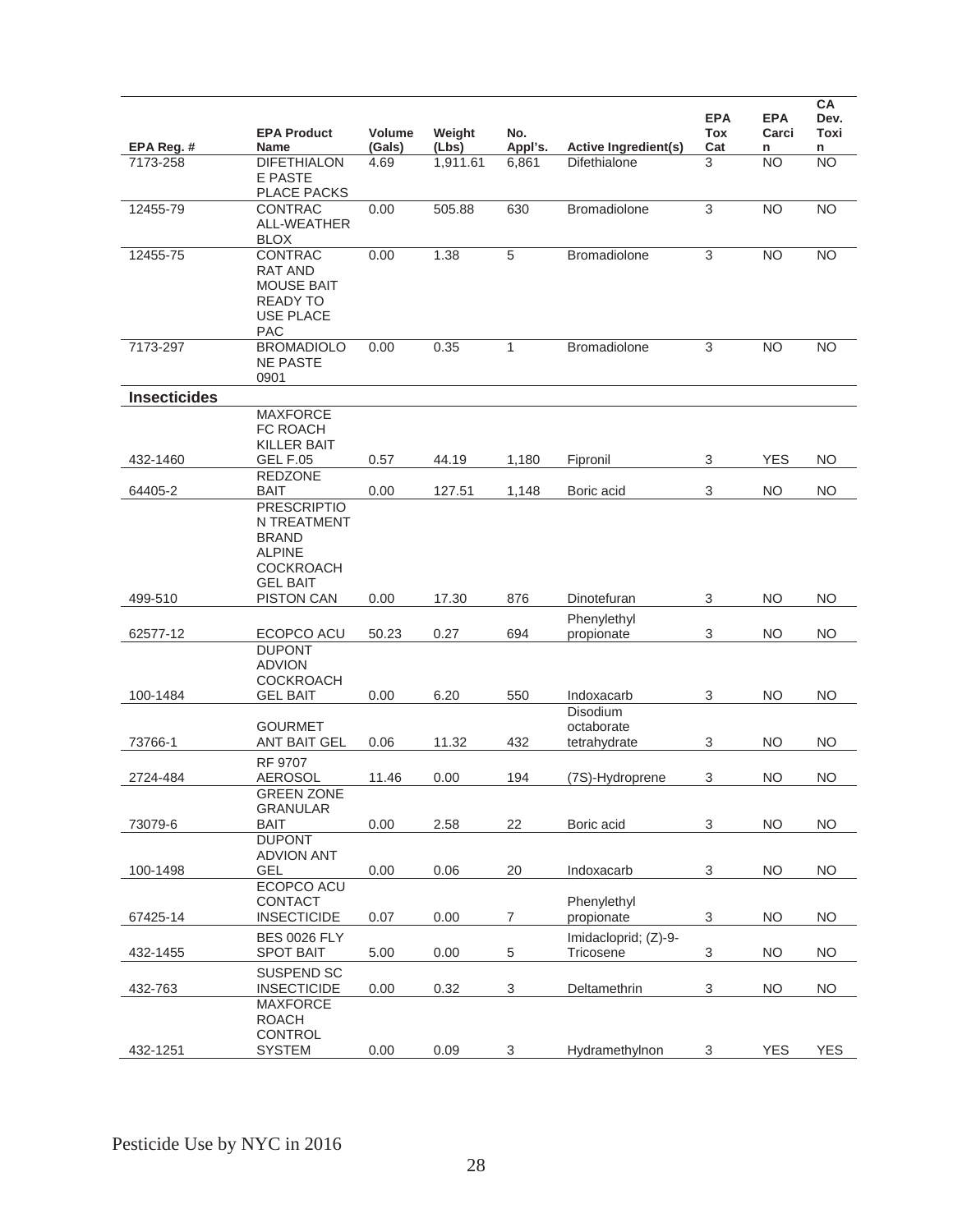| EPA Reg. #          | <b>EPA Product</b><br><b>Name</b>                                                                         | Volume<br>(Gals) | Weight<br>(Lbs) | No.<br>Appl's.           | <b>Active Ingredient(s)</b>            | <b>EPA</b><br>Tox<br>Cat  | <b>EPA</b><br>Carci<br>n | CA<br>Dev.<br>Toxi<br>n |
|---------------------|-----------------------------------------------------------------------------------------------------------|------------------|-----------------|--------------------------|----------------------------------------|---------------------------|--------------------------|-------------------------|
| 7173-258            | <b>DIFETHIALON</b><br>E PASTE<br><b>PLACE PACKS</b>                                                       | 4.69             | 1,911.61        | 6,861                    | <b>Difethialone</b>                    | 3                         | <b>NO</b>                | <b>NO</b>               |
| 12455-79            | <b>CONTRAC</b><br>ALL-WEATHER<br><b>BLOX</b>                                                              | 0.00             | 505.88          | 630                      | Bromadiolone                           | $\overline{3}$            | <b>NO</b>                | $\overline{NO}$         |
| 12455-75            | CONTRAC<br><b>RAT AND</b><br><b>MOUSE BAIT</b><br><b>READY TO</b><br><b>USE PLACE</b><br><b>PAC</b>       | 0.00             | 1.38            | 5                        | Bromadiolone                           | 3                         | <b>NO</b>                | <b>NO</b>               |
| 7173-297            | <b>BROMADIOLO</b><br><b>NE PASTE</b><br>0901                                                              | 0.00             | 0.35            | $\mathbf{1}$             | <b>Bromadiolone</b>                    | 3                         | <b>NO</b>                | <b>NO</b>               |
| <b>Insecticides</b> |                                                                                                           |                  |                 |                          |                                        |                           |                          |                         |
| 432-1460            | <b>MAXFORCE</b><br>FC ROACH<br><b>KILLER BAIT</b><br><b>GEL F.05</b>                                      | 0.57             | 44.19           | 1,180                    | Fipronil                               | 3                         | <b>YES</b>               | <b>NO</b>               |
| 64405-2             | <b>REDZONE</b><br><b>BAIT</b>                                                                             | 0.00             | 127.51          | 1,148                    | Boric acid                             | 3                         | <b>NO</b>                | <b>NO</b>               |
|                     | <b>PRESCRIPTIO</b><br>N TREATMENT<br><b>BRAND</b><br><b>ALPINE</b><br><b>COCKROACH</b><br><b>GEL BAIT</b> |                  |                 |                          |                                        |                           |                          |                         |
| 499-510             | <b>PISTON CAN</b>                                                                                         | 0.00             | 17.30           | 876                      | Dinotefuran                            | 3                         | <b>NO</b>                | <b>NO</b>               |
| 62577-12            | ECOPCO ACU<br><b>DUPONT</b>                                                                               | 50.23            | 0.27            | 694                      | Phenylethyl<br>propionate              | $\ensuremath{\mathsf{3}}$ | <b>NO</b>                | <b>NO</b>               |
| 100-1484            | <b>ADVION</b><br><b>COCKROACH</b><br><b>GEL BAIT</b>                                                      | 0.00             | 6.20            | 550                      | Indoxacarb                             | 3                         | <b>NO</b>                | <b>NO</b>               |
| 73766-1             | <b>GOURMET</b><br><b>ANT BAIT GEL</b>                                                                     | 0.06             | 11.32           | 432                      | Disodium<br>octaborate<br>tetrahydrate | 3                         | <b>NO</b>                | <b>NO</b>               |
| 2724-484            | <b>RF 9707</b><br><b>AEROSOL</b>                                                                          | 11.46            | 0.00            | 194                      | (7S)-Hydroprene                        | 3                         | <b>NO</b>                | <b>NO</b>               |
| 73079-6             | <b>GREEN ZONE</b><br><b>GRANULAR</b><br><b>BAIT</b>                                                       | 0.00             | 2.58            | 22                       | Boric acid                             | $\ensuremath{\mathsf{3}}$ | <b>NO</b>                | <b>NO</b>               |
| 100-1498            | <b>DUPONT</b><br><b>ADVION ANT</b><br>GEL                                                                 | 0.00             | 0.06            | 20                       | Indoxacarb                             | 3                         | <b>NO</b>                | <b>NO</b>               |
| 67425-14            | ECOPCO ACU<br><b>CONTACT</b><br><b>INSECTICIDE</b>                                                        | 0.07             | 0.00            | $\overline{\mathcal{I}}$ | Phenylethyl<br>propionate              | 3                         | <b>NO</b>                | <b>NO</b>               |
| 432-1455            | <b>BES 0026 FLY</b><br><b>SPOT BAIT</b>                                                                   | 5.00             | 0.00            | $\sqrt{5}$               | Imidacloprid; (Z)-9-<br>Tricosene      | 3                         | <b>NO</b>                | <b>NO</b>               |
| 432-763             | SUSPEND SC<br><b>INSECTICIDE</b>                                                                          | 0.00             | 0.32            | $\mathsf 3$              | Deltamethrin                           | $\sqrt{3}$                | <b>NO</b>                | <b>NO</b>               |
| 432-1251            | <b>MAXFORCE</b><br><b>ROACH</b><br>CONTROL<br><b>SYSTEM</b>                                               | 0.00             | 0.09            | 3                        | Hydramethylnon                         | 3                         | <b>YES</b>               | <b>YES</b>              |
|                     |                                                                                                           |                  |                 |                          |                                        |                           |                          |                         |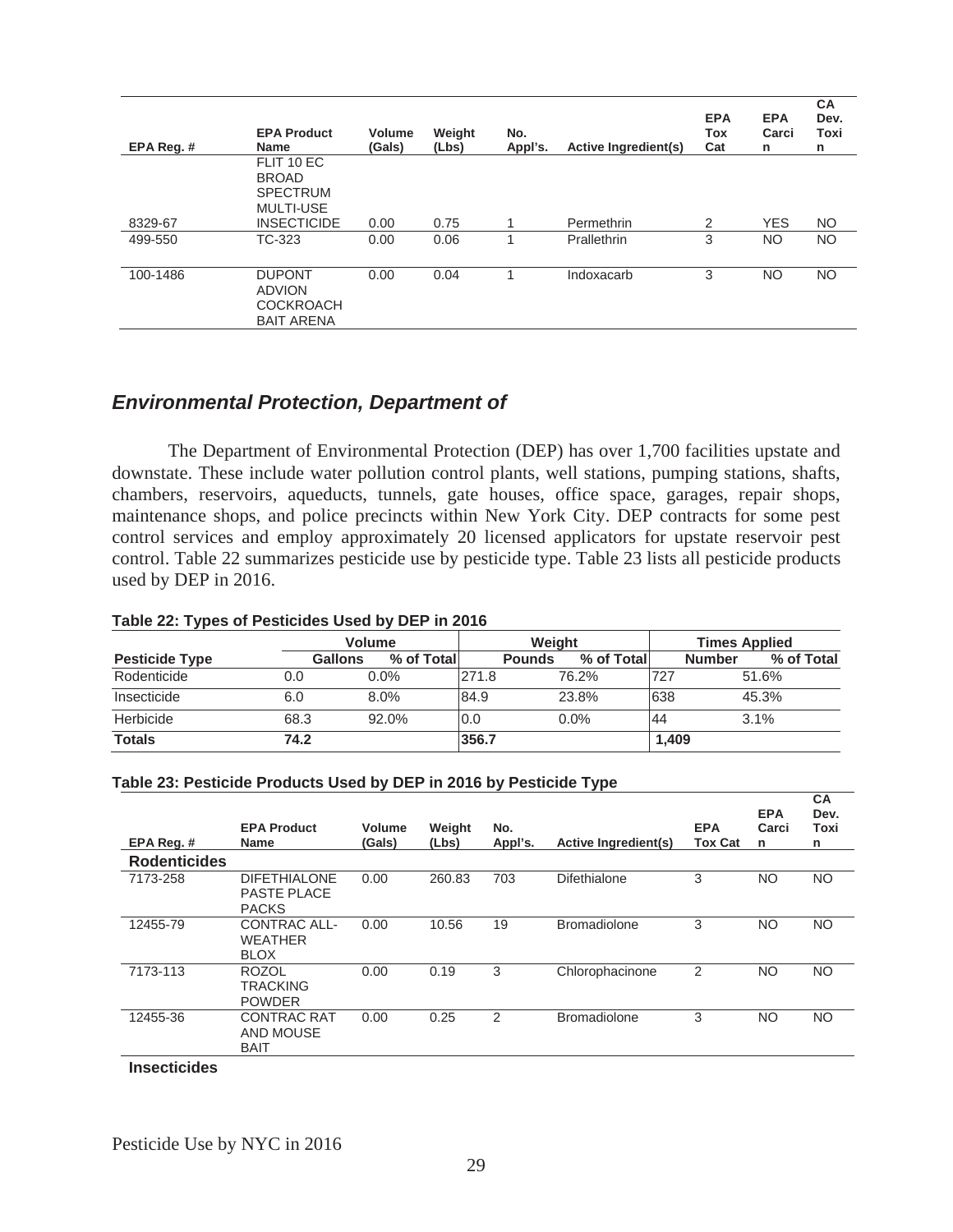| EPA Reg.# | <b>EPA Product</b><br><b>Name</b>                                                       | <b>Volume</b><br>(Gals) | Weight<br>(Lbs) | No.<br>Appl's. | <b>Active Ingredient(s)</b> | <b>EPA</b><br>Tox<br>Cat | <b>EPA</b><br>Carci<br>n | <b>CA</b><br>Dev.<br>Toxi<br>n |
|-----------|-----------------------------------------------------------------------------------------|-------------------------|-----------------|----------------|-----------------------------|--------------------------|--------------------------|--------------------------------|
| 8329-67   | FLIT 10 EC<br><b>BROAD</b><br><b>SPECTRUM</b><br><b>MULTI-USE</b><br><b>INSECTICIDE</b> | 0.00                    | 0.75            |                | Permethrin                  | 2                        | <b>YES</b>               | <b>NO</b>                      |
| 499-550   | TC-323                                                                                  | 0.00                    | 0.06            |                | Prallethrin                 | 3                        | <b>NO</b>                | NO.                            |
| 100-1486  | <b>DUPONT</b><br><b>ADVION</b><br><b>COCKROACH</b><br><b>BAIT ARENA</b>                 | 0.00                    | 0.04            |                | Indoxacarb                  | 3                        | <b>NO</b>                | NO.                            |

## *Environmental Protection, Department of*

 The Department of Environmental Protection (DEP) has over 1,700 facilities upstate and downstate. These include water pollution control plants, well stations, pumping stations, shafts, chambers, reservoirs, aqueducts, tunnels, gate houses, office space, garages, repair shops, maintenance shops, and police precincts within New York City. DEP contracts for some pest control services and employ approximately 20 licensed applicators for upstate reservoir pest control. Table 22 summarizes pesticide use by pesticide type. Table 23 lists all pesticide products used by DEP in 2016.

# **Table 22: Types of Pesticides Used by DEP in 2016**

|                       | <b>Volume</b> |             |       | Weight                      | <b>Times Applied</b> |                             |  |  |
|-----------------------|---------------|-------------|-------|-----------------------------|----------------------|-----------------------------|--|--|
| <b>Pesticide Type</b> | Gallons       | % of Totall |       | % of Total<br><b>Pounds</b> |                      | % of Total<br><b>Number</b> |  |  |
| Rodenticide           | 0.0           | $0.0\%$     | 271.8 | 76.2%                       | 727                  | 51.6%                       |  |  |
| Insecticide           | 6.0           | $8.0\%$     | 84.9  | 23.8%                       | 638                  | 45.3%                       |  |  |
| Herbicide             | 68.3          | 92.0%       | 10.0  | $0.0\%$                     | 44                   | 3.1%                        |  |  |
| <b>Totals</b>         | 74.2          |             | 356.7 |                             | 1.409                |                             |  |  |

#### **Table 23: Pesticide Products Used by DEP in 2016 by Pesticide Type**

|                     |                                                           |                  |                 |                | - -                  |                       |                          |                                |
|---------------------|-----------------------------------------------------------|------------------|-----------------|----------------|----------------------|-----------------------|--------------------------|--------------------------------|
| EPA Reg.#           | <b>EPA Product</b><br>Name                                | Volume<br>(Gals) | Weight<br>(Lbs) | No.<br>Appl's. | Active Ingredient(s) | <b>EPA</b><br>Tox Cat | <b>EPA</b><br>Carci<br>n | <b>CA</b><br>Dev.<br>Toxi<br>n |
| <b>Rodenticides</b> |                                                           |                  |                 |                |                      |                       |                          |                                |
| 7173-258            | <b>DIFETHIALONE</b><br><b>PASTE PLACE</b><br><b>PACKS</b> | 0.00             | 260.83          | 703            | <b>Difethialone</b>  | 3                     | <b>NO</b>                | <b>NO</b>                      |
| 12455-79            | CONTRAC ALL-<br><b>WEATHER</b><br><b>BLOX</b>             | 0.00             | 10.56           | 19             | <b>Bromadiolone</b>  | 3                     | <b>NO</b>                | <b>NO</b>                      |
| 7173-113            | <b>ROZOL</b><br><b>TRACKING</b><br><b>POWDER</b>          | 0.00             | 0.19            | 3              | Chlorophacinone      | 2                     | <b>NO</b>                | <b>NO</b>                      |
| 12455-36            | <b>CONTRAC RAT</b><br><b>AND MOUSE</b><br><b>BAIT</b>     | 0.00             | 0.25            | $\overline{2}$ | <b>Bromadiolone</b>  | 3                     | <b>NO</b>                | <b>NO</b>                      |
|                     |                                                           |                  |                 |                |                      |                       |                          |                                |

**Insecticides**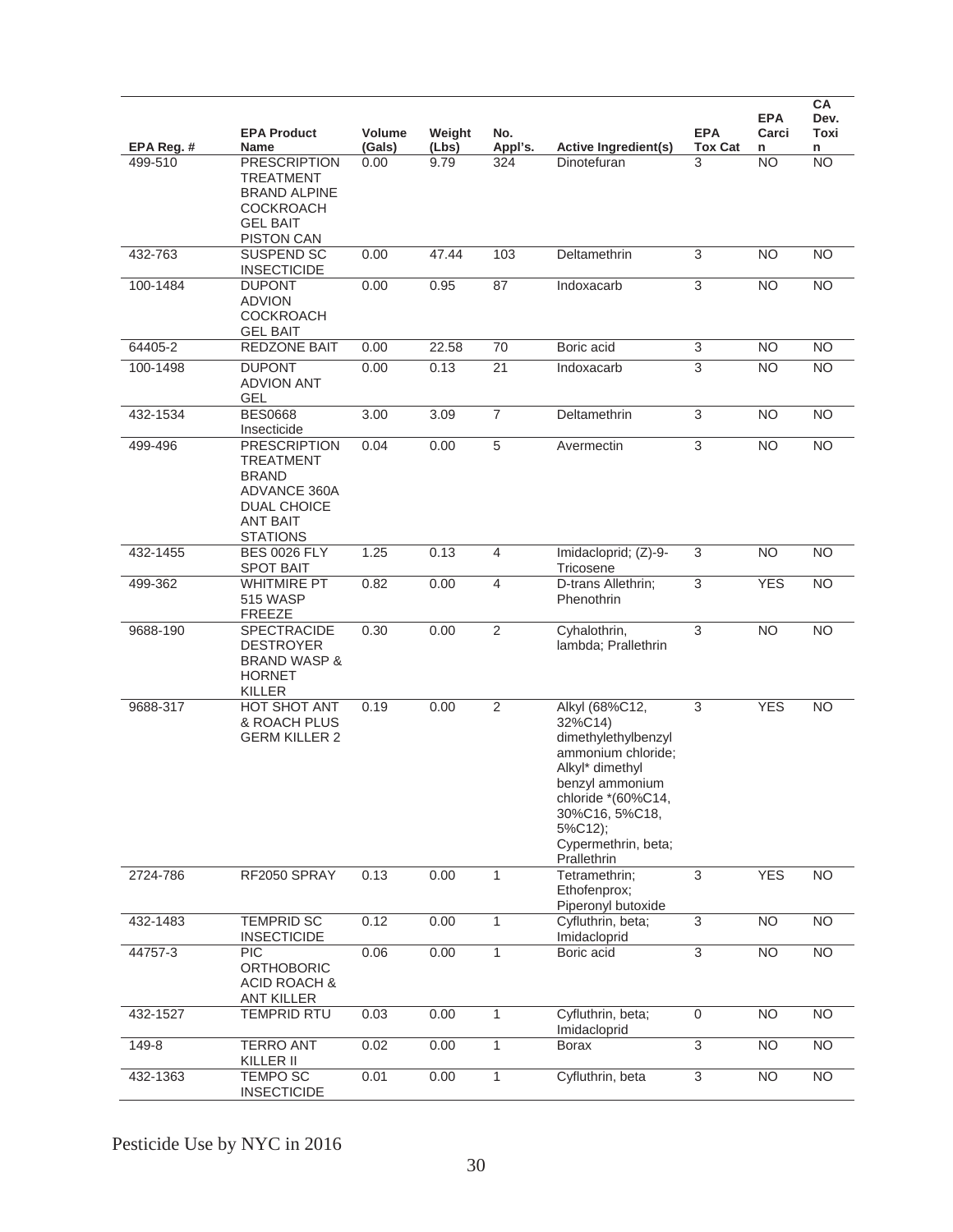|           | <b>EPA Product</b>                                                                                                                  | Volume | Weight | No.            |                                                                                                                                                                                                       | <b>EPA</b>                | <b>EPA</b><br>Carci | CA<br>Dev.<br>Toxi |
|-----------|-------------------------------------------------------------------------------------------------------------------------------------|--------|--------|----------------|-------------------------------------------------------------------------------------------------------------------------------------------------------------------------------------------------------|---------------------------|---------------------|--------------------|
| EPA Reg.# | <b>Name</b>                                                                                                                         | (Gals) | (Lbs)  | Appl's.        | <b>Active Ingredient(s)</b>                                                                                                                                                                           | <b>Tox Cat</b>            | n                   | n                  |
| 499-510   | <b>PRESCRIPTION</b><br><b>TREATMENT</b><br><b>BRAND ALPINE</b><br><b>COCKROACH</b><br><b>GEL BAIT</b><br><b>PISTON CAN</b>          | 0.00   | 9.79   | 324            | <b>Dinotefuran</b>                                                                                                                                                                                    | 3                         | NO                  | ΝO                 |
| 432-763   | SUSPEND SC<br><b>INSECTICIDE</b>                                                                                                    | 0.00   | 47.44  | 103            | Deltamethrin                                                                                                                                                                                          | 3                         | <b>NO</b>           | <b>NO</b>          |
| 100-1484  | <b>DUPONT</b><br><b>ADVION</b><br><b>COCKROACH</b><br><b>GEL BAIT</b>                                                               | 0.00   | 0.95   | 87             | Indoxacarb                                                                                                                                                                                            | $\ensuremath{\mathsf{3}}$ | <b>NO</b>           | <b>NO</b>          |
| 64405-2   | <b>REDZONE BAIT</b>                                                                                                                 | 0.00   | 22.58  | 70             | Boric acid                                                                                                                                                                                            | $\ensuremath{\mathsf{3}}$ | <b>NO</b>           | <b>NO</b>          |
| 100-1498  | <b>DUPONT</b><br><b>ADVION ANT</b><br><b>GEL</b>                                                                                    | 0.00   | 0.13   | 21             | Indoxacarb                                                                                                                                                                                            | 3                         | <b>NO</b>           | <b>NO</b>          |
| 432-1534  | <b>BES0668</b><br>Insecticide                                                                                                       | 3.00   | 3.09   | $\overline{7}$ | Deltamethrin                                                                                                                                                                                          | 3                         | <b>NO</b>           | <b>NO</b>          |
| 499-496   | <b>PRESCRIPTION</b><br><b>TREATMENT</b><br><b>BRAND</b><br>ADVANCE 360A<br><b>DUAL CHOICE</b><br><b>ANT BAIT</b><br><b>STATIONS</b> | 0.04   | 0.00   | 5              | Avermectin                                                                                                                                                                                            | $\ensuremath{\mathsf{3}}$ | <b>NO</b>           | <b>NO</b>          |
| 432-1455  | <b>BES 0026 FLY</b><br><b>SPOT BAIT</b>                                                                                             | 1.25   | 0.13   | 4              | Imidacloprid; (Z)-9-<br>Tricosene                                                                                                                                                                     | $\ensuremath{\mathsf{3}}$ | <b>NO</b>           | <b>NO</b>          |
| 499-362   | <b>WHITMIRE PT</b><br><b>515 WASP</b><br><b>FREEZE</b>                                                                              | 0.82   | 0.00   | $\overline{4}$ | D-trans Allethrin;<br>Phenothrin                                                                                                                                                                      | $\ensuremath{\mathsf{3}}$ | <b>YES</b>          | <b>NO</b>          |
| 9688-190  | SPECTRACIDE<br><b>DESTROYER</b><br><b>BRAND WASP &amp;</b><br><b>HORNET</b><br>KILLER                                               | 0.30   | 0.00   | $\overline{2}$ | Cyhalothrin,<br>lambda; Prallethrin                                                                                                                                                                   | 3                         | <b>NO</b>           | <b>NO</b>          |
| 9688-317  | HOT SHOT ANT<br>& ROACH PLUS<br><b>GERM KILLER 2</b>                                                                                | 0.19   | 0.00   | $\overline{2}$ | Alkyl (68%C12,<br>32%C14)<br>dimethylethylbenzyl<br>ammonium chloride;<br>Alkyl* dimethyl<br>benzyl ammonium<br>chloride *(60%C14,<br>30%C16, 5%C18,<br>5%C12);<br>Cypermethrin, beta;<br>Prallethrin | 3                         | <b>YES</b>          | <b>NO</b>          |
| 2724-786  | RF2050 SPRAY                                                                                                                        | 0.13   | 0.00   | 1              | Tetramethrin;<br>Ethofenprox;<br>Piperonyl butoxide                                                                                                                                                   | 3                         | <b>YES</b>          | $\overline{NO}$    |
| 432-1483  | <b>TEMPRID SC</b><br><b>INSECTICIDE</b>                                                                                             | 0.12   | 0.00   | $\mathbf{1}$   | Cyfluthrin, beta;<br>Imidacloprid                                                                                                                                                                     | 3                         | <b>NO</b>           | <b>NO</b>          |
| 44757-3   | <b>PIC</b><br><b>ORTHOBORIC</b><br><b>ACID ROACH &amp;</b><br><b>ANT KILLER</b>                                                     | 0.06   | 0.00   | $\mathbf{1}$   | Boric acid                                                                                                                                                                                            | $\overline{3}$            | <b>NO</b>           | NO                 |
| 432-1527  | <b>TEMPRID RTU</b>                                                                                                                  | 0.03   | 0.00   | $\mathbf{1}$   | Cyfluthrin, beta;<br>Imidacloprid                                                                                                                                                                     | $\boldsymbol{0}$          | <b>NO</b>           | <b>NO</b>          |
| $149 - 8$ | <b>TERRO ANT</b><br>KILLER II                                                                                                       | 0.02   | 0.00   | $\overline{1}$ | <b>Borax</b>                                                                                                                                                                                          | $\overline{3}$            | N <sub>O</sub>      | $\overline{NO}$    |
| 432-1363  | <b>TEMPO SC</b><br><b>INSECTICIDE</b>                                                                                               | 0.01   | 0.00   | 1              | Cyfluthrin, beta                                                                                                                                                                                      | 3                         | <b>NO</b>           | <b>NO</b>          |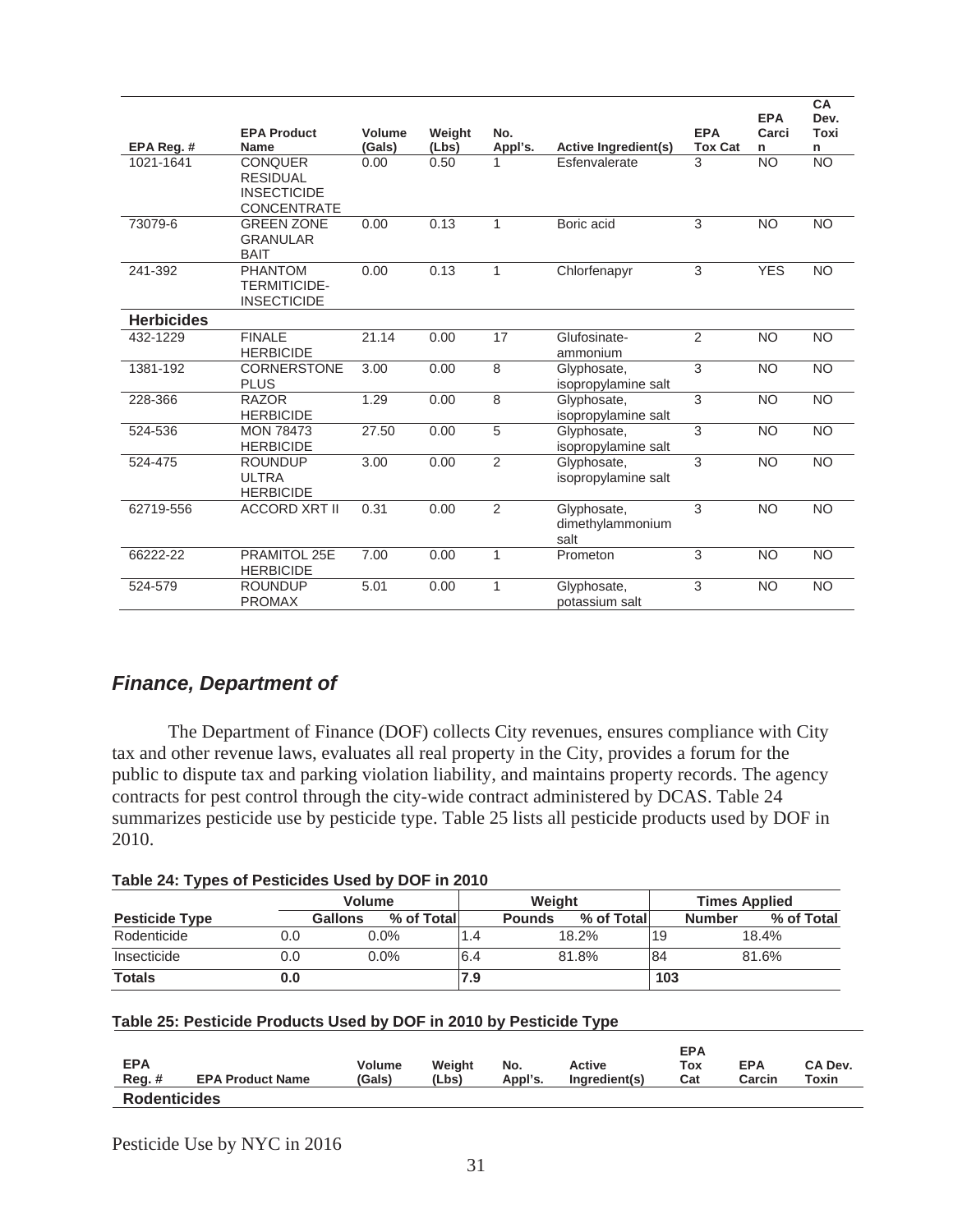|                   |                                                                               |        |        |                |                                         |                | <b>EPA</b>      | CA<br>Dev.      |
|-------------------|-------------------------------------------------------------------------------|--------|--------|----------------|-----------------------------------------|----------------|-----------------|-----------------|
|                   | <b>EPA Product</b>                                                            | Volume | Weight | No.            |                                         | <b>EPA</b>     | Carci           | Toxi            |
| EPA Reg.#         | <b>Name</b>                                                                   | (Gals) | (Lbs)  | Appl's.        | Active Ingredient(s)                    | <b>Tox Cat</b> | n               | n               |
| 1021-1641         | <b>CONQUER</b><br><b>RESIDUAL</b><br><b>INSECTICIDE</b><br><b>CONCENTRATE</b> | 0.00   | 0.50   |                | Esfenvalerate                           | 3              | <b>NO</b>       | $\overline{NO}$ |
| 73079-6           | <b>GREEN ZONE</b><br><b>GRANULAR</b><br><b>BAIT</b>                           | 0.00   | 0.13   | 1              | Boric acid                              | 3              | <b>NO</b>       | <b>NO</b>       |
| 241-392           | <b>PHANTOM</b><br><b>TERMITICIDE-</b><br><b>INSECTICIDE</b>                   | 0.00   | 0.13   | 1              | Chlorfenapyr                            | 3              | <b>YES</b>      | <b>NO</b>       |
| <b>Herbicides</b> |                                                                               |        |        |                |                                         |                |                 |                 |
| 432-1229          | <b>FINALE</b><br><b>HERBICIDE</b>                                             | 21.14  | 0.00   | 17             | Glufosinate-<br>ammonium                | 2              | <b>NO</b>       | <b>NO</b>       |
| 1381-192          | <b>CORNERSTONE</b><br><b>PLUS</b>                                             | 3.00   | 0.00   | 8              | Glyphosate,<br>isopropylamine salt      | 3              | <b>NO</b>       | $\overline{NO}$ |
| 228-366           | <b>RAZOR</b><br><b>HERBICIDE</b>                                              | 1.29   | 0.00   | 8              | Glyphosate,<br>isopropylamine salt      | 3              | <b>NO</b>       | <b>NO</b>       |
| 524-536           | <b>MON 78473</b><br><b>HERBICIDE</b>                                          | 27.50  | 0.00   | 5              | Glyphosate,<br>isopropylamine salt      | 3              | <b>NO</b>       | <b>NO</b>       |
| 524-475           | <b>ROUNDUP</b><br><b>ULTRA</b><br><b>HERBICIDE</b>                            | 3.00   | 0.00   | $\overline{2}$ | Glyphosate,<br>isopropylamine salt      | 3              | <b>NO</b>       | <b>NO</b>       |
| 62719-556         | <b>ACCORD XRT II</b>                                                          | 0.31   | 0.00   | $\overline{2}$ | Glyphosate,<br>dimethylammonium<br>salt | 3              | $\overline{NO}$ | $\overline{NO}$ |
| 66222-22          | PRAMITOL 25E<br><b>HERBICIDE</b>                                              | 7.00   | 0.00   | 1              | Prometon                                | 3              | <b>NO</b>       | <b>NO</b>       |
| 524-579           | <b>ROUNDUP</b><br><b>PROMAX</b>                                               | 5.01   | 0.00   | 1              | Glyphosate,<br>potassium salt           | 3              | <b>NO</b>       | <b>NO</b>       |

# *Finance, Department of*

 The Department of Finance (DOF) collects City revenues, ensures compliance with City tax and other revenue laws, evaluates all real property in the City, provides a forum for the public to dispute tax and parking violation liability, and maintains property records. The agency contracts for pest control through the city-wide contract administered by DCAS. Table 24 summarizes pesticide use by pesticide type. Table 25 lists all pesticide products used by DOF in 2010.

| Table 24: Types of Pesticides Used by DOF in 2010 |
|---------------------------------------------------|
|---------------------------------------------------|

|                       |     | <b>Volume</b>  |            |     | Weight        |            |     | <b>Times Applied</b> |            |  |  |
|-----------------------|-----|----------------|------------|-----|---------------|------------|-----|----------------------|------------|--|--|
| <b>Pesticide Type</b> |     | <b>Gallons</b> | % of Total |     | <b>Pounds</b> | % of Total |     | <b>Number</b>        | % of Total |  |  |
| Rodenticide           | 0.0 |                | $0.0\%$    | 1.4 |               | 18.2%      | 19  |                      | 18.4%      |  |  |
| Insecticide           | 0.0 |                | $0.0\%$    | 6.4 |               | 81.8%      | 84  |                      | 81.6%      |  |  |
| <b>Totals</b>         | 0.0 |                |            | 7.9 |               |            | 103 |                      |            |  |  |

#### **Table 25: Pesticide Products Used by DOF in 2010 by Pesticide Type**

| <b>EPA</b><br>$Reg.$ # | <b>EPA Product Name</b> | <b>Volume</b><br>(Gals) | Weight<br>(Lbs) | No.<br>Appl's. | Active<br>Ingredient(s) | <b>EPA</b><br>Tox<br>Cat | <b>EPA</b><br>Carcin | CA Dev.<br>Toxin |
|------------------------|-------------------------|-------------------------|-----------------|----------------|-------------------------|--------------------------|----------------------|------------------|
| <b>Rodenticides</b>    |                         |                         |                 |                |                         |                          |                      |                  |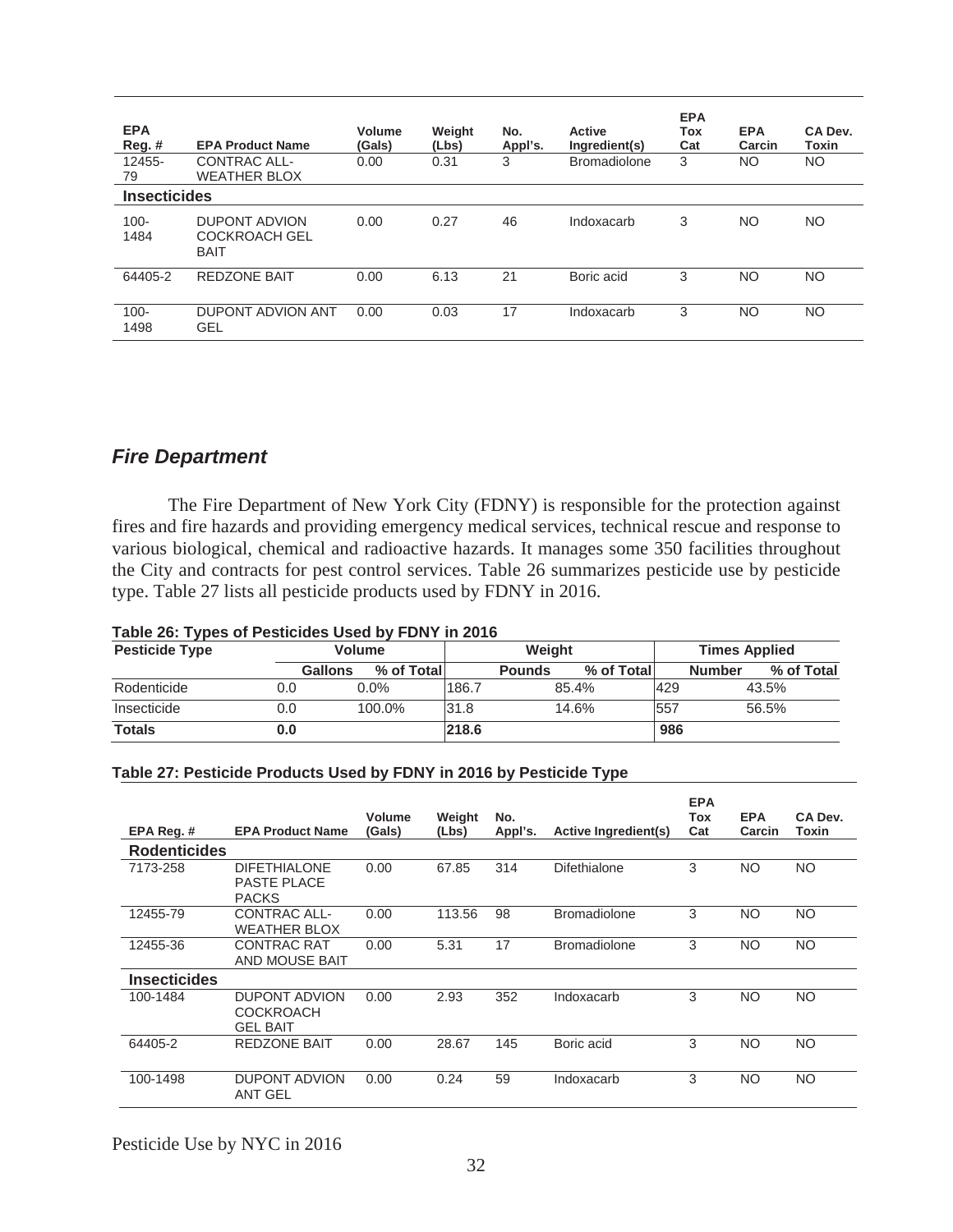| <b>EPA</b><br>$Reg.$ #<br>12455-<br>79 | <b>EPA Product Name</b><br>CONTRAC ALL-<br><b>WEATHER BLOX</b> | Volume<br>(Gals)<br>0.00 | Weight<br>(Lbs)<br>0.31 | No.<br>Appl's.<br>3 | <b>Active</b><br>Ingredient(s)<br><b>Bromadiolone</b> | <b>EPA</b><br>Tox<br>Cat<br>3 | <b>EPA</b><br>Carcin<br>NO. | CA Dev.<br><b>Toxin</b><br>NO. |
|----------------------------------------|----------------------------------------------------------------|--------------------------|-------------------------|---------------------|-------------------------------------------------------|-------------------------------|-----------------------------|--------------------------------|
| <b>Insecticides</b>                    |                                                                |                          |                         |                     |                                                       |                               |                             |                                |
| $100 -$<br>1484                        | <b>DUPONT ADVION</b><br><b>COCKROACH GEL</b><br><b>BAIT</b>    | 0.00                     | 0.27                    | 46                  | Indoxacarb                                            | 3                             | NO                          | NO.                            |
| 64405-2                                | <b>REDZONE BAIT</b>                                            | 0.00                     | 6.13                    | 21                  | Boric acid                                            | 3                             | NO                          | NO.                            |
| $100 -$<br>1498                        | DUPONT ADVION ANT<br>GEL                                       | 0.00                     | 0.03                    | 17                  | Indoxacarb                                            | 3                             | NO                          | NO.                            |

## *Fire Department*

The Fire Department of New York City (FDNY) is responsible for the protection against fires and fire hazards and providing emergency medical services, technical rescue and response to various biological, chemical and radioactive hazards. It manages some 350 facilities throughout the City and contracts for pest control services. Table 26 summarizes pesticide use by pesticide type. Table 27 lists all pesticide products used by FDNY in 2016.

| <b>Pesticide Type</b> | <b>Volume</b>  |            |       |               | Weight     | <b>Times Applied</b> |                             |  |
|-----------------------|----------------|------------|-------|---------------|------------|----------------------|-----------------------------|--|
|                       | <b>Gallons</b> | % of Total |       | <b>Pounds</b> | % of Total |                      | % of Total<br><b>Number</b> |  |
| Rodenticide           | 0.0            | $0.0\%$    | 186.7 |               | 85.4%      | 429                  | 43.5%                       |  |
| Insecticide           | 0.0            | 100.0%     | 31.8  |               | 14.6%      | 557                  | 56.5%                       |  |
| <b>Totals</b>         | 0.0            |            | 218.6 |               |            | 986                  |                             |  |

# **Table 26: Types of Pesticides Used by FDNY in 2016**

#### **Table 27: Pesticide Products Used by FDNY in 2016 by Pesticide Type**

|                     |                                                             | <b>Volume</b> | Weight | No.     |                             | <b>EPA</b><br>Tox | <b>EPA</b> | CA Dev.   |
|---------------------|-------------------------------------------------------------|---------------|--------|---------|-----------------------------|-------------------|------------|-----------|
| EPA Reg. #          | <b>EPA Product Name</b>                                     | (Gals)        | (Lbs)  | Appl's. | <b>Active Ingredient(s)</b> | Cat               | Carcin     | Toxin     |
| <b>Rodenticides</b> |                                                             |               |        |         |                             |                   |            |           |
| 7173-258            | <b>DIFETHIALONE</b><br><b>PASTE PLACE</b><br><b>PACKS</b>   | 0.00          | 67.85  | 314     | Difethialone                | 3                 | <b>NO</b>  | NO.       |
| 12455-79            | CONTRAC ALL-<br><b>WEATHER BLOX</b>                         | 0.00          | 113.56 | 98      | <b>Bromadiolone</b>         | 3                 | <b>NO</b>  | NO.       |
| 12455-36            | <b>CONTRAC RAT</b><br>AND MOUSE BAIT                        | 0.00          | 5.31   | 17      | <b>Bromadiolone</b>         | 3                 | <b>NO</b>  | NO.       |
| <b>Insecticides</b> |                                                             |               |        |         |                             |                   |            |           |
| 100-1484            | <b>DUPONT ADVION</b><br><b>COCKROACH</b><br><b>GEL BAIT</b> | 0.00          | 2.93   | 352     | Indoxacarb                  | 3                 | <b>NO</b>  | NO.       |
| 64405-2             | <b>REDZONE BAIT</b>                                         | 0.00          | 28.67  | 145     | Boric acid                  | 3                 | <b>NO</b>  | NO.       |
| 100-1498            | <b>DUPONT ADVION</b><br>ANT GEL                             | 0.00          | 0.24   | 59      | Indoxacarb                  | 3                 | <b>NO</b>  | <b>NO</b> |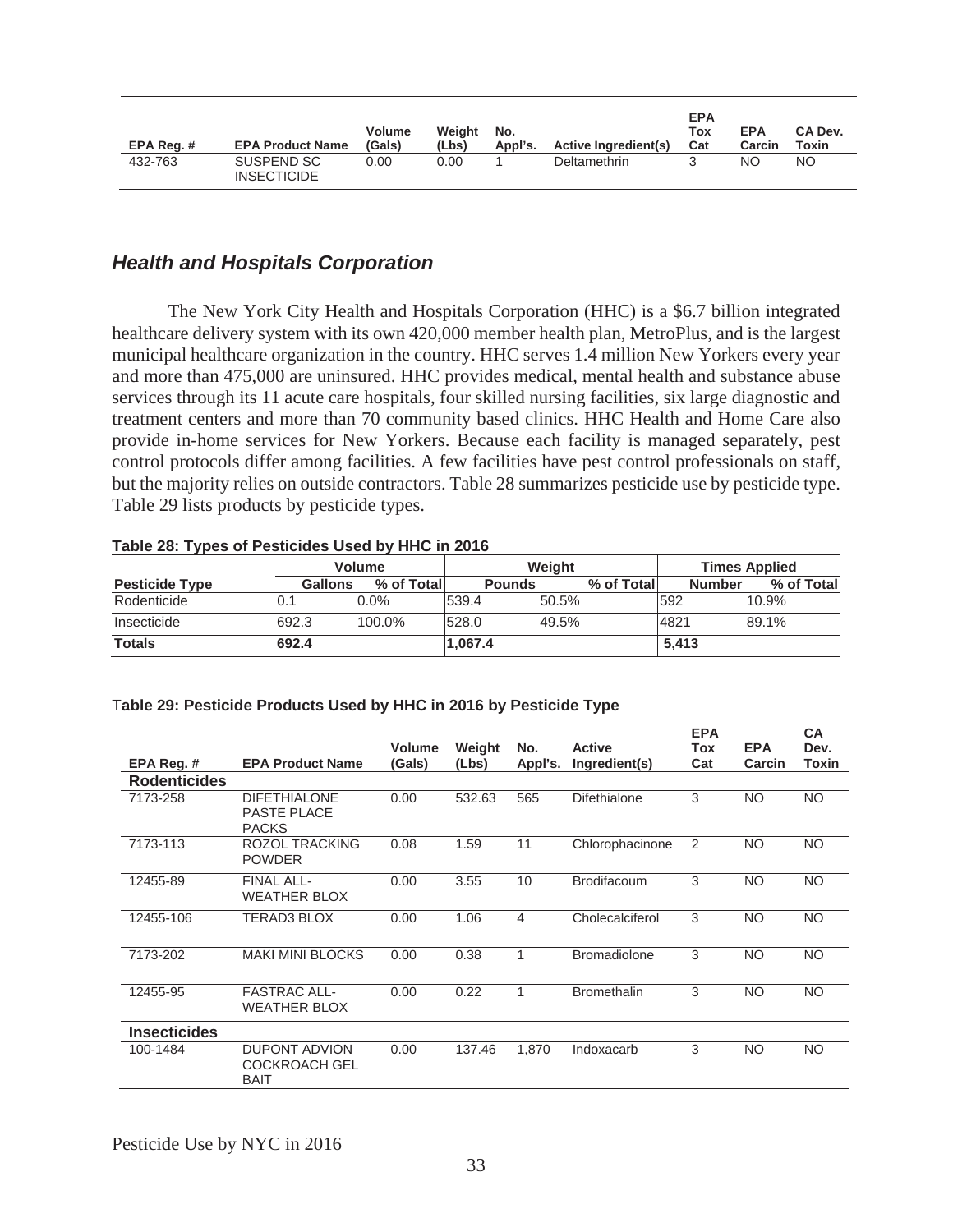| EPA Reg. # | <b>EPA Product Name</b>          | <b>Volume</b><br>(Gals) | Weight<br>(Lbs) | No.<br>Appl's. | <b>Active Ingredient(s)</b> | <b>EPA</b><br>Tox<br>Cat | <b>EPA</b><br>Carcin | CA Dev.<br>Toxin |
|------------|----------------------------------|-------------------------|-----------------|----------------|-----------------------------|--------------------------|----------------------|------------------|
| 432-763    | SUSPEND SC<br><b>INSECTICIDE</b> | 0.00                    | 0.00            |                | Deltamethrin                |                          | NΟ                   | <b>NO</b>        |

# *Health and Hospitals Corporation*

The New York City Health and Hospitals Corporation (HHC) is a \$6.7 billion integrated healthcare delivery system with its own 420,000 member health plan, MetroPlus, and is the largest municipal healthcare organization in the country. HHC serves 1.4 million New Yorkers every year and more than 475,000 are uninsured. HHC provides medical, mental health and substance abuse services through its 11 acute care hospitals, four skilled nursing facilities, six large diagnostic and treatment centers and more than 70 community based clinics. HHC Health and Home Care also provide in-home services for New Yorkers. Because each facility is managed separately, pest control protocols differ among facilities. A few facilities have pest control professionals on staff, but the majority relies on outside contractors. Table 28 summarizes pesticide use by pesticide type. Table 29 lists products by pesticide types.

|                       |                | <b>Volume</b> |               | Weiaht |            | <b>Times Applied</b> |                             |  |
|-----------------------|----------------|---------------|---------------|--------|------------|----------------------|-----------------------------|--|
| <b>Pesticide Type</b> | <b>Gallons</b> | % of Total    | <b>Pounds</b> |        | % of Total |                      | % of Total<br><b>Number</b> |  |
| Rodenticide           |                | $0.0\%$       | 539.4         | 50.5%  |            | 592                  | 10.9%                       |  |
| Insecticide           | 692.3          | 100.0%        | 528.0         | 49.5%  |            | 4821                 | 89.1%                       |  |
| <b>Totals</b>         | 692.4          |               | 1.067.4       |        |            | 5.413                |                             |  |

#### **Table 28: Types of Pesticides Used by HHC in 2016**

#### T**able 29: Pesticide Products Used by HHC in 2016 by Pesticide Type**

|                     |                                                             | <b>Volume</b> | Weight | No.     | <b>Active</b>       | <b>EPA</b><br>Tox | <b>EPA</b> | <b>CA</b><br>Dev. |
|---------------------|-------------------------------------------------------------|---------------|--------|---------|---------------------|-------------------|------------|-------------------|
| EPA Reg.#           | <b>EPA Product Name</b>                                     | (Gals)        | (Lbs)  | Appl's. | Ingredient(s)       | Cat               | Carcin     | Toxin             |
| <b>Rodenticides</b> |                                                             |               |        |         |                     |                   |            |                   |
| 7173-258            | <b>DIFETHIALONE</b><br>PASTE PLACE<br><b>PACKS</b>          | 0.00          | 532.63 | 565     | Difethialone        | 3                 | NO.        | <b>NO</b>         |
| 7173-113            | ROZOL TRACKING<br><b>POWDER</b>                             | 0.08          | 1.59   | 11      | Chlorophacinone     | 2                 | NO.        | <b>NO</b>         |
| 12455-89            | <b>FINAL ALL-</b><br><b>WEATHER BLOX</b>                    | 0.00          | 3.55   | 10      | <b>Brodifacoum</b>  | 3                 | <b>NO</b>  | <b>NO</b>         |
| 12455-106           | <b>TERAD3 BLOX</b>                                          | 0.00          | 1.06   | 4       | Cholecalciferol     | 3                 | <b>NO</b>  | <b>NO</b>         |
| 7173-202            | <b>MAKI MINI BLOCKS</b>                                     | 0.00          | 0.38   | 1       | <b>Bromadiolone</b> | 3                 | <b>NO</b>  | <b>NO</b>         |
| 12455-95            | <b>FASTRAC ALL-</b><br><b>WEATHER BLOX</b>                  | 0.00          | 0.22   | 1       | <b>Bromethalin</b>  | 3                 | NO.        | <b>NO</b>         |
| <b>Insecticides</b> |                                                             |               |        |         |                     |                   |            |                   |
| 100-1484            | <b>DUPONT ADVION</b><br><b>COCKROACH GEL</b><br><b>BAIT</b> | 0.00          | 137.46 | 1.870   | Indoxacarb          | 3                 | <b>NO</b>  | <b>NO</b>         |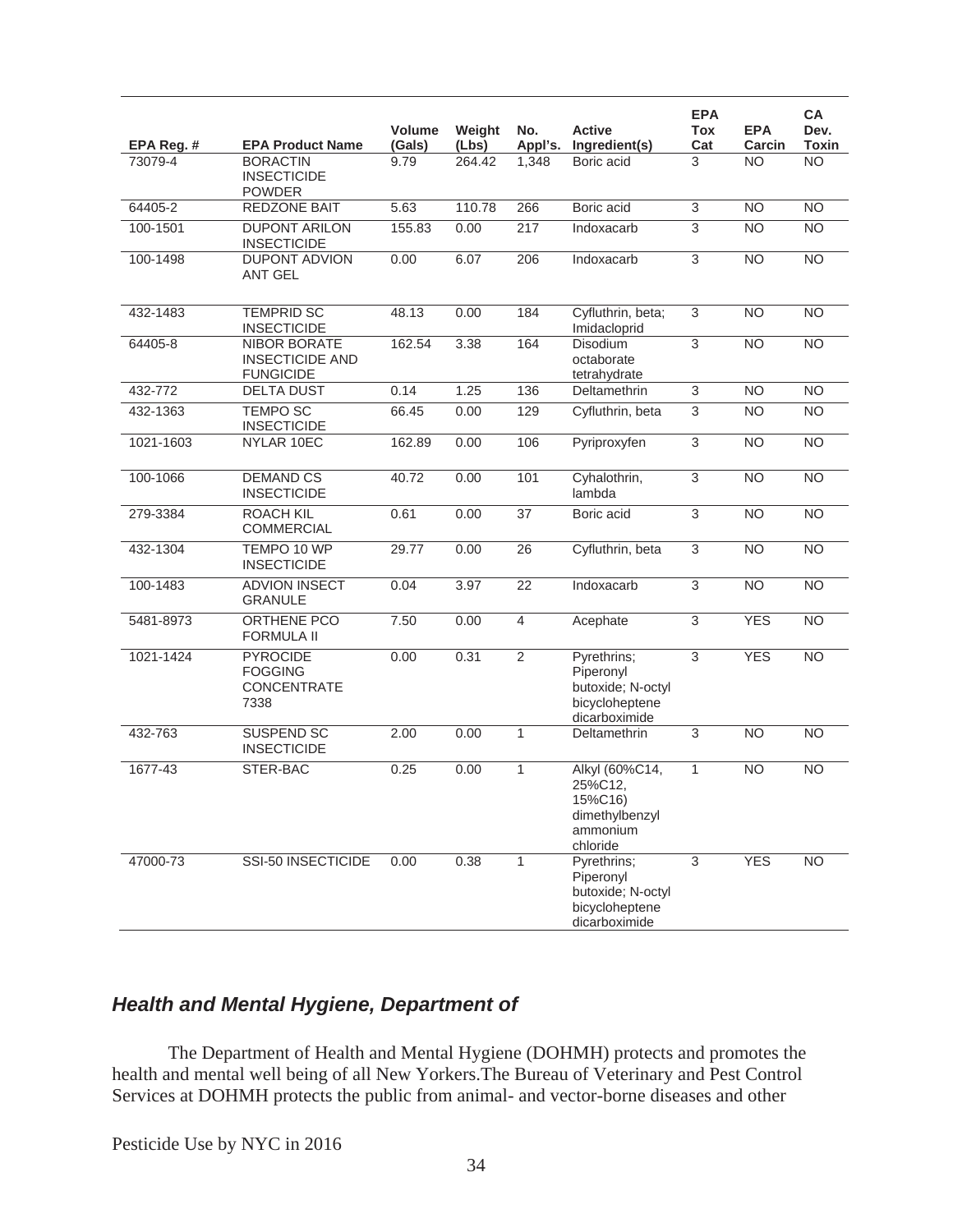|            |                                                            | <b>Volume</b> | Weight | No.             | <b>Active</b>                                                                    | <b>EPA</b><br>Tox | <b>EPA</b>      | CA<br>Dev.      |
|------------|------------------------------------------------------------|---------------|--------|-----------------|----------------------------------------------------------------------------------|-------------------|-----------------|-----------------|
| EPA Reg. # | <b>EPA Product Name</b>                                    | (Gals)        | (Lbs)  | Appl's.         | Ingredient(s)                                                                    | Cat               | Carcin          | Toxin           |
| 73079-4    | <b>BORACTIN</b><br><b>INSECTICIDE</b><br><b>POWDER</b>     | 9.79          | 264.42 | 1,348           | Boric acid                                                                       | 3                 | <b>NO</b>       | N <sub>O</sub>  |
| 64405-2    | <b>REDZONE BAIT</b>                                        | 5.63          | 110.78 | 266             | Boric acid                                                                       | $\overline{3}$    | <b>NO</b>       | N <sub>O</sub>  |
| 100-1501   | <b>DUPONT ARILON</b><br><b>INSECTICIDE</b>                 | 155.83        | 0.00   | 217             | Indoxacarb                                                                       | 3                 | <b>NO</b>       | <b>NO</b>       |
| 100-1498   | <b>DUPONT ADVION</b><br><b>ANT GEL</b>                     | 0.00          | 6.07   | 206             | Indoxacarb                                                                       | 3                 | <b>NO</b>       | N <sub>O</sub>  |
| 432-1483   | <b>TEMPRID SC</b><br><b>INSECTICIDE</b>                    | 48.13         | 0.00   | 184             | Cyfluthrin, beta;<br>Imidacloprid                                                | $\overline{3}$    | $\overline{NO}$ | N <sub>O</sub>  |
| 64405-8    | NIBOR BORATE<br><b>INSECTICIDE AND</b><br><b>FUNGICIDE</b> | 162.54        | 3.38   | 164             | <b>Disodium</b><br>octaborate<br>tetrahydrate                                    | $\overline{3}$    | <b>NO</b>       | <b>NO</b>       |
| 432-772    | <b>DELTA DUST</b>                                          | 0.14          | 1.25   | 136             | Deltamethrin                                                                     | 3                 | <b>NO</b>       | <b>NO</b>       |
| 432-1363   | <b>TEMPO SC</b><br><b>INSECTICIDE</b>                      | 66.45         | 0.00   | 129             | Cyfluthrin, beta                                                                 | 3                 | <b>NO</b>       | N <sub>O</sub>  |
| 1021-1603  | NYLAR 10EC                                                 | 162.89        | 0.00   | 106             | Pyriproxyfen                                                                     | 3                 | $\overline{NO}$ | N <sub>O</sub>  |
| 100-1066   | <b>DEMAND CS</b><br><b>INSECTICIDE</b>                     | 40.72         | 0.00   | 101             | Cyhalothrin,<br>lambda                                                           | $\overline{3}$    | $\overline{NO}$ | $\overline{NO}$ |
| 279-3384   | <b>ROACH KIL</b><br><b>COMMERCIAL</b>                      | 0.61          | 0.00   | 37              | Boric acid                                                                       | $\overline{3}$    | <b>NO</b>       | N <sub>O</sub>  |
| 432-1304   | TEMPO 10 WP<br><b>INSECTICIDE</b>                          | 29.77         | 0.00   | 26              | Cyfluthrin, beta                                                                 | $\overline{3}$    | <b>NO</b>       | N <sub>O</sub>  |
| 100-1483   | <b>ADVION INSECT</b><br><b>GRANULE</b>                     | 0.04          | 3.97   | $\overline{22}$ | Indoxacarb                                                                       | $\overline{3}$    | $\overline{NO}$ | N <sub>O</sub>  |
| 5481-8973  | ORTHENE PCO<br><b>FORMULA II</b>                           | 7.50          | 0.00   | $\overline{4}$  | Acephate                                                                         | $\overline{3}$    | <b>YES</b>      | N <sub>O</sub>  |
| 1021-1424  | <b>PYROCIDE</b><br><b>FOGGING</b><br>CONCENTRATE<br>7338   | 0.00          | 0.31   | $\overline{2}$  | Pyrethrins;<br>Piperonyl<br>butoxide; N-octyl<br>bicycloheptene<br>dicarboximide | $\overline{3}$    | <b>YES</b>      | $\overline{NO}$ |
| 432-763    | <b>SUSPEND SC</b><br><b>INSECTICIDE</b>                    | 2.00          | 0.00   | 1               | Deltamethrin                                                                     | $\overline{3}$    | N <sub>O</sub>  | N <sub>O</sub>  |
| 1677-43    | STER-BAC                                                   | 0.25          | 0.00   | 1               | Alkyl (60%C14,<br>25%C12.<br>15%C16)<br>dimethylbenzyl<br>ammonium<br>chloride   | $\mathbf{1}$      | <b>NO</b>       | <b>NO</b>       |
| 47000-73   | SSI-50 INSECTICIDE                                         | 0.00          | 0.38   | 1               | Pyrethrins;<br>Piperonyl<br>butoxide; N-octyl<br>bicycloheptene<br>dicarboximide | 3                 | <b>YES</b>      | <b>NO</b>       |

# *Health and Mental Hygiene, Department of*

 The Department of Health and Mental Hygiene (DOHMH) protects and promotes the health and mental well being of all New Yorkers.The Bureau of Veterinary and Pest Control Services at DOHMH protects the public from animal- and vector-borne diseases and other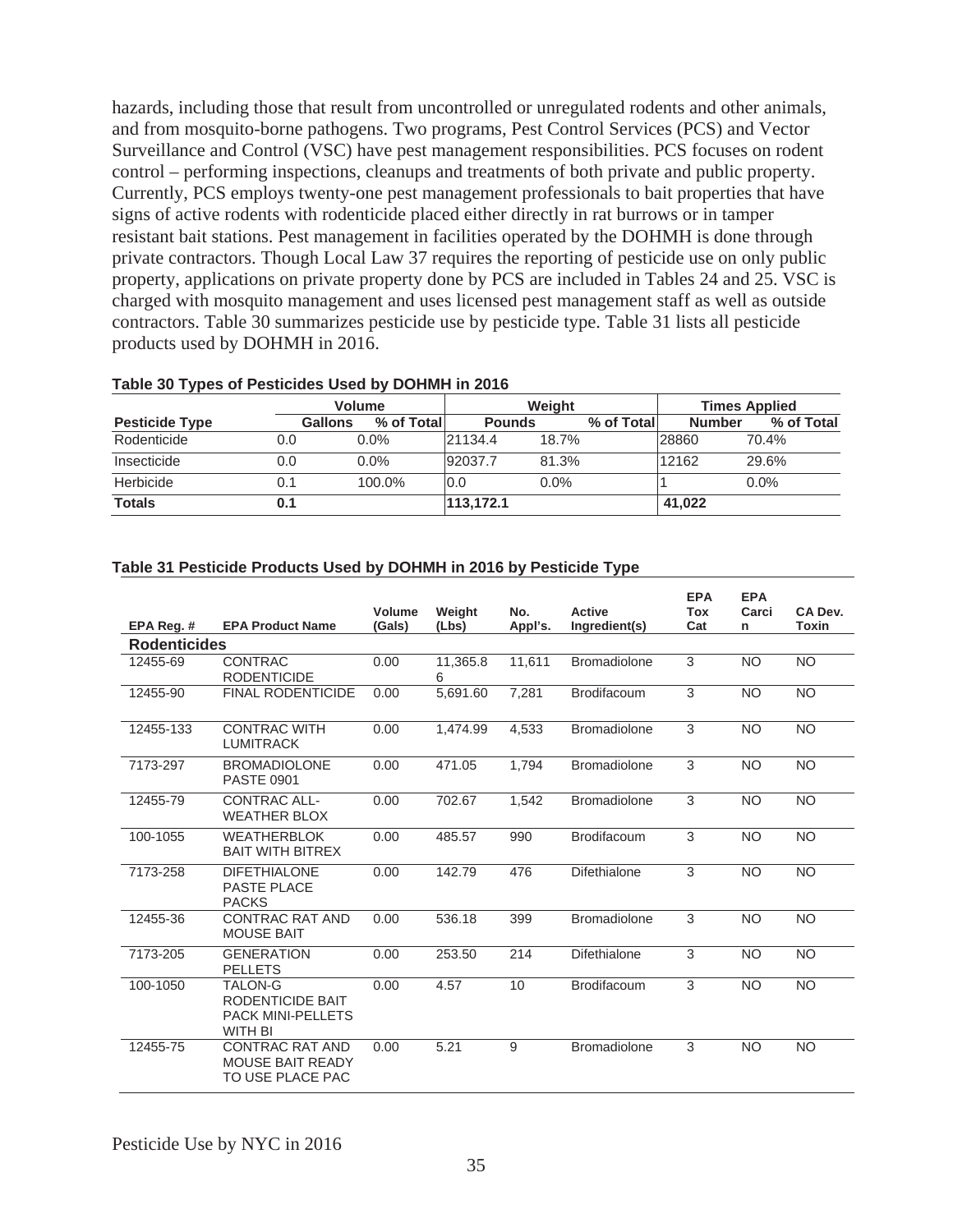hazards, including those that result from uncontrolled or unregulated rodents and other animals, and from mosquito-borne pathogens. Two programs, Pest Control Services (PCS) and Vector Surveillance and Control (VSC) have pest management responsibilities. PCS focuses on rodent control – performing inspections, cleanups and treatments of both private and public property. Currently, PCS employs twenty-one pest management professionals to bait properties that have signs of active rodents with rodenticide placed either directly in rat burrows or in tamper resistant bait stations. Pest management in facilities operated by the DOHMH is done through private contractors. Though Local Law 37 requires the reporting of pesticide use on only public property, applications on private property done by PCS are included in Tables 24 and 25. VSC is charged with mosquito management and uses licensed pest management staff as well as outside contractors. Table 30 summarizes pesticide use by pesticide type. Table 31 lists all pesticide products used by DOHMH in 2016.

|                       |                | <b>Volume</b> | <b>Weight</b> |         |            | <b>Times Applied</b> |            |  |
|-----------------------|----------------|---------------|---------------|---------|------------|----------------------|------------|--|
| <b>Pesticide Type</b> | <b>Gallons</b> | % of Totall   | <b>Pounds</b> |         | % of Total | <b>Number</b>        | % of Total |  |
| Rodenticide           | 0.0            | $0.0\%$       | 21134.4       | 18.7%   |            | 28860                | 70.4%      |  |
| Insecticide           | 0.0            | $0.0\%$       | 92037.7       | 81.3%   |            | 12162                | 29.6%      |  |
| Herbicide             |                | 100.0%        | 0.0           | $0.0\%$ |            |                      | $0.0\%$    |  |
| <b>Totals</b>         | U. 1           |               | 113, 172.1    |         |            | 41,022               |            |  |

#### **Table 30 Types of Pesticides Used by DOHMH in 2016**

#### **Table 31 Pesticide Products Used by DOHMH in 2016 by Pesticide Type**

|                                                                    | <b>EPA Product Name</b>                                                          | <b>Volume</b><br>(Gals) | Weight<br>(Lbs) | No.    | <b>Active</b>       | <b>EPA</b><br><b>Tox</b><br>Cat | <b>EPA</b><br>Carci | CA Dev.<br><b>Toxin</b> |
|--------------------------------------------------------------------|----------------------------------------------------------------------------------|-------------------------|-----------------|--------|---------------------|---------------------------------|---------------------|-------------------------|
| Appl's.<br>Ingredient(s)<br>EPA Reg. #<br>n<br><b>Rodenticides</b> |                                                                                  |                         |                 |        |                     |                                 |                     |                         |
| 12455-69                                                           | <b>CONTRAC</b><br><b>RODENTICIDE</b>                                             | 0.00                    | 11,365.8<br>6   | 11,611 | <b>Bromadiolone</b> | 3                               | <b>NO</b>           | <b>NO</b>               |
| 12455-90                                                           | <b>FINAL RODENTICIDE</b>                                                         | 0.00                    | 5,691.60        | 7,281  | Brodifacoum         | 3                               | <b>NO</b>           | <b>NO</b>               |
| 12455-133                                                          | <b>CONTRAC WITH</b><br><b>LUMITRACK</b>                                          | 0.00                    | 1,474.99        | 4,533  | <b>Bromadiolone</b> | 3                               | <b>NO</b>           | <b>NO</b>               |
| 7173-297                                                           | <b>BROMADIOLONE</b><br><b>PASTE 0901</b>                                         | 0.00                    | 471.05          | 1,794  | <b>Bromadiolone</b> | $\overline{3}$                  | <b>NO</b>           | <b>NO</b>               |
| 12455-79                                                           | CONTRAC ALL-<br><b>WEATHER BLOX</b>                                              | 0.00                    | 702.67          | 1,542  | <b>Bromadiolone</b> | 3                               | <b>NO</b>           | <b>NO</b>               |
| 100-1055                                                           | <b>WEATHERBLOK</b><br><b>BAIT WITH BITREX</b>                                    | 0.00                    | 485.57          | 990    | <b>Brodifacoum</b>  | 3                               | <b>NO</b>           | <b>NO</b>               |
| 7173-258                                                           | <b>DIFETHIALONE</b><br>PASTE PLACE<br><b>PACKS</b>                               | 0.00                    | 142.79          | 476    | Difethialone        | $\overline{3}$                  | <b>NO</b>           | <b>NO</b>               |
| 12455-36                                                           | <b>CONTRAC RAT AND</b><br><b>MOUSE BAIT</b>                                      | 0.00                    | 536.18          | 399    | <b>Bromadiolone</b> | 3                               | <b>NO</b>           | <b>NO</b>               |
| 7173-205                                                           | <b>GENERATION</b><br><b>PELLETS</b>                                              | 0.00                    | 253.50          | 214    | Difethialone        | 3                               | <b>NO</b>           | <b>NO</b>               |
| 100-1050                                                           | <b>TALON-G</b><br>RODENTICIDE BAIT<br><b>PACK MINI-PELLETS</b><br><b>WITH BI</b> | 0.00                    | 4.57            | 10     | <b>Brodifacoum</b>  | 3                               | <b>NO</b>           | <b>NO</b>               |
| 12455-75                                                           | <b>CONTRAC RAT AND</b><br><b>MOUSE BAIT READY</b><br>TO USE PLACE PAC            | 0.00                    | 5.21            | 9      | <b>Bromadiolone</b> | 3                               | <b>NO</b>           | <b>NO</b>               |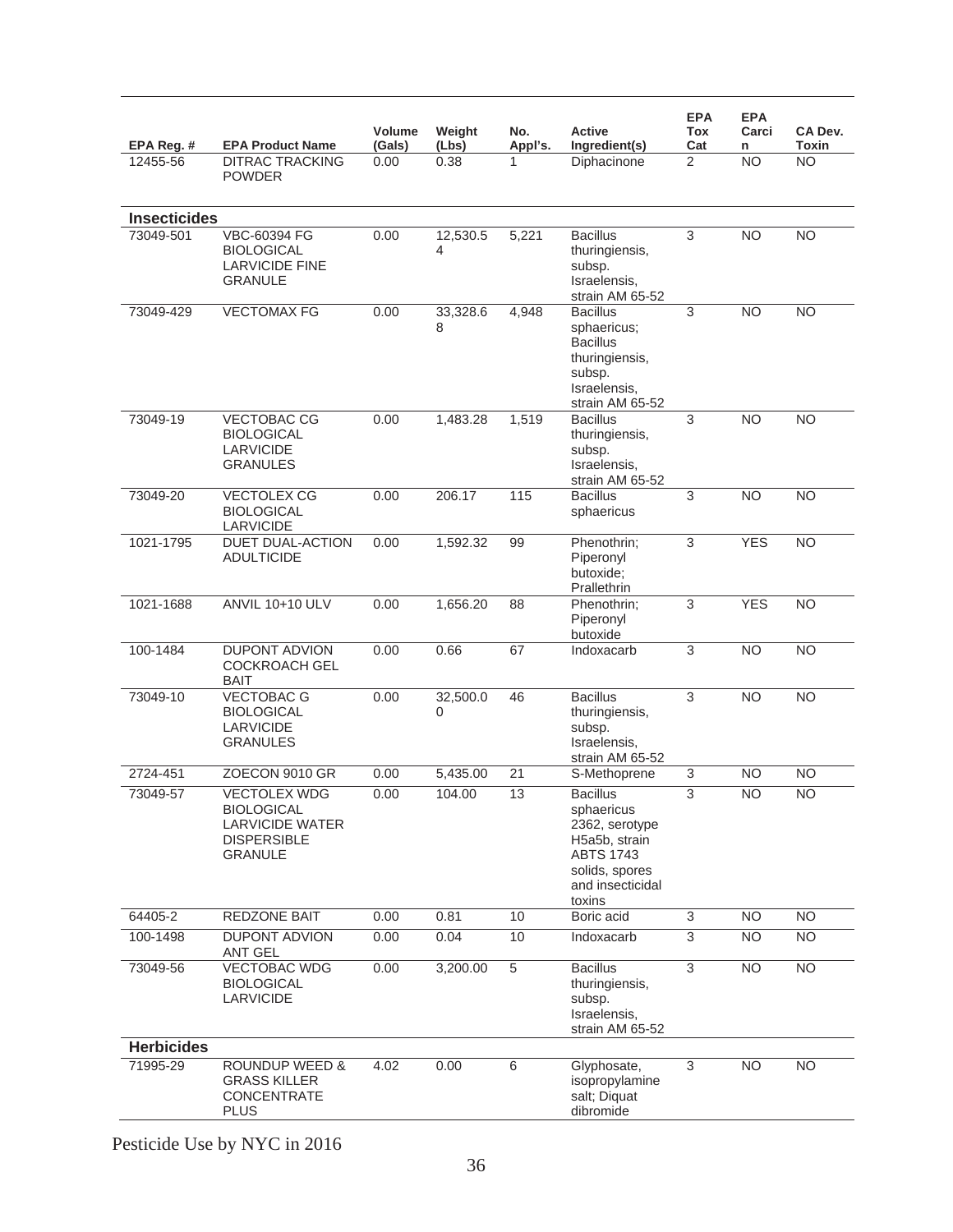|                        |                                                                                                            | <b>Volume</b>  | Weight        | No.          | <b>Active</b>                                                                                                                        | <b>EPA</b><br>Tox     | <b>EPA</b><br>Carci | CA Dev.            |
|------------------------|------------------------------------------------------------------------------------------------------------|----------------|---------------|--------------|--------------------------------------------------------------------------------------------------------------------------------------|-----------------------|---------------------|--------------------|
| EPA Reg. #<br>12455-56 | <b>EPA Product Name</b><br><b>DITRAC TRACKING</b>                                                          | (Gals)<br>0.00 | (Lbs)<br>0.38 | Appl's.<br>1 | Ingredient(s)<br>Diphacinone                                                                                                         | Cat<br>$\overline{2}$ | n<br><b>NO</b>      | Toxin<br><b>NO</b> |
|                        | <b>POWDER</b>                                                                                              |                |               |              |                                                                                                                                      |                       |                     |                    |
| <b>Insecticides</b>    |                                                                                                            |                |               |              |                                                                                                                                      |                       |                     |                    |
| 73049-501              | VBC-60394 FG<br><b>BIOLOGICAL</b><br><b>LARVICIDE FINE</b><br><b>GRANULE</b>                               | 0.00           | 12,530.5<br>4 | 5,221        | <b>Bacillus</b><br>thuringiensis,<br>subsp.<br>Israelensis,<br>strain AM 65-52                                                       | $\overline{3}$        | <b>NO</b>           | $\overline{NO}$    |
| 73049-429              | <b>VECTOMAX FG</b>                                                                                         | 0.00           | 33,328.6<br>8 | 4,948        | <b>Bacillus</b><br>sphaericus;<br><b>Bacillus</b><br>thuringiensis,<br>subsp.<br>Israelensis,<br>strain AM 65-52                     | 3                     | <b>NO</b>           | N <sub>O</sub>     |
| 73049-19               | <b>VECTOBAC CG</b><br><b>BIOLOGICAL</b><br><b>LARVICIDE</b><br><b>GRANULES</b>                             | 0.00           | 1,483.28      | 1,519        | <b>Bacillus</b><br>thuringiensis,<br>subsp.<br>Israelensis.<br>strain AM 65-52                                                       | 3                     | <b>NO</b>           | <b>NO</b>          |
| 73049-20               | <b>VECTOLEX CG</b><br><b>BIOLOGICAL</b><br>LARVICIDE                                                       | 0.00           | 206.17        | 115          | <b>Bacillus</b><br>sphaericus                                                                                                        | $\overline{3}$        | <b>NO</b>           | <b>NO</b>          |
| 1021-1795              | <b>DUET DUAL-ACTION</b><br><b>ADULTICIDE</b>                                                               | 0.00           | 1,592.32      | 99           | Phenothrin;<br>Piperonyl<br>butoxide:<br>Prallethrin                                                                                 | 3                     | <b>YES</b>          | <b>NO</b>          |
| 1021-1688              | <b>ANVIL 10+10 ULV</b>                                                                                     | 0.00           | 1,656.20      | 88           | Phenothrin;<br>Piperonyl<br>butoxide                                                                                                 | $\overline{3}$        | <b>YES</b>          | $\overline{NO}$    |
| 100-1484               | <b>DUPONT ADVION</b><br><b>COCKROACH GEL</b><br><b>BAIT</b>                                                | 0.00           | 0.66          | 67           | Indoxacarb                                                                                                                           | 3                     | <b>NO</b>           | <b>NO</b>          |
| 73049-10               | <b>VECTOBAC G</b><br><b>BIOLOGICAL</b><br><b>LARVICIDE</b><br><b>GRANULES</b>                              | 0.00           | 32,500.0<br>0 | 46           | <b>Bacillus</b><br>thuringiensis,<br>subsp.<br>Israelensis.<br>strain AM 65-52                                                       | 3                     | N <sub>O</sub>      | <b>NO</b>          |
| 2724-451               | ZOECON 9010 GR                                                                                             | 0.00           | 5,435.00      | 21           | S-Methoprene                                                                                                                         | 3                     | <b>NO</b>           | <b>NO</b>          |
| 73049-57               | <b>VECTOLEX WDG</b><br><b>BIOLOGICAL</b><br><b>LARVICIDE WATER</b><br><b>DISPERSIBLE</b><br><b>GRANULE</b> | 0.00           | 104.00        | 13           | <b>Bacillus</b><br>sphaericus<br>2362, serotype<br>H5a5b, strain<br><b>ABTS 1743</b><br>solids, spores<br>and insecticidal<br>toxins | $\overline{3}$        | <b>NO</b>           | <b>NO</b>          |
| 64405-2                | REDZONE BAIT                                                                                               | 0.00           | 0.81          | 10           | Boric acid                                                                                                                           | 3                     | <b>NO</b>           | <b>NO</b>          |
| 100-1498               | <b>DUPONT ADVION</b><br><b>ANT GEL</b>                                                                     | 0.00           | 0.04          | 10           | Indoxacarb                                                                                                                           | 3                     | $\overline{NO}$     | <b>NO</b>          |
| 73049-56               | <b>VECTOBAC WDG</b><br><b>BIOLOGICAL</b><br><b>LARVICIDE</b>                                               | 0.00           | 3,200.00      | 5            | <b>Bacillus</b><br>thuringiensis,<br>subsp.<br>Israelensis,<br>strain AM 65-52                                                       | $\overline{3}$        | <b>NO</b>           | N <sub>O</sub>     |
| <b>Herbicides</b>      |                                                                                                            |                |               |              |                                                                                                                                      |                       |                     |                    |
| 71995-29               | <b>ROUNDUP WEED &amp;</b><br><b>GRASS KILLER</b><br>CONCENTRATE<br><b>PLUS</b>                             | 4.02           | 0.00          | 6            | Glyphosate,<br>isopropylamine<br>salt; Diquat<br>dibromide                                                                           | 3                     | <b>NO</b>           | <b>NO</b>          |
|                        |                                                                                                            |                |               |              |                                                                                                                                      |                       |                     |                    |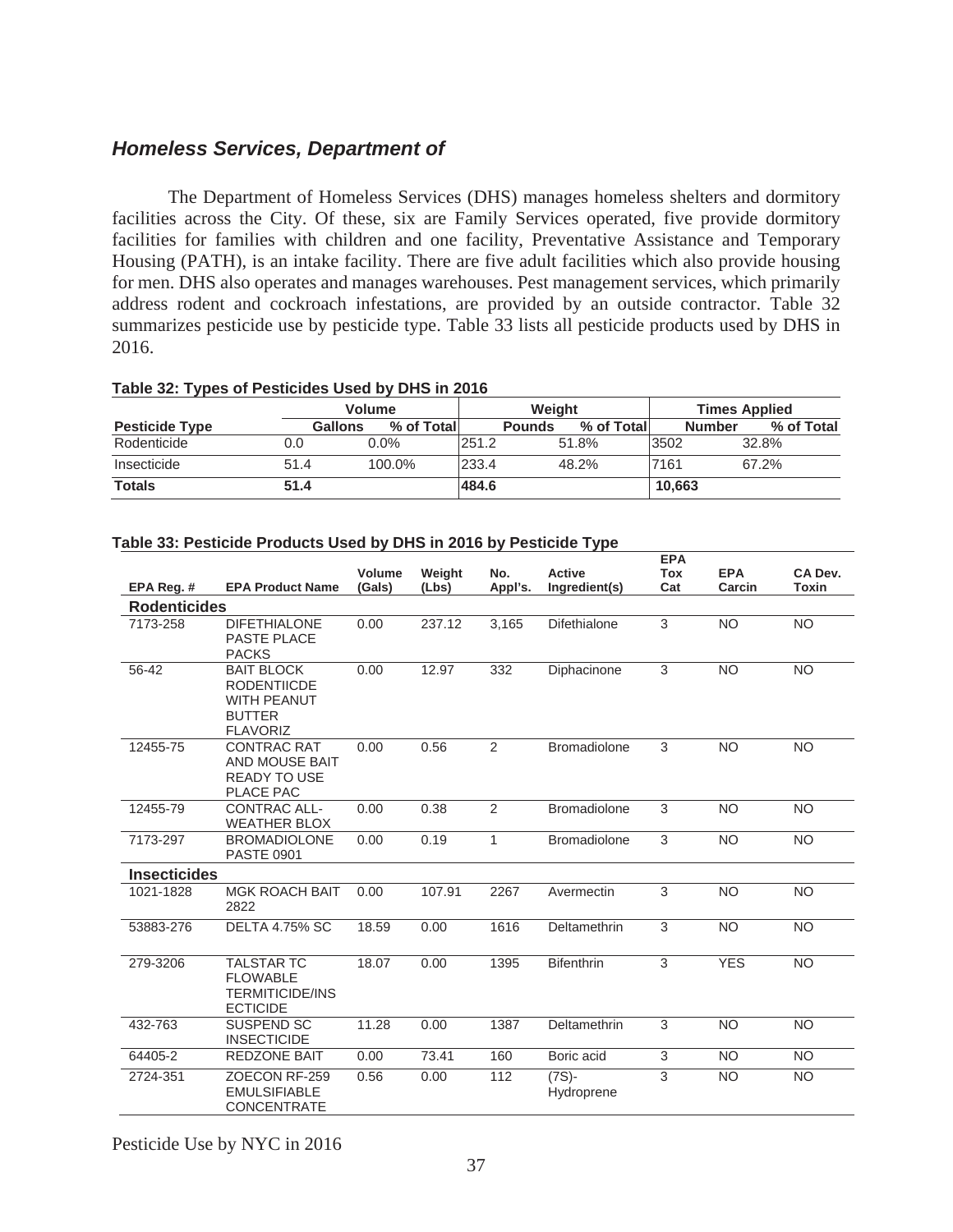# *Homeless Services, Department of*

 The Department of Homeless Services (DHS) manages homeless shelters and dormitory facilities across the City. Of these, six are Family Services operated, five provide dormitory facilities for families with children and one facility, Preventative Assistance and Temporary Housing (PATH), is an intake facility. There are five adult facilities which also provide housing for men. DHS also operates and manages warehouses. Pest management services, which primarily address rodent and cockroach infestations, are provided by an outside contractor. Table 32 summarizes pesticide use by pesticide type. Table 33 lists all pesticide products used by DHS in 2016.

| Table 32: Types of Pesticides Used by DHS in 2016 |       |               |
|---------------------------------------------------|-------|---------------|
|                                                   | Valum | <i>Mojahi</i> |

|                       |         | <b>Volume</b> |               | Weight     | <b>Times Applied</b> |            |  |
|-----------------------|---------|---------------|---------------|------------|----------------------|------------|--|
| <b>Pesticide Type</b> | Gallons | % of Totall   | <b>Pounds</b> | % of Total | <b>Number</b>        | % of Total |  |
| Rodenticide           | 0.0     | $0.0\%$       | 251.2         | 51.8%      | 3502                 | 32.8%      |  |
| Insecticide           | 51.4    | 100.0%        | 233.4         | 48.2%      | 7161                 | 67.2%      |  |
| <b>Totals</b>         | 51.4    |               | 484.6         |            | 10.663               |            |  |

| Table 33: Pesticide Products Used by DHS in 2016 by Pesticide Type |  |  |  |
|--------------------------------------------------------------------|--|--|--|

|                     |                                                                                                   |               |        |         |                        | <b>EPA</b>        |            |                         |
|---------------------|---------------------------------------------------------------------------------------------------|---------------|--------|---------|------------------------|-------------------|------------|-------------------------|
|                     | <b>EPA Product Name</b>                                                                           | <b>Volume</b> | Weight | No.     | <b>Active</b>          | <b>Tox</b><br>Cat | <b>EPA</b> | CA Dev.<br><b>Toxin</b> |
| EPA Reg. #          |                                                                                                   | (Gals)        | (Lbs)  | Appl's. | Ingredient(s)          |                   | Carcin     |                         |
| <b>Rodenticides</b> |                                                                                                   |               |        |         |                        |                   |            |                         |
| 7173-258            | <b>DIFETHIALONE</b><br>PASTE PLACE<br><b>PACKS</b>                                                | 0.00          | 237.12 | 3,165   | <b>Difethialone</b>    | 3                 | <b>NO</b>  | <b>NO</b>               |
| 56-42               | <b>BAIT BLOCK</b><br><b>RODENTIICDE</b><br><b>WITH PEANUT</b><br><b>BUTTER</b><br><b>FLAVORIZ</b> | 0.00          | 12.97  | 332     | Diphacinone            | 3                 | <b>NO</b>  | <b>NO</b>               |
| 12455-75            | <b>CONTRAC RAT</b><br>AND MOUSE BAIT<br><b>READY TO USE</b><br>PLACE PAC                          | 0.00          | 0.56   | 2       | <b>Bromadiolone</b>    | 3                 | <b>NO</b>  | <b>NO</b>               |
| 12455-79            | <b>CONTRAC ALL-</b><br><b>WEATHER BLOX</b>                                                        | 0.00          | 0.38   | 2       | <b>Bromadiolone</b>    | 3                 | <b>NO</b>  | <b>NO</b>               |
| 7173-297            | <b>BROMADIOLONE</b><br><b>PASTE 0901</b>                                                          | 0.00          | 0.19   | 1       | <b>Bromadiolone</b>    | 3                 | <b>NO</b>  | <b>NO</b>               |
| <b>Insecticides</b> |                                                                                                   |               |        |         |                        |                   |            |                         |
| 1021-1828           | <b>MGK ROACH BAIT</b><br>2822                                                                     | 0.00          | 107.91 | 2267    | Avermectin             | 3                 | <b>NO</b>  | <b>NO</b>               |
| 53883-276           | <b>DELTA 4.75% SC</b>                                                                             | 18.59         | 0.00   | 1616    | Deltamethrin           | 3                 | <b>NO</b>  | <b>NO</b>               |
| 279-3206            | <b>TALSTAR TC</b><br><b>FLOWABLE</b><br><b>TERMITICIDE/INS</b><br><b>ECTICIDE</b>                 | 18.07         | 0.00   | 1395    | <b>Bifenthrin</b>      | 3                 | <b>YES</b> | <b>NO</b>               |
| 432-763             | <b>SUSPEND SC</b><br><b>INSECTICIDE</b>                                                           | 11.28         | 0.00   | 1387    | Deltamethrin           | 3                 | <b>NO</b>  | <b>NO</b>               |
| 64405-2             | REDZONE BAIT                                                                                      | 0.00          | 73.41  | 160     | Boric acid             | $\overline{3}$    | <b>NO</b>  | <b>NO</b>               |
| 2724-351            | ZOECON RF-259<br><b>EMULSIFIABLE</b><br><b>CONCENTRATE</b>                                        | 0.56          | 0.00   | 112     | $(7S)$ -<br>Hydroprene | 3                 | <b>NO</b>  | <b>NO</b>               |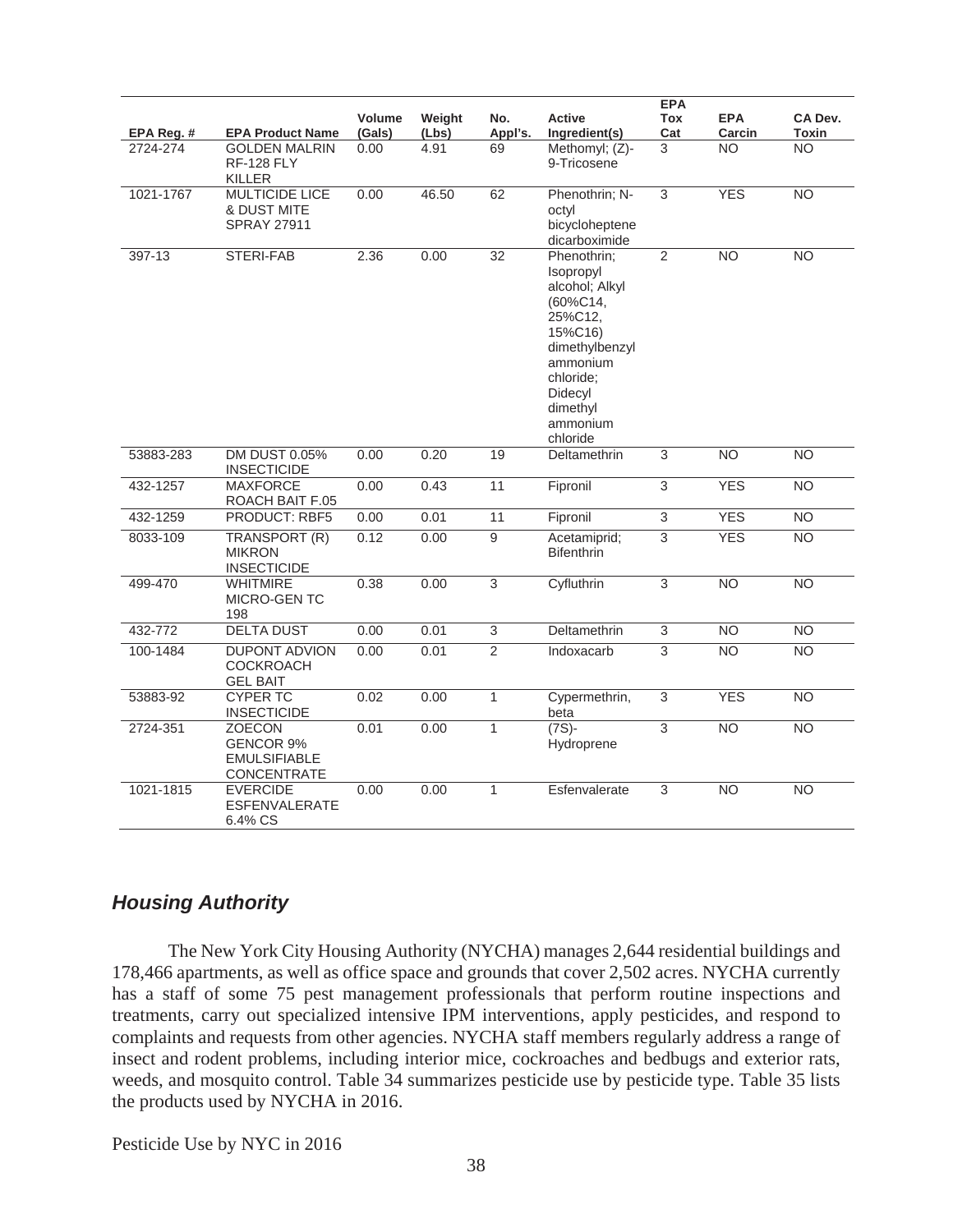|            |                                                                         |                         |                 |                 |                                                                                                                                                                        | <b>EPA</b>        |                      |                  |
|------------|-------------------------------------------------------------------------|-------------------------|-----------------|-----------------|------------------------------------------------------------------------------------------------------------------------------------------------------------------------|-------------------|----------------------|------------------|
| EPA Reg. # | <b>EPA Product Name</b>                                                 | <b>Volume</b><br>(Gals) | Weight<br>(Lbs) | No.<br>Appl's.  | <b>Active</b><br>Ingredient(s)                                                                                                                                         | <b>Tox</b><br>Cat | <b>EPA</b><br>Carcin | CA Dev.<br>Toxin |
| 2724-274   | <b>GOLDEN MALRIN</b><br><b>RF-128 FLY</b><br>KILLER                     | 0.00                    | 4.91            | 69              | Methomyl; (Z)-<br>9-Tricosene                                                                                                                                          | 3                 | <b>NO</b>            | <b>NO</b>        |
| 1021-1767  | <b>MULTICIDE LICE</b><br>& DUST MITE<br><b>SPRAY 27911</b>              | 0.00                    | 46.50           | 62              | Phenothrin; N-<br>octyl<br>bicycloheptene<br>dicarboximide                                                                                                             | 3                 | <b>YES</b>           | $\overline{NO}$  |
| 397-13     | STERI-FAB                                                               | 2.36                    | 0.00            | $\overline{32}$ | Phenothrin;<br>Isopropyl<br>alcohol; Alkyl<br>(60%C14,<br>25%C12,<br>15%C16)<br>dimethylbenzyl<br>ammonium<br>chloride;<br>Didecyl<br>dimethyl<br>ammonium<br>chloride | $\overline{2}$    | $\overline{NO}$      | N <sub>O</sub>   |
| 53883-283  | DM DUST 0.05%<br><b>INSECTICIDE</b>                                     | 0.00                    | 0.20            | 19              | Deltamethrin                                                                                                                                                           | 3                 | <b>NO</b>            | <b>NO</b>        |
| 432-1257   | <b>MAXFORCE</b><br>ROACH BAIT F.05                                      | 0.00                    | 0.43            | 11              | Fipronil                                                                                                                                                               | 3                 | <b>YES</b>           | <b>NO</b>        |
| 432-1259   | PRODUCT: RBF5                                                           | 0.00                    | 0.01            | 11              | Fipronil                                                                                                                                                               | $\overline{3}$    | <b>YES</b>           | <b>NO</b>        |
| 8033-109   | TRANSPORT (R)<br><b>MIKRON</b><br><b>INSECTICIDE</b>                    | 0.12                    | 0.00            | 9               | Acetamiprid;<br><b>Bifenthrin</b>                                                                                                                                      | 3                 | <b>YES</b>           | <b>NO</b>        |
| 499-470    | WHITMIRE<br><b>MICRO-GENTC</b><br>198                                   | 0.38                    | 0.00            | $\overline{3}$  | Cyfluthrin                                                                                                                                                             | $\overline{3}$    | <b>NO</b>            | <b>NO</b>        |
| 432-772    | <b>DELTA DUST</b>                                                       | 0.00                    | 0.01            | $\overline{3}$  | Deltamethrin                                                                                                                                                           | $\overline{3}$    | N <sub>O</sub>       | $\overline{NO}$  |
| 100-1484   | <b>DUPONT ADVION</b><br><b>COCKROACH</b><br><b>GEL BAIT</b>             | 0.00                    | 0.01            | $\overline{2}$  | Indoxacarb                                                                                                                                                             | $\overline{3}$    | $\overline{NO}$      | N <sub>O</sub>   |
| 53883-92   | <b>CYPER TC</b><br><b>INSECTICIDE</b>                                   | 0.02                    | 0.00            | $\mathbf{1}$    | Cypermethrin,<br>beta                                                                                                                                                  | $\overline{3}$    | <b>YES</b>           | <b>NO</b>        |
| 2724-351   | <b>ZOECON</b><br><b>GENCOR 9%</b><br><b>EMULSIFIABLE</b><br>CONCENTRATE | 0.01                    | 0.00            | $\mathbf{1}$    | $(7S)$ -<br>Hydroprene                                                                                                                                                 | $\overline{3}$    | <b>NO</b>            | N <sub>O</sub>   |
| 1021-1815  | <b>EVERCIDE</b><br><b>ESFENVALERATE</b><br>6.4% CS                      | 0.00                    | 0.00            | $\mathbf{1}$    | Esfenvalerate                                                                                                                                                          | 3                 | <b>NO</b>            | <b>NO</b>        |

# *Housing Authority*

 The New York City Housing Authority (NYCHA) manages 2,644 residential buildings and 178,466 apartments, as well as office space and grounds that cover 2,502 acres. NYCHA currently has a staff of some 75 pest management professionals that perform routine inspections and treatments, carry out specialized intensive IPM interventions, apply pesticides, and respond to complaints and requests from other agencies. NYCHA staff members regularly address a range of insect and rodent problems, including interior mice, cockroaches and bedbugs and exterior rats, weeds, and mosquito control. Table 34 summarizes pesticide use by pesticide type. Table 35 lists the products used by NYCHA in 2016.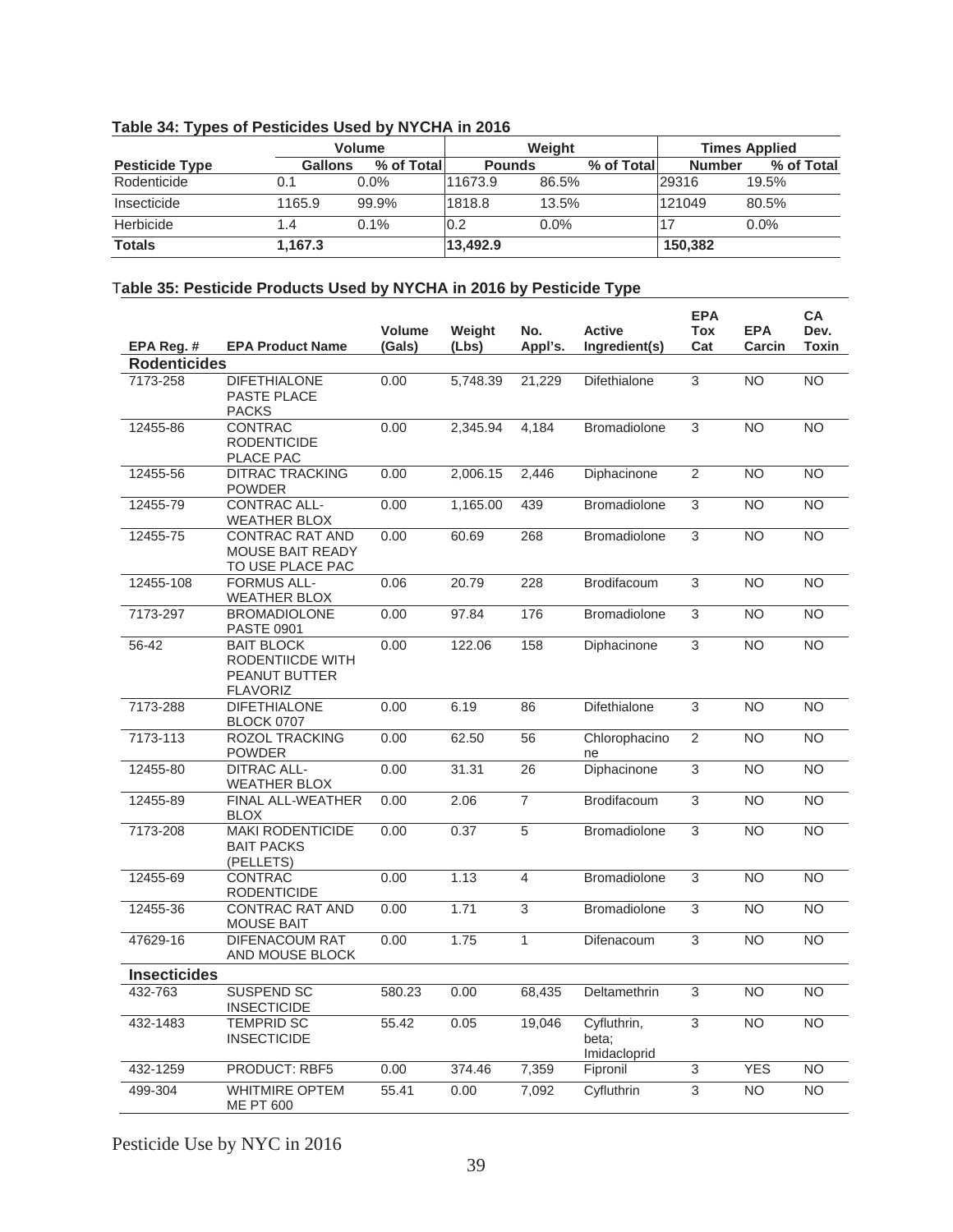|                       |                | <b>Volume</b> |               | <b>Weight</b> |            | <b>Times Applied</b> |            |  |
|-----------------------|----------------|---------------|---------------|---------------|------------|----------------------|------------|--|
| <b>Pesticide Type</b> | <b>Gallons</b> | % of Total    | <b>Pounds</b> |               | % of Total | <b>Number</b>        | % of Total |  |
| Rodenticide           | 0.1            | $0.0\%$       | 11673.9       | 86.5%         |            | 29316                | 19.5%      |  |
| Insecticide           | 1165.9         | 99.9%         | 1818.8        | 13.5%         |            | 121049               | 80.5%      |  |
| Herbicide             | 1.4            | $0.1\%$       | 0.2           | 0.0%          |            |                      | 0.0%       |  |
| <b>Totals</b>         | 1,167.3        |               | 13,492.9      |               |            | 150,382              |            |  |

#### **Table 34: Types of Pesticides Used by NYCHA in 2016**

### T**able 35: Pesticide Products Used by NYCHA in 2016 by Pesticide Type**

|                     |                                                                           | <b>Volume</b> | Weight   | No.            | <b>Active</b>                        | <b>EPA</b><br><b>Tox</b> | <b>EPA</b>     | CA<br>Dev.      |
|---------------------|---------------------------------------------------------------------------|---------------|----------|----------------|--------------------------------------|--------------------------|----------------|-----------------|
| EPA Reg.#           | <b>EPA Product Name</b>                                                   | (Gals)        | (Lbs)    | Appl's.        | Ingredient(s)                        | Cat                      | Carcin         | Toxin           |
| <b>Rodenticides</b> |                                                                           |               |          |                |                                      |                          |                |                 |
| 7173-258            | <b>DIFETHIALONE</b><br>PASTE PLACE<br><b>PACKS</b>                        | 0.00          | 5,748.39 | 21,229         | <b>Difethialone</b>                  | $\overline{3}$           | N <sub>O</sub> | $\overline{NO}$ |
| 12455-86            | CONTRAC<br><b>RODENTICIDE</b><br>PLACE PAC                                | 0.00          | 2,345.94 | 4,184          | <b>Bromadiolone</b>                  | 3                        | <b>NO</b>      | <b>NO</b>       |
| 12455-56            | <b>DITRAC TRACKING</b><br><b>POWDER</b>                                   | 0.00          | 2,006.15 | 2,446          | Diphacinone                          | 2                        | <b>NO</b>      | <b>NO</b>       |
| 12455-79            | <b>CONTRAC ALL-</b><br><b>WEATHER BLOX</b>                                | 0.00          | 1,165.00 | 439            | <b>Bromadiolone</b>                  | 3                        | <b>NO</b>      | <b>NO</b>       |
| 12455-75            | <b>CONTRAC RAT AND</b><br><b>MOUSE BAIT READY</b><br>TO USE PLACE PAC     | 0.00          | 60.69    | 268            | <b>Bromadiolone</b>                  | 3                        | <b>NO</b>      | <b>NO</b>       |
| 12455-108           | <b>FORMUS ALL-</b><br><b>WEATHER BLOX</b>                                 | 0.06          | 20.79    | 228            | <b>Brodifacoum</b>                   | 3                        | <b>NO</b>      | <b>NO</b>       |
| 7173-297            | <b>BROMADIOLONE</b><br>PASTE 0901                                         | 0.00          | 97.84    | 176            | <b>Bromadiolone</b>                  | $\overline{3}$           | <b>NO</b>      | <b>NO</b>       |
| 56-42               | <b>BAIT BLOCK</b><br>RODENTIICDE WITH<br>PEANUT BUTTER<br><b>FLAVORIZ</b> | 0.00          | 122.06   | 158            | Diphacinone                          | 3                        | <b>NO</b>      | <b>NO</b>       |
| 7173-288            | <b>DIFETHIALONE</b><br><b>BLOCK 0707</b>                                  | 0.00          | 6.19     | 86             | <b>Difethialone</b>                  | 3                        | <b>NO</b>      | <b>NO</b>       |
| 7173-113            | <b>ROZOL TRACKING</b><br><b>POWDER</b>                                    | 0.00          | 62.50    | 56             | Chlorophacino<br>ne                  | $\overline{2}$           | <b>NO</b>      | <b>NO</b>       |
| 12455-80            | <b>DITRAC ALL-</b><br><b>WEATHER BLOX</b>                                 | 0.00          | 31.31    | 26             | Diphacinone                          | 3                        | <b>NO</b>      | <b>NO</b>       |
| 12455-89            | FINAL ALL-WEATHER<br><b>BLOX</b>                                          | 0.00          | 2.06     | $\overline{7}$ | Brodifacoum                          | 3                        | <b>NO</b>      | NO.             |
| 7173-208            | <b>MAKI RODENTICIDE</b><br><b>BAIT PACKS</b><br>(PELLETS)                 | 0.00          | 0.37     | $\overline{5}$ | <b>Bromadiolone</b>                  | $\overline{3}$           | <b>NO</b>      | <b>NO</b>       |
| 12455-69            | <b>CONTRAC</b><br><b>RODENTICIDE</b>                                      | 0.00          | 1.13     | $\overline{4}$ | <b>Bromadiolone</b>                  | 3                        | <b>NO</b>      | <b>NO</b>       |
| 12455-36            | <b>CONTRAC RAT AND</b><br>MOUSE BAIT                                      | 0.00          | 1.71     | 3              | <b>Bromadiolone</b>                  | 3                        | <b>NO</b>      | <b>NO</b>       |
| 47629-16            | DIFENACOUM RAT<br>AND MOUSE BLOCK                                         | 0.00          | 1.75     | $\mathbf{1}$   | Difenacoum                           | 3                        | <b>NO</b>      | NO.             |
| <b>Insecticides</b> |                                                                           |               |          |                |                                      |                          |                |                 |
| 432-763             | <b>SUSPEND SC</b><br><b>INSECTICIDE</b>                                   | 580.23        | 0.00     | 68,435         | Deltamethrin                         | 3                        | <b>NO</b>      | <b>NO</b>       |
| 432-1483            | <b>TEMPRID SC</b><br><b>INSECTICIDE</b>                                   | 55.42         | 0.05     | 19,046         | Cyfluthrin,<br>beta:<br>Imidacloprid | 3                        | <b>NO</b>      | <b>NO</b>       |
| 432-1259            | PRODUCT: RBF5                                                             | 0.00          | 374.46   | 7,359          | Fipronil                             | 3                        | <b>YES</b>     | NO.             |
| 499-304             | <b>WHITMIRE OPTEM</b><br><b>ME PT 600</b>                                 | 55.41         | 0.00     | 7,092          | Cyfluthrin                           | $\overline{3}$           | <b>NO</b>      | $\overline{NO}$ |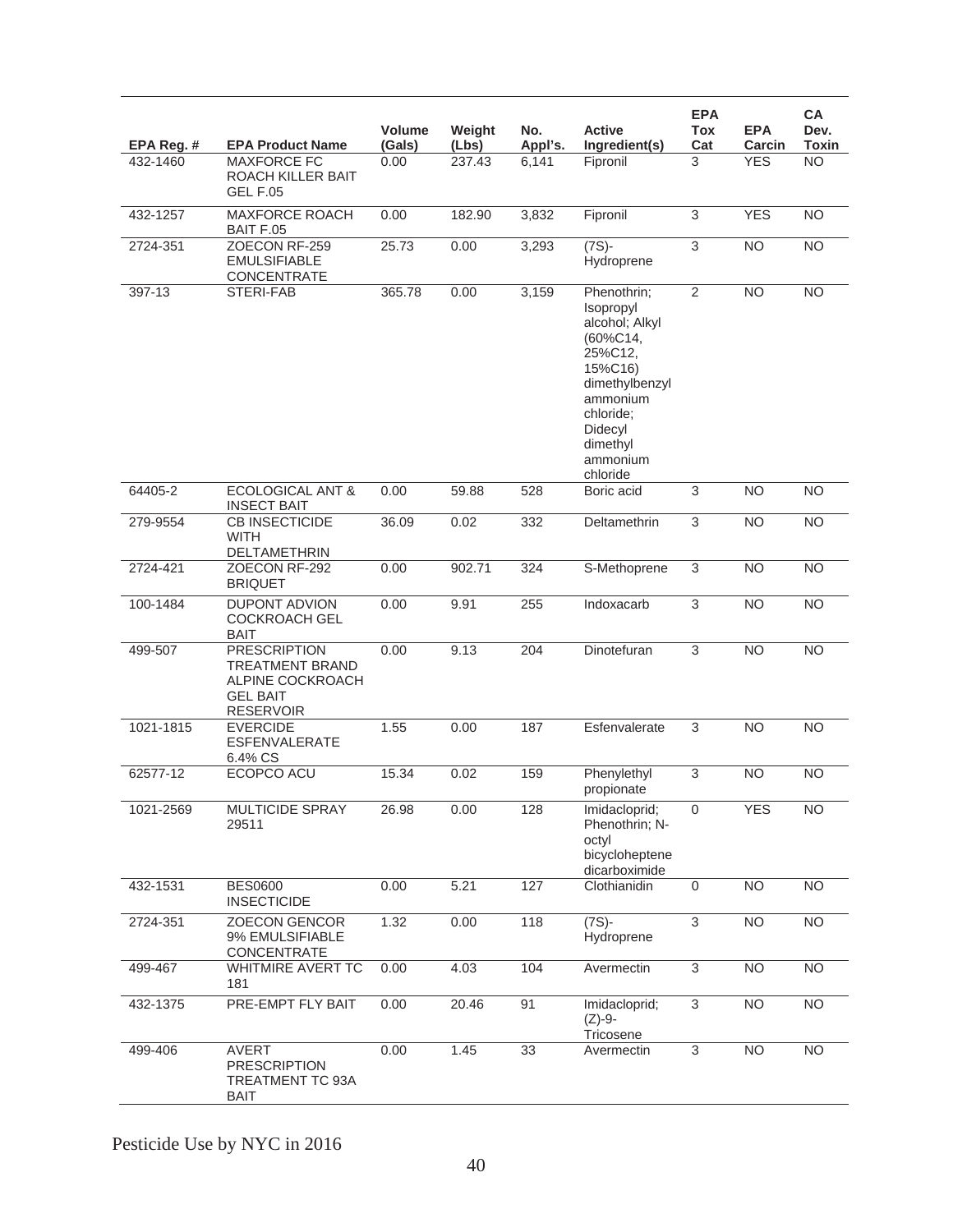| EPA Reg. # | <b>EPA Product Name</b>                                                                                  | Volume<br>(Gals) | Weight<br>(Lbs) | No.<br>Appl's. | <b>Active</b><br>Ingredient(s)                                                                                                                                         | <b>EPA</b><br>Tox<br>Cat | <b>EPA</b><br>Carcin | <b>CA</b><br>Dev.<br><b>Toxin</b> |
|------------|----------------------------------------------------------------------------------------------------------|------------------|-----------------|----------------|------------------------------------------------------------------------------------------------------------------------------------------------------------------------|--------------------------|----------------------|-----------------------------------|
| 432-1460   | <b>MAXFORCE FC</b><br>ROACH KILLER BAIT<br><b>GEL F.05</b>                                               | 0.00             | 237.43          | 6,141          | Fipronil                                                                                                                                                               | 3                        | <b>YES</b>           | <b>NO</b>                         |
| 432-1257   | <b>MAXFORCE ROACH</b><br><b>BAIT F.05</b>                                                                | 0.00             | 182.90          | 3,832          | Fipronil                                                                                                                                                               | 3                        | <b>YES</b>           | <b>NO</b>                         |
| 2724-351   | ZOECON RF-259<br><b>EMULSIFIABLE</b><br>CONCENTRATE                                                      | 25.73            | 0.00            | 3,293          | $(7S) -$<br>Hydroprene                                                                                                                                                 | $\overline{3}$           | N <sub>O</sub>       | $\overline{NO}$                   |
| 397-13     | STERI-FAB                                                                                                | 365.78           | 0.00            | 3,159          | Phenothrin;<br>Isopropyl<br>alcohol; Alkyl<br>(60%C14,<br>25%C12,<br>15%C16)<br>dimethylbenzyl<br>ammonium<br>chloride:<br>Didecyl<br>dimethyl<br>ammonium<br>chloride | $\overline{2}$           | <b>NO</b>            | <b>NO</b>                         |
| 64405-2    | <b>ECOLOGICAL ANT &amp;</b><br><b>INSECT BAIT</b>                                                        | 0.00             | 59.88           | 528            | Boric acid                                                                                                                                                             | $\overline{3}$           | <b>NO</b>            | $\overline{NO}$                   |
| 279-9554   | <b>CB INSECTICIDE</b><br><b>WITH</b><br>DELTAMETHRIN                                                     | 36.09            | 0.02            | 332            | Deltamethrin                                                                                                                                                           | 3                        | <b>NO</b>            | <b>NO</b>                         |
| 2724-421   | ZOECON RF-292<br><b>BRIQUET</b>                                                                          | 0.00             | 902.71          | 324            | S-Methoprene                                                                                                                                                           | 3                        | <b>NO</b>            | <b>NO</b>                         |
| 100-1484   | <b>DUPONT ADVION</b><br><b>COCKROACH GEL</b><br><b>BAIT</b>                                              | 0.00             | 9.91            | 255            | Indoxacarb                                                                                                                                                             | $\overline{3}$           | <b>NO</b>            | <b>NO</b>                         |
| 499-507    | <b>PRESCRIPTION</b><br><b>TREATMENT BRAND</b><br>ALPINE COCKROACH<br><b>GEL BAIT</b><br><b>RESERVOIR</b> | 0.00             | 9.13            | 204            | Dinotefuran                                                                                                                                                            | 3                        | <b>NO</b>            | <b>NO</b>                         |
| 1021-1815  | <b>EVERCIDE</b><br><b>ESFENVALERATE</b><br>6.4% CS                                                       | 1.55             | 0.00            | 187            | Esfenvalerate                                                                                                                                                          | 3                        | <b>NO</b>            | <b>NO</b>                         |
| 62577-12   | ECOPCO ACU                                                                                               | 15.34            | 0.02            | 159            | Phenylethyl<br>propionate                                                                                                                                              | 3                        | <b>NO</b>            | <b>NO</b>                         |
| 1021-2569  | MULTICIDE SPRAY<br>29511                                                                                 | 26.98            | 0.00            | 128            | Imidacloprid;<br>Phenothrin; N-<br>octyl<br>bicycloheptene<br>dicarboximide                                                                                            | $\mathbf 0$              | <b>YES</b>           | NO.                               |
| 432-1531   | <b>BES0600</b><br><b>INSECTICIDE</b>                                                                     | 0.00             | 5.21            | 127            | Clothianidin                                                                                                                                                           | $\mathbf 0$              | <b>NO</b>            | N <sub>O</sub>                    |
| 2724-351   | <b>ZOECON GENCOR</b><br>9% EMULSIFIABLE<br>CONCENTRATE                                                   | 1.32             | 0.00            | 118            | $(7S) -$<br>Hydroprene                                                                                                                                                 | $\overline{3}$           | N <sub>O</sub>       | $\overline{NO}$                   |
| 499-467    | WHITMIRE AVERT TC<br>181                                                                                 | 0.00             | 4.03            | 104            | Avermectin                                                                                                                                                             | $\overline{3}$           | <b>NO</b>            | $\overline{NO}$                   |
| 432-1375   | PRE-EMPT FLY BAIT                                                                                        | 0.00             | 20.46           | 91             | Imidacloprid;<br>$(Z)-9-$<br>Tricosene                                                                                                                                 | $\overline{3}$           | N <sub>O</sub>       | <b>NO</b>                         |
| 499-406    | <b>AVERT</b><br><b>PRESCRIPTION</b><br>TREATMENT TC 93A<br><b>BAIT</b>                                   | 0.00             | 1.45            | 33             | Avermectin                                                                                                                                                             | 3                        | <b>NO</b>            | <b>NO</b>                         |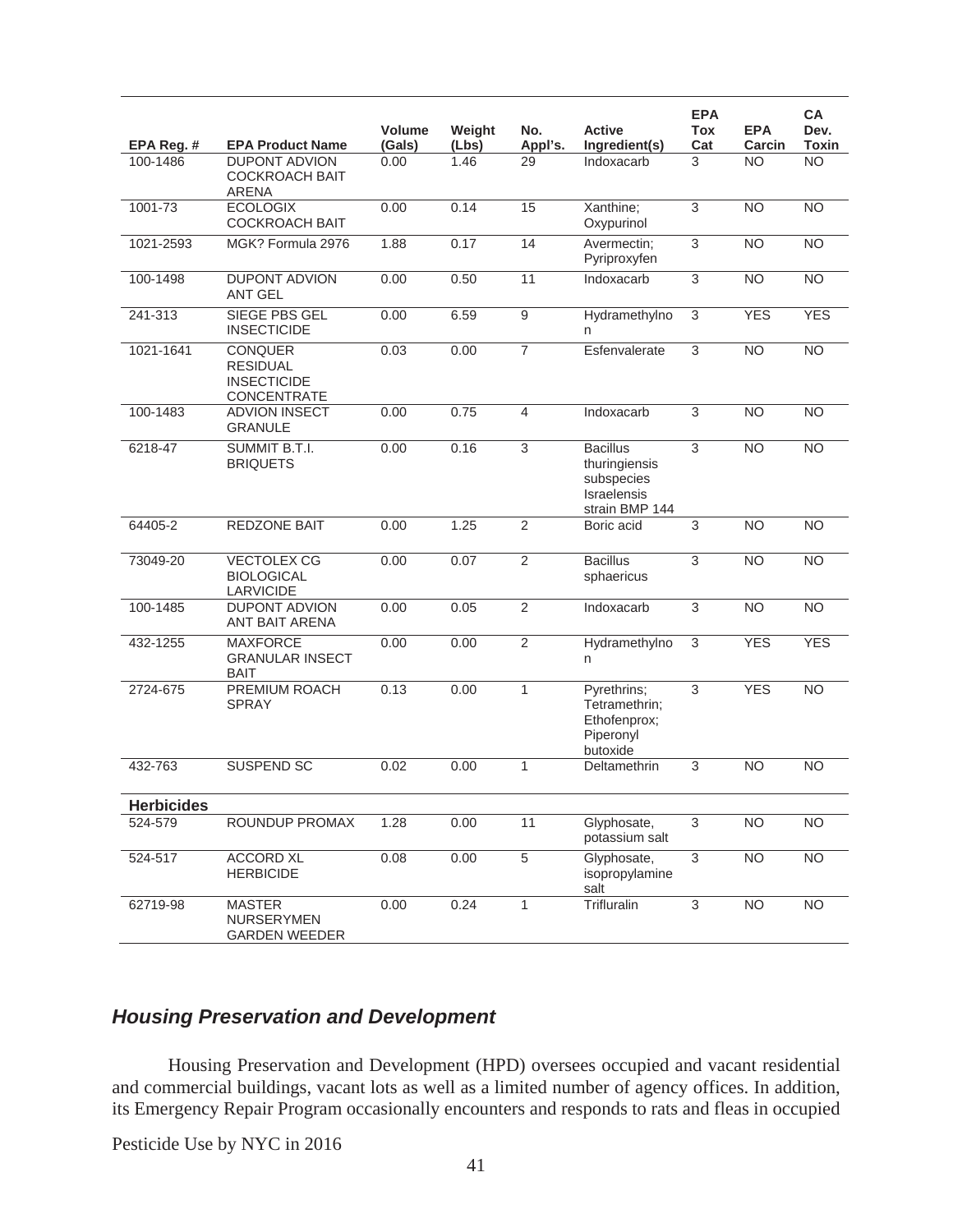|                   |                                                                        | Volume | Weight | No.              | <b>Active</b>                                                                          | <b>EPA</b><br>Tox | <b>EPA</b>      | <b>CA</b><br>Dev. |
|-------------------|------------------------------------------------------------------------|--------|--------|------------------|----------------------------------------------------------------------------------------|-------------------|-----------------|-------------------|
| EPA Reg. #        | <b>EPA Product Name</b>                                                | (Gals) | (Lbs)  | Appl's.          | Ingredient(s)                                                                          | Cat               | Carcin          | <b>Toxin</b>      |
| 100-1486          | <b>DUPONT ADVION</b><br><b>COCKROACH BAIT</b><br><b>ARENA</b>          | 0.00   | 1.46   | 29               | Indoxacarb                                                                             | 3                 | <b>NO</b>       | $\overline{NO}$   |
| 1001-73           | <b>ECOLOGIX</b><br><b>COCKROACH BAIT</b>                               | 0.00   | 0.14   | 15               | Xanthine;<br>Oxypurinol                                                                | $\overline{3}$    | N <sub>O</sub>  | N <sub>O</sub>    |
| 1021-2593         | MGK? Formula 2976                                                      | 1.88   | 0.17   | 14               | Avermectin;<br>Pyriproxyfen                                                            | 3                 | <b>NO</b>       | <b>NO</b>         |
| 100-1498          | <b>DUPONT ADVION</b><br><b>ANT GEL</b>                                 | 0.00   | 0.50   | 11               | Indoxacarb                                                                             | 3                 | <b>NO</b>       | <b>NO</b>         |
| 241-313           | <b>SIEGE PBS GEL</b><br><b>INSECTICIDE</b>                             | 0.00   | 6.59   | $\boldsymbol{9}$ | Hydramethylno<br>n                                                                     | 3                 | <b>YES</b>      | <b>YES</b>        |
| 1021-1641         | <b>CONQUER</b><br><b>RESIDUAL</b><br><b>INSECTICIDE</b><br>CONCENTRATE | 0.03   | 0.00   | $\overline{7}$   | Esfenvalerate                                                                          | 3                 | <b>NO</b>       | <b>NO</b>         |
| 100-1483          | <b>ADVION INSECT</b><br><b>GRANULE</b>                                 | 0.00   | 0.75   | $\overline{4}$   | Indoxacarb                                                                             | 3                 | <b>NO</b>       | <b>NO</b>         |
| 6218-47           | SUMMIT B.T.I.<br><b>BRIQUETS</b>                                       | 0.00   | 0.16   | $\overline{3}$   | <b>Bacillus</b><br>thuringiensis<br>subspecies<br><b>Israelensis</b><br>strain BMP 144 | $\overline{3}$    | $\overline{NO}$ | N <sub>O</sub>    |
| 64405-2           | REDZONE BAIT                                                           | 0.00   | 1.25   | $\overline{2}$   | Boric acid                                                                             | 3                 | <b>NO</b>       | <b>NO</b>         |
| 73049-20          | <b>VECTOLEX CG</b><br><b>BIOLOGICAL</b><br><b>LARVICIDE</b>            | 0.00   | 0.07   | $\overline{2}$   | <b>Bacillus</b><br>sphaericus                                                          | $\overline{3}$    | <b>NO</b>       | $\overline{NO}$   |
| 100-1485          | <b>DUPONT ADVION</b><br>ANT BAIT ARENA                                 | 0.00   | 0.05   | $\overline{2}$   | Indoxacarb                                                                             | $\overline{3}$    | <b>NO</b>       | $\overline{NO}$   |
| 432-1255          | <b>MAXFORCE</b><br><b>GRANULAR INSECT</b><br><b>BAIT</b>               | 0.00   | 0.00   | $\overline{2}$   | Hydramethylno<br>n                                                                     | 3                 | <b>YES</b>      | <b>YES</b>        |
| 2724-675          | PREMIUM ROACH<br><b>SPRAY</b>                                          | 0.13   | 0.00   | $\mathbf{1}$     | Pyrethrins:<br>Tetramethrin:<br>Ethofenprox;<br>Piperonyl<br>butoxide                  | 3                 | <b>YES</b>      | <b>NO</b>         |
| 432-763           | <b>SUSPEND SC</b>                                                      | 0.02   | 0.00   | $\mathbf{1}$     | Deltamethrin                                                                           | 3                 | <b>NO</b>       | <b>NO</b>         |
| <b>Herbicides</b> |                                                                        |        |        |                  |                                                                                        |                   |                 |                   |
| 524-579           | ROUNDUP PROMAX                                                         | 1.28   | 0.00   | $\overline{11}$  | Glyphosate,<br>potassium salt                                                          | 3                 | $\overline{NO}$ | $\overline{NO}$   |
| 524-517           | <b>ACCORD XL</b><br><b>HERBICIDE</b>                                   | 0.08   | 0.00   | $\overline{5}$   | Glyphosate,<br>isopropylamine<br>salt                                                  | $\,$ 3 $\,$       | <b>NO</b>       | N <sub>O</sub>    |
| 62719-98          | <b>MASTER</b><br>NURSERYMEN<br><b>GARDEN WEEDER</b>                    | 0.00   | 0.24   | $\mathbf{1}$     | Trifluralin                                                                            | $\overline{3}$    | NO <sub>1</sub> | <b>NO</b>         |

# *Housing Preservation and Development*

 Housing Preservation and Development (HPD) oversees occupied and vacant residential and commercial buildings, vacant lots as well as a limited number of agency offices. In addition, its Emergency Repair Program occasionally encounters and responds to rats and fleas in occupied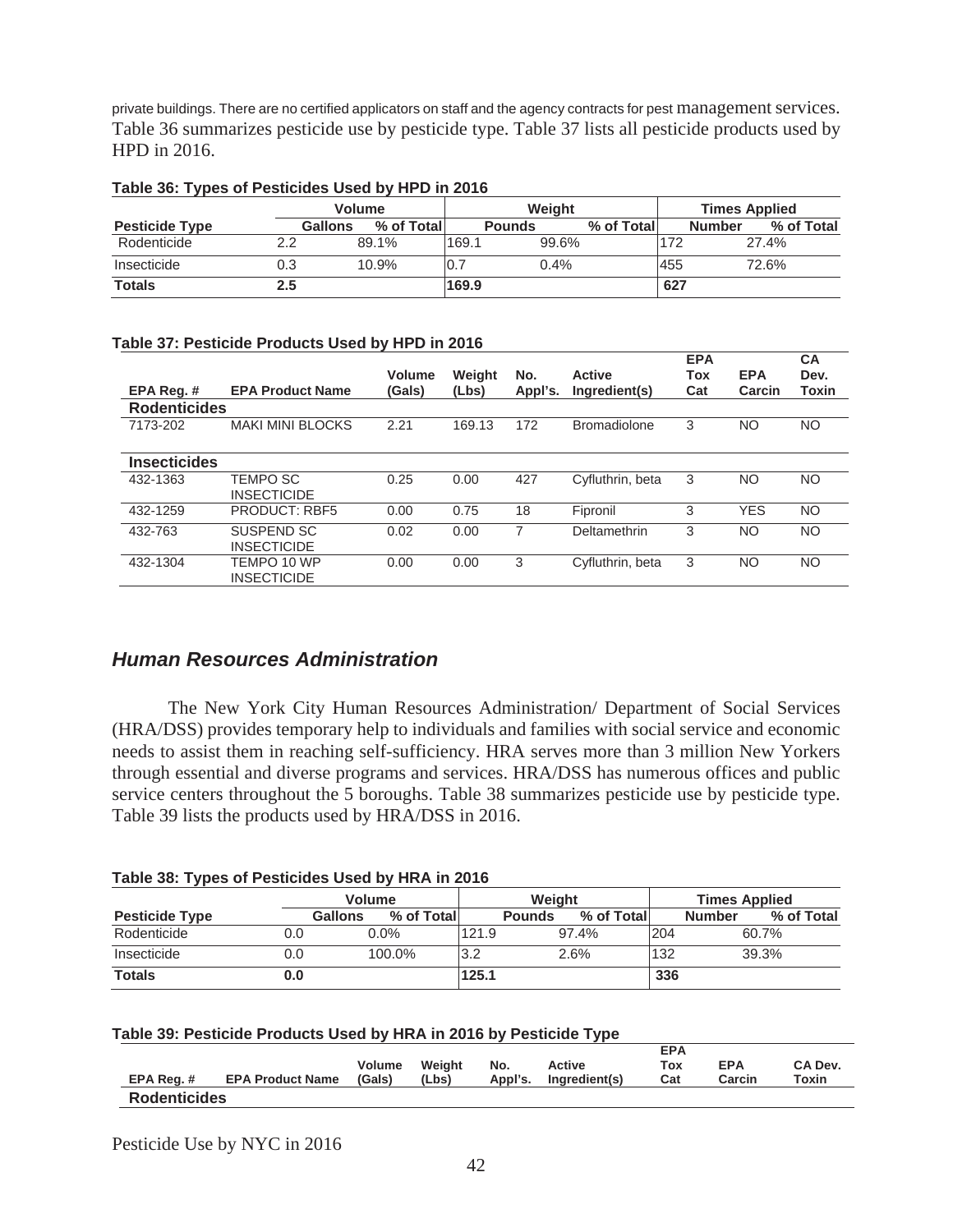private buildings. There are no certified applicators on staff and the agency contracts for pest management services. Table 36 summarizes pesticide use by pesticide type. Table 37 lists all pesticide products used by HPD in 2016.

|                       |               | <b>Volume</b>                |       | Weiaht        |            |     |               | <b>Times Applied</b> |  |  |
|-----------------------|---------------|------------------------------|-------|---------------|------------|-----|---------------|----------------------|--|--|
| <b>Pesticide Type</b> |               | <b>Gallons</b><br>% of Total |       | <b>Pounds</b> | % of Total |     | <b>Number</b> | % of Total           |  |  |
| Rodenticide           | $2.2^{\circ}$ | 89.1%                        | 169.1 | 99.6%         |            | 172 |               | 27.4%                |  |  |
| Insecticide           | 0.3           | 10.9%                        | 10.1  | 0.4%          |            | 455 |               | 72.6%                |  |  |
| <b>Totals</b>         | 2.5           |                              | 169.9 |               |            | 627 |               |                      |  |  |

#### **Table 36: Types of Pesticides Used by HPD in 2016**

#### **Table 37: Pesticide Products Used by HPD in 2016**

|                     |                                   | Volume | Weight | No.     | <b>Active</b>       | <b>EPA</b><br>Tox | <b>EPA</b> | <b>CA</b><br>Dev. |
|---------------------|-----------------------------------|--------|--------|---------|---------------------|-------------------|------------|-------------------|
| EPA Req.#           | <b>EPA Product Name</b>           | (Gals) | (Lbs)  | Appl's. | Ingredient(s)       | Cat               | Carcin     | Toxin             |
| <b>Rodenticides</b> |                                   |        |        |         |                     |                   |            |                   |
| 7173-202            | <b>MAKI MINI BLOCKS</b>           | 2.21   | 169.13 | 172     | <b>Bromadiolone</b> | 3                 | NO         | <b>NO</b>         |
| <b>Insecticides</b> |                                   |        |        |         |                     |                   |            |                   |
| 432-1363            | TEMPO SC<br><b>INSECTICIDE</b>    | 0.25   | 0.00   | 427     | Cyfluthrin, beta    | 3                 | NO         | <b>NO</b>         |
| 432-1259            | <b>PRODUCT: RBF5</b>              | 0.00   | 0.75   | 18      | Fipronil            | 3                 | <b>YES</b> | NO                |
| 432-763             | SUSPEND SC<br><b>INSECTICIDE</b>  | 0.02   | 0.00   | 7       | Deltamethrin        | 3                 | NO         | <b>NO</b>         |
| 432-1304            | TEMPO 10 WP<br><b>INSECTICIDE</b> | 0.00   | 0.00   | 3       | Cyfluthrin, beta    | 3                 | NO         | <b>NO</b>         |

# *Human Resources Administration*

 The New York City Human Resources Administration/ Department of Social Services (HRA/DSS) provides temporary help to individuals and families with social service and economic needs to assist them in reaching self-sufficiency. HRA serves more than 3 million New Yorkers through essential and diverse programs and services. HRA/DSS has numerous offices and public service centers throughout the 5 boroughs. Table 38 summarizes pesticide use by pesticide type. Table 39 lists the products used by HRA/DSS in 2016.

|                       | <b>Volume</b>  | Weight     |       |               | <b>Times Applied</b> |     |                             |
|-----------------------|----------------|------------|-------|---------------|----------------------|-----|-----------------------------|
| <b>Pesticide Type</b> | <b>Gallons</b> | % of Total |       | <b>Pounds</b> | % of Total           |     | % of Total<br><b>Number</b> |
| Rodenticide           | 0.0            | $0.0\%$    | 121.9 |               | 97.4%                | 204 | 60.7%                       |
| Insecticide           | 0.0            | 100.0%     | l3.2  |               | 2.6%                 | 132 | 39.3%                       |
| <b>Totals</b>         | 0.0            |            | 125.1 |               |                      | 336 |                             |

#### **Table 38: Types of Pesticides Used by HRA in 2016**

| Table 39: Pesticide Products Used by HRA in 2016 by Pesticide Type |  |  |
|--------------------------------------------------------------------|--|--|
|--------------------------------------------------------------------|--|--|

| EPA Reg. #          | <b>EPA Product Name</b> | <b>Volume</b><br>(Gals) | Weiaht<br>(Lbs) | No. | Active<br>Appl's. Ingredient(s) | <b>EPA</b><br>Tox<br>Cat | <b>EPA</b><br>Carcin | CA Dev.<br>Toxin |
|---------------------|-------------------------|-------------------------|-----------------|-----|---------------------------------|--------------------------|----------------------|------------------|
| <b>Rodenticides</b> |                         |                         |                 |     |                                 |                          |                      |                  |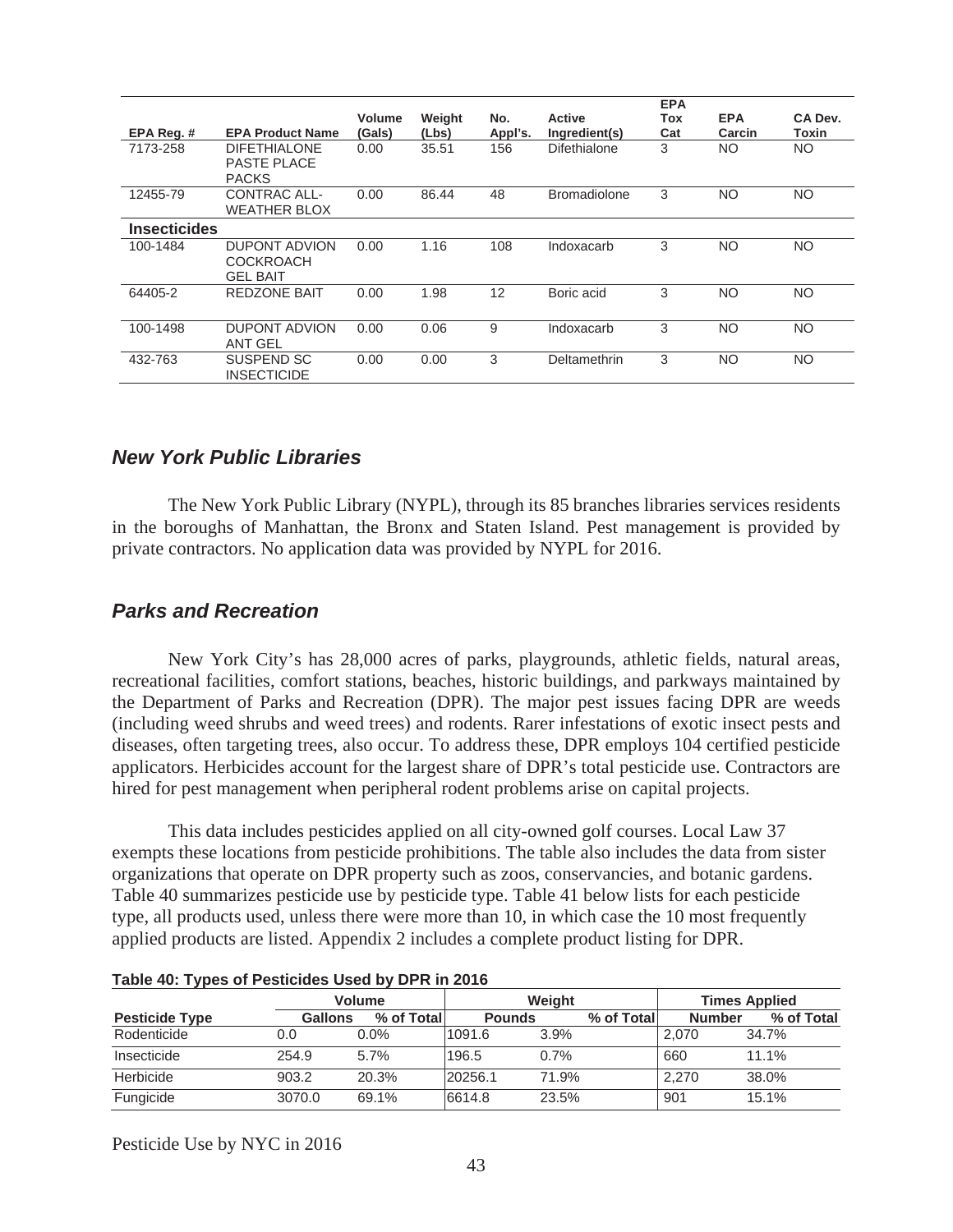|                     |                                                           |                  |                 |                |                                | <b>EPA</b> |                      |                  |
|---------------------|-----------------------------------------------------------|------------------|-----------------|----------------|--------------------------------|------------|----------------------|------------------|
| EPA Reg. #          | <b>EPA Product Name</b>                                   | Volume<br>(Gals) | Weight<br>(Lbs) | No.<br>Appl's. | <b>Active</b><br>Ingredient(s) | Tox<br>Cat | <b>EPA</b><br>Carcin | CA Dev.<br>Toxin |
| 7173-258            | <b>DIFETHIALONE</b><br><b>PASTE PLACE</b><br><b>PACKS</b> | 0.00             | 35.51           | 156            | Difethialone                   | 3          | NO.                  | NO.              |
| 12455-79            | CONTRAC ALL-<br><b>WEATHER BLOX</b>                       | 0.00             | 86.44           | 48             | <b>Bromadiolone</b>            | 3          | NO.                  | <b>NO</b>        |
| <b>Insecticides</b> |                                                           |                  |                 |                |                                |            |                      |                  |
| 100-1484            | DUPONT ADVION<br><b>COCKROACH</b><br><b>GEL BAIT</b>      | 0.00             | 1.16            | 108            | Indoxacarb                     | 3          | NO.                  | <b>NO</b>        |
| 64405-2             | <b>REDZONE BAIT</b>                                       | 0.00             | 1.98            | 12             | Boric acid                     | 3          | NO.                  | <b>NO</b>        |
| 100-1498            | <b>DUPONT ADVION</b><br><b>ANT GEL</b>                    | 0.00             | 0.06            | 9              | Indoxacarb                     | 3          | <b>NO</b>            | <b>NO</b>        |
| 432-763             | SUSPEND SC<br><b>INSECTICIDE</b>                          | 0.00             | 0.00            | 3              | Deltamethrin                   | 3          | NO.                  | <b>NO</b>        |

### *New York Public Libraries*

 The New York Public Library (NYPL), through its 85 branches libraries services residents in the boroughs of Manhattan, the Bronx and Staten Island. Pest management is provided by private contractors. No application data was provided by NYPL for 2016.

### *Parks and Recreation*

 New York City's has 28,000 acres of parks, playgrounds, athletic fields, natural areas, recreational facilities, comfort stations, beaches, historic buildings, and parkways maintained by the Department of Parks and Recreation (DPR). The major pest issues facing DPR are weeds (including weed shrubs and weed trees) and rodents. Rarer infestations of exotic insect pests and diseases, often targeting trees, also occur. To address these, DPR employs 104 certified pesticide applicators. Herbicides account for the largest share of DPR's total pesticide use. Contractors are hired for pest management when peripheral rodent problems arise on capital projects.

This data includes pesticides applied on all city-owned golf courses. Local Law 37 exempts these locations from pesticide prohibitions. The table also includes the data from sister organizations that operate on DPR property such as zoos, conservancies, and botanic gardens. Table 40 summarizes pesticide use by pesticide type. Table 41 below lists for each pesticide type, all products used, unless there were more than 10, in which case the 10 most frequently applied products are listed. Appendix 2 includes a complete product listing for DPR.

|                       | <b>Volume</b>  |             | Weight        |       | <b>Times Applied</b> |               |            |
|-----------------------|----------------|-------------|---------------|-------|----------------------|---------------|------------|
| <b>Pesticide Type</b> | <b>Gallons</b> | % of Totall | <b>Pounds</b> |       | % of Total           | <b>Number</b> | % of Total |
| Rodenticide           | 0.0            | $0.0\%$     | 1091.6        | 3.9%  |                      | 2.070         | 34.7%      |
| Insecticide           | 254.9          | $5.7\%$     | 196.5         | 0.7%  |                      | 660           | 11.1%      |
| Herbicide             | 903.2          | 20.3%       | 20256.1       | 71.9% |                      | 2.270         | 38.0%      |
| Fungicide             | 3070.0         | 69.1%       | 6614.8        | 23.5% |                      | 901           | 15.1%      |

**Table 40: Types of Pesticides Used by DPR in 2016**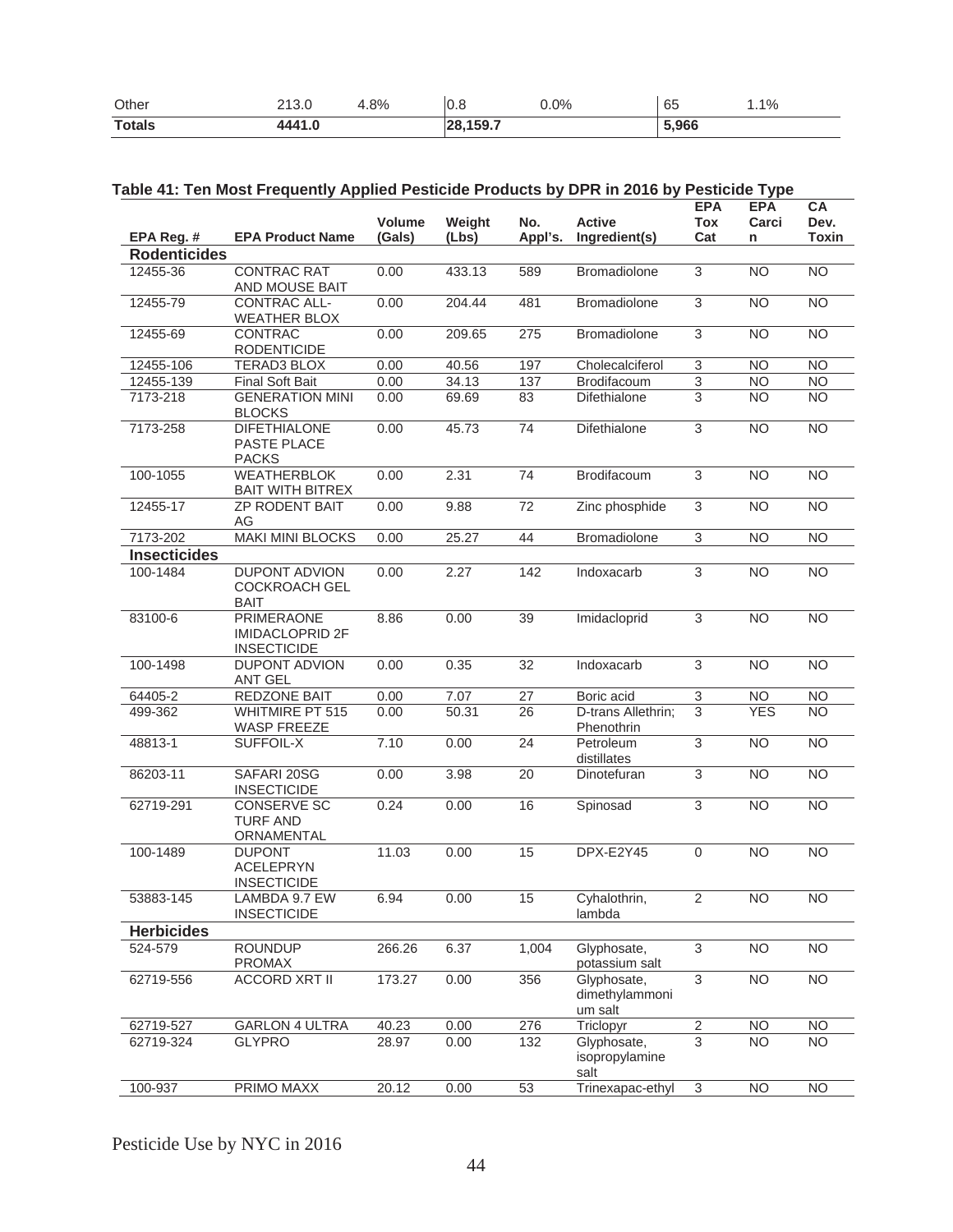| Other         | ດ ເດິດ<br>2.0 | .8% | ا0.∪           | $0.0\%$ | $\sim$ $\sim$<br>ხე | 1.1% |
|---------------|---------------|-----|----------------|---------|---------------------|------|
| <b>Totals</b> | AA4C          |     | 3.159.7<br>120 |         | .966                |      |

| Table 41: Ten Most Frequently Applied Pesticide Products by DPR in 2016 by Pesticide Type |
|-------------------------------------------------------------------------------------------|
|-------------------------------------------------------------------------------------------|

| EPA Reg. #          | <b>EPA Product Name</b>                                           | <b>Volume</b><br>(Gals) | Weight<br>(Lbs) | No.<br>Appl's.  | <b>Active</b><br>Ingredient(s)           | <b>EPA</b><br><b>Tox</b><br>Cat | <b>EPA</b><br>Carci<br>n | CA<br>Dev.<br><b>Toxin</b> |
|---------------------|-------------------------------------------------------------------|-------------------------|-----------------|-----------------|------------------------------------------|---------------------------------|--------------------------|----------------------------|
| <b>Rodenticides</b> |                                                                   |                         |                 |                 |                                          |                                 |                          |                            |
| 12455-36            | <b>CONTRAC RAT</b><br>AND MOUSE BAIT                              | 0.00                    | 433.13          | 589             | Bromadiolone                             | $\overline{3}$                  | <b>NO</b>                | $\overline{NO}$            |
| 12455-79            | <b>CONTRAC ALL-</b><br><b>WEATHER BLOX</b>                        | 0.00                    | 204.44          | 481             | Bromadiolone                             | 3                               | <b>NO</b>                | $\overline{NO}$            |
| 12455-69            | CONTRAC<br><b>RODENTICIDE</b>                                     | 0.00                    | 209.65          | 275             | Bromadiolone                             | $\overline{3}$                  | <b>NO</b>                | $\overline{NO}$            |
| 12455-106           | <b>TERAD3 BLOX</b>                                                | 0.00                    | 40.56           | 197             | Cholecalciferol                          | 3                               | <b>NO</b>                | $\overline{NO}$            |
| 12455-139           | <b>Final Soft Bait</b>                                            | 0.00                    | 34.13           | 137             | Brodifacoum                              | 3                               | <b>NO</b>                | <b>NO</b>                  |
| 7173-218            | <b>GENERATION MINI</b><br><b>BLOCKS</b>                           | 0.00                    | 69.69           | 83              | Difethialone                             | 3                               | <b>NO</b>                | <b>NO</b>                  |
| 7173-258            | <b>DIFETHIALONE</b><br>PASTE PLACE<br><b>PACKS</b>                | 0.00                    | 45.73           | 74              | Difethialone                             | $\overline{3}$                  | $\overline{NO}$          | $\overline{NO}$            |
| 100-1055            | <b>WEATHERBLOK</b><br><b>BAIT WITH BITREX</b>                     | 0.00                    | 2.31            | 74              | Brodifacoum                              | 3                               | <b>NO</b>                | $\overline{NO}$            |
| 12455-17            | <b>ZP RODENT BAIT</b><br>AG                                       | 0.00                    | 9.88            | $\overline{72}$ | Zinc phosphide                           | 3                               | N <sub>O</sub>           | $\overline{NO}$            |
| 7173-202            | <b>MAKI MINI BLOCKS</b>                                           | 0.00                    | 25.27           | 44              | Bromadiolone                             | 3                               | <b>NO</b>                | <b>NO</b>                  |
| <b>Insecticides</b> |                                                                   |                         |                 |                 |                                          |                                 |                          |                            |
| 100-1484            | <b>DUPONT ADVION</b><br><b>COCKROACH GEL</b><br><b>BAIT</b>       | 0.00                    | 2.27            | 142             | Indoxacarb                               | 3                               | N <sub>O</sub>           | $\overline{NO}$            |
| 83100-6             | <b>PRIMERAONE</b><br><b>IMIDACLOPRID 2F</b><br><b>INSECTICIDE</b> | 8.86                    | 0.00            | $\overline{39}$ | Imidacloprid                             | $\overline{3}$                  | N <sub>O</sub>           | N <sub>O</sub>             |
| 100-1498            | <b>DUPONT ADVION</b><br>ANT GEL                                   | 0.00                    | 0.35            | 32              | Indoxacarb                               | 3                               | <b>NO</b>                | <b>NO</b>                  |
| 64405-2             | REDZONE BAIT                                                      | 0.00                    | 7.07            | 27              | Boric acid                               | 3                               | <b>NO</b>                | <b>NO</b>                  |
| 499-362             | <b>WHITMIRE PT 515</b><br>WASP FREEZE                             | 0.00                    | 50.31           | 26              | D-trans Allethrin;<br>Phenothrin         | $\overline{3}$                  | <b>YES</b>               | <b>NO</b>                  |
| 48813-1             | SUFFOIL-X                                                         | 7.10                    | 0.00            | 24              | Petroleum<br>distillates                 | $\overline{3}$                  | <b>NO</b>                | $\overline{NO}$            |
| 86203-11            | SAFARI 20SG<br><b>INSECTICIDE</b>                                 | 0.00                    | 3.98            | $\overline{20}$ | Dinotefuran                              | 3                               | N <sub>O</sub>           | $\overline{NO}$            |
| 62719-291           | <b>CONSERVE SC</b><br><b>TURF AND</b><br>ORNAMENTAL               | 0.24                    | 0.00            | 16              | Spinosad                                 | $\overline{3}$                  | N <sub>O</sub>           | $\overline{NO}$            |
| 100-1489            | <b>DUPONT</b><br><b>ACELEPRYN</b><br><b>INSECTICIDE</b>           | 11.03                   | 0.00            | $\overline{15}$ | DPX-E2Y45                                | $\Omega$                        | N <sub>O</sub>           | <b>NO</b>                  |
| 53883-145           | LAMBDA 9.7 EW<br><b>INSECTICIDE</b>                               | 6.94                    | 0.00            | 15              | Cyhalothrin,<br>lambda                   | $\overline{2}$                  | N <sub>O</sub>           | $\overline{NO}$            |
| <b>Herbicides</b>   |                                                                   |                         |                 |                 |                                          |                                 |                          |                            |
| 524-579             | <b>ROUNDUP</b><br><b>PROMAX</b>                                   | 266.26                  | 6.37            | 1,004           | Glyphosate,<br>potassium salt            | 3                               | <b>NO</b>                | $\overline{NO}$            |
| 62719-556           | <b>ACCORD XRT II</b>                                              | 173.27                  | 0.00            | 356             | Glyphosate,<br>dimethylammoni<br>um salt | $\overline{3}$                  | N <sub>O</sub>           | $\overline{NO}$            |
| 62719-527           | <b>GARLON 4 ULTRA</b>                                             | 40.23                   | 0.00            | 276             | Triclopyr                                | $\overline{2}$                  | <b>NO</b>                | <b>NO</b>                  |
| 62719-324           | <b>GLYPRO</b>                                                     | 28.97                   | 0.00            | 132             | Glyphosate,<br>isopropylamine<br>salt    | 3                               | <b>NO</b>                | <b>NO</b>                  |
| 100-937             | PRIMO MAXX                                                        | 20.12                   | 0.00            | 53              | Trinexapac-ethyl                         | 3                               | <b>NO</b>                | $\overline{NO}$            |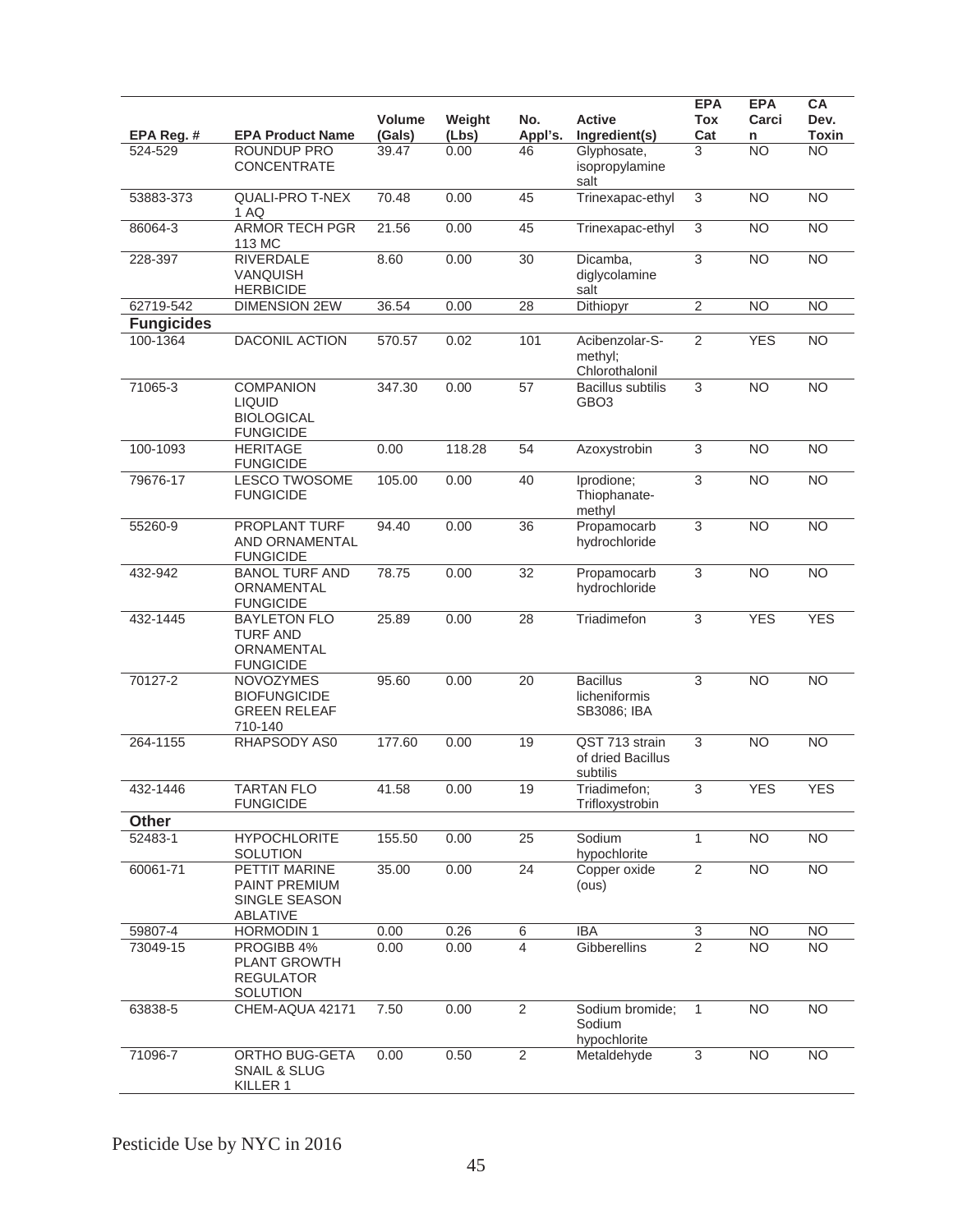| EPA Reg. #        | <b>EPA Product Name</b>                                                    | Volume<br>(Gals) | Weight<br>(Lbs) | No.<br>Appl's.  | <b>Active</b><br>Ingredient(s)                  | <b>EPA</b><br><b>Tox</b><br>Cat | <b>EPA</b><br>Carci<br>n | CA<br>Dev.<br><b>Toxin</b> |
|-------------------|----------------------------------------------------------------------------|------------------|-----------------|-----------------|-------------------------------------------------|---------------------------------|--------------------------|----------------------------|
| 524-529           | ROUNDUP PRO<br><b>CONCENTRATE</b>                                          | 39.47            | 0.00            | 46              | Glyphosate,<br>isopropylamine<br>salt           | 3                               | <b>NO</b>                | <b>NO</b>                  |
| 53883-373         | <b>QUALI-PRO T-NEX</b><br>1 AQ                                             | 70.48            | 0.00            | 45              | Trinexapac-ethyl                                | $\overline{3}$                  | <b>NO</b>                | $\overline{NO}$            |
| 86064-3           | <b>ARMOR TECH PGR</b><br>113 MC                                            | 21.56            | 0.00            | 45              | Trinexapac-ethyl                                | $\sqrt{3}$                      | <b>NO</b>                | $\overline{NO}$            |
| 228-397           | <b>RIVERDALE</b><br>VANQUISH<br><b>HERBICIDE</b>                           | 8.60             | 0.00            | 30              | Dicamba.<br>diglycolamine<br>salt               | 3                               | <b>NO</b>                | $\overline{NO}$            |
| 62719-542         | <b>DIMENSION 2EW</b>                                                       | 36.54            | 0.00            | 28              | Dithiopyr                                       | $\overline{2}$                  | <b>NO</b>                | N <sub>O</sub>             |
| <b>Fungicides</b> |                                                                            |                  |                 |                 |                                                 |                                 |                          |                            |
| 100-1364          | <b>DACONIL ACTION</b>                                                      | 570.57           | 0.02            | 101             | Acibenzolar-S-<br>methyl;<br>Chlorothalonil     | $\overline{2}$                  | <b>YES</b>               | $\overline{NO}$            |
| 71065-3           | <b>COMPANION</b><br><b>LIQUID</b><br><b>BIOLOGICAL</b><br><b>FUNGICIDE</b> | 347.30           | 0.00            | 57              | <b>Bacillus subtilis</b><br>GBO <sub>3</sub>    | 3                               | <b>NO</b>                | <b>NO</b>                  |
| 100-1093          | <b>HERITAGE</b><br><b>FUNGICIDE</b>                                        | 0.00             | 118.28          | 54              | Azoxystrobin                                    | 3                               | <b>NO</b>                | N <sub>O</sub>             |
| 79676-17          | <b>LESCO TWOSOME</b><br><b>FUNGICIDE</b>                                   | 105.00           | 0.00            | 40              | Iprodione;<br>Thiophanate-<br>methyl            | 3                               | <b>NO</b>                | $\overline{NO}$            |
| 55260-9           | <b>PROPLANT TURF</b><br><b>AND ORNAMENTAL</b><br><b>FUNGICIDE</b>          | 94.40            | 0.00            | $\overline{36}$ | Propamocarb<br>hydrochloride                    | $\overline{3}$                  | <b>NO</b>                | $\overline{NO}$            |
| 432-942           | <b>BANOL TURF AND</b><br>ORNAMENTAL<br><b>FUNGICIDE</b>                    | 78.75            | 0.00            | 32              | Propamocarb<br>hydrochloride                    | 3                               | <b>NO</b>                | <b>NO</b>                  |
| 432-1445          | <b>BAYLETON FLO</b><br><b>TURF AND</b><br>ORNAMENTAL<br><b>FUNGICIDE</b>   | 25.89            | 0.00            | 28              | Triadimefon                                     | 3                               | <b>YES</b>               | <b>YES</b>                 |
| 70127-2           | <b>NOVOZYMES</b><br><b>BIOFUNGICIDE</b><br><b>GREEN RELEAF</b><br>710-140  | 95.60            | 0.00            | 20              | <b>Bacillus</b><br>licheniformis<br>SB3086; IBA | 3                               | <b>NO</b>                | <b>NO</b>                  |
| 264-1155          | RHAPSODY AS0                                                               | 177.60           | 0.00            | 19              | QST 713 strain<br>of dried Bacillus<br>subtilis | $\ensuremath{\mathsf{3}}$       | <b>NO</b>                | <b>NO</b>                  |
| 432-1446          | <b>TARTAN FLO</b><br><b>FUNGICIDE</b>                                      | 41.58            | 0.00            | 19              | Triadimefon;<br>Trifloxystrobin                 | $\ensuremath{\mathsf{3}}$       | <b>YES</b>               | <b>YES</b>                 |
| <b>Other</b>      |                                                                            |                  |                 |                 |                                                 |                                 |                          |                            |
| 52483-1           | <b>HYPOCHLORITE</b><br>SOLUTION                                            | 155.50           | 0.00            | 25              | Sodium<br>hypochlorite                          | $\mathbf{1}$                    | <b>NO</b>                | N <sub>O</sub>             |
| 60061-71          | PETTIT MARINE<br>PAINT PREMIUM<br>SINGLE SEASON<br>ABLATIVE                | 35.00            | 0.00            | $\overline{24}$ | Copper oxide<br>(ous)                           | $\overline{2}$                  | N <sub>O</sub>           | N <sub>O</sub>             |
| 59807-4           | <b>HORMODIN1</b>                                                           | 0.00             | 0.26            | 6               | <b>IBA</b>                                      | $\ensuremath{\mathsf{3}}$       | <b>NO</b>                | <b>NO</b>                  |
| 73049-15          | PROGIBB 4%<br><b>PLANT GROWTH</b><br><b>REGULATOR</b><br>SOLUTION          | 0.00             | 0.00            | 4               | Gibberellins                                    | 2                               | <b>NO</b>                | <b>NO</b>                  |
| 63838-5           | CHEM-AQUA 42171                                                            | 7.50             | 0.00            | $\overline{2}$  | Sodium bromide;<br>Sodium<br>hypochlorite       | $\mathbf{1}$                    | <b>NO</b>                | <b>NO</b>                  |
| 71096-7           | ORTHO BUG-GETA<br>SNAIL & SLUG<br>KILLER 1                                 | 0.00             | 0.50            | $\overline{2}$  | Metaldehyde                                     | 3                               | <b>NO</b>                | <b>NO</b>                  |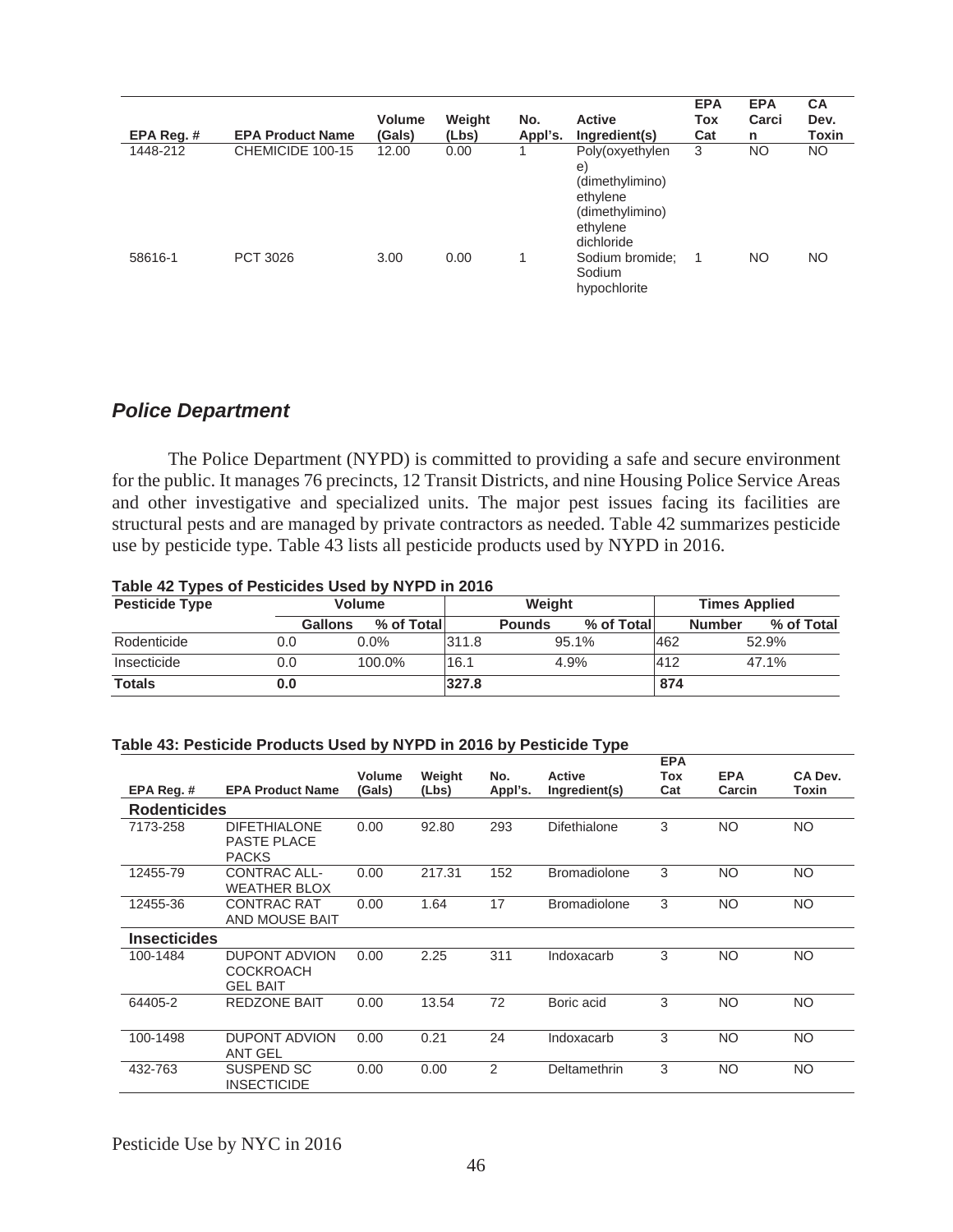| EPA Reg.# | <b>EPA Product Name</b> | <b>Volume</b><br><b>Gals)</b> | Weight<br>(Lbs) | No.<br>Appl's. | <b>Active</b><br>Ingredient(s)                                                                            | <b>EPA</b><br>Tox<br>Cat | <b>EPA</b><br>Carci<br>n | <b>CA</b><br>Dev.<br>Toxin |
|-----------|-------------------------|-------------------------------|-----------------|----------------|-----------------------------------------------------------------------------------------------------------|--------------------------|--------------------------|----------------------------|
| 1448-212  | CHEMICIDE 100-15        | 12.00                         | 0.00            |                | Poly(oxyethylen<br>$\epsilon$<br>(dimethylimino)<br>ethylene<br>(dimethylimino)<br>ethylene<br>dichloride | 3                        | NO                       | NO.                        |
| 58616-1   | PCT 3026                | 3.00                          | 0.00            |                | Sodium bromide;<br>Sodium<br>hypochlorite                                                                 |                          | <b>NO</b>                | NO                         |

## *Police Department*

 The Police Department (NYPD) is committed to providing a safe and secure environment for the public. It manages 76 precincts, 12 Transit Districts, and nine Housing Police Service Areas and other investigative and specialized units. The major pest issues facing its facilities are structural pests and are managed by private contractors as needed. Table 42 summarizes pesticide use by pesticide type. Table 43 lists all pesticide products used by NYPD in 2016.

### **Table 42 Types of Pesticides Used by NYPD in 2016**

| <b>Pesticide Type</b> |                | <b>Volume</b> | Weight |               |             |     | <b>Times Applied</b>        |
|-----------------------|----------------|---------------|--------|---------------|-------------|-----|-----------------------------|
|                       | <b>Gallons</b> | % of Total    |        | <b>Pounds</b> | % of Totall |     | % of Total<br><b>Number</b> |
| Rodenticide           | 0.0            | $0.0\%$       | 311.8  |               | 95.1%       | 462 | 52.9%                       |
| Insecticide           | 0.0            | 100.0%        | 16.1   |               | 4.9%        | 412 | 47.1%                       |
| <b>Totals</b>         | 0.0            |               | 327.8  |               |             | 874 |                             |

#### **Table 43: Pesticide Products Used by NYPD in 2016 by Pesticide Type**

|                     |                                                             | <b>Volume</b> | Weight | No.     | <b>Active</b>       | <b>EPA</b><br>Tox | <b>EPA</b> | CA Dev.   |
|---------------------|-------------------------------------------------------------|---------------|--------|---------|---------------------|-------------------|------------|-----------|
| EPA Reg. #          | <b>EPA Product Name</b>                                     | (Gals)        | (Lbs)  | Appl's. | Ingredient(s)       | Cat               | Carcin     | Toxin     |
| <b>Rodenticides</b> |                                                             |               |        |         |                     |                   |            |           |
| 7173-258            | <b>DIFETHIALONE</b><br><b>PASTE PLACE</b><br><b>PACKS</b>   | 0.00          | 92.80  | 293     | <b>Difethialone</b> | 3                 | <b>NO</b>  | <b>NO</b> |
| 12455-79            | CONTRAC ALL-<br><b>WEATHER BLOX</b>                         | 0.00          | 217.31 | 152     | <b>Bromadiolone</b> | 3                 | <b>NO</b>  | NO.       |
| 12455-36            | <b>CONTRAC RAT</b><br>AND MOUSE BAIT                        | 0.00          | 1.64   | 17      | <b>Bromadiolone</b> | 3                 | <b>NO</b>  | <b>NO</b> |
| <b>Insecticides</b> |                                                             |               |        |         |                     |                   |            |           |
| 100-1484            | <b>DUPONT ADVION</b><br><b>COCKROACH</b><br><b>GEL BAIT</b> | 0.00          | 2.25   | 311     | Indoxacarb          | 3                 | <b>NO</b>  | <b>NO</b> |
| 64405-2             | <b>REDZONE BAIT</b>                                         | 0.00          | 13.54  | 72      | Boric acid          | 3                 | <b>NO</b>  | NO.       |
| 100-1498            | <b>DUPONT ADVION</b><br><b>ANT GEL</b>                      | 0.00          | 0.21   | 24      | Indoxacarb          | 3                 | <b>NO</b>  | <b>NO</b> |
| 432-763             | SUSPEND SC<br><b>INSECTICIDE</b>                            | 0.00          | 0.00   | 2       | Deltamethrin        | 3                 | <b>NO</b>  | NO.       |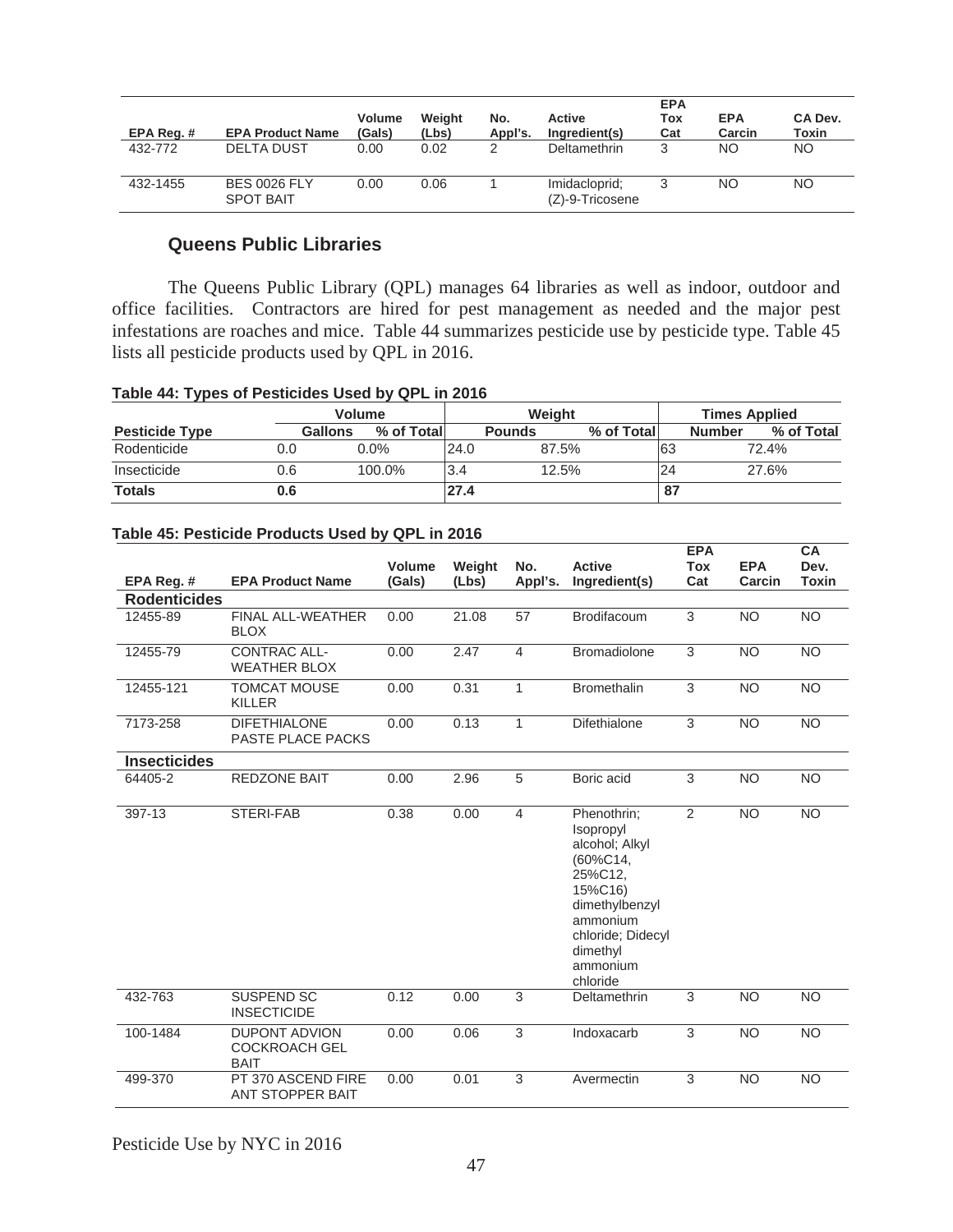|            |                                         |                         |                 |                |                                  | <b>EPA</b> |                      |                  |
|------------|-----------------------------------------|-------------------------|-----------------|----------------|----------------------------------|------------|----------------------|------------------|
| EPA Reg. # | <b>EPA Product Name</b>                 | <b>Volume</b><br>(Gals) | Weight<br>(Lbs) | No.<br>Appl's. | Active<br>Ingredient(s)          | Tox<br>Cat | <b>EPA</b><br>Carcin | CA Dev.<br>Toxin |
| 432-772    | <b>DELTA DUST</b>                       | 0.00                    | 0.02            | 2              | <b>Deltamethrin</b>              | ર          | NO.                  | NO.              |
| 432-1455   | <b>BES 0026 FLY</b><br><b>SPOT BAIT</b> | 0.00                    | 0.06            |                | Imidacloprid;<br>(Z)-9-Tricosene |            | ΝO                   | NO.              |

### **Queens Public Libraries**

The Queens Public Library (QPL) manages 64 libraries as well as indoor, outdoor and office facilities. Contractors are hired for pest management as needed and the major pest infestations are roaches and mice. Table 44 summarizes pesticide use by pesticide type. Table 45 lists all pesticide products used by QPL in 2016.

#### **Table 44: Types of Pesticides Used by QPL in 2016**

|                       |         | <b>Volume</b> |      | Weight        |            |    | <b>Times Applied</b>        |  |  |
|-----------------------|---------|---------------|------|---------------|------------|----|-----------------------------|--|--|
| <b>Pesticide Type</b> | Gallons | % of Totall   |      | <b>Pounds</b> | % of Total |    | % of Total<br><b>Number</b> |  |  |
| Rodenticide           | 0.0     | $0.0\%$       | 24.0 | 87.5%         |            | 63 | 72.4%                       |  |  |
| Insecticide           | 0.6     | 100.0%        | 3.4  | 12.5%         |            | 24 | 27.6%                       |  |  |
| <b>Totals</b>         | 0.6     |               | 27.4 |               |            | 87 |                             |  |  |

|                     |                                                             | <b>Volume</b> | Weight | No.            | <b>Active</b>                                                                                                                                                       | <b>EPA</b><br><b>Tox</b> | <b>EPA</b> | <b>CA</b><br>Dev. |
|---------------------|-------------------------------------------------------------|---------------|--------|----------------|---------------------------------------------------------------------------------------------------------------------------------------------------------------------|--------------------------|------------|-------------------|
| EPA Reg. #          | <b>EPA Product Name</b>                                     | (Gals)        | (Lbs)  | Appl's.        | Ingredient(s)                                                                                                                                                       | Cat                      | Carcin     | <b>Toxin</b>      |
| <b>Rodenticides</b> |                                                             |               |        |                |                                                                                                                                                                     |                          |            |                   |
| 12455-89            | <b>FINAL ALL-WEATHER</b><br><b>BLOX</b>                     | 0.00          | 21.08  | 57             | <b>Brodifacoum</b>                                                                                                                                                  | 3                        | <b>NO</b>  | <b>NO</b>         |
| 12455-79            | <b>CONTRAC ALL-</b><br><b>WEATHER BLOX</b>                  | 0.00          | 2.47   | $\overline{4}$ | <b>Bromadiolone</b>                                                                                                                                                 | 3                        | <b>NO</b>  | <b>NO</b>         |
| 12455-121           | <b>TOMCAT MOUSE</b><br><b>KILLER</b>                        | 0.00          | 0.31   | 1              | <b>Bromethalin</b>                                                                                                                                                  | 3                        | <b>NO</b>  | <b>NO</b>         |
| 7173-258            | <b>DIFETHIALONE</b><br>PASTE PLACE PACKS                    | 0.00          | 0.13   | 1              | Difethialone                                                                                                                                                        | 3                        | <b>NO</b>  | <b>NO</b>         |
| <b>Insecticides</b> |                                                             |               |        |                |                                                                                                                                                                     |                          |            |                   |
| 64405-2             | <b>REDZONE BAIT</b>                                         | 0.00          | 2.96   | 5              | Boric acid                                                                                                                                                          | 3                        | <b>NO</b>  | <b>NO</b>         |
| 397-13              | STERI-FAB                                                   | 0.38          | 0.00   | $\overline{4}$ | Phenothrin;<br>Isopropyl<br>alcohol; Alkyl<br>(60%C14,<br>25%C12,<br>15%C16)<br>dimethylbenzyl<br>ammonium<br>chloride; Didecyl<br>dimethyl<br>ammonium<br>chloride | 2                        | <b>NO</b>  | N <sub>O</sub>    |
| 432-763             | <b>SUSPEND SC</b><br><b>INSECTICIDE</b>                     | 0.12          | 0.00   | 3              | Deltamethrin                                                                                                                                                        | 3                        | <b>NO</b>  | <b>NO</b>         |
| 100-1484            | <b>DUPONT ADVION</b><br><b>COCKROACH GEL</b><br><b>BAIT</b> | 0.00          | 0.06   | 3              | Indoxacarb                                                                                                                                                          | 3                        | <b>NO</b>  | <b>NO</b>         |
| 499-370             | PT 370 ASCEND FIRE<br><b>ANT STOPPER BAIT</b>               | 0.00          | 0.01   | 3              | Avermectin                                                                                                                                                          | 3                        | <b>NO</b>  | <b>NO</b>         |

#### **Table 45: Pesticide Products Used by QPL in 2016**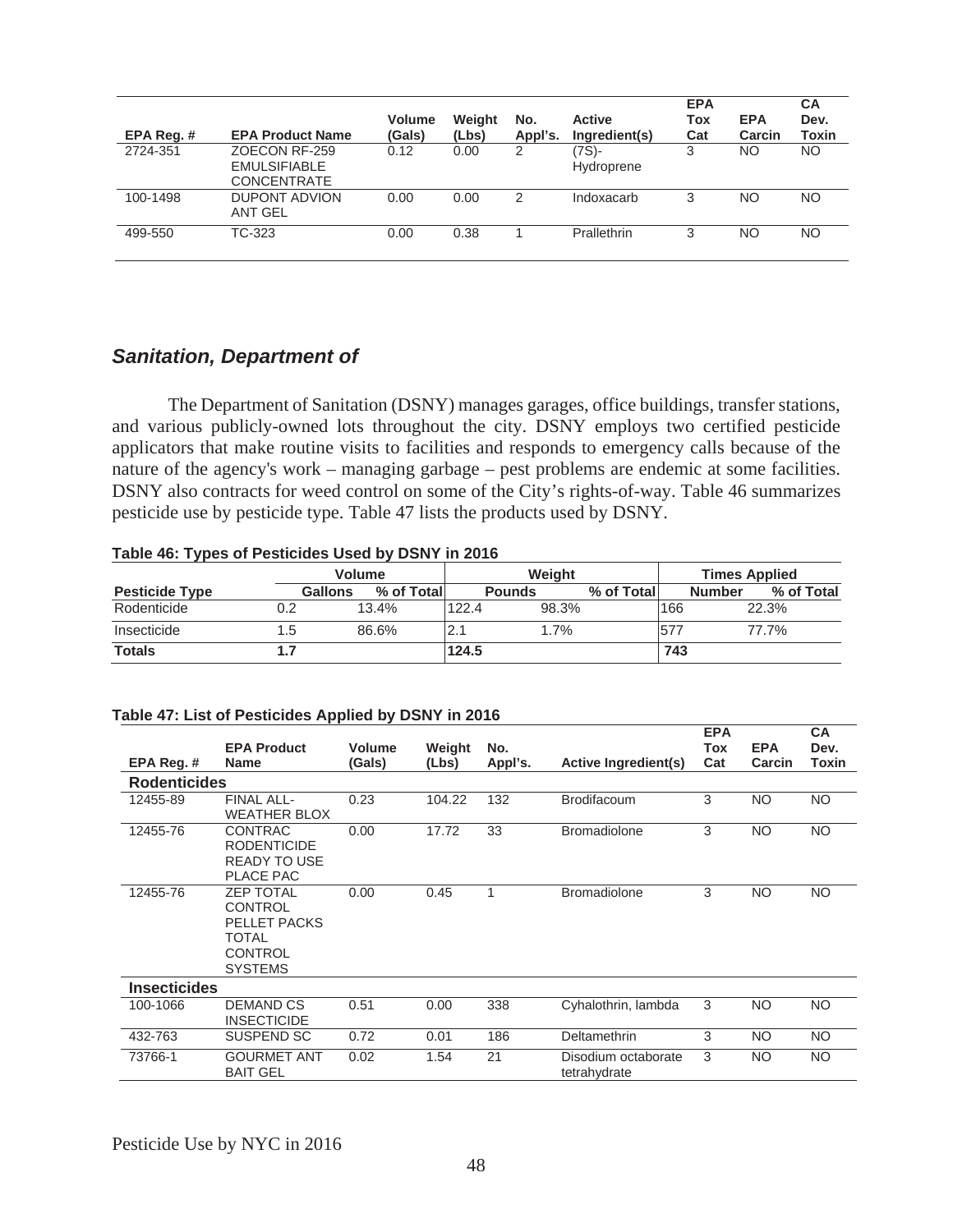| EPA Reg. # | <b>EPA Product Name</b>                                    | <b>Volume</b><br>(Gals) | Weight<br>(Lbs) | No.<br>Appl's. | <b>Active</b><br>Ingredient(s) | <b>EPA</b><br>Tox<br>Cat | <b>EPA</b><br>Carcin | <b>CA</b><br>Dev.<br>Toxin |
|------------|------------------------------------------------------------|-------------------------|-----------------|----------------|--------------------------------|--------------------------|----------------------|----------------------------|
| 2724-351   | ZOECON RF-259<br><b>EMULSIFIABLE</b><br><b>CONCENTRATE</b> | 0.12                    | 0.00            | 2              | (7S)-<br>Hydroprene            | 3                        | NΟ                   | <b>NO</b>                  |
| 100-1498   | <b>DUPONT ADVION</b><br><b>ANT GEL</b>                     | 0.00                    | 0.00            | 2              | Indoxacarb                     | 3                        | <b>NO</b>            | NO.                        |
| 499-550    | TC-323                                                     | 0.00                    | 0.38            |                | Prallethrin                    | 3                        | NΟ                   | NO                         |

# *Sanitation, Department of*

 The Department of Sanitation (DSNY) manages garages, office buildings, transfer stations, and various publicly-owned lots throughout the city. DSNY employs two certified pesticide applicators that make routine visits to facilities and responds to emergency calls because of the nature of the agency's work – managing garbage – pest problems are endemic at some facilities. DSNY also contracts for weed control on some of the City's rights-of-way. Table 46 summarizes pesticide use by pesticide type. Table 47 lists the products used by DSNY.

#### **Table 46: Types of Pesticides Used by DSNY in 2016**

|                       |                | <b>Volume</b> |       | Weight        |            |     | <b>Times Applied</b>        |  |  |
|-----------------------|----------------|---------------|-------|---------------|------------|-----|-----------------------------|--|--|
| <b>Pesticide Type</b> | <b>Gallons</b> | % of Totall   |       | <b>Pounds</b> | % of Total |     | % of Total<br><b>Number</b> |  |  |
| Rodenticide           | 0.2            | 13.4%         | 122.4 | 98.3%         |            | 166 | 22.3%                       |  |  |
| Insecticide           | 1.5            | 86.6%         |       | 1.7%          |            | 577 | 77.7%                       |  |  |
| <b>Totals</b>         |                |               | 124.5 |               |            | 743 |                             |  |  |

| EPA Reg.#           | <b>EPA Product</b><br><b>Name</b>                                                                      | Volume<br>(Gals) | Weight<br>(Lbs) | No.<br>Appl's. | <b>Active Ingredient(s)</b>         | <b>EPA</b><br>Tox<br>Cat | <b>EPA</b><br>Carcin | <b>CA</b><br>Dev.<br>Toxin |
|---------------------|--------------------------------------------------------------------------------------------------------|------------------|-----------------|----------------|-------------------------------------|--------------------------|----------------------|----------------------------|
| <b>Rodenticides</b> |                                                                                                        |                  |                 |                |                                     |                          |                      |                            |
| 12455-89            | FINAL ALL-<br><b>WEATHER BLOX</b>                                                                      | 0.23             | 104.22          | 132            | <b>Brodifacoum</b>                  | 3                        | <b>NO</b>            | <b>NO</b>                  |
| 12455-76            | <b>CONTRAC</b><br><b>RODENTICIDE</b><br><b>READY TO USE</b><br><b>PLACE PAC</b>                        | 0.00             | 17.72           | 33             | <b>Bromadiolone</b>                 | 3                        | <b>NO</b>            | <b>NO</b>                  |
| 12455-76            | <b>ZEP TOTAL</b><br><b>CONTROL</b><br>PELLET PACKS<br><b>TOTAL</b><br><b>CONTROL</b><br><b>SYSTEMS</b> | 0.00             | 0.45            | 1              | <b>Bromadiolone</b>                 | 3                        | <b>NO</b>            | <b>NO</b>                  |
| <b>Insecticides</b> |                                                                                                        |                  |                 |                |                                     |                          |                      |                            |
| 100-1066            | <b>DEMAND CS</b><br><b>INSECTICIDE</b>                                                                 | 0.51             | 0.00            | 338            | Cyhalothrin, lambda                 | 3                        | <b>NO</b>            | <b>NO</b>                  |
| 432-763             | SUSPEND SC                                                                                             | 0.72             | 0.01            | 186            | Deltamethrin                        | 3                        | <b>NO</b>            | <b>NO</b>                  |
| 73766-1             | <b>GOURMET ANT</b><br><b>BAIT GEL</b>                                                                  | 0.02             | 1.54            | 21             | Disodium octaborate<br>tetrahydrate | 3                        | <b>NO</b>            | <b>NO</b>                  |

#### **Table 47: List of Pesticides Applied by DSNY in 2016**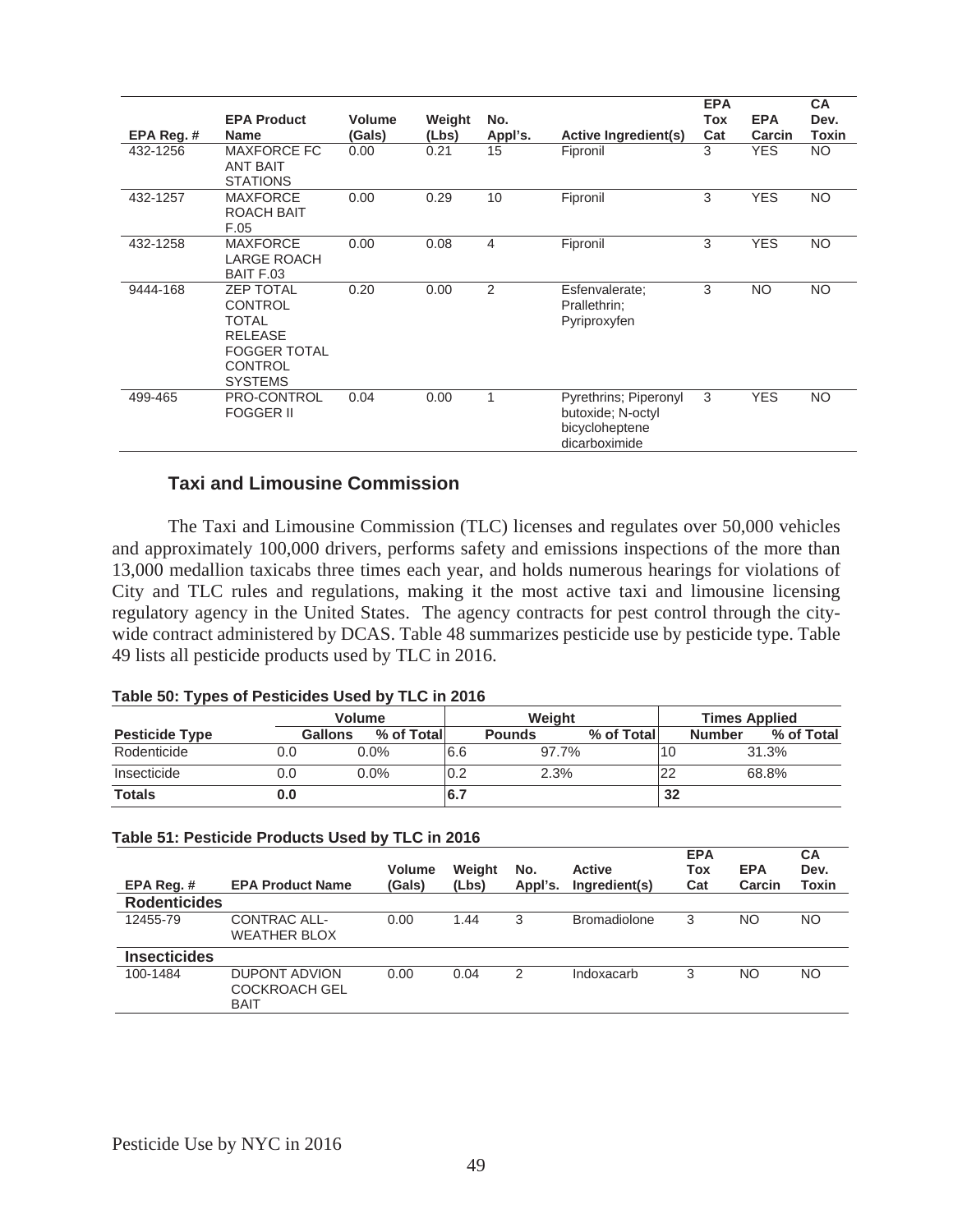| EPA Reg. # | <b>EPA Product</b><br><b>Name</b>                                                                                               | <b>Volume</b><br>(Gals) | Weight<br>(Lbs) | No.<br>Appl's. | <b>Active Ingredient(s)</b>                                                   | <b>EPA</b><br>Tox<br>Cat | <b>EPA</b><br>Carcin | <b>CA</b><br>Dev.<br>Toxin |
|------------|---------------------------------------------------------------------------------------------------------------------------------|-------------------------|-----------------|----------------|-------------------------------------------------------------------------------|--------------------------|----------------------|----------------------------|
| 432-1256   | <b>MAXFORCE FC</b><br><b>ANT BAIT</b><br><b>STATIONS</b>                                                                        | 0.00                    | 0.21            | 15             | Fipronil                                                                      | 3                        | <b>YES</b>           | <b>NO</b>                  |
| 432-1257   | <b>MAXFORCE</b><br>ROACH BAIT<br>F.05                                                                                           | 0.00                    | 0.29            | 10             | Fipronil                                                                      | 3                        | <b>YES</b>           | <b>NO</b>                  |
| 432-1258   | <b>MAXFORCE</b><br><b>LARGE ROACH</b><br>BAIT F.03                                                                              | 0.00                    | 0.08            | 4              | Fipronil                                                                      | 3                        | <b>YES</b>           | <b>NO</b>                  |
| 9444-168   | <b>ZEP TOTAL</b><br><b>CONTROL</b><br><b>TOTAL</b><br><b>RELEASE</b><br><b>FOGGER TOTAL</b><br><b>CONTROL</b><br><b>SYSTEMS</b> | 0.20                    | 0.00            | $\mathfrak{p}$ | Esfenvalerate;<br>Prallethrin:<br>Pyriproxyfen                                | 3                        | <b>NO</b>            | NO                         |
| 499-465    | PRO-CONTROL<br><b>FOGGER II</b>                                                                                                 | 0.04                    | 0.00            |                | Pyrethrins; Piperonyl<br>butoxide: N-octyl<br>bicycloheptene<br>dicarboximide | 3                        | <b>YES</b>           | <b>NO</b>                  |

### **Taxi and Limousine Commission**

 The Taxi and Limousine Commission (TLC) licenses and regulates over 50,000 vehicles and approximately 100,000 drivers, performs safety and emissions inspections of the more than 13,000 medallion taxicabs three times each year, and holds numerous hearings for violations of City and TLC rules and regulations, making it the most active taxi and limousine licensing regulatory agency in the United States. The agency contracts for pest control through the citywide contract administered by DCAS. Table 48 summarizes pesticide use by pesticide type. Table 49 lists all pesticide products used by TLC in 2016.

#### **Table 50: Types of Pesticides Used by TLC in 2016**

|                       |     | <b>Volume</b>                |     | Weiaht        |            |    | <b>Times Applied</b> |  |  |
|-----------------------|-----|------------------------------|-----|---------------|------------|----|----------------------|--|--|
| <b>Pesticide Type</b> |     | % of Total<br><b>Gallons</b> |     | <b>Pounds</b> | % of Total |    | % of Total<br>Number |  |  |
| Rodenticide           | 0.0 | $0.0\%$                      | 6.6 | 97.7%         |            | 10 | 31.3%                |  |  |
| Insecticide           | 0.0 | $0.0\%$                      | 0.2 | 2.3%          |            | 22 | 68.8%                |  |  |
| <b>Totals</b>         | 0.0 |                              | 6.7 |               |            | 32 |                      |  |  |

#### **Table 51: Pesticide Products Used by TLC in 2016**

| EPA Req.#           | <b>EPA Product Name</b>                              | <b>Volume</b><br>(Gals) | Weight<br>(Lbs) | No.<br>Appl's. | <b>Active</b><br>Ingredient(s) | <b>EPA</b><br><b>Tox</b><br>Cat | <b>EPA</b><br>Carcin | <b>CA</b><br>Dev.<br>Toxin |
|---------------------|------------------------------------------------------|-------------------------|-----------------|----------------|--------------------------------|---------------------------------|----------------------|----------------------------|
| <b>Rodenticides</b> |                                                      |                         |                 |                |                                |                                 |                      |                            |
| 12455-79            | CONTRAC ALL-<br><b>WEATHER BLOX</b>                  | 0.00                    | 1.44            | 3              | <b>Bromadiolone</b>            | 3                               | NO                   | <b>NO</b>                  |
| <b>Insecticides</b> |                                                      |                         |                 |                |                                |                                 |                      |                            |
| 100-1484            | DUPONT ADVION<br><b>COCKROACH GEL</b><br><b>BAIT</b> | 0.00                    | 0.04            | 2              | Indoxacarb                     | 3                               | NO                   | NO.                        |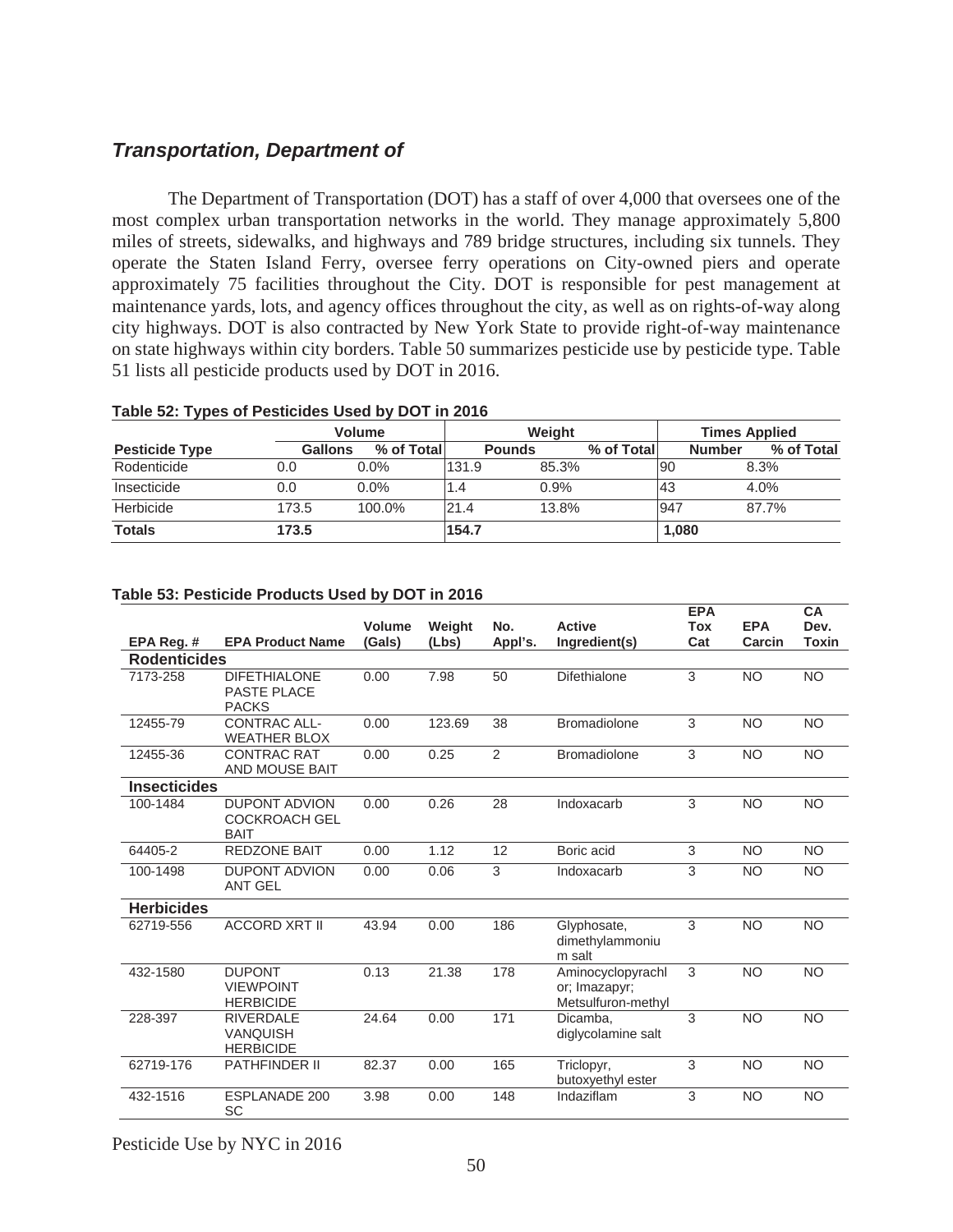## *Transportation, Department of*

The Department of Transportation (DOT) has a staff of over 4,000 that oversees one of the most complex urban transportation networks in the world. They manage approximately 5,800 miles of streets, sidewalks, and highways and 789 bridge structures, including six tunnels. They operate the Staten Island Ferry, oversee ferry operations on City-owned piers and operate approximately 75 facilities throughout the City. DOT is responsible for pest management at maintenance yards, lots, and agency offices throughout the city, as well as on rights-of-way along city highways. DOT is also contracted by New York State to provide right-of-way maintenance on state highways within city borders. Table 50 summarizes pesticide use by pesticide type. Table 51 lists all pesticide products used by DOT in 2016.

#### **Table 52: Types of Pesticides Used by DOT in 2016**

|                       |                | <b>Volume</b> | Weight        |       |             |           | <b>Times Applied</b> |            |  |
|-----------------------|----------------|---------------|---------------|-------|-------------|-----------|----------------------|------------|--|
| <b>Pesticide Type</b> | <b>Gallons</b> | % of Total    | <b>Pounds</b> |       | % of Totall |           | <b>Number</b>        | % of Total |  |
| Rodenticide           | 0.0            | $0.0\%$       | 131.9         | 85.3% |             | <b>90</b> |                      | 8.3%       |  |
| Insecticide           | 0.0            | $0.0\%$       | 1.4           | 0.9%  |             | l43       |                      | 4.0%       |  |
| Herbicide             | 173.5          | 100.0%        | 21.4          | 13.8% |             | 947       |                      | 87.7%      |  |
| <b>Totals</b>         | 173.5          |               | 154.7         |       |             | 1,080     |                      |            |  |

**EPA** 

#### **Table 53: Pesticide Products Used by DOT in 2016**

|                     |                                                             |                  |                 |                |                                                          | <b>EPA</b>        |                      | <b>CA</b>            |
|---------------------|-------------------------------------------------------------|------------------|-----------------|----------------|----------------------------------------------------------|-------------------|----------------------|----------------------|
| EPA Reg. #          | <b>EPA Product Name</b>                                     | Volume<br>(Gals) | Weight<br>(Lbs) | No.<br>Appl's. | <b>Active</b><br>Ingredient(s)                           | <b>Tox</b><br>Cat | <b>EPA</b><br>Carcin | Dev.<br><b>Toxin</b> |
| <b>Rodenticides</b> |                                                             |                  |                 |                |                                                          |                   |                      |                      |
|                     |                                                             |                  |                 |                |                                                          |                   |                      |                      |
| 7173-258            | <b>DIFETHIALONE</b><br><b>PASTE PLACE</b><br><b>PACKS</b>   | 0.00             | 7.98            | 50             | <b>Difethialone</b>                                      | 3                 | <b>NO</b>            | <b>NO</b>            |
| 12455-79            | <b>CONTRAC ALL-</b><br><b>WEATHER BLOX</b>                  | 0.00             | 123.69          | 38             | <b>Bromadiolone</b>                                      | 3                 | <b>NO</b>            | <b>NO</b>            |
| 12455-36            | <b>CONTRAC RAT</b><br>AND MOUSE BAIT                        | 0.00             | 0.25            | 2              | <b>Bromadiolone</b>                                      | 3                 | <b>NO</b>            | <b>NO</b>            |
| <b>Insecticides</b> |                                                             |                  |                 |                |                                                          |                   |                      |                      |
| 100-1484            | <b>DUPONT ADVION</b><br><b>COCKROACH GEL</b><br><b>BAIT</b> | 0.00             | 0.26            | 28             | Indoxacarb                                               | 3                 | <b>NO</b>            | <b>NO</b>            |
| 64405-2             | <b>REDZONE BAIT</b>                                         | 0.00             | 1.12            | 12             | Boric acid                                               | 3                 | <b>NO</b>            | <b>NO</b>            |
| 100-1498            | <b>DUPONT ADVION</b><br><b>ANT GEL</b>                      | 0.00             | 0.06            | 3              | Indoxacarb                                               | 3                 | <b>NO</b>            | <b>NO</b>            |
| <b>Herbicides</b>   |                                                             |                  |                 |                |                                                          |                   |                      |                      |
| 62719-556           | <b>ACCORD XRT II</b>                                        | 43.94            | 0.00            | 186            | Glyphosate,<br>dimethylammoniu<br>m salt                 | 3                 | <b>NO</b>            | <b>NO</b>            |
| 432-1580            | <b>DUPONT</b><br><b>VIEWPOINT</b><br><b>HERBICIDE</b>       | 0.13             | 21.38           | 178            | Aminocyclopyrachl<br>or; Imazapyr;<br>Metsulfuron-methyl | 3                 | <b>NO</b>            | <b>NO</b>            |
| 228-397             | <b>RIVERDALE</b><br><b>VANQUISH</b><br><b>HERBICIDE</b>     | 24.64            | 0.00            | 171            | Dicamba.<br>diglycolamine salt                           | 3                 | <b>NO</b>            | <b>NO</b>            |
| 62719-176           | <b>PATHFINDER II</b>                                        | 82.37            | 0.00            | 165            | Triclopyr,<br>butoxyethyl ester                          | 3                 | <b>NO</b>            | <b>NO</b>            |
| 432-1516            | <b>ESPLANADE 200</b><br>SC                                  | 3.98             | 0.00            | 148            | Indaziflam                                               | 3                 | <b>NO</b>            | <b>NO</b>            |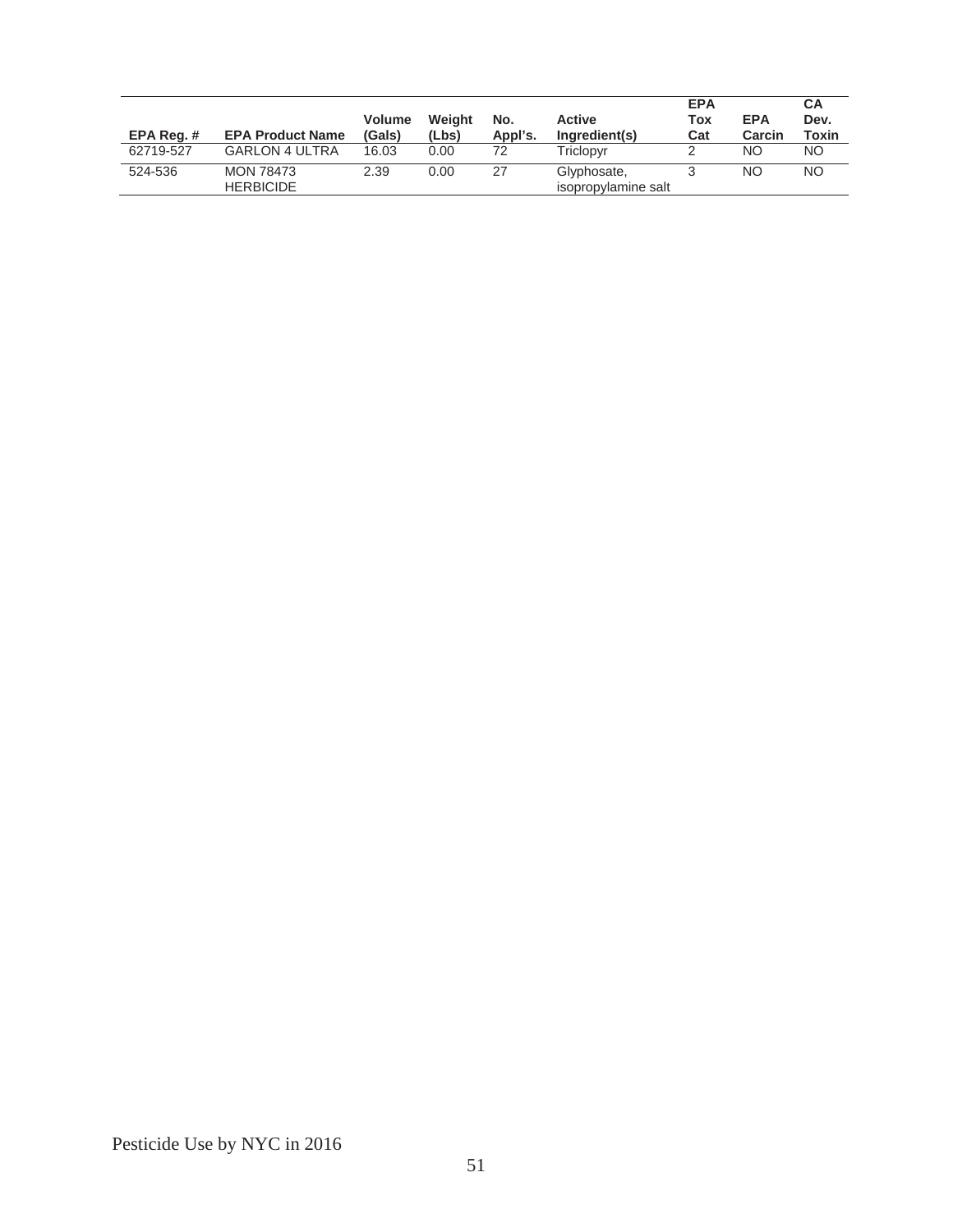| EPA Reg.# | <b>EPA Product Name</b>              | <b>Volume</b><br>(Gals) | Weight<br>(Lbs) | No.<br>Appl's. | <b>Active</b><br>Ingredient(s)     | <b>EPA</b><br>Tox<br>Cat | <b>EPA</b><br>Carcin | СA<br>Dev.<br>Toxin |
|-----------|--------------------------------------|-------------------------|-----------------|----------------|------------------------------------|--------------------------|----------------------|---------------------|
| 62719-527 | <b>GARLON 4 ULTRA</b>                | 16.03                   | 0.00            | 72             | Triclopvr                          |                          | NO                   | NO.                 |
| 524-536   | <b>MON 78473</b><br><b>HERBICIDE</b> | 2.39                    | 0.00            | 27             | Glyphosate,<br>isopropylamine salt |                          | NΟ                   | <b>NO</b>           |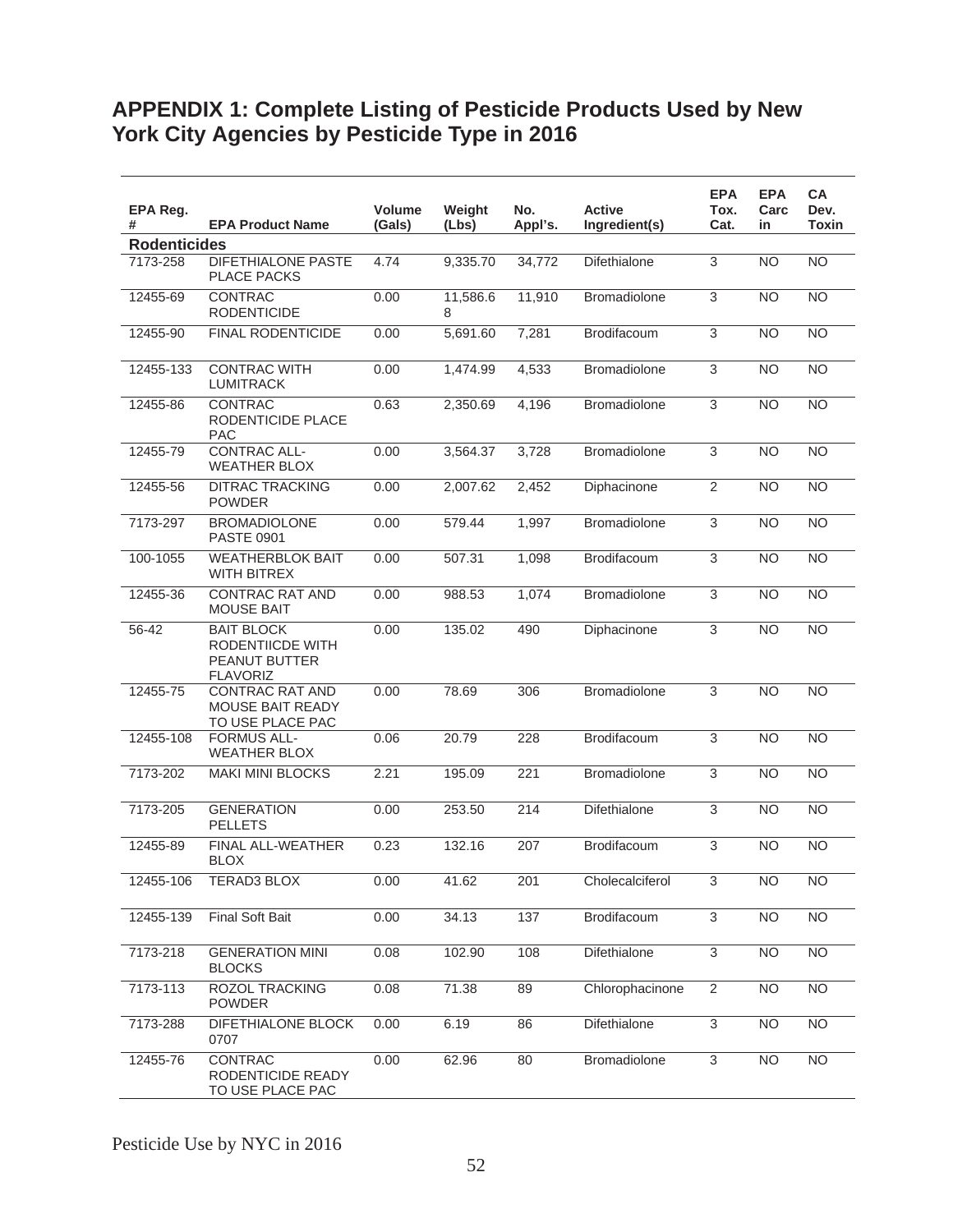# **APPENDIX 1: Complete Listing of Pesticide Products Used by New York City Agencies by Pesticide Type in 2016**

| EPA Reg.<br>#       | <b>EPA Product Name</b>                                                   | <b>Volume</b><br>(Gals) | Weight<br>(Lbs) | No.<br>Appl's.    | <b>Active</b><br>Ingredient(s) | <b>EPA</b><br>Tox.<br>Cat. | <b>EPA</b><br>Carc<br>in | <b>CA</b><br>Dev.<br><b>Toxin</b> |
|---------------------|---------------------------------------------------------------------------|-------------------------|-----------------|-------------------|--------------------------------|----------------------------|--------------------------|-----------------------------------|
| <b>Rodenticides</b> |                                                                           |                         |                 |                   |                                |                            |                          |                                   |
| 7173-258            | <b>DIFETHIALONE PASTE</b><br><b>PLACE PACKS</b>                           | 4.74                    | 9,335.70        | 34,772            | Difethialone                   | 3                          | <b>NO</b>                | <b>NO</b>                         |
| 12455-69            | CONTRAC<br><b>RODENTICIDE</b>                                             | 0.00                    | 11,586.6<br>8   | 11,910            | <b>Bromadiolone</b>            | 3                          | <b>NO</b>                | N <sub>O</sub>                    |
| 12455-90            | <b>FINAL RODENTICIDE</b>                                                  | 0.00                    | 5,691.60        | 7,281             | Brodifacoum                    | $\overline{3}$             | <b>NO</b>                | N <sub>O</sub>                    |
| 12455-133           | <b>CONTRAC WITH</b><br><b>LUMITRACK</b>                                   | 0.00                    | 1,474.99        | 4,533             | <b>Bromadiolone</b>            | 3                          | <b>NO</b>                | <b>NO</b>                         |
| 12455-86            | <b>CONTRAC</b><br>RODENTICIDE PLACE<br><b>PAC</b>                         | 0.63                    | 2,350.69        | 4,196             | <b>Bromadiolone</b>            | $\overline{3}$             | <b>NO</b>                | $\overline{NO}$                   |
| 12455-79            | <b>CONTRAC ALL-</b><br><b>WEATHER BLOX</b>                                | 0.00                    | 3,564.37        | 3,728             | <b>Bromadiolone</b>            | 3                          | <b>NO</b>                | <b>NO</b>                         |
| 12455-56            | <b>DITRAC TRACKING</b><br><b>POWDER</b>                                   | 0.00                    | 2,007.62        | 2,452             | Diphacinone                    | $\overline{2}$             | <b>NO</b>                | <b>NO</b>                         |
| 7173-297            | <b>BROMADIOLONE</b><br><b>PASTE 0901</b>                                  | 0.00                    | 579.44          | 1,997             | Bromadiolone                   | 3                          | <b>NO</b>                | <b>NO</b>                         |
| 100-1055            | <b>WEATHERBLOK BAIT</b><br><b>WITH BITREX</b>                             | 0.00                    | 507.31          | 1,098             | <b>Brodifacoum</b>             | 3                          | <b>NO</b>                | N <sub>O</sub>                    |
| 12455-36            | <b>CONTRAC RAT AND</b><br><b>MOUSE BAIT</b>                               | 0.00                    | 988.53          | 1,074             | Bromadiolone                   | 3                          | <b>NO</b>                | <b>NO</b>                         |
| 56-42               | <b>BAIT BLOCK</b><br>RODENTIICDE WITH<br>PEANUT BUTTER<br><b>FLAVORIZ</b> | 0.00                    | 135.02          | 490               | Diphacinone                    | $\sqrt{3}$                 | <b>NO</b>                | <b>NO</b>                         |
| 12455-75            | <b>CONTRAC RAT AND</b><br>MOUSE BAIT READY<br>TO USE PLACE PAC            | 0.00                    | 78.69           | 306               | <b>Bromadiolone</b>            | 3                          | <b>NO</b>                | <b>NO</b>                         |
| 12455-108           | <b>FORMUS ALL-</b><br><b>WEATHER BLOX</b>                                 | 0.06                    | 20.79           | 228               | <b>Brodifacoum</b>             | $\overline{3}$             | N <sub>O</sub>           | N <sub>O</sub>                    |
| 7173-202            | <b>MAKI MINI BLOCKS</b>                                                   | 2.21                    | 195.09          | 221               | Bromadiolone                   | 3                          | <b>NO</b>                | N <sub>O</sub>                    |
| 7173-205            | <b>GENERATION</b><br><b>PELLETS</b>                                       | 0.00                    | 253.50          | 214               | Difethialone                   | $\overline{3}$             | <b>NO</b>                | N <sub>O</sub>                    |
| 12455-89            | FINAL ALL-WEATHER<br><b>BLOX</b>                                          | 0.23                    | 132.16          | 207               | Brodifacoum                    | 3                          | <b>NO</b>                | <b>NO</b>                         |
| 12455-106           | <b>TERAD3 BLOX</b>                                                        | 0.00                    | 41.62           | 201               | Cholecalciferol                | 3                          | <b>NO</b>                | N <sub>O</sub>                    |
| 12455-139           | <b>Final Soft Bait</b>                                                    | 0.00                    | 34.13           | $\frac{137}{137}$ | Brodifacoum                    | $\overline{3}$             | N <sub>O</sub>           | N <sub>O</sub>                    |
| 7173-218            | <b>GENERATION MINI</b><br><b>BLOCKS</b>                                   | 0.08                    | 102.90          | 108               | Difethialone                   | $\overline{3}$             | NO                       | <b>NO</b>                         |
| 7173-113            | ROZOL TRACKING<br><b>POWDER</b>                                           | 0.08                    | 71.38           | 89                | Chlorophacinone                | $\overline{2}$             | <b>NO</b>                | <b>NO</b>                         |
| 7173-288            | DIFETHIALONE BLOCK<br>0707                                                | 0.00                    | 6.19            | 86                | Difethialone                   | $\overline{3}$             | <b>NO</b>                | <b>NO</b>                         |
| 12455-76            | <b>CONTRAC</b><br>RODENTICIDE READY<br>TO USE PLACE PAC                   | 0.00                    | 62.96           | 80                | Bromadiolone                   | 3                          | <b>NO</b>                | <b>NO</b>                         |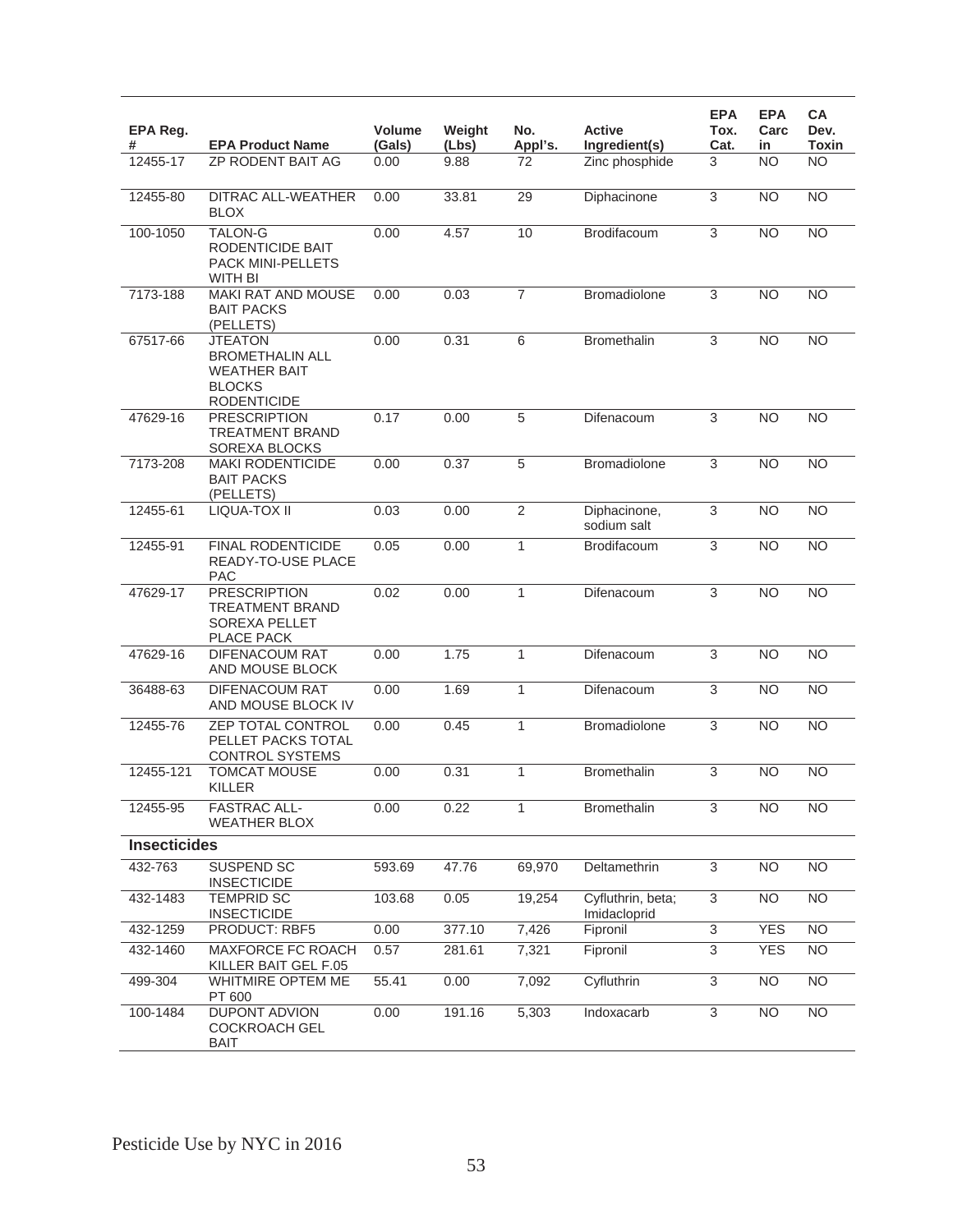| EPA Reg.<br>#       | <b>EPA Product Name</b>                                                                                | <b>Volume</b><br>(Gals) | Weight<br>(Lbs) | No.<br>Appl's. | <b>Active</b><br>Ingredient(s)    | <b>EPA</b><br>Tox.<br>Cat. | <b>EPA</b><br>Carc<br>in. | СA<br>Dev.<br><b>Toxin</b> |
|---------------------|--------------------------------------------------------------------------------------------------------|-------------------------|-----------------|----------------|-----------------------------------|----------------------------|---------------------------|----------------------------|
| 12455-17            | <b>ZP RODENT BAIT AG</b>                                                                               | 0.00                    | 9.88            | 72             | Zinc phosphide                    | 3                          | <b>NO</b>                 | <b>NO</b>                  |
| 12455-80            | <b>DITRAC ALL-WEATHER</b><br>BLOX                                                                      | 0.00                    | 33.81           | 29             | Diphacinone                       | 3                          | <b>NO</b>                 | <b>NO</b>                  |
| 100-1050            | <b>TALON-G</b><br>RODENTICIDE BAIT<br>PACK MINI-PELLETS<br>WITH BI                                     | 0.00                    | 4.57            | 10             | Brodifacoum                       | $\overline{3}$             | <b>NO</b>                 | $\overline{NO}$            |
| 7173-188            | <b>MAKI RAT AND MOUSE</b><br><b>BAIT PACKS</b><br>(PELLETS)                                            | 0.00                    | 0.03            | $\overline{7}$ | <b>Bromadiolone</b>               | 3                          | <b>NO</b>                 | <b>NO</b>                  |
| 67517-66            | <b>JTEATON</b><br><b>BROMETHALIN ALL</b><br><b>WEATHER BAIT</b><br><b>BLOCKS</b><br><b>RODENTICIDE</b> | 0.00                    | 0.31            | 6              | <b>Bromethalin</b>                | 3                          | <b>NO</b>                 | <b>NO</b>                  |
| 47629-16            | <b>PRESCRIPTION</b><br><b>TREATMENT BRAND</b><br>SOREXA BLOCKS                                         | 0.17                    | 0.00            | 5              | Difenacoum                        | $\overline{3}$             | <b>NO</b>                 | <b>NO</b>                  |
| 7173-208            | <b>MAKI RODENTICIDE</b><br><b>BAIT PACKS</b><br>(PELLETS)                                              | 0.00                    | 0.37            | 5              | Bromadiolone                      | 3                          | <b>NO</b>                 | <b>NO</b>                  |
| 12455-61            | <b>LIQUA-TOX II</b>                                                                                    | 0.03                    | 0.00            | $\overline{2}$ | Diphacinone,<br>sodium salt       | $\overline{3}$             | <b>NO</b>                 | $\overline{NO}$            |
| 12455-91            | <b>FINAL RODENTICIDE</b><br>READY-TO-USE PLACE<br><b>PAC</b>                                           | 0.05                    | 0.00            | $\mathbf{1}$   | Brodifacoum                       | 3                          | NO                        | $\overline{NO}$            |
| 47629-17            | <b>PRESCRIPTION</b><br>TREATMENT BRAND<br><b>SOREXA PELLET</b><br>PLACE PACK                           | 0.02                    | 0.00            | $\mathbf{1}$   | Difenacoum                        | 3                          | <b>NO</b>                 | <b>NO</b>                  |
| 47629-16            | DIFENACOUM RAT<br>AND MOUSE BLOCK                                                                      | 0.00                    | 1.75            | $\mathbf{1}$   | Difenacoum                        | 3                          | <b>NO</b>                 | <b>NO</b>                  |
| 36488-63            | DIFENACOUM RAT<br>AND MOUSE BLOCK IV                                                                   | 0.00                    | 1.69            | 1              | Difenacoum                        | 3                          | <b>NO</b>                 | <b>NO</b>                  |
| 12455-76            | <b>ZEP TOTAL CONTROL</b><br>PELLET PACKS TOTAL<br><b>CONTROL SYSTEMS</b>                               | 0.00                    | 0.45            | $\mathbf{1}$   | Bromadiolone                      | 3                          | <b>NO</b>                 | <b>NO</b>                  |
| 12455-121           | <b>TOMCAT MOUSE</b><br><b>KILLER</b>                                                                   | 0.00                    | 0.31            | $\mathbf{1}$   | <b>Bromethalin</b>                | 3                          | <b>NO</b>                 | <b>NO</b>                  |
| 12455-95            | <b>FASTRAC ALL-</b><br><b>WEATHER BLOX</b>                                                             | 0.00                    | 0.22            | 1              | <b>Bromethalin</b>                | 3                          | <b>NO</b>                 | <b>NO</b>                  |
| <b>Insecticides</b> |                                                                                                        |                         |                 |                |                                   |                            |                           |                            |
| 432-763             | SUSPEND SC<br><b>INSECTICIDE</b>                                                                       | 593.69                  | 47.76           | 69,970         | Deltamethrin                      | 3                          | <b>NO</b>                 | <b>NO</b>                  |
| 432-1483            | <b>TEMPRID SC</b><br><b>INSECTICIDE</b>                                                                | 103.68                  | 0.05            | 19,254         | Cyfluthrin, beta;<br>Imidacloprid | $\overline{3}$             | <b>NO</b>                 | $\overline{NO}$            |
| 432-1259            | PRODUCT: RBF5                                                                                          | 0.00                    | 377.10          | 7,426          | Fipronil                          | $\overline{3}$             | <b>YES</b>                | <b>NO</b>                  |
| 432-1460            | MAXFORCE FC ROACH<br>KILLER BAIT GEL F.05                                                              | 0.57                    | 281.61          | 7,321          | Fipronil                          | 3                          | <b>YES</b>                | NO.                        |
| 499-304             | WHITMIRE OPTEM ME<br>PT 600                                                                            | $\overline{5}5.41$      | 0.00            | 7,092          | Cyfluthrin                        | 3                          | <b>NO</b>                 | <b>NO</b>                  |
| 100-1484            | <b>DUPONT ADVION</b><br><b>COCKROACH GEL</b><br><b>BAIT</b>                                            | 0.00                    | 191.16          | 5,303          | Indoxacarb                        | $\overline{3}$             | <b>NO</b>                 | N <sub>O</sub>             |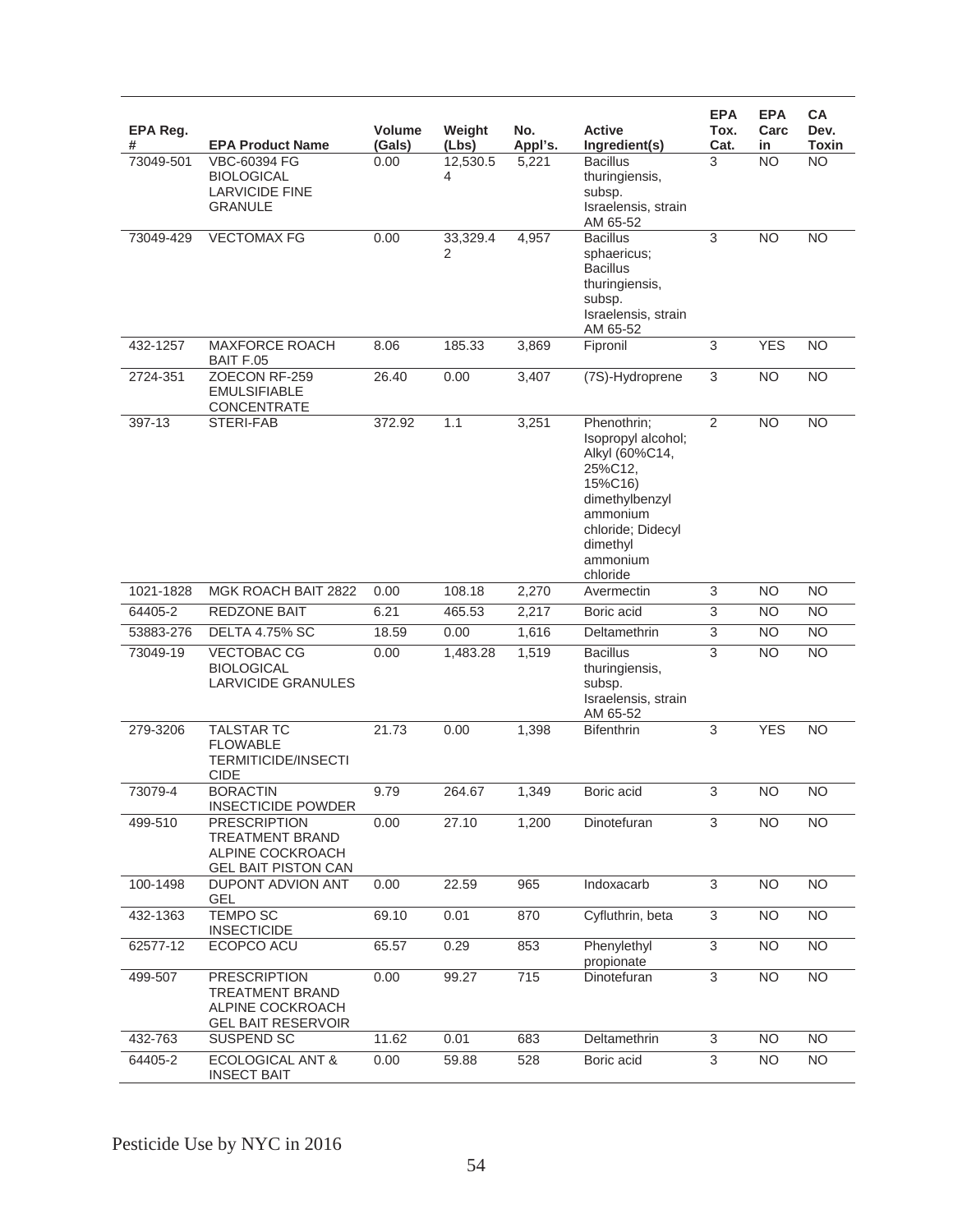| EPA Reg.<br># | <b>EPA Product Name</b>                                                                         | <b>Volume</b><br>(Gals) | Weight<br>(Lbs)            | No.<br>Appl's.     | <b>Active</b><br>Ingredient(s)                                                                                                                                   | <b>EPA</b><br>Tox.<br>Cat. | <b>EPA</b><br>Carc<br>in | CA<br>Dev.<br><b>Toxin</b> |
|---------------|-------------------------------------------------------------------------------------------------|-------------------------|----------------------------|--------------------|------------------------------------------------------------------------------------------------------------------------------------------------------------------|----------------------------|--------------------------|----------------------------|
| 73049-501     | VBC-60394 FG<br><b>BIOLOGICAL</b><br><b>LARVICIDE FINE</b><br><b>GRANULE</b>                    | 0.00                    | $\overline{12,530.5}$<br>4 | 5,221              | <b>Bacillus</b><br>thuringiensis,<br>subsp.<br>Israelensis, strain<br>AM 65-52                                                                                   | 3                          | <b>NO</b>                | <b>NO</b>                  |
| 73049-429     | <b>VECTOMAX FG</b>                                                                              | 0.00                    | 33,329.4<br>2              | 4,957              | <b>Bacillus</b><br>sphaericus;<br><b>Bacillus</b><br>thuringiensis,<br>subsp.<br>Israelensis, strain<br>AM 65-52                                                 | $\overline{3}$             | $\overline{NO}$          | $\overline{NO}$            |
| 432-1257      | <b>MAXFORCE ROACH</b><br>BAIT F.05                                                              | 8.06                    | 185.33                     | 3,869              | Fipronil                                                                                                                                                         | $\sqrt{3}$                 | <b>YES</b>               | <b>NO</b>                  |
| 2724-351      | ZOECON RF-259<br><b>EMULSIFIABLE</b><br><b>CONCENTRATE</b>                                      | 26.40                   | 0.00                       | $\overline{3,}407$ | (7S)-Hydroprene                                                                                                                                                  | $\overline{3}$             | $\overline{NO}$          | <b>NO</b>                  |
| 397-13        | STERI-FAB                                                                                       | 372.92                  | 1.1                        | 3,251              | Phenothrin;<br>Isopropyl alcohol;<br>Alkyl (60%C14,<br>25%C12.<br>15%C16)<br>dimethylbenzyl<br>ammonium<br>chloride; Didecyl<br>dimethyl<br>ammonium<br>chloride | $\overline{2}$             | <b>NO</b>                | <b>NO</b>                  |
| 1021-1828     | MGK ROACH BAIT 2822                                                                             | 0.00                    | 108.18                     | 2,270              | Avermectin                                                                                                                                                       | $\sqrt{3}$                 | <b>NO</b>                | <b>NO</b>                  |
| 64405-2       | <b>REDZONE BAIT</b>                                                                             | 6.21                    | 465.53                     | 2,217              | Boric acid                                                                                                                                                       | 3                          | <b>NO</b>                | $\overline{NO}$            |
| 53883-276     | <b>DELTA 4.75% SC</b>                                                                           | 18.59                   | 0.00                       | 1,616              | Deltamethrin                                                                                                                                                     | $\ensuremath{\mathsf{3}}$  | <b>NO</b>                | $\overline{NO}$            |
| 73049-19      | <b>VECTOBAC CG</b><br><b>BIOLOGICAL</b><br><b>LARVICIDE GRANULES</b>                            | 0.00                    | 1,483.28                   | 1,519              | <b>Bacillus</b><br>thuringiensis,<br>subsp.<br>Israelensis, strain<br>AM 65-52                                                                                   | 3                          | <b>NO</b>                | <b>NO</b>                  |
| 279-3206      | <b>TALSTAR TC</b><br><b>FLOWABLE</b><br><b>TERMITICIDE/INSECTI</b><br><b>CIDE</b>               | 21.73                   | 0.00                       | 1,398              | <b>Bifenthrin</b>                                                                                                                                                | 3                          | <b>YES</b>               | <b>NO</b>                  |
| 73079-4       | <b>BORACTIN</b><br><b>INSECTICIDE POWDER</b>                                                    | 9.79                    | 264.67                     | 1,349              | Boric acid                                                                                                                                                       | 3                          | $\overline{NO}$          | <b>NO</b>                  |
| 499-510       | <b>PRESCRIPTION</b><br><b>TREATMENT BRAND</b><br>ALPINE COCKROACH<br><b>GEL BAIT PISTON CAN</b> | 0.00                    | 27.10                      | 1,200              | Dinotefuran                                                                                                                                                      | 3                          | <b>NO</b>                | <b>NO</b>                  |
| 100-1498      | DUPONT ADVION ANT<br><b>GEL</b>                                                                 | 0.00                    | 22.59                      | 965                | Indoxacarb                                                                                                                                                       | $\sqrt{3}$                 | <b>NO</b>                | <b>NO</b>                  |
| 432-1363      | <b>TEMPO SC</b><br><b>INSECTICIDE</b>                                                           | 69.10                   | 0.01                       | 870                | Cyfluthrin, beta                                                                                                                                                 | 3                          | <b>NO</b>                | <b>NO</b>                  |
| 62577-12      | ECOPCO ACU                                                                                      | 65.57                   | 0.29                       | 853                | Phenylethyl<br>propionate                                                                                                                                        | $\overline{3}$             | <b>NO</b>                | $\overline{NO}$            |
| 499-507       | <b>PRESCRIPTION</b><br><b>TREATMENT BRAND</b><br>ALPINE COCKROACH<br><b>GEL BAIT RESERVOIR</b>  | 0.00                    | 99.27                      | 715                | Dinotefuran                                                                                                                                                      | $\overline{3}$             | <b>NO</b>                | N <sub>O</sub>             |
| 432-763       | SUSPEND SC                                                                                      | 11.62                   | 0.01                       | 683                | Deltamethrin                                                                                                                                                     | $\sqrt{3}$                 | <b>NO</b>                | <b>NO</b>                  |
| 64405-2       | <b>ECOLOGICAL ANT &amp;</b><br><b>INSECT BAIT</b>                                               | 0.00                    | 59.88                      | 528                | Boric acid                                                                                                                                                       | 3                          | <b>NO</b>                | <b>NO</b>                  |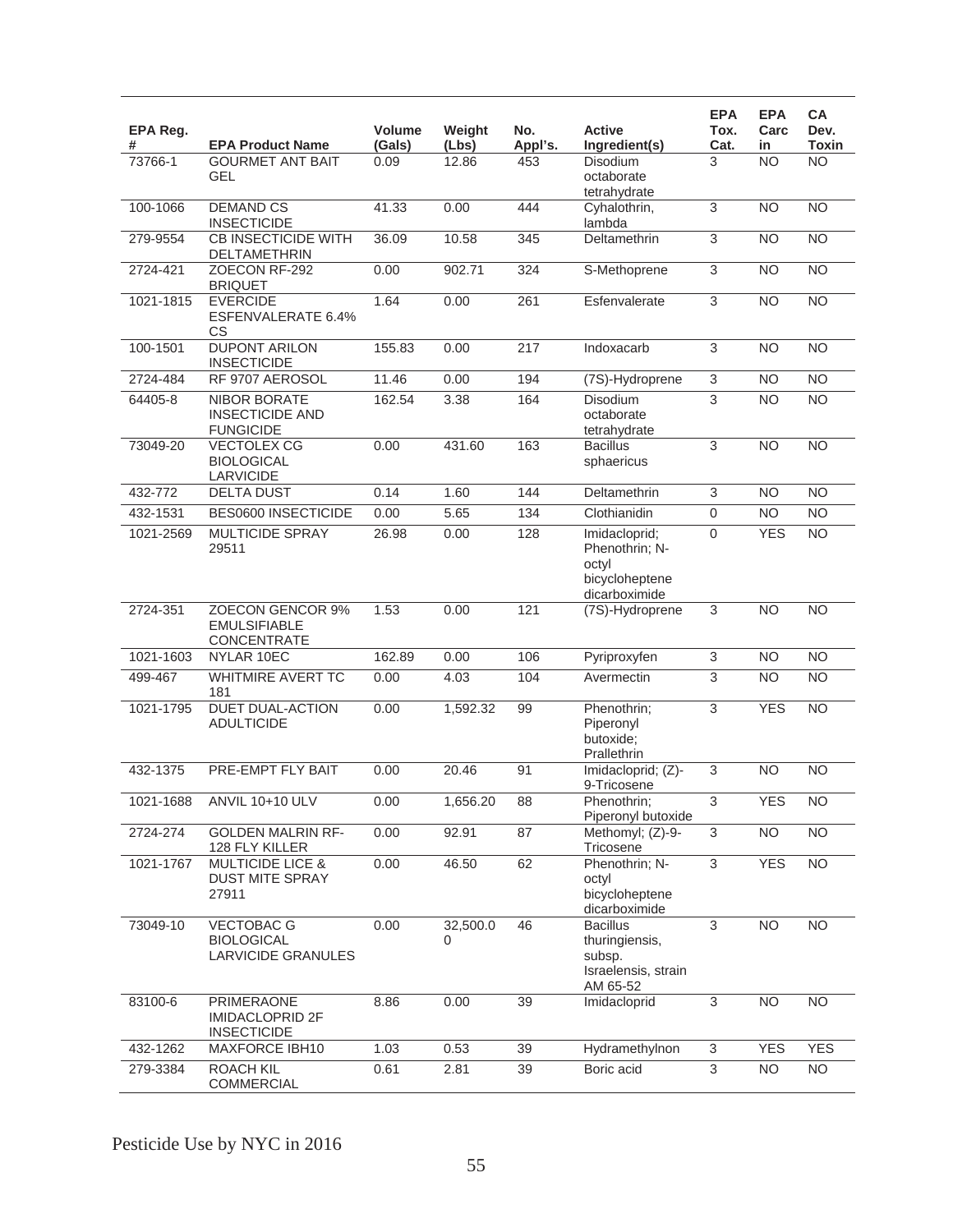| EPA Reg.<br># | <b>EPA Product Name</b>                                              | <b>Volume</b><br>(Gals) | Weight<br>(Lbs) | No.<br>Appl's. | <b>Active</b><br>Ingredient(s)                                                 | <b>EPA</b><br>Tox.<br>Cat. | <b>EPA</b><br>Carc<br>in | СA<br>Dev.<br><b>Toxin</b> |
|---------------|----------------------------------------------------------------------|-------------------------|-----------------|----------------|--------------------------------------------------------------------------------|----------------------------|--------------------------|----------------------------|
| 73766-1       | <b>GOURMET ANT BAIT</b><br><b>GEL</b>                                | 0.09                    | 12.86           | 453            | Disodium<br>octaborate<br>tetrahydrate                                         | 3                          | <b>NO</b>                | <b>NO</b>                  |
| 100-1066      | <b>DEMAND CS</b><br><b>INSECTICIDE</b>                               | 41.33                   | 0.00            | 444            | Cyhalothrin,<br>lambda                                                         | $\overline{3}$             | <b>NO</b>                | <b>NO</b>                  |
| 279-9554      | <b>CB INSECTICIDE WITH</b><br>DELTAMETHRIN                           | 36.09                   | 10.58           | 345            | Deltamethrin                                                                   | $\overline{3}$             | $\overline{NO}$          | $\overline{NO}$            |
| 2724-421      | ZOECON RF-292<br><b>BRIQUET</b>                                      | 0.00                    | 902.71          | 324            | S-Methoprene                                                                   | 3                          | <b>NO</b>                | <b>NO</b>                  |
| 1021-1815     | <b>EVERCIDE</b><br>ESFENVALERATE 6.4%<br>СS                          | 1.64                    | 0.00            | 261            | Esfenvalerate                                                                  | 3                          | <b>NO</b>                | $\overline{NO}$            |
| 100-1501      | <b>DUPONT ARILON</b><br><b>INSECTICIDE</b>                           | 155.83                  | 0.00            | 217            | Indoxacarb                                                                     | 3                          | <b>NO</b>                | <b>NO</b>                  |
| 2724-484      | RF 9707 AEROSOL                                                      | 11.46                   | 0.00            | 194            | (7S)-Hydroprene                                                                | 3                          | <b>NO</b>                | <b>NO</b>                  |
| 64405-8       | <b>NIBOR BORATE</b><br><b>INSECTICIDE AND</b><br><b>FUNGICIDE</b>    | 162.54                  | 3.38            | 164            | Disodium<br>octaborate<br>tetrahydrate                                         | 3                          | <b>NO</b>                | <b>NO</b>                  |
| 73049-20      | <b>VECTOLEX CG</b><br><b>BIOLOGICAL</b><br><b>LARVICIDE</b>          | 0.00                    | 431.60          | 163            | <b>Bacillus</b><br>sphaericus                                                  | 3                          | <b>NO</b>                | <b>NO</b>                  |
| 432-772       | <b>DELTA DUST</b>                                                    | 0.14                    | 1.60            | 144            | Deltamethrin                                                                   | $\overline{3}$             | N <sub>O</sub>           | <b>NO</b>                  |
| 432-1531      | <b>BES0600 INSECTICIDE</b>                                           | 0.00                    | 5.65            | 134            | Clothianidin                                                                   | $\overline{0}$             | <b>NO</b>                | <b>NO</b>                  |
| 1021-2569     | <b>MULTICIDE SPRAY</b><br>29511                                      | 26.98                   | 0.00            | 128            | Imidacloprid;<br>Phenothrin; N-<br>octyl<br>bicycloheptene<br>dicarboximide    | 0                          | <b>YES</b>               | <b>NO</b>                  |
| 2724-351      | <b>ZOECON GENCOR 9%</b><br><b>EMULSIFIABLE</b><br><b>CONCENTRATE</b> | 1.53                    | 0.00            | 121            | (7S)-Hydroprene                                                                | 3                          | <b>NO</b>                | $\overline{NO}$            |
| 1021-1603     | NYLAR 10EC                                                           | 162.89                  | 0.00            | 106            | Pyriproxyfen                                                                   | $\overline{3}$             | $\overline{NO}$          | $\overline{NO}$            |
| 499-467       | <b>WHITMIRE AVERT TC</b><br>181                                      | 0.00                    | 4.03            | 104            | Avermectin                                                                     | 3                          | <b>NO</b>                | $\overline{NO}$            |
| 1021-1795     | <b>DUET DUAL-ACTION</b><br><b>ADULTICIDE</b>                         | 0.00                    | 1,592.32        | 99             | Phenothrin;<br>Piperonyl<br>butoxide:<br>Prallethrin                           | 3                          | <b>YES</b>               | <b>NO</b>                  |
| 432-1375      | PRE-EMPT FLY BAIT                                                    | 0.00                    | 20.46           | 91             | Imidacloprid; (Z)-<br>9-Tricosene                                              | 3                          | <b>NO</b>                | $\overline{NO}$            |
| 1021-1688     | <b>ANVIL 10+10 ULV</b>                                               | 0.00                    | 1,656.20        | 88             | Phenothrin;<br>Piperonyl butoxide                                              | $\overline{3}$             | <b>YES</b>               | $\overline{NO}$            |
| 2724-274      | <b>GOLDEN MALRIN RF-</b><br>128 FLY KILLER                           | 0.00                    | 92.91           | 87             | Methomyl; (Z)-9-<br>Tricosene                                                  | 3                          | <b>NO</b>                | <b>NO</b>                  |
| 1021-1767     | <b>MULTICIDE LICE &amp;</b><br>DUST MITE SPRAY<br>27911              | 0.00                    | 46.50           | 62             | Phenothrin: N-<br>octyl<br>bicycloheptene<br>dicarboximide                     | $\overline{3}$             | <b>YES</b>               | $\overline{NO}$            |
| 73049-10      | <b>VECTOBAC G</b><br><b>BIOLOGICAL</b><br><b>LARVICIDE GRANULES</b>  | 0.00                    | 32,500.0<br>0   | 46             | <b>Bacillus</b><br>thuringiensis,<br>subsp.<br>Israelensis, strain<br>AM 65-52 | 3                          | N <sub>O</sub>           | <b>NO</b>                  |
| 83100-6       | PRIMERAONE<br>IMIDACLOPRID 2F<br><b>INSECTICIDE</b>                  | 8.86                    | 0.00            | 39             | Imidacloprid                                                                   | $\overline{3}$             | $\overline{NO}$          | $\overline{NO}$            |
| 432-1262      | MAXFORCE IBH10                                                       | 1.03                    | 0.53            | 39             | Hydramethylnon                                                                 | 3                          | <b>YES</b>               | <b>YES</b>                 |
| 279-3384      | <b>ROACH KIL</b><br><b>COMMERCIAL</b>                                | 0.61                    | 2.81            | 39             | Boric acid                                                                     | 3                          | <b>NO</b>                | <b>NO</b>                  |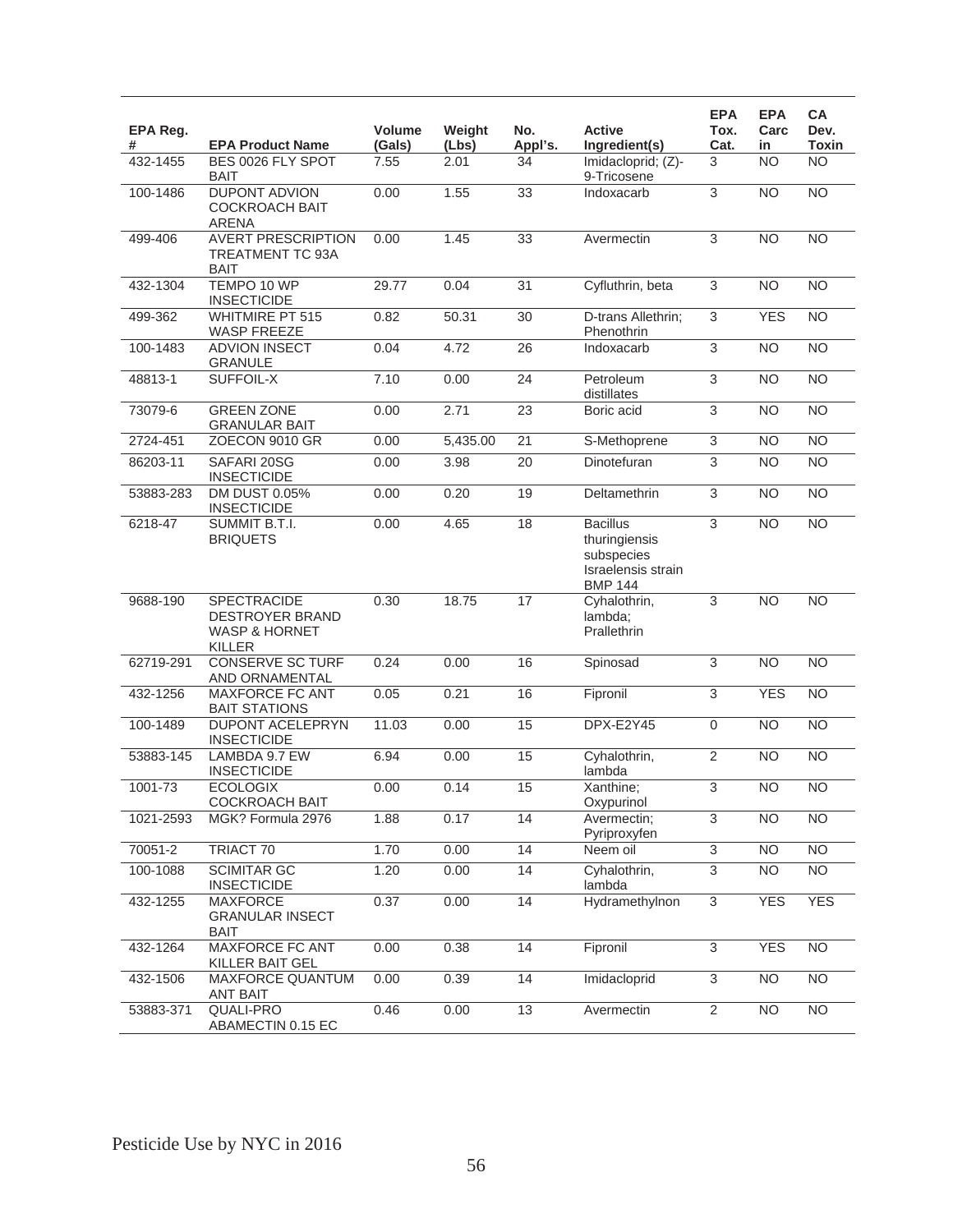| EPA Reg.<br># | <b>EPA Product Name</b>                                                            | <b>Volume</b><br>(Gals) | Weight<br>(Lbs) | No.<br>Appl's.  | <b>Active</b><br>Ingredient(s)                                                         | <b>EPA</b><br>Tox.<br>Cat. | <b>EPA</b><br>Carc<br>in | CA<br>Dev.<br><b>Toxin</b> |
|---------------|------------------------------------------------------------------------------------|-------------------------|-----------------|-----------------|----------------------------------------------------------------------------------------|----------------------------|--------------------------|----------------------------|
| 432-1455      | BES 0026 FLY SPOT<br><b>BAIT</b>                                                   | 7.55                    | 2.01            | 34              | Imidacloprid; (Z)-<br>9-Tricosene                                                      | 3                          | <b>NO</b>                | N <sub>O</sub>             |
| 100-1486      | <b>DUPONT ADVION</b><br><b>COCKROACH BAIT</b><br><b>ARENA</b>                      | 0.00                    | 1.55            | 33              | Indoxacarb                                                                             | $\overline{3}$             | $\overline{NO}$          | $\overline{NO}$            |
| 499-406       | <b>AVERT PRESCRIPTION</b><br>TREATMENT TC 93A<br><b>BAIT</b>                       | 0.00                    | 1.45            | $\overline{33}$ | Avermectin                                                                             | 3                          | $\overline{NO}$          | $\overline{NO}$            |
| 432-1304      | TEMPO 10 WP<br><b>INSECTICIDE</b>                                                  | 29.77                   | 0.04            | $\overline{31}$ | Cyfluthrin, beta                                                                       | $\overline{3}$             | NO                       | NO                         |
| 499-362       | <b>WHITMIRE PT 515</b><br><b>WASP FREEZE</b>                                       | 0.82                    | 50.31           | 30              | D-trans Allethrin;<br>Phenothrin                                                       | $\overline{3}$             | <b>YES</b>               | N <sub>O</sub>             |
| 100-1483      | <b>ADVION INSECT</b><br><b>GRANULE</b>                                             | 0.04                    | 4.72            | $\overline{26}$ | Indoxacarb                                                                             | $\overline{3}$             | $\overline{NO}$          | N <sub>O</sub>             |
| 48813-1       | SUFFOIL-X                                                                          | 7.10                    | 0.00            | 24              | Petroleum<br>distillates                                                               | $\overline{3}$             | N <sub>O</sub>           | NO                         |
| 73079-6       | <b>GREEN ZONE</b><br><b>GRANULAR BAIT</b>                                          | 0.00                    | 2.71            | 23              | Boric acid                                                                             | 3                          | <b>NO</b>                | N <sub>O</sub>             |
| 2724-451      | ZOECON 9010 GR                                                                     | 0.00                    | 5,435.00        | $\overline{21}$ | S-Methoprene                                                                           | $\overline{3}$             | <b>NO</b>                | <b>NO</b>                  |
| 86203-11      | SAFARI 20SG<br><b>INSECTICIDE</b>                                                  | 0.00                    | 3.98            | $\overline{20}$ | Dinotefuran                                                                            | $\overline{3}$             | $\overline{NO}$          | N <sub>O</sub>             |
| 53883-283     | DM DUST 0.05%<br><b>INSECTICIDE</b>                                                | 0.00                    | 0.20            | 19              | Deltamethrin                                                                           | $\overline{3}$             | <b>NO</b>                | <b>NO</b>                  |
| 6218-47       | SUMMIT B.T.I.<br><b>BRIQUETS</b>                                                   | 0.00                    | 4.65            | 18              | <b>Bacillus</b><br>thuringiensis<br>subspecies<br>Israelensis strain<br><b>BMP 144</b> | 3                          | <b>NO</b>                | N <sub>O</sub>             |
| 9688-190      | SPECTRACIDE<br><b>DESTROYER BRAND</b><br><b>WASP &amp; HORNET</b><br><b>KILLER</b> | 0.30                    | 18.75           | $\overline{17}$ | Cyhalothrin,<br>lambda:<br>Prallethrin                                                 | $\overline{3}$             | $\overline{NO}$          | NO                         |
| 62719-291     | <b>CONSERVE SC TURF</b><br>AND ORNAMENTAL                                          | 0.24                    | 0.00            | 16              | Spinosad                                                                               | $\overline{3}$             | N <sub>O</sub>           | N <sub>O</sub>             |
| 432-1256      | <b>MAXFORCE FC ANT</b><br><b>BAIT STATIONS</b>                                     | 0.05                    | 0.21            | 16              | Fipronil                                                                               | $\overline{3}$             | <b>YES</b>               | NO                         |
| 100-1489      | <b>DUPONT ACELEPRYN</b><br><b>INSECTICIDE</b>                                      | 11.03                   | 0.00            | 15              | <b>DPX-E2Y45</b>                                                                       | $\mathbf 0$                | <b>NO</b>                | N <sub>O</sub>             |
| 53883-145     | LAMBDA 9.7 EW<br><b>INSECTICIDE</b>                                                | 6.94                    | 0.00            | 15              | Cyhalothrin,<br>lambda                                                                 | $\overline{2}$             | <b>NO</b>                | <b>NO</b>                  |
| 1001-73       | <b>ECOLOGIX</b><br><b>COCKROACH BAIT</b>                                           | 0.00                    | 0.14            | $\overline{15}$ | Xanthine;<br>Oxypurinol                                                                | $\overline{3}$             | N <sub>O</sub>           | N <sub>O</sub>             |
| 1021-2593     | MGK? Formula 2976                                                                  | 1.88                    | 0.17            | 14              | Avermectin;<br>Pyriproxyfen                                                            | $\overline{3}$             | <b>NO</b>                | <b>NO</b>                  |
| 70051-2       | TRIACT 70                                                                          | 1.70                    | 0.00            | 14              | Neem oil                                                                               | $\overline{3}$             | <b>NO</b>                | <b>NO</b>                  |
| 100-1088      | <b>SCIMITAR GC</b><br><b>INSECTICIDE</b>                                           | 1.20                    | 0.00            | 14              | Cyhalothrin,<br>lambda                                                                 | $\ensuremath{\mathsf{3}}$  | N <sub>O</sub>           | <b>NO</b>                  |
| 432-1255      | <b>MAXFORCE</b><br><b>GRANULAR INSECT</b><br><b>BAIT</b>                           | 0.37                    | 0.00            | $\overline{14}$ | Hydramethylnon                                                                         | $\overline{3}$             | <b>YES</b>               | <b>YES</b>                 |
| 432-1264      | MAXFORCE FC ANT<br>KILLER BAIT GEL                                                 | 0.00                    | 0.38            | 14              | Fipronil                                                                               | $\overline{3}$             | <b>YES</b>               | <b>NO</b>                  |
| 432-1506      | <b>MAXFORCE QUANTUM</b><br><b>ANT BAIT</b>                                         | 0.00                    | 0.39            | 14              | Imidacloprid                                                                           | $\ensuremath{\mathsf{3}}$  | <b>NO</b>                | <b>NO</b>                  |
| 53883-371     | QUALI-PRO<br>ABAMECTIN 0.15 EC                                                     | 0.46                    | 0.00            | 13              | Avermectin                                                                             | $\overline{2}$             | <b>NO</b>                | <b>NO</b>                  |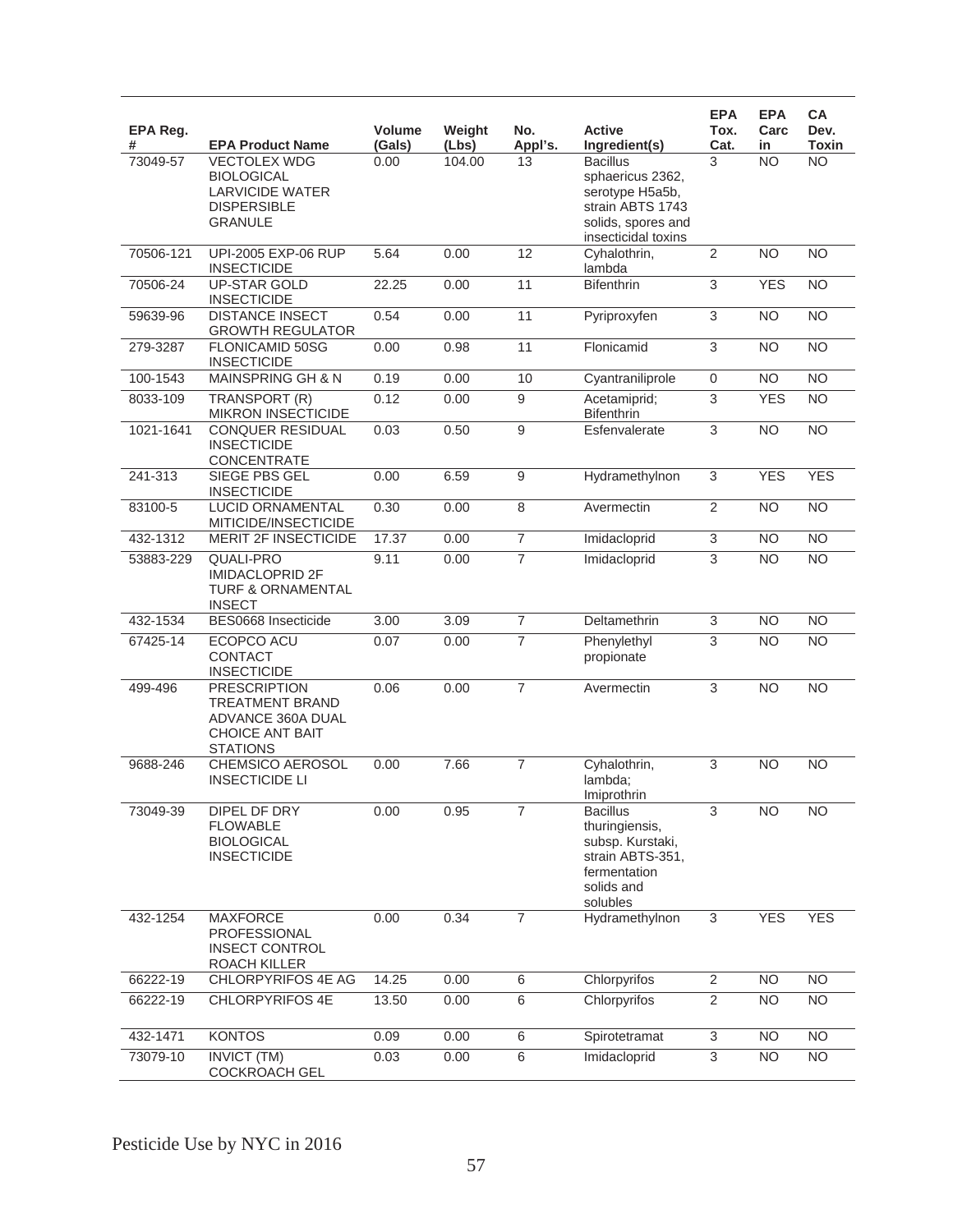| EPA Reg.<br># | <b>EPA Product Name</b>                                                                                         | <b>Volume</b><br>(Gals) | Weight<br>(Lbs) | No.<br>Appl's.   | <b>Active</b><br>Ingredient(s)                                                                                          | <b>EPA</b><br>Tox.<br>Cat. | <b>EPA</b><br>Carc<br>in | CA<br>Dev.<br><b>Toxin</b> |
|---------------|-----------------------------------------------------------------------------------------------------------------|-------------------------|-----------------|------------------|-------------------------------------------------------------------------------------------------------------------------|----------------------------|--------------------------|----------------------------|
| 73049-57      | <b>VECTOLEX WDG</b><br><b>BIOLOGICAL</b><br><b>LARVICIDE WATER</b><br><b>DISPERSIBLE</b><br><b>GRANULE</b>      | 0.00                    | 104.00          | 13               | <b>Bacillus</b><br>sphaericus 2362,<br>serotype H5a5b,<br>strain ABTS 1743<br>solids, spores and<br>insecticidal toxins | 3                          | <b>NO</b>                | <b>NO</b>                  |
| 70506-121     | UPI-2005 EXP-06 RUP<br><b>INSECTICIDE</b>                                                                       | 5.64                    | 0.00            | 12               | Cyhalothrin,<br>lambda                                                                                                  | $\overline{2}$             | N <sub>O</sub>           | $\overline{NO}$            |
| 70506-24      | <b>UP-STAR GOLD</b><br><b>INSECTICIDE</b>                                                                       | 22.25                   | 0.00            | 11               | <b>Bifenthrin</b>                                                                                                       | $\overline{3}$             | <b>YES</b>               | <b>NO</b>                  |
| 59639-96      | <b>DISTANCE INSECT</b><br><b>GROWTH REGULATOR</b>                                                               | 0.54                    | 0.00            | 11               | Pyriproxyfen                                                                                                            | $\overline{3}$             | <b>NO</b>                | $\overline{NO}$            |
| 279-3287      | FLONICAMID 50SG<br><b>INSECTICIDE</b>                                                                           | 0.00                    | 0.98            | 11               | Flonicamid                                                                                                              | $\overline{3}$             | <b>NO</b>                | <b>NO</b>                  |
| 100-1543      | MAINSPRING GH & N                                                                                               | 0.19                    | 0.00            | 10               | Cyantraniliprole                                                                                                        | $\mathsf 0$                | <b>NO</b>                | <b>NO</b>                  |
| 8033-109      | TRANSPORT (R)<br><b>MIKRON INSECTICIDE</b>                                                                      | 0.12                    | 0.00            | 9                | Acetamiprid;<br><b>Bifenthrin</b>                                                                                       | 3                          | <b>YES</b>               | <b>NO</b>                  |
| 1021-1641     | <b>CONQUER RESIDUAL</b><br><b>INSECTICIDE</b><br><b>CONCENTRATE</b>                                             | 0.03                    | 0.50            | 9                | Esfenvalerate                                                                                                           | $\overline{3}$             | $\overline{NO}$          | $\overline{NO}$            |
| 241-313       | SIEGE PBS GEL<br><b>INSECTICIDE</b>                                                                             | 0.00                    | 6.59            | $\boldsymbol{9}$ | Hydramethylnon                                                                                                          | $\overline{3}$             | <b>YES</b>               | <b>YES</b>                 |
| 83100-5       | LUCID ORNAMENTAL<br>MITICIDE/INSECTICIDE                                                                        | 0.30                    | 0.00            | 8                | Avermectin                                                                                                              | 2                          | NO                       | <b>NO</b>                  |
| 432-1312      | <b>MERIT 2F INSECTICIDE</b>                                                                                     | 17.37                   | 0.00            | $\overline{7}$   | Imidacloprid                                                                                                            | 3                          | <b>NO</b>                | $\overline{NO}$            |
| 53883-229     | <b>QUALI-PRO</b><br><b>IMIDACLOPRID 2F</b><br><b>TURF &amp; ORNAMENTAL</b><br><b>INSECT</b>                     | 9.11                    | 0.00            | $\overline{7}$   | Imidacloprid                                                                                                            | 3                          | <b>NO</b>                | <b>NO</b>                  |
| 432-1534      | BES0668 Insecticide                                                                                             | 3.00                    | 3.09            | $\overline{7}$   | Deltamethrin                                                                                                            | 3                          | <b>NO</b>                | <b>NO</b>                  |
| 67425-14      | ECOPCO ACU<br><b>CONTACT</b><br><b>INSECTICIDE</b>                                                              | 0.07                    | 0.00            | $\overline{7}$   | Phenylethyl<br>propionate                                                                                               | 3                          | <b>NO</b>                | $\overline{NO}$            |
| 499-496       | <b>PRESCRIPTION</b><br><b>TREATMENT BRAND</b><br>ADVANCE 360A DUAL<br><b>CHOICE ANT BAIT</b><br><b>STATIONS</b> | 0.06                    | 0.00            | $\overline{7}$   | Avermectin                                                                                                              | 3                          | <b>NO</b>                | <b>NO</b>                  |
| 9688-246      | CHEMSICO AEROSOL<br><b>INSECTICIDE LI</b>                                                                       | 0.00                    | 7.66            | $\overline{7}$   | Cyhalothrin,<br>lambda;<br>Imiprothrin                                                                                  | 3                          | <b>NO</b>                | <b>NO</b>                  |
| 73049-39      | DIPEL DF DRY<br><b>FLOWABLE</b><br><b>BIOLOGICAL</b><br><b>INSECTICIDE</b>                                      | 0.00                    | 0.95            | $\overline{7}$   | <b>Bacillus</b><br>thuringiensis,<br>subsp. Kurstaki,<br>strain ABTS-351,<br>fermentation<br>solids and<br>solubles     | 3                          | N <sub>O</sub>           | <b>NO</b>                  |
| 432-1254      | <b>MAXFORCE</b><br><b>PROFESSIONAL</b><br><b>INSECT CONTROL</b><br>ROACH KILLER                                 | 0.00                    | 0.34            | $\overline{7}$   | Hydramethylnon                                                                                                          | 3                          | <b>YES</b>               | <b>YES</b>                 |
| 66222-19      | CHLORPYRIFOS 4E AG                                                                                              | 14.25                   | 0.00            | $\,6$            | Chlorpyrifos                                                                                                            | $\overline{2}$             | <b>NO</b>                | <b>NO</b>                  |
| 66222-19      | CHLORPYRIFOS 4E                                                                                                 | 13.50                   | 0.00            | $\,6\,$          | Chlorpyrifos                                                                                                            | $\overline{2}$             | <b>NO</b>                | NO                         |
| 432-1471      | <b>KONTOS</b>                                                                                                   | 0.09                    | 0.00            | $\overline{6}$   | Spirotetramat                                                                                                           | $\overline{3}$             | <b>NO</b>                | $\overline{NO}$            |
| 73079-10      | <b>INVICT (TM)</b><br>COCKROACH GEL                                                                             | 0.03                    | 0.00            | $\,6$            | Imidacloprid                                                                                                            | $\ensuremath{\mathsf{3}}$  | <b>NO</b>                | <b>NO</b>                  |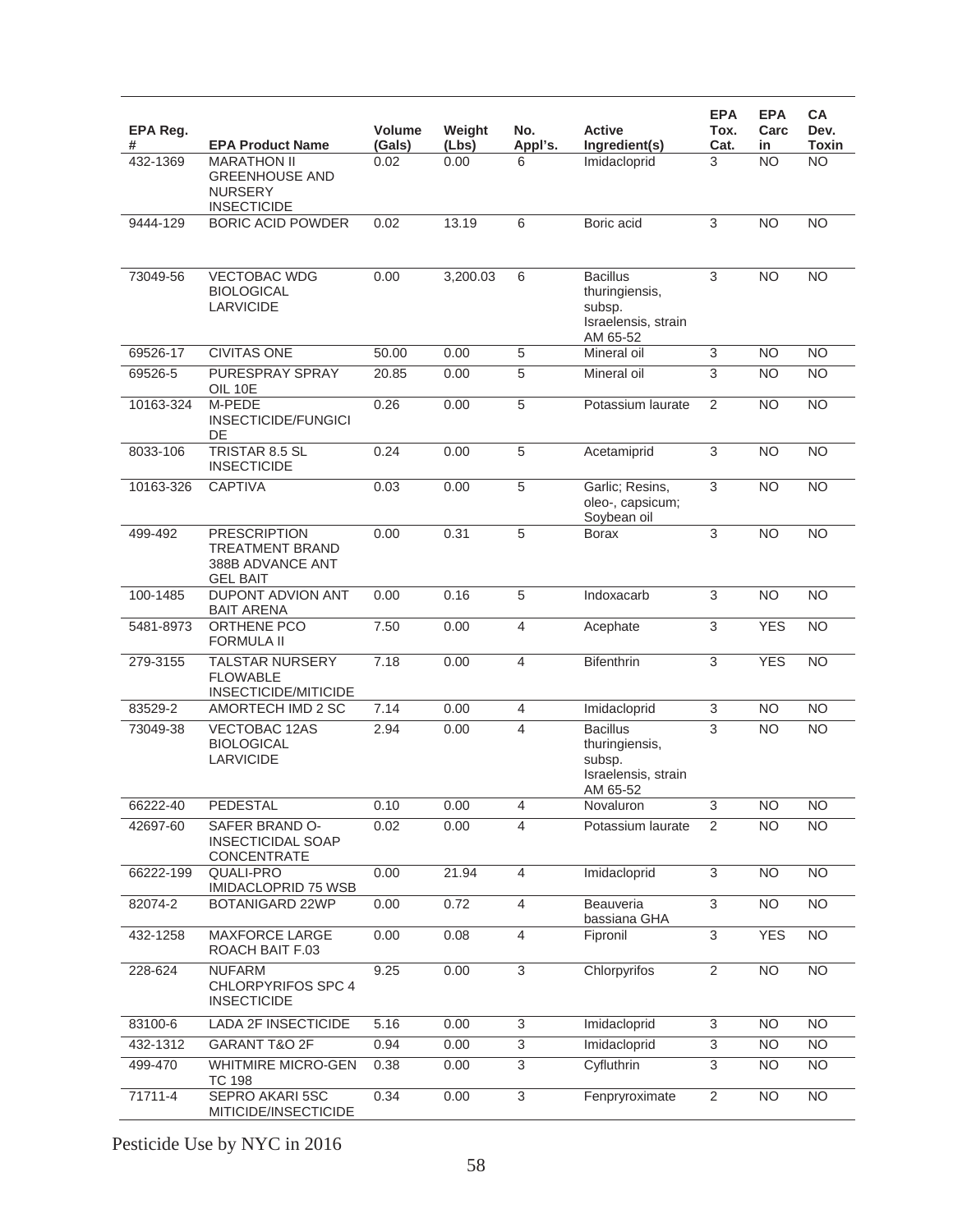| EPA Reg.  |                                                                                      | Volume | Weight   | No.                      | <b>Active</b>                                                                  | <b>EPA</b><br>Tox. | <b>EPA</b><br>Carc | CA<br>Dev.                      |
|-----------|--------------------------------------------------------------------------------------|--------|----------|--------------------------|--------------------------------------------------------------------------------|--------------------|--------------------|---------------------------------|
| #         | <b>EPA Product Name</b><br><b>MARATHON II</b>                                        | (Gals) | (Lbs)    | Appl's.                  | Ingredient(s)                                                                  | Cat.<br>3          | in<br><b>NO</b>    | <b>Toxin</b><br>$\overline{NO}$ |
| 432-1369  | <b>GREENHOUSE AND</b><br><b>NURSERY</b><br><b>INSECTICIDE</b>                        | 0.02   | 0.00     | 6                        | Imidacloprid                                                                   |                    |                    |                                 |
| 9444-129  | <b>BORIC ACID POWDER</b>                                                             | 0.02   | 13.19    | 6                        | Boric acid                                                                     | 3                  | NO                 | <b>NO</b>                       |
|           |                                                                                      |        |          |                          |                                                                                |                    |                    |                                 |
| 73049-56  | <b>VECTOBAC WDG</b><br><b>BIOLOGICAL</b><br><b>LARVICIDE</b>                         | 0.00   | 3,200.03 | 6                        | <b>Bacillus</b><br>thuringiensis,<br>subsp.<br>Israelensis, strain<br>AM 65-52 | 3                  | N <sub>O</sub>     | <b>NO</b>                       |
| 69526-17  | <b>CIVITAS ONE</b>                                                                   | 50.00  | 0.00     | $\overline{5}$           | Mineral oil                                                                    | $\overline{3}$     | <b>NO</b>          | <b>NO</b>                       |
| 69526-5   | PURESPRAY SPRAY<br>OIL 10E                                                           | 20.85  | 0.00     | 5                        | Mineral oil                                                                    | 3                  | <b>NO</b>          | <b>NO</b>                       |
| 10163-324 | M-PEDE<br><b>INSECTICIDE/FUNGICI</b><br>DE                                           | 0.26   | 0.00     | 5                        | Potassium laurate                                                              | $\overline{2}$     | $\overline{NO}$    | $\overline{NO}$                 |
| 8033-106  | TRISTAR 8.5 SL<br><b>INSECTICIDE</b>                                                 | 0.24   | 0.00     | 5                        | Acetamiprid                                                                    | 3                  | $\overline{NO}$    | $\overline{NO}$                 |
| 10163-326 | <b>CAPTIVA</b>                                                                       | 0.03   | 0.00     | $\overline{5}$           | Garlic; Resins,<br>oleo-, capsicum;<br>Soybean oil                             | 3                  | <b>NO</b>          | $\overline{NO}$                 |
| 499-492   | <b>PRESCRIPTION</b><br><b>TREATMENT BRAND</b><br>388B ADVANCE ANT<br><b>GEL BAIT</b> | 0.00   | 0.31     | $\overline{5}$           | <b>Borax</b>                                                                   | $\overline{3}$     | $\overline{NO}$    | $\overline{NO}$                 |
| 100-1485  | DUPONT ADVION ANT<br><b>BAIT ARENA</b>                                               | 0.00   | 0.16     | 5                        | Indoxacarb                                                                     | 3                  | <b>NO</b>          | <b>NO</b>                       |
| 5481-8973 | ORTHENE PCO<br><b>FORMULA II</b>                                                     | 7.50   | 0.00     | $\overline{4}$           | Acephate                                                                       | 3                  | <b>YES</b>         | $\overline{NO}$                 |
| 279-3155  | <b>TALSTAR NURSERY</b><br><b>FLOWABLE</b><br>INSECTICIDE/MITICIDE                    | 7.18   | 0.00     | $\overline{4}$           | <b>Bifenthrin</b>                                                              | 3                  | <b>YES</b>         | <b>NO</b>                       |
| 83529-2   | AMORTECH IMD 2 SC                                                                    | 7.14   | 0.00     | 4                        | Imidacloprid                                                                   | $\overline{3}$     | <b>NO</b>          | <b>NO</b>                       |
| 73049-38  | VECTOBAC 12AS<br><b>BIOLOGICAL</b><br>LARVICIDE                                      | 2.94   | 0.00     | $\overline{\mathcal{L}}$ | <b>Bacillus</b><br>thuringiensis,<br>subsp.<br>Israelensis, strain<br>AM 65-52 | 3                  | <b>NO</b>          | <b>NO</b>                       |
| 66222-40  | PEDESTAL                                                                             | 0.10   | 0.00     | 4                        | Novaluron                                                                      | 3                  | N <sub>O</sub>     | NO.                             |
| 42697-60  | SAFER BRAND O-<br><b>INSECTICIDAL SOAP</b><br><b>CONCENTRATE</b>                     | 0.02   | 0.00     | $\overline{\mathcal{L}}$ | Potassium laurate                                                              | $\overline{2}$     | <b>NO</b>          | <b>NO</b>                       |
| 66222-199 | <b>QUALI-PRO</b><br><b>IMIDACLOPRID 75 WSB</b>                                       | 0.00   | 21.94    | 4                        | Imidacloprid                                                                   | $\overline{3}$     | <b>NO</b>          | <b>NO</b>                       |
| 82074-2   | <b>BOTANIGARD 22WP</b>                                                               | 0.00   | 0.72     | 4                        | Beauveria<br>bassiana GHA                                                      | 3                  | <b>NO</b>          | <b>NO</b>                       |
| 432-1258  | <b>MAXFORCE LARGE</b><br>ROACH BAIT F.03                                             | 0.00   | 0.08     | $\overline{4}$           | Fipronil                                                                       | $\overline{3}$     | <b>YES</b>         | $\overline{NO}$                 |
| 228-624   | <b>NUFARM</b><br><b>CHLORPYRIFOS SPC 4</b><br><b>INSECTICIDE</b>                     | 9.25   | 0.00     | 3                        | Chlorpyrifos                                                                   | $\overline{2}$     | <b>NO</b>          | <b>NO</b>                       |
| 83100-6   | LADA 2F INSECTICIDE                                                                  | 5.16   | 0.00     | 3                        | Imidacloprid                                                                   | 3                  | <b>NO</b>          | <b>NO</b>                       |
| 432-1312  | GARANT T&O 2F                                                                        | 0.94   | 0.00     | 3                        | Imidacloprid                                                                   | 3                  | <b>NO</b>          | NO.                             |
| 499-470   | <b>WHITMIRE MICRO-GEN</b><br>TC 198                                                  | 0.38   | 0.00     | $\overline{3}$           | Cyfluthrin                                                                     | 3                  | <b>NO</b>          | NO.                             |
| 71711-4   | SEPRO AKARI 5SC<br>MITICIDE/INSECTICIDE                                              | 0.34   | 0.00     | 3                        | Fenpryroximate                                                                 | $\overline{2}$     | <b>NO</b>          | <b>NO</b>                       |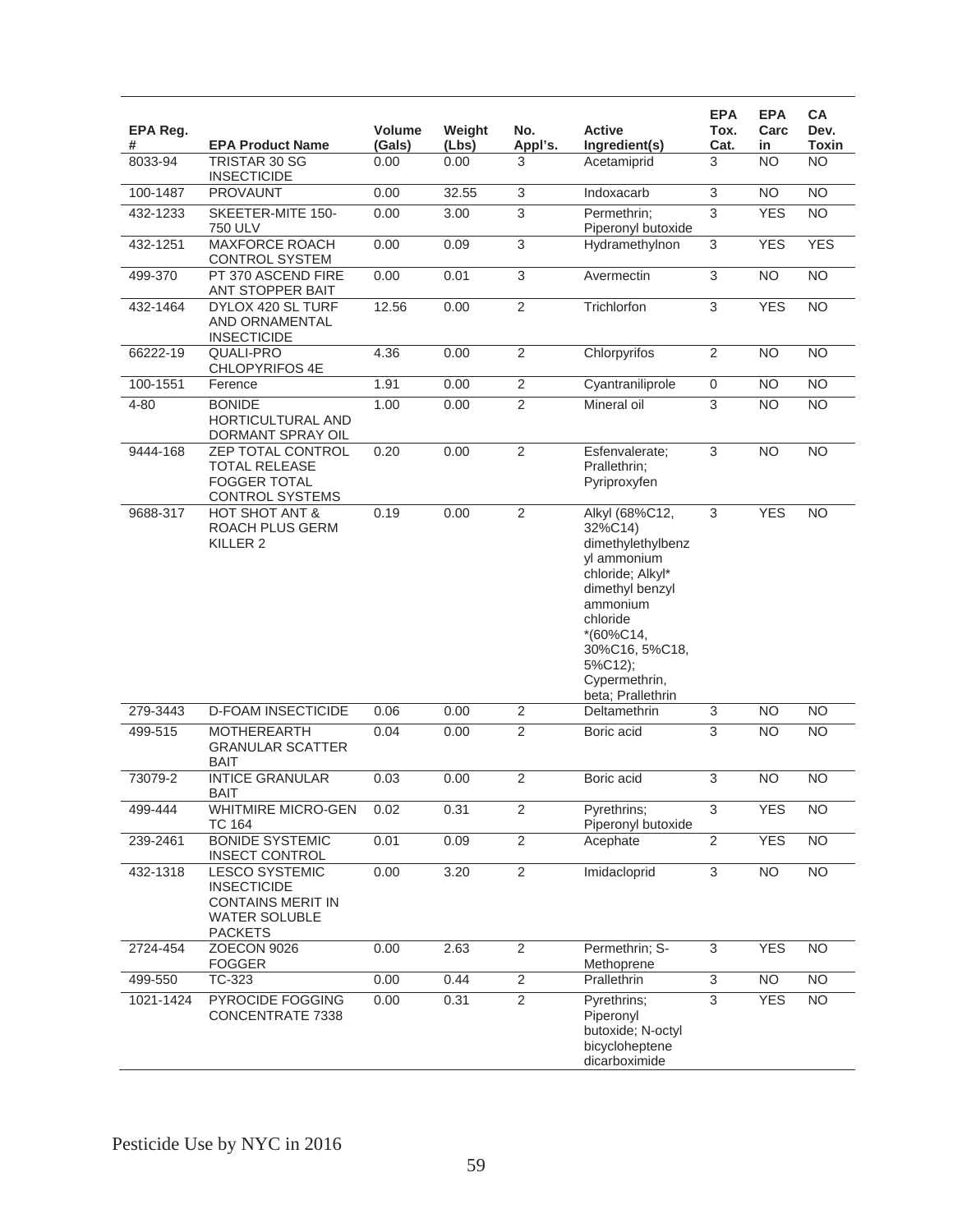| EPA Reg.<br># | <b>EPA Product Name</b>                                                                                           | <b>Volume</b><br>(Gals) | Weight<br>(Lbs) | No.<br>Appl's. | <b>Active</b><br>Ingredient(s)                                                                                                                                                                                  | <b>EPA</b><br>Tox.<br>Cat. | <b>EPA</b><br>Carc<br>in | <b>CA</b><br>Dev.<br>Toxin |
|---------------|-------------------------------------------------------------------------------------------------------------------|-------------------------|-----------------|----------------|-----------------------------------------------------------------------------------------------------------------------------------------------------------------------------------------------------------------|----------------------------|--------------------------|----------------------------|
| 8033-94       | TRISTAR 30 SG<br><b>INSECTICIDE</b>                                                                               | 0.00                    | 0.00            | 3              | Acetamiprid                                                                                                                                                                                                     | 3                          | <b>NO</b>                | <b>NO</b>                  |
| 100-1487      | <b>PROVAUNT</b>                                                                                                   | 0.00                    | 32.55           | 3              | Indoxacarb                                                                                                                                                                                                      | 3                          | <b>NO</b>                | <b>NO</b>                  |
| 432-1233      | SKEETER-MITE 150-<br><b>750 ULV</b>                                                                               | 0.00                    | 3.00            | 3              | Permethrin;<br>Piperonyl butoxide                                                                                                                                                                               | $\overline{3}$             | <b>YES</b>               | <b>NO</b>                  |
| 432-1251      | <b>MAXFORCE ROACH</b><br><b>CONTROL SYSTEM</b>                                                                    | 0.00                    | 0.09            | $\overline{3}$ | Hydramethylnon                                                                                                                                                                                                  | 3                          | <b>YES</b>               | <b>YES</b>                 |
| 499-370       | PT 370 ASCEND FIRE<br>ANT STOPPER BAIT                                                                            | 0.00                    | 0.01            | $\overline{3}$ | Avermectin                                                                                                                                                                                                      | $\overline{3}$             | N <sub>O</sub>           | <b>NO</b>                  |
| 432-1464      | DYLOX 420 SL TURF<br>AND ORNAMENTAL<br><b>INSECTICIDE</b>                                                         | 12.56                   | 0.00            | $\overline{2}$ | Trichlorfon                                                                                                                                                                                                     | $\overline{3}$             | <b>YES</b>               | <b>NO</b>                  |
| 66222-19      | QUALI-PRO<br>CHLOPYRIFOS 4E                                                                                       | 4.36                    | 0.00            | $\overline{2}$ | Chlorpyrifos                                                                                                                                                                                                    | $\overline{2}$             | <b>NO</b>                | <b>NO</b>                  |
| 100-1551      | Ference                                                                                                           | 1.91                    | 0.00            | $\overline{c}$ | Cyantraniliprole                                                                                                                                                                                                | 0                          | <b>NO</b>                | <b>NO</b>                  |
| 4-80          | <b>BONIDE</b><br>HORTICULTURAL AND<br>DORMANT SPRAY OIL                                                           | 1.00                    | 0.00            | $\overline{2}$ | Mineral oil                                                                                                                                                                                                     | 3                          | <b>NO</b>                | <b>NO</b>                  |
| 9444-168      | ZEP TOTAL CONTROL<br><b>TOTAL RELEASE</b><br><b>FOGGER TOTAL</b><br><b>CONTROL SYSTEMS</b>                        | 0.20                    | 0.00            | $\overline{2}$ | Esfenvalerate:<br>Prallethrin:<br>Pyriproxyfen                                                                                                                                                                  | $\overline{3}$             | <b>NO</b>                | <b>NO</b>                  |
| 9688-317      | HOT SHOT ANT &<br>ROACH PLUS GERM<br>KILLER <sub>2</sub>                                                          | 0.19                    | 0.00            | $\overline{2}$ | Alkyl (68%C12,<br>32%C14)<br>dimethylethylbenz<br>yl ammonium<br>chloride; Alkyl*<br>dimethyl benzyl<br>ammonium<br>chloride<br>$*(60\%C14,$<br>30%C16, 5%C18,<br>5%C12);<br>Cypermethrin,<br>beta; Prallethrin | $\overline{3}$             | <b>YES</b>               | <b>NO</b>                  |
| 279-3443      | <b>D-FOAM INSECTICIDE</b>                                                                                         | 0.06                    | 0.00            | $\sqrt{2}$     | Deltamethrin                                                                                                                                                                                                    | 3                          | <b>NO</b>                | <b>NO</b>                  |
| 499-515       | <b>MOTHEREARTH</b><br><b>GRANULAR SCATTER</b><br><b>BAIT</b>                                                      | 0.04                    | 0.00            | $\overline{2}$ | Boric acid                                                                                                                                                                                                      | $\overline{3}$             | $\overline{NO}$          | $\overline{NO}$            |
| 73079-2       | <b>INTICE GRANULAR</b><br><b>BAIT</b>                                                                             | 0.03                    | 0.00            | $\overline{2}$ | Boric acid                                                                                                                                                                                                      | 3                          | <b>NO</b>                | <b>NO</b>                  |
| 499-444       | <b>WHITMIRE MICRO-GEN</b><br><b>TC 164</b>                                                                        | 0.02                    | 0.31            | 2              | Pyrethrins;<br>Piperonyl butoxide                                                                                                                                                                               | 3                          | <b>YES</b>               | <b>NO</b>                  |
| 239-2461      | <b>BONIDE SYSTEMIC</b><br><b>INSECT CONTROL</b>                                                                   | 0.01                    | 0.09            | $\overline{2}$ | Acephate                                                                                                                                                                                                        | $\overline{2}$             | <b>YES</b>               | <b>NO</b>                  |
| 432-1318      | <b>LESCO SYSTEMIC</b><br><b>INSECTICIDE</b><br><b>CONTAINS MERIT IN</b><br><b>WATER SOLUBLE</b><br><b>PACKETS</b> | 0.00                    | 3.20            | $\overline{2}$ | Imidacloprid                                                                                                                                                                                                    | $\overline{3}$             | N <sub>O</sub>           | $\overline{NO}$            |
| 2724-454      | ZOECON 9026<br><b>FOGGER</b>                                                                                      | 0.00                    | 2.63            | $\overline{2}$ | Permethrin; S-<br>Methoprene                                                                                                                                                                                    | $\overline{3}$             | <b>YES</b>               | <b>NO</b>                  |
| 499-550       | TC-323                                                                                                            | 0.00                    | 0.44            | $\overline{c}$ | Prallethrin                                                                                                                                                                                                     | $\ensuremath{\mathsf{3}}$  | <b>NO</b>                | NO.                        |
| 1021-1424     | PYROCIDE FOGGING<br>CONCENTRATE 7338                                                                              | 0.00                    | 0.31            | $\overline{2}$ | Pyrethrins;<br>Piperonyl<br>butoxide; N-octyl<br>bicycloheptene<br>dicarboximide                                                                                                                                | 3                          | <b>YES</b>               | $\overline{NO}$            |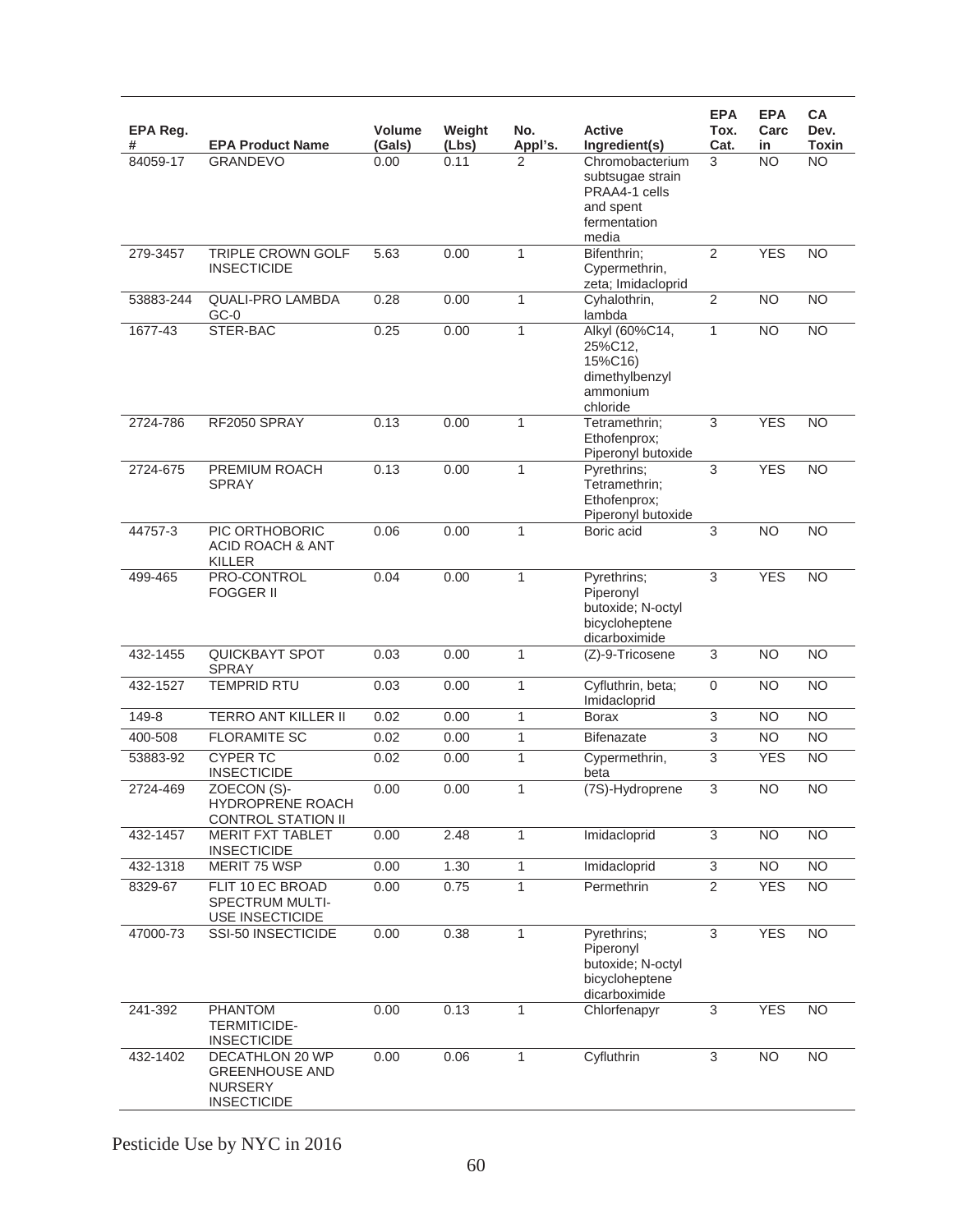| EPA Reg.<br># | <b>EPA Product Name</b>                                                                 | Volume<br>(Gals) | Weight<br>(Lbs) | No.<br>Appl's. | <b>Active</b><br>Ingredient(s)                                                             | <b>EPA</b><br>Tox.<br>Cat. | <b>EPA</b><br>Carc<br>in | <b>CA</b><br>Dev.<br><b>Toxin</b> |
|---------------|-----------------------------------------------------------------------------------------|------------------|-----------------|----------------|--------------------------------------------------------------------------------------------|----------------------------|--------------------------|-----------------------------------|
| 84059-17      | <b>GRANDEVO</b>                                                                         | 0.00             | 0.11            | 2              | Chromobacterium<br>subtsugae strain<br>PRAA4-1 cells<br>and spent<br>fermentation<br>media | 3                          | <b>NO</b>                | N <sub>O</sub>                    |
| 279-3457      | <b>TRIPLE CROWN GOLF</b><br><b>INSECTICIDE</b>                                          | 5.63             | 0.00            | 1              | Bifenthrin;<br>Cypermethrin,<br>zeta; Imidacloprid                                         | $\overline{2}$             | <b>YES</b>               | <b>NO</b>                         |
| 53883-244     | <b>QUALI-PRO LAMBDA</b><br>$GC-0$                                                       | 0.28             | 0.00            | 1              | Cyhalothrin,<br>lambda                                                                     | $\overline{2}$             | $\overline{NO}$          | N <sub>O</sub>                    |
| 1677-43       | STER-BAC                                                                                | 0.25             | 0.00            | 1              | Alkyl (60%C14,<br>25%C12,<br>15%C16)<br>dimethylbenzyl<br>ammonium<br>chloride             | $\mathbf{1}$               | $\overline{NO}$          | <b>NO</b>                         |
| 2724-786      | RF2050 SPRAY                                                                            | 0.13             | 0.00            | 1              | Tetramethrin:<br>Ethofenprox;<br>Piperonyl butoxide                                        | $\overline{3}$             | <b>YES</b>               | N <sub>O</sub>                    |
| 2724-675      | PREMIUM ROACH<br><b>SPRAY</b>                                                           | 0.13             | 0.00            | 1              | Pyrethrins;<br>Tetramethrin;<br>Ethofenprox;<br>Piperonyl butoxide                         | 3                          | <b>YES</b>               | N <sub>O</sub>                    |
| 44757-3       | PIC ORTHOBORIC<br><b>ACID ROACH &amp; ANT</b><br><b>KILLER</b>                          | 0.06             | 0.00            | 1              | Boric acid                                                                                 | 3                          | $\overline{NO}$          | <b>NO</b>                         |
| 499-465       | PRO-CONTROL<br><b>FOGGER II</b>                                                         | 0.04             | 0.00            | $\mathbf{1}$   | Pyrethrins;<br>Piperonyl<br>butoxide; N-octyl<br>bicycloheptene<br>dicarboximide           | $\overline{3}$             | <b>YES</b>               | N <sub>O</sub>                    |
| 432-1455      | <b>QUICKBAYT SPOT</b><br><b>SPRAY</b>                                                   | 0.03             | 0.00            | 1              | (Z)-9-Tricosene                                                                            | $\overline{3}$             | $\overline{NO}$          | <b>NO</b>                         |
| 432-1527      | <b>TEMPRID RTU</b>                                                                      | 0.03             | 0.00            | 1              | Cyfluthrin, beta;<br>Imidacloprid                                                          | $\mathbf 0$                | <b>NO</b>                | N <sub>O</sub>                    |
| 149-8         | <b>TERRO ANT KILLER II</b>                                                              | 0.02             | 0.00            | 1              | <b>Borax</b>                                                                               | $\overline{3}$             | <b>NO</b>                | NO                                |
| 400-508       | <b>FLORAMITE SC</b>                                                                     | 0.02             | 0.00            | 1              | <b>Bifenazate</b>                                                                          | 3                          | <b>NO</b>                | <b>NO</b>                         |
| 53883-92      | <b>CYPER TC</b><br><b>INSECTICIDE</b>                                                   | 0.02             | 0.00            | 1              | Cypermethrin,<br>beta                                                                      | 3                          | <b>YES</b>               | <b>NO</b>                         |
| 2724-469      | ZOECON (S)-<br>HYDROPRENE ROACH<br><b>CONTROL STATION II</b>                            | 0.00             | 0.00            | 1              | (7S)-Hydroprene                                                                            | 3                          | <b>NO</b>                | <b>NO</b>                         |
| 432-1457      | <b>MERIT FXT TABLET</b><br><b>INSECTICIDE</b>                                           | 0.00             | 2.48            | 1              | Imidacloprid                                                                               | $\overline{3}$             | $\overline{NO}$          | $\overline{NO}$                   |
| 432-1318      | MERIT 75 WSP                                                                            | 0.00             | 1.30            | $\mathbf{1}$   | Imidacloprid                                                                               | $\overline{3}$             | <b>NO</b>                | NO                                |
| 8329-67       | FLIT 10 EC BROAD<br>SPECTRUM MULTI-<br><b>USE INSECTICIDE</b>                           | 0.00             | 0.75            | 1              | Permethrin                                                                                 | $\overline{2}$             | <b>YES</b>               | <b>NO</b>                         |
| 47000-73      | SSI-50 INSECTICIDE                                                                      | 0.00             | 0.38            | 1              | Pyrethrins;<br>Piperonyl<br>butoxide; N-octyl<br>bicycloheptene<br>dicarboximide           | $\overline{3}$             | <b>YES</b>               | N <sub>O</sub>                    |
| 241-392       | PHANTOM<br><b>TERMITICIDE-</b><br><b>INSECTICIDE</b>                                    | 0.00             | 0.13            | 1              | Chlorfenapyr                                                                               | $\overline{3}$             | <b>YES</b>               | N <sub>O</sub>                    |
| 432-1402      | <b>DECATHLON 20 WP</b><br><b>GREENHOUSE AND</b><br><b>NURSERY</b><br><b>INSECTICIDE</b> | 0.00             | 0.06            | 1              | Cyfluthrin                                                                                 | $\overline{3}$             | $\overline{NO}$          | $\overline{NO}$                   |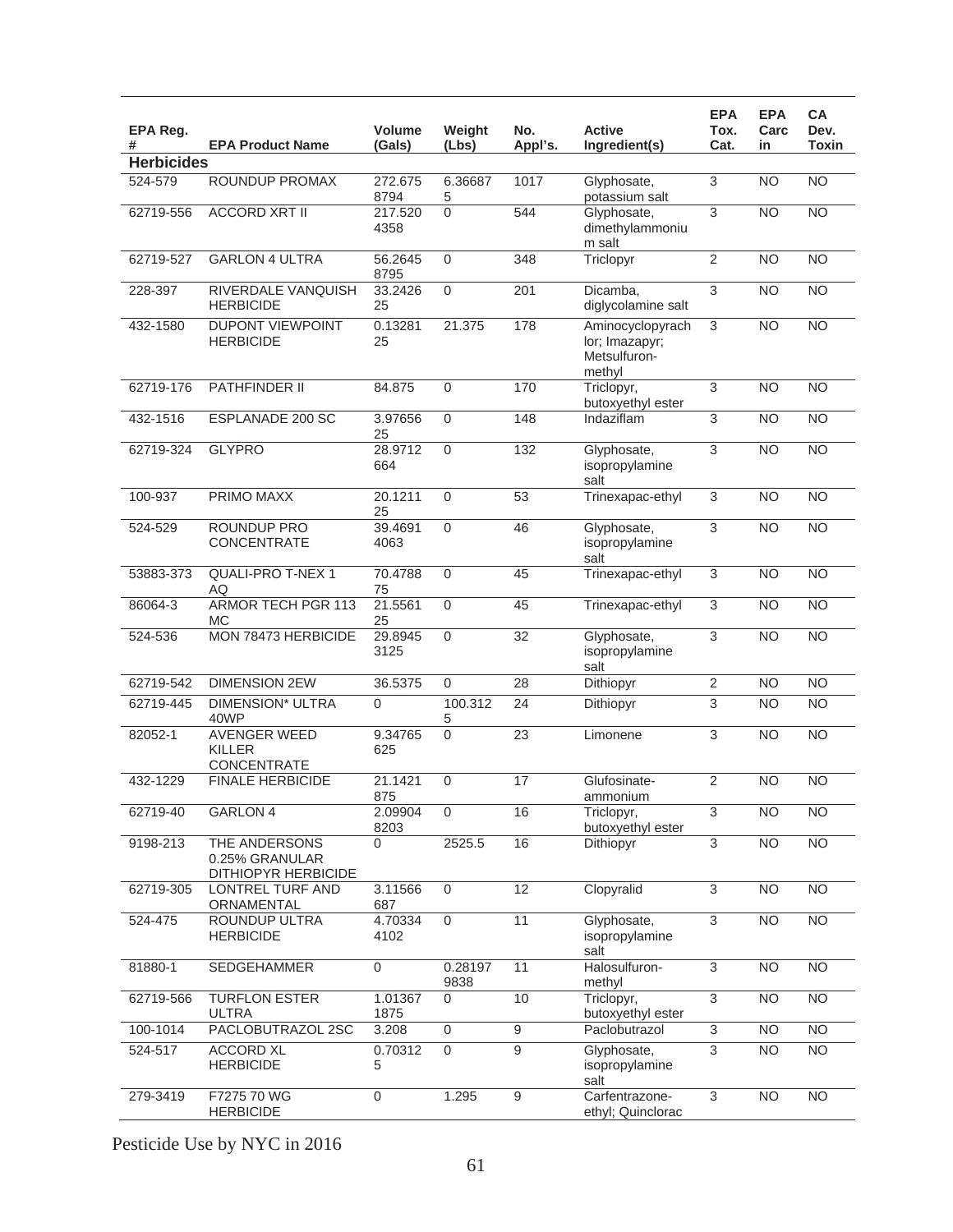| EPA Reg.<br>#     | <b>EPA Product Name</b>                                | Volume<br>(Gals) | Weight<br>(Lbs)  | No.<br>Appl's.  | <b>Active</b><br>Ingredient(s)                               | <b>EPA</b><br>Tox.<br>Cat. | <b>EPA</b><br>Carc<br>in | <b>CA</b><br>Dev.<br>Toxin |
|-------------------|--------------------------------------------------------|------------------|------------------|-----------------|--------------------------------------------------------------|----------------------------|--------------------------|----------------------------|
| <b>Herbicides</b> |                                                        |                  |                  |                 |                                                              |                            |                          |                            |
| 524-579           | <b>ROUNDUP PROMAX</b>                                  | 272.675<br>8794  | 6.36687<br>5     | 1017            | Glyphosate,<br>potassium salt                                | $\overline{3}$             | N <sub>O</sub>           | $\overline{NO}$            |
| 62719-556         | <b>ACCORD XRT II</b>                                   | 217.520<br>4358  | $\overline{0}$   | 544             | Glyphosate,<br>dimethylammoniu<br>m salt                     | $\overline{3}$             | N <sub>O</sub>           | $\overline{NO}$            |
| 62719-527         | <b>GARLON 4 ULTRA</b>                                  | 56.2645<br>8795  | $\overline{0}$   | 348             | Triclopyr                                                    | $\overline{2}$             | NO                       | $\overline{NO}$            |
| 228-397           | RIVERDALE VANQUISH<br><b>HERBICIDE</b>                 | 33.2426<br>25    | 0                | 201             | Dicamba,<br>diglycolamine salt                               | 3                          | <b>NO</b>                | <b>NO</b>                  |
| 432-1580          | <b>DUPONT VIEWPOINT</b><br><b>HERBICIDE</b>            | 0.13281<br>25    | 21.375           | 178             | Aminocyclopyrach<br>lor; Imazapyr;<br>Metsulfuron-<br>methyl | $\overline{3}$             | <b>NO</b>                | $\overline{NO}$            |
| 62719-176         | PATHFINDER II                                          | 84.875           | $\mathbf 0$      | 170             | Triclopyr,<br>butoxyethyl ester                              | 3                          | N <sub>O</sub>           | $\overline{NO}$            |
| 432-1516          | ESPLANADE 200 SC                                       | 3.97656<br>25    | $\mathbf 0$      | 148             | Indaziflam                                                   | $\overline{3}$             | <b>NO</b>                | $\overline{NO}$            |
| 62719-324         | <b>GLYPRO</b>                                          | 28.9712<br>664   | $\mathbf 0$      | 132             | Glyphosate,<br>isopropylamine<br>salt                        | $\overline{3}$             | <b>NO</b>                | $\overline{NO}$            |
| 100-937           | PRIMO MAXX                                             | 20.1211<br>25    | $\mathbf 0$      | 53              | Trinexapac-ethyl                                             | $\overline{3}$             | $\overline{NO}$          | $\overline{NO}$            |
| 524-529           | <b>ROUNDUP PRO</b><br><b>CONCENTRATE</b>               | 39.4691<br>4063  | 0                | 46              | Glyphosate,<br>isopropylamine<br>salt                        | $\overline{3}$             | $\overline{NO}$          | $\overline{NO}$            |
| 53883-373         | QUALI-PRO T-NEX 1<br>AQ                                | 70.4788<br>75    | $\boldsymbol{0}$ | 45              | Trinexapac-ethyl                                             | 3                          | $\overline{NO}$          | $\overline{NO}$            |
| 86064-3           | <b>ARMOR TECH PGR 113</b><br>МC                        | 21.5561<br>25    | $\mathbf 0$      | 45              | Trinexapac-ethyl                                             | $\overline{3}$             | <b>NO</b>                | <b>NO</b>                  |
| 524-536           | MON 78473 HERBICIDE                                    | 29.8945<br>3125  | $\mathbf 0$      | $\overline{32}$ | Glyphosate,<br>isopropylamine<br>salt                        | 3                          | $\overline{NO}$          | $\overline{NO}$            |
| 62719-542         | <b>DIMENSION 2EW</b>                                   | 36.5375          | 0                | 28              | Dithiopyr                                                    | $\overline{2}$             | <b>NO</b>                | <b>NO</b>                  |
| 62719-445         | <b>DIMENSION* ULTRA</b><br>40WP                        | 0                | 100.312<br>5     | 24              | Dithiopyr                                                    | $\overline{3}$             | <b>NO</b>                | <b>NO</b>                  |
| 82052-1           | <b>AVENGER WEED</b><br><b>KILLER</b><br>CONCENTRATE    | 9.34765<br>625   | $\overline{0}$   | 23              | Limonene                                                     | $\overline{3}$             | $\overline{NO}$          | $\overline{NO}$            |
| 432-1229          | <b>FINALE HERBICIDE</b>                                | 21.1421<br>875   | $\overline{0}$   | 17              | Glufosinate-<br>ammonium                                     | $\overline{2}$             | <b>NO</b>                | <b>NO</b>                  |
| 62719-40          | <b>GARLON 4</b>                                        | 2.09904<br>8203  | $\mathbf{0}$     | 16              | Triclopyr,<br>butoxyethyl ester                              | 3                          | NO                       | NO                         |
| 9198-213          | THE ANDERSONS<br>0.25% GRANULAR<br>DITHIOPYR HERBICIDE | 0                | 2525.5           | 16              | Dithiopyr                                                    | $\overline{3}$             | $\overline{NO}$          | $\overline{NO}$            |
| 62719-305         | LONTREL TURF AND<br>ORNAMENTAL                         | 3.11566<br>687   | 0                | 12              | Clopyralid                                                   | $\overline{3}$             | <b>NO</b>                | <b>NO</b>                  |
| 524-475           | ROUNDUP ULTRA<br><b>HERBICIDE</b>                      | 4.70334<br>4102  | $\mathbf 0$      | $\overline{11}$ | Glyphosate,<br>isopropylamine<br>salt                        | $\overline{3}$             | <b>NO</b>                | $\overline{NO}$            |
| 81880-1           | <b>SEDGEHAMMER</b>                                     | 0                | 0.28197<br>9838  | 11              | Halosulfuron-<br>methyl                                      | $\overline{3}$             | NO                       | $\overline{NO}$            |
| 62719-566         | <b>TURFLON ESTER</b><br><b>ULTRA</b>                   | 1.01367<br>1875  | 0                | 10              | Triclopyr,<br>butoxyethyl ester                              | $\overline{3}$             | <b>NO</b>                | <b>NO</b>                  |
| 100-1014          | PACLOBUTRAZOL 2SC                                      | 3.208            | $\mathsf 0$      | $\overline{9}$  | Paclobutrazol                                                | $\overline{3}$             | <b>NO</b>                | <b>NO</b>                  |
| 524-517           | <b>ACCORD XL</b><br><b>HERBICIDE</b>                   | 0.70312<br>5     | $\overline{0}$   | $\overline{9}$  | Glyphosate,<br>isopropylamine<br>salt                        | $\overline{3}$             | N <sub>O</sub>           | $\overline{NO}$            |
| 279-3419          | F7275 70 WG<br><b>HERBICIDE</b>                        | 0                | 1.295            | $\overline{9}$  | Carfentrazone-<br>ethyl; Quinclorac                          | $\overline{3}$             | NO                       | $\overline{NO}$            |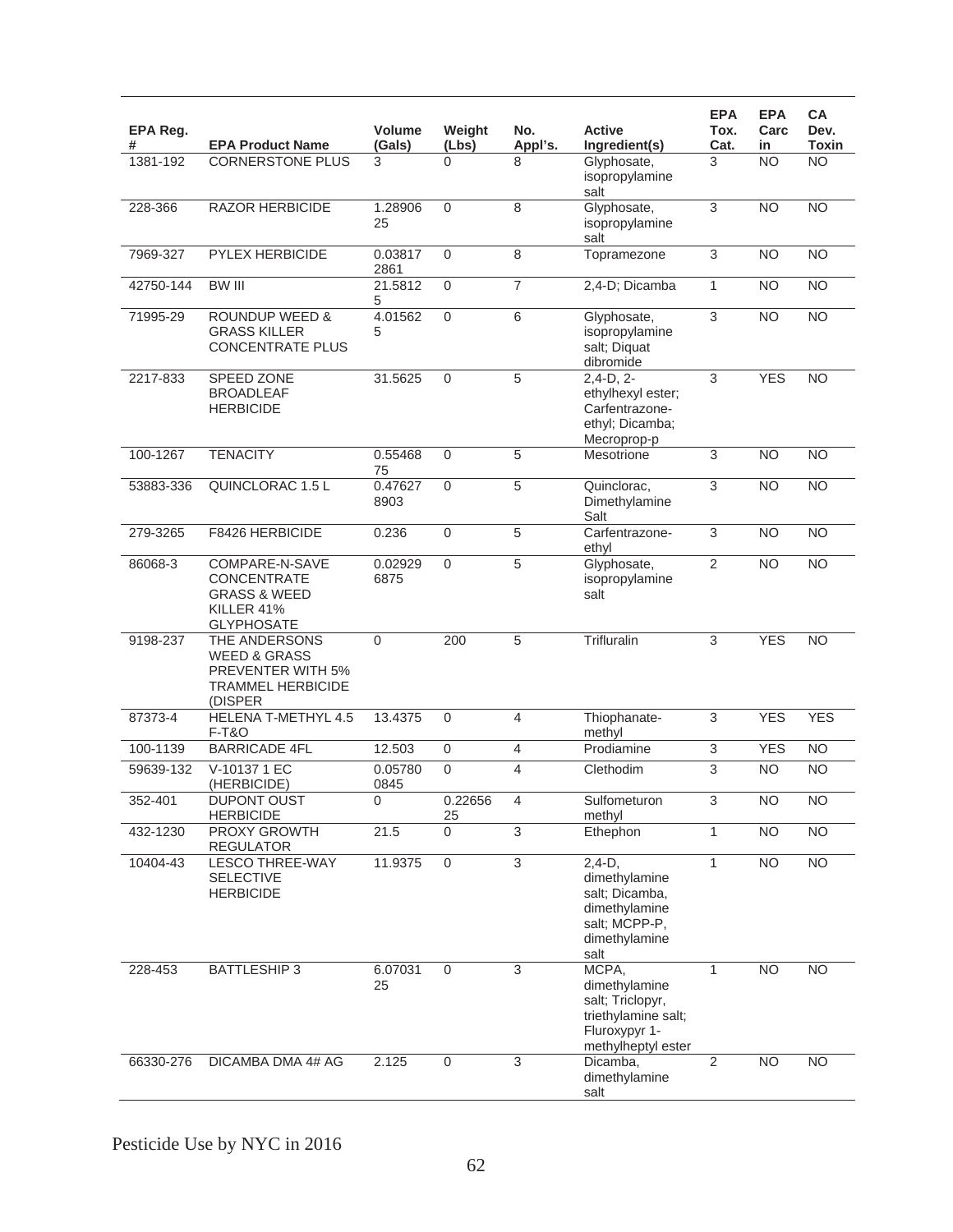| EPA Reg.<br># | <b>EPA Product Name</b>                                                                              | <b>Volume</b><br>(Gals) | Weight<br>(Lbs)     | No.<br>Appl's. | <b>Active</b><br>Ingredient(s)                                                                           | <b>EPA</b><br>Tox.<br>Cat. | <b>EPA</b><br>Carc<br>in | <b>CA</b><br>Dev.<br><b>Toxin</b> |
|---------------|------------------------------------------------------------------------------------------------------|-------------------------|---------------------|----------------|----------------------------------------------------------------------------------------------------------|----------------------------|--------------------------|-----------------------------------|
| 1381-192      | <b>CORNERSTONE PLUS</b>                                                                              | 3                       | 0                   | 8              | Glyphosate,<br>isopropylamine<br>salt                                                                    | 3                          | <b>NO</b>                | <b>NO</b>                         |
| 228-366       | <b>RAZOR HERBICIDE</b>                                                                               | 1.28906<br>25           | $\mathbf 0$         | 8              | Glyphosate,<br>isopropylamine<br>salt                                                                    | $\overline{3}$             | NO                       | $\overline{NO}$                   |
| 7969-327      | PYLEX HERBICIDE                                                                                      | 0.03817<br>2861         | $\mathbf{0}$        | 8              | Topramezone                                                                                              | $\overline{3}$             | <b>NO</b>                | <b>NO</b>                         |
| 42750-144     | <b>BW III</b>                                                                                        | 21.5812<br>5            | 0                   | $\overline{7}$ | 2,4-D; Dicamba                                                                                           | $\mathbf{1}$               | <b>NO</b>                | <b>NO</b>                         |
| 71995-29      | <b>ROUNDUP WEED &amp;</b><br><b>GRASS KILLER</b><br><b>CONCENTRATE PLUS</b>                          | 4.01562<br>5            | 0                   | $\,6$          | Glyphosate,<br>isopropylamine<br>salt; Diquat<br>dibromide                                               | 3                          | <b>NO</b>                | <b>NO</b>                         |
| 2217-833      | SPEED ZONE<br><b>BROADLEAF</b><br><b>HERBICIDE</b>                                                   | 31.5625                 | $\Omega$            | 5              | $2,4-D, 2-$<br>ethylhexyl ester;<br>Carfentrazone-<br>ethyl; Dicamba;<br>Mecroprop-p                     | $\overline{3}$             | <b>YES</b>               | $\overline{NO}$                   |
| 100-1267      | <b>TENACITY</b>                                                                                      | 0.55468<br>75           | $\mathbf{0}$        | 5              | Mesotrione                                                                                               | 3                          | $\overline{NO}$          | <b>NO</b>                         |
| 53883-336     | QUINCLORAC 1.5 L                                                                                     | 0.47627<br>8903         | 0                   | 5              | Quinclorac,<br>Dimethylamine<br>Salt                                                                     | 3                          | <b>NO</b>                | $\overline{NO}$                   |
| 279-3265      | F8426 HERBICIDE                                                                                      | 0.236                   | $\mathsf{O}\xspace$ | 5              | Carfentrazone-<br>ethyl                                                                                  | 3                          | <b>NO</b>                | <b>NO</b>                         |
| 86068-3       | COMPARE-N-SAVE<br><b>CONCENTRATE</b><br><b>GRASS &amp; WEED</b><br>KILLER 41%<br><b>GLYPHOSATE</b>   | 0.02929<br>6875         | $\overline{0}$      | $\overline{5}$ | Glyphosate,<br>isopropylamine<br>salt                                                                    | $\overline{2}$             | <b>NO</b>                | $\overline{NO}$                   |
| 9198-237      | THE ANDERSONS<br><b>WEED &amp; GRASS</b><br>PREVENTER WITH 5%<br><b>TRAMMEL HERBICIDE</b><br>(DISPER | 0                       | 200                 | 5              | Trifluralin                                                                                              | 3                          | <b>YES</b>               | <b>NO</b>                         |
| 87373-4       | HELENA T-METHYL 4.5<br><b>F-T&amp;O</b>                                                              | 13.4375                 | 0                   | 4              | Thiophanate-<br>methyl                                                                                   | 3                          | <b>YES</b>               | <b>YES</b>                        |
| 100-1139      | <b>BARRICADE 4FL</b>                                                                                 | 12.503                  | $\mathbf{0}$        | $\overline{4}$ | Prodiamine                                                                                               | $\overline{3}$             | <b>YES</b>               | <b>NO</b>                         |
| 59639-132     | V-10137 1 EC<br>(HERBICIDE)                                                                          | 0.05780<br>0845         | $\Omega$            | $\overline{4}$ | Clethodim                                                                                                | $\overline{3}$             | <b>NO</b>                | $\overline{NO}$                   |
| 352-401       | <b>DUPONT OUST</b><br><b>HERBICIDE</b>                                                               | 0                       | 0.22656<br>25       | 4              | Sulfometuron<br>methyl                                                                                   | $\overline{3}$             | N <sub>O</sub>           | NO                                |
| 432-1230      | PROXY GROWTH<br><b>REGULATOR</b>                                                                     | 21.5                    | $\Omega$            | 3              | Ethephon                                                                                                 | $\mathbf{1}$               | N <sub>O</sub>           | $\overline{NO}$                   |
| 10404-43      | <b>LESCO THREE-WAY</b><br><b>SELECTIVE</b><br><b>HERBICIDE</b>                                       | 11.9375                 | $\overline{0}$      | $\overline{3}$ | $2,4-D,$<br>dimethylamine<br>salt; Dicamba,<br>dimethylamine<br>salt; MCPP-P,<br>dimethylamine<br>salt   | $\mathbf{1}$               | N <sub>O</sub>           | N <sub>O</sub>                    |
| 228-453       | <b>BATTLESHIP3</b>                                                                                   | 6.07031<br>25           | 0                   | 3              | MCPA,<br>dimethylamine<br>salt; Triclopyr,<br>triethylamine salt;<br>Fluroxypyr 1-<br>methylheptyl ester | $\mathbf{1}$               | N <sub>O</sub>           | <b>NO</b>                         |
| 66330-276     | DICAMBA DMA 4# AG                                                                                    | 2.125                   | $\mathsf 0$         | $\overline{3}$ | Dicamba,<br>dimethylamine<br>salt                                                                        | $\overline{2}$             | N <sub>O</sub>           | <b>NO</b>                         |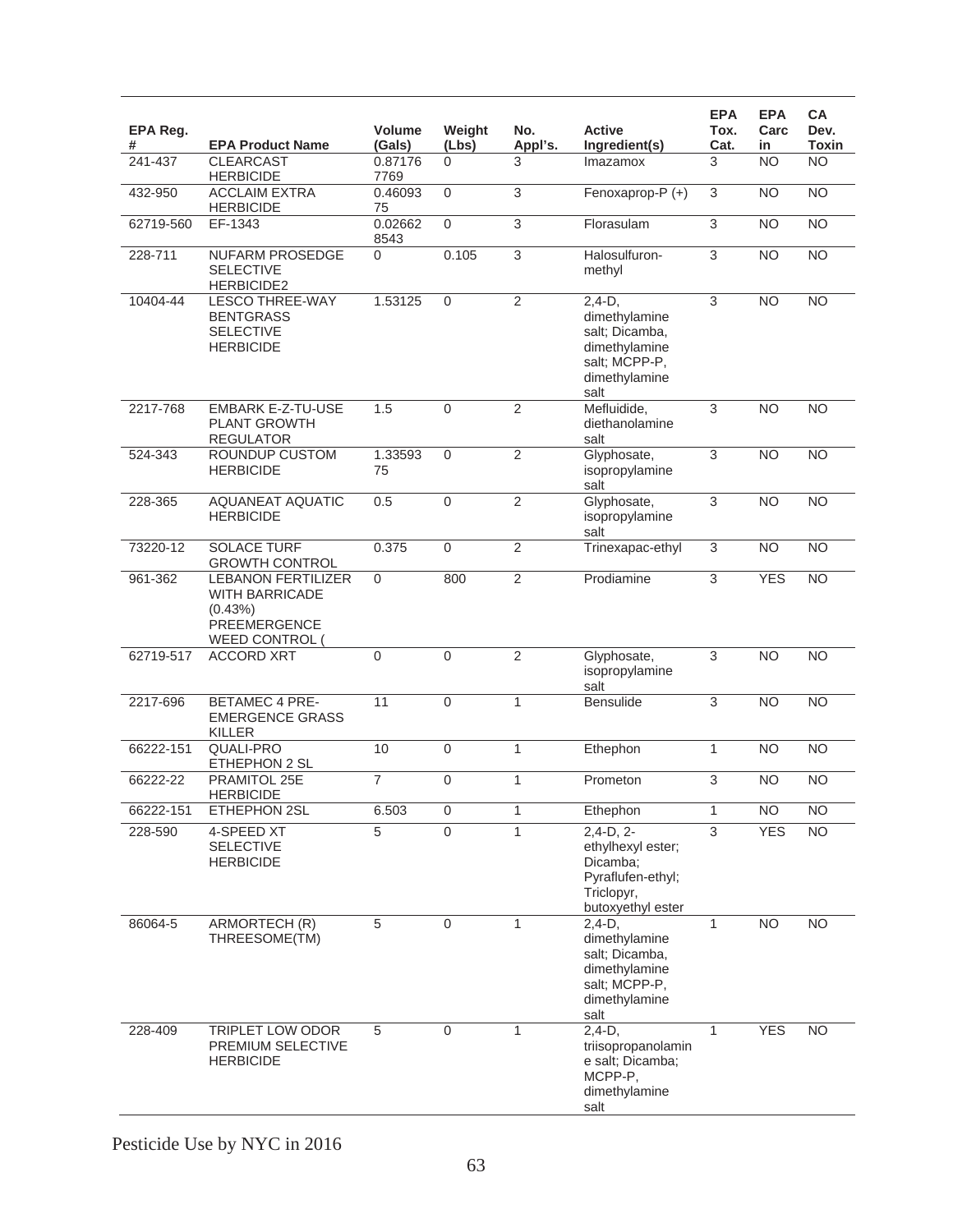| EPA Reg.<br># | <b>EPA Product Name</b>                                                                                | <b>Volume</b><br>(Gals) | Weight<br>(Lbs)     | No.<br>Appl's. | <b>Active</b><br>Ingredient(s)                                                                         | <b>EPA</b><br>Tox.<br>Cat. | <b>EPA</b><br>Carc<br>in | <b>CA</b><br>Dev.<br><b>Toxin</b> |
|---------------|--------------------------------------------------------------------------------------------------------|-------------------------|---------------------|----------------|--------------------------------------------------------------------------------------------------------|----------------------------|--------------------------|-----------------------------------|
| 241-437       | <b>CLEARCAST</b><br><b>HERBICIDE</b>                                                                   | 0.87176<br>7769         | $\Omega$            | 3              | Imazamox                                                                                               | 3                          | <b>NO</b>                | <b>NO</b>                         |
| 432-950       | <b>ACCLAIM EXTRA</b><br><b>HERBICIDE</b>                                                               | 0.46093<br>75           | $\Omega$            | 3              | Fenoxaprop-P (+)                                                                                       | 3                          | <b>NO</b>                | $\overline{NO}$                   |
| 62719-560     | EF-1343                                                                                                | 0.02662<br>8543         | $\mathbf 0$         | 3              | Florasulam                                                                                             | $\overline{3}$             | <b>NO</b>                | $\overline{NO}$                   |
| 228-711       | NUFARM PROSEDGE<br><b>SELECTIVE</b><br>HERBICIDE2                                                      | 0                       | 0.105               | $\overline{3}$ | Halosulfuron-<br>methyl                                                                                | $\overline{3}$             | <b>NO</b>                | N <sub>O</sub>                    |
| 10404-44      | <b>LESCO THREE-WAY</b><br><b>BENTGRASS</b><br><b>SELECTIVE</b><br><b>HERBICIDE</b>                     | 1.53125                 | $\mathbf 0$         | $\overline{2}$ | $2,4-D,$<br>dimethylamine<br>salt; Dicamba,<br>dimethylamine<br>salt; MCPP-P,<br>dimethylamine<br>salt | 3                          | <b>NO</b>                | N <sub>O</sub>                    |
| 2217-768      | <b>EMBARK E-Z-TU-USE</b><br><b>PLANT GROWTH</b><br><b>REGULATOR</b>                                    | 1.5                     | $\overline{0}$      | $\overline{2}$ | Mefluidide.<br>diethanolamine<br>salt                                                                  | $\overline{3}$             | N <sub>O</sub>           | N <sub>O</sub>                    |
| 524-343       | <b>ROUNDUP CUSTOM</b><br><b>HERBICIDE</b>                                                              | 1.33593<br>75           | $\Omega$            | $\overline{2}$ | Glyphosate,<br>isopropylamine<br>salt                                                                  | 3                          | N <sub>O</sub>           | $\overline{NO}$                   |
| 228-365       | AQUANEAT AQUATIC<br><b>HERBICIDE</b>                                                                   | 0.5                     | $\overline{0}$      | $\overline{2}$ | Glyphosate,<br>isopropylamine<br>salt                                                                  | 3                          | N <sub>O</sub>           | <b>NO</b>                         |
| 73220-12      | <b>SOLACE TURF</b><br><b>GROWTH CONTROL</b>                                                            | 0.375                   | $\Omega$            | $\overline{2}$ | Trinexapac-ethyl                                                                                       | 3                          | <b>NO</b>                | <b>NO</b>                         |
| $961 - 362$   | <b>LEBANON FERTILIZER</b><br><b>WITH BARRICADE</b><br>(0.43%)<br><b>PREEMERGENCE</b><br>WEED CONTROL ( | 0                       | 800                 | $\overline{2}$ | Prodiamine                                                                                             | 3                          | <b>YES</b>               | N <sub>O</sub>                    |
| 62719-517     | <b>ACCORD XRT</b>                                                                                      | $\mathbf 0$             | $\mathbf 0$         | $\overline{2}$ | Glyphosate,<br>isopropylamine<br>salt                                                                  | 3                          | N <sub>O</sub>           | N <sub>O</sub>                    |
| 2217-696      | <b>BETAMEC 4 PRE-</b><br><b>EMERGENCE GRASS</b><br><b>KILLER</b>                                       | 11                      | $\mathbf 0$         | $\mathbf{1}$   | <b>Bensulide</b>                                                                                       | 3                          | <b>NO</b>                | $\overline{NO}$                   |
| 66222-151     | QUALI-PRO<br>ETHEPHON 2 SL                                                                             | 10                      | 0                   | $\mathbf{1}$   | Ethephon                                                                                               | $\mathbf{1}$               | <b>NO</b>                | <b>NO</b>                         |
| 66222-22      | PRAMITOL 25E<br><b>HERBICIDE</b>                                                                       | 7                       | $\overline{0}$      | $\mathbf{1}$   | Prometon                                                                                               | 3                          | <b>NO</b>                | $\overline{NO}$                   |
| 66222-151     | ETHEPHON 2SL                                                                                           | 6.503                   | $\mathsf{O}\xspace$ | $\mathbf{1}$   | Ethephon                                                                                               | $\mathbf{1}$               | <b>NO</b>                | <b>NO</b>                         |
| 228-590       | 4-SPEED XT<br><b>SELECTIVE</b><br><b>HERBICIDE</b>                                                     | $\overline{5}$          | $\overline{0}$      | $\mathbf{1}$   | $2,4-D, 2-$<br>ethylhexyl ester;<br>Dicamba;<br>Pyraflufen-ethyl;<br>Triclopyr,<br>butoxyethyl ester   | $\overline{3}$             | <b>YES</b>               | NO                                |
| 86064-5       | ARMORTECH (R)<br>THREESOME(TM)                                                                         | $\overline{5}$          | $\mathbf 0$         | $\mathbf{1}$   | $2,4-D,$<br>dimethylamine<br>salt; Dicamba,<br>dimethylamine<br>salt; MCPP-P,<br>dimethylamine<br>salt | 1                          | <b>NO</b>                | <b>NO</b>                         |
| 228-409       | TRIPLET LOW ODOR<br>PREMIUM SELECTIVE<br><b>HERBICIDE</b>                                              | 5                       | $\mathbf 0$         | $\mathbf{1}$   | $2,4-D,$<br>triisopropanolamin<br>e salt; Dicamba;<br>MCPP-P,<br>dimethylamine<br>salt                 | $\mathbf{1}$               | <b>YES</b>               | <b>NO</b>                         |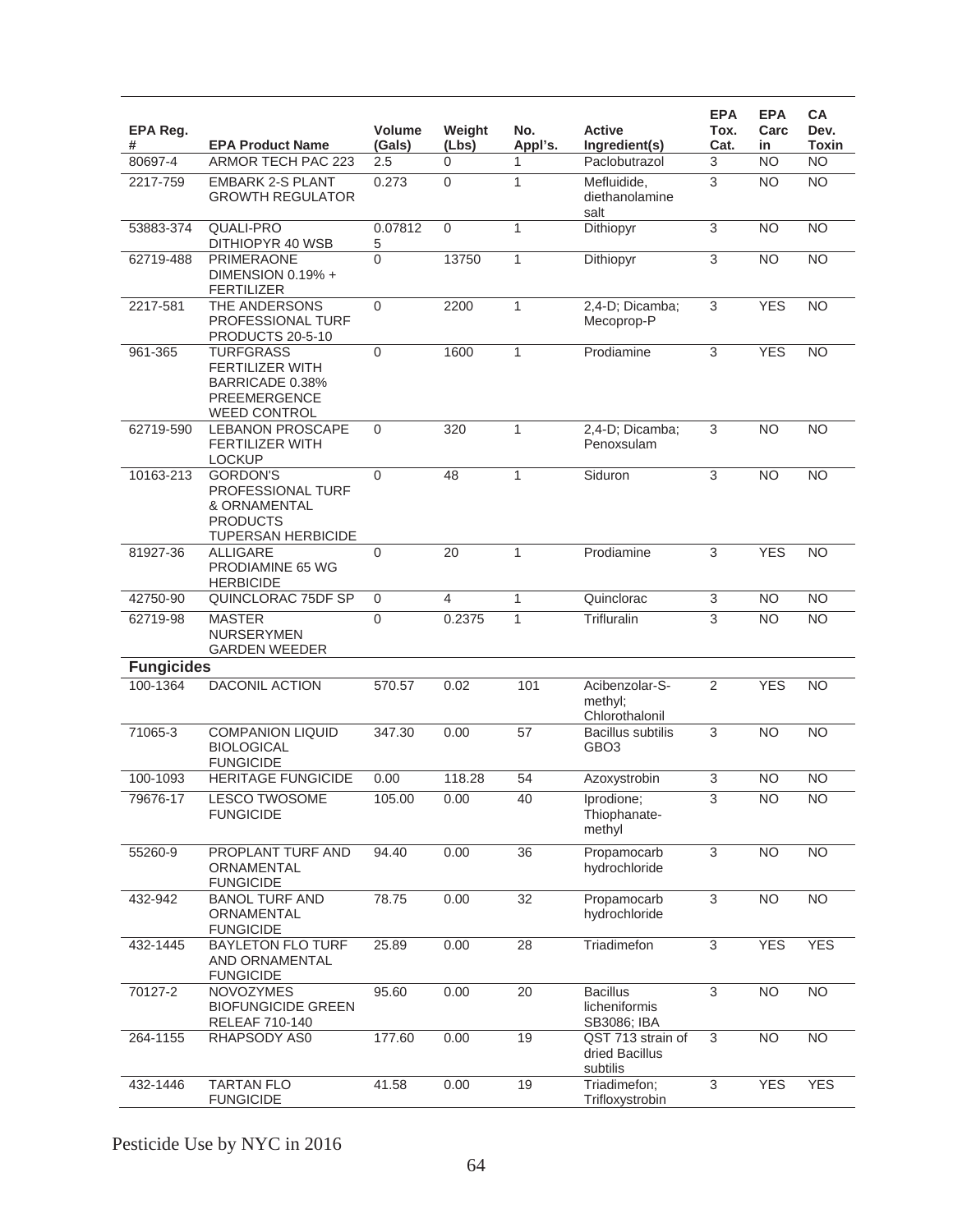| EPA Reg.<br>#     | <b>EPA Product Name</b>                                                                                     | Volume<br>(Gals) | Weight<br>(Lbs) | No.<br>Appl's.  | <b>Active</b><br>Ingredient(s)                  | <b>EPA</b><br>Tox.<br>Cat. | <b>EPA</b><br>Carc<br>in | СA<br>Dev.<br>Toxin |
|-------------------|-------------------------------------------------------------------------------------------------------------|------------------|-----------------|-----------------|-------------------------------------------------|----------------------------|--------------------------|---------------------|
| 80697-4           | ARMOR TECH PAC 223                                                                                          | 2.5              | 0               | 1               | Paclobutrazol                                   | 3                          | <b>NO</b>                | <b>NO</b>           |
| 2217-759          | <b>EMBARK 2-S PLANT</b><br><b>GROWTH REGULATOR</b>                                                          | 0.273            | $\mathbf 0$     | $\mathbf{1}$    | Mefluidide,<br>diethanolamine<br>salt           | 3                          | N <sub>O</sub>           | $\overline{NO}$     |
| 53883-374         | <b>QUALI-PRO</b><br>DITHIOPYR 40 WSB                                                                        | 0.07812<br>5     | $\mathbf 0$     | 1               | Dithiopyr                                       | 3                          | <b>NO</b>                | <b>NO</b>           |
| 62719-488         | <b>PRIMERAONE</b><br>DIMENSION 0.19% +<br>FERTILIZER                                                        | 0                | 13750           | $\mathbf{1}$    | Dithiopyr                                       | $\overline{3}$             | <b>NO</b>                | <b>NO</b>           |
| 2217-581          | THE ANDERSONS<br><b>PROFESSIONAL TURF</b><br>PRODUCTS 20-5-10                                               | 0                | 2200            | 1               | 2,4-D; Dicamba;<br>Mecoprop-P                   | $\overline{3}$             | <b>YES</b>               | <b>NO</b>           |
| 961-365           | <b>TURFGRASS</b><br><b>FERTILIZER WITH</b><br>BARRICADE 0.38%<br><b>PREEMERGENCE</b><br><b>WEED CONTROL</b> | 0                | 1600            | 1               | Prodiamine                                      | 3                          | <b>YES</b>               | <b>NO</b>           |
| 62719-590         | <b>LEBANON PROSCAPE</b><br><b>FERTILIZER WITH</b><br><b>LOCKUP</b>                                          | 0                | 320             | 1               | 2,4-D; Dicamba;<br>Penoxsulam                   | 3                          | <b>NO</b>                | <b>NO</b>           |
| 10163-213         | <b>GORDON'S</b><br>PROFESSIONAL TURF<br>& ORNAMENTAL<br><b>PRODUCTS</b><br><b>TUPERSAN HERBICIDE</b>        | $\mathbf{0}$     | 48              | 1               | Siduron                                         | $\overline{3}$             | <b>NO</b>                | <b>NO</b>           |
| 81927-36          | <b>ALLIGARE</b><br>PRODIAMINE 65 WG<br><b>HERBICIDE</b>                                                     | 0                | 20              | $\mathbf{1}$    | Prodiamine                                      | 3                          | <b>YES</b>               | <b>NO</b>           |
| 42750-90          | QUINCLORAC 75DF SP                                                                                          | 0                | 4               | 1               | Quinclorac                                      | 3                          | NO.                      | <b>NO</b>           |
| 62719-98          | <b>MASTER</b><br><b>NURSERYMEN</b><br>GARDEN WEEDER                                                         | $\mathbf 0$      | 0.2375          | 1               | Trifluralin                                     | 3                          | <b>NO</b>                | <b>NO</b>           |
| <b>Fungicides</b> |                                                                                                             |                  |                 |                 |                                                 |                            |                          |                     |
| 100-1364          | <b>DACONIL ACTION</b>                                                                                       | 570.57           | 0.02            | 101             | Acibenzolar-S-<br>methyl:<br>Chlorothalonil     | 2                          | <b>YES</b>               | <b>NO</b>           |
| 71065-3           | <b>COMPANION LIQUID</b><br><b>BIOLOGICAL</b><br><b>FUNGICIDE</b>                                            | 347.30           | 0.00            | $\overline{57}$ | <b>Bacillus</b> subtilis<br>GBO3                | $\overline{3}$             | NO                       | $\overline{NO}$     |
| 100-1093          | <b>HERITAGE FUNGICIDE</b>                                                                                   | 0.00             | 118.28          | 54              | Azoxystrobin                                    | 3                          | <b>NO</b>                | <b>NO</b>           |
| 79676-17          | LESCO TWOSOME<br><b>FUNGICIDE</b>                                                                           | 105.00           | 0.00            | 40              | Iprodione;<br>Thiophanate-<br>methyl            | 3                          | NO                       | N <sub>O</sub>      |
| 55260-9           | PROPLANT TURF AND<br>ORNAMENTAL<br><b>FUNGICIDE</b>                                                         | 94.40            | 0.00            | $\overline{36}$ | Propamocarb<br>hydrochloride                    | 3                          | <b>NO</b>                | $\overline{NO}$     |
| 432-942           | <b>BANOL TURF AND</b><br>ORNAMENTAL<br><b>FUNGICIDE</b>                                                     | 78.75            | 0.00            | $\overline{32}$ | Propamocarb<br>hydrochloride                    | $\overline{3}$             | <b>NO</b>                | $\overline{NO}$     |
| 432-1445          | <b>BAYLETON FLO TURF</b><br>AND ORNAMENTAL<br><b>FUNGICIDE</b>                                              | 25.89            | 0.00            | 28              | Triadimefon                                     | $\overline{3}$             | <b>YES</b>               | <b>YES</b>          |
| 70127-2           | <b>NOVOZYMES</b><br><b>BIOFUNGICIDE GREEN</b><br><b>RELEAF 710-140</b>                                      | 95.60            | 0.00            | 20              | <b>Bacillus</b><br>licheniformis<br>SB3086; IBA | 3                          | <b>NO</b>                | <b>NO</b>           |
| 264-1155          | RHAPSODY AS0                                                                                                | 177.60           | 0.00            | 19              | QST 713 strain of<br>dried Bacillus<br>subtilis | 3                          | <b>NO</b>                | <b>NO</b>           |
| 432-1446          | <b>TARTAN FLO</b><br><b>FUNGICIDE</b>                                                                       | 41.58            | 0.00            | 19              | Triadimefon;<br>Trifloxystrobin                 | $\overline{3}$             | <b>YES</b>               | <b>YES</b>          |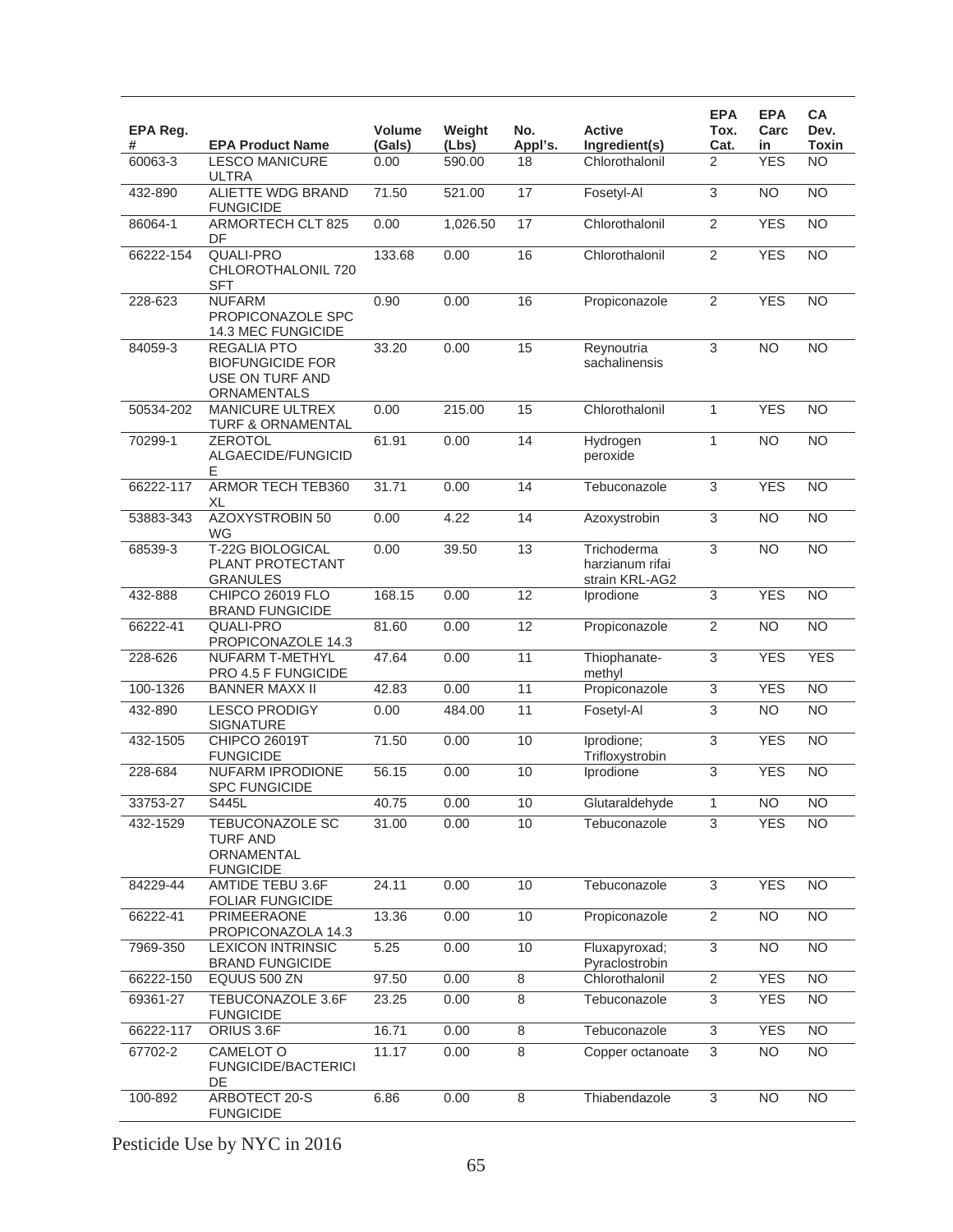| EPA Reg.<br># | <b>EPA Product Name</b>                                                         | Volume<br>(Gals) | Weight<br>(Lbs) | No.<br>Appl's.  | <b>Active</b><br>Ingredient(s)                   | <b>EPA</b><br>Tox.<br>Cat. | <b>EPA</b><br>Carc<br>in | CA<br>Dev.<br>Toxin |
|---------------|---------------------------------------------------------------------------------|------------------|-----------------|-----------------|--------------------------------------------------|----------------------------|--------------------------|---------------------|
| 60063-3       | <b>LESCO MANICURE</b><br>ULTRA                                                  | 0.00             | 590.00          | 18              | Chlorothalonil                                   | 2                          | <b>YES</b>               | <b>NO</b>           |
| 432-890       | ALIETTE WDG BRAND<br><b>FUNGICIDE</b>                                           | 71.50            | 521.00          | 17              | Fosetyl-Al                                       | $\overline{3}$             | N <sub>O</sub>           | $\overline{NO}$     |
| 86064-1       | ARMORTECH CLT 825<br>DF                                                         | 0.00             | 1,026.50        | 17              | Chlorothalonil                                   | $\overline{2}$             | <b>YES</b>               | $\overline{NO}$     |
| 66222-154     | QUALI-PRO<br>CHLOROTHALONIL 720<br><b>SFT</b>                                   | 133.68           | 0.00            | 16              | Chlorothalonil                                   | $\overline{2}$             | <b>YES</b>               | $\overline{NO}$     |
| 228-623       | <b>NUFARM</b><br>PROPICONAZOLE SPC<br>14.3 MEC FUNGICIDE                        | 0.90             | 0.00            | 16              | Propiconazole                                    | $\overline{2}$             | <b>YES</b>               | <b>NO</b>           |
| 84059-3       | <b>REGALIA PTO</b><br><b>BIOFUNGICIDE FOR</b><br>USE ON TURF AND<br>ORNAMENTALS | 33.20            | 0.00            | 15              | Reynoutria<br>sachalinensis                      | 3                          | <b>NO</b>                | <b>NO</b>           |
| 50534-202     | <b>MANICURE ULTREX</b><br><b>TURF &amp; ORNAMENTAL</b>                          | 0.00             | 215.00          | $\overline{15}$ | Chlorothalonil                                   | 1                          | <b>YES</b>               | $\overline{NO}$     |
| 70299-1       | <b>ZEROTOL</b><br>ALGAECIDE/FUNGICID<br>E.                                      | 61.91            | 0.00            | 14              | Hydrogen<br>peroxide                             | 1                          | <b>NO</b>                | $\overline{NO}$     |
| 66222-117     | <b>ARMOR TECH TEB360</b><br>XL                                                  | 31.71            | 0.00            | 14              | Tebuconazole                                     | 3                          | <b>YES</b>               | <b>NO</b>           |
| 53883-343     | <b>AZOXYSTROBIN 50</b><br>WG                                                    | 0.00             | 4.22            | 14              | Azoxystrobin                                     | $\overline{3}$             | NO                       | $\overline{NO}$     |
| 68539-3       | T-22G BIOLOGICAL<br>PLANT PROTECTANT<br><b>GRANULES</b>                         | 0.00             | 39.50           | 13              | Trichoderma<br>harzianum rifai<br>strain KRL-AG2 | $\overline{3}$             | N <sub>O</sub>           | $\overline{NO}$     |
| 432-888       | CHIPCO 26019 FLO<br><b>BRAND FUNGICIDE</b>                                      | 168.15           | 0.00            | $\overline{12}$ | Iprodione                                        | 3                          | <b>YES</b>               | $\overline{NO}$     |
| 66222-41      | QUALI-PRO<br>PROPICONAZOLE 14.3                                                 | 81.60            | 0.00            | 12              | Propiconazole                                    | $\overline{2}$             | N <sub>O</sub>           | $\overline{NO}$     |
| 228-626       | <b>NUFARM T-METHYL</b><br>PRO 4.5 F FUNGICIDE                                   | 47.64            | 0.00            | $\overline{11}$ | Thiophanate-<br>methyl                           | $\overline{3}$             | <b>YES</b>               | <b>YES</b>          |
| 100-1326      | <b>BANNER MAXX II</b>                                                           | 42.83            | 0.00            | $\overline{11}$ | Propiconazole                                    | 3                          | <b>YES</b>               | $\overline{NO}$     |
| 432-890       | <b>LESCO PRODIGY</b><br><b>SIGNATURE</b>                                        | 0.00             | 484.00          | 11              | Fosetyl-Al                                       | 3                          | <b>NO</b>                | <b>NO</b>           |
| 432-1505      | <b>CHIPCO 26019T</b><br><b>FUNGICIDE</b>                                        | 71.50            | 0.00            | 10              | Iprodione;<br>Trifloxystrobin                    | 3                          | <b>YES</b>               | $\overline{NO}$     |
| 228-684       | <b>NUFARM IPRODIONE</b><br><b>SPC FUNGICIDE</b>                                 | 56.15            | 0.00            | 10              | Iprodione                                        | $\overline{3}$             | <b>YES</b>               | $\overline{NO}$     |
| 33753-27      | S445L                                                                           | 40.75            | 0.00            | 10              | Glutaraldehyde                                   | 1                          | <b>NO</b>                | NO <sub>1</sub>     |
| 432-1529      | TEBUCONAZOLE SC<br><b>TURF AND</b><br>ORNAMENTAL<br><b>FUNGICIDE</b>            | 31.00            | 0.00            | 10              | Tebuconazole                                     | $\overline{3}$             | <b>YES</b>               | <b>NO</b>           |
| 84229-44      | AMTIDE TEBU 3.6F<br><b>FOLIAR FUNGICIDE</b>                                     | 24.11            | 0.00            | 10              | Tebuconazole                                     | 3                          | <b>YES</b>               | <b>NO</b>           |
| 66222-41      | PRIMEERAONE<br>PROPICONAZOLA 14.3                                               | 13.36            | 0.00            | 10              | Propiconazole                                    | 2                          | <b>NO</b>                | <b>NO</b>           |
| 7969-350      | <b>LEXICON INTRINSIC</b><br><b>BRAND FUNGICIDE</b>                              | 5.25             | 0.00            | 10              | Fluxapyroxad;<br>Pyraclostrobin                  | $\overline{3}$             | <b>NO</b>                | $\overline{NO}$     |
| 66222-150     | EQUUS 500 ZN                                                                    | 97.50            | 0.00            | $\overline{8}$  | Chlorothalonil                                   | $\overline{2}$             | <b>YES</b>               | $\overline{NO}$     |
| 69361-27      | TEBUCONAZOLE 3.6F<br><b>FUNGICIDE</b>                                           | 23.25            | 0.00            | 8               | Tebuconazole                                     | 3                          | <b>YES</b>               | <b>NO</b>           |
| 66222-117     | ORIUS 3.6F                                                                      | 16.71            | 0.00            | $\overline{8}$  | Tebuconazole                                     | $\overline{3}$             | <b>YES</b>               | <b>NO</b>           |
| 67702-2       | <b>CAMELOT O</b><br><b>FUNGICIDE/BACTERICI</b><br>DE                            | 11.17            | 0.00            | $\overline{8}$  | Copper octanoate                                 | 3                          | NO                       | $\overline{NO}$     |
| 100-892       | ARBOTECT 20-S<br><b>FUNGICIDE</b>                                               | 6.86             | 0.00            | 8               | Thiabendazole                                    | $\overline{3}$             | <b>NO</b>                | $\overline{NO}$     |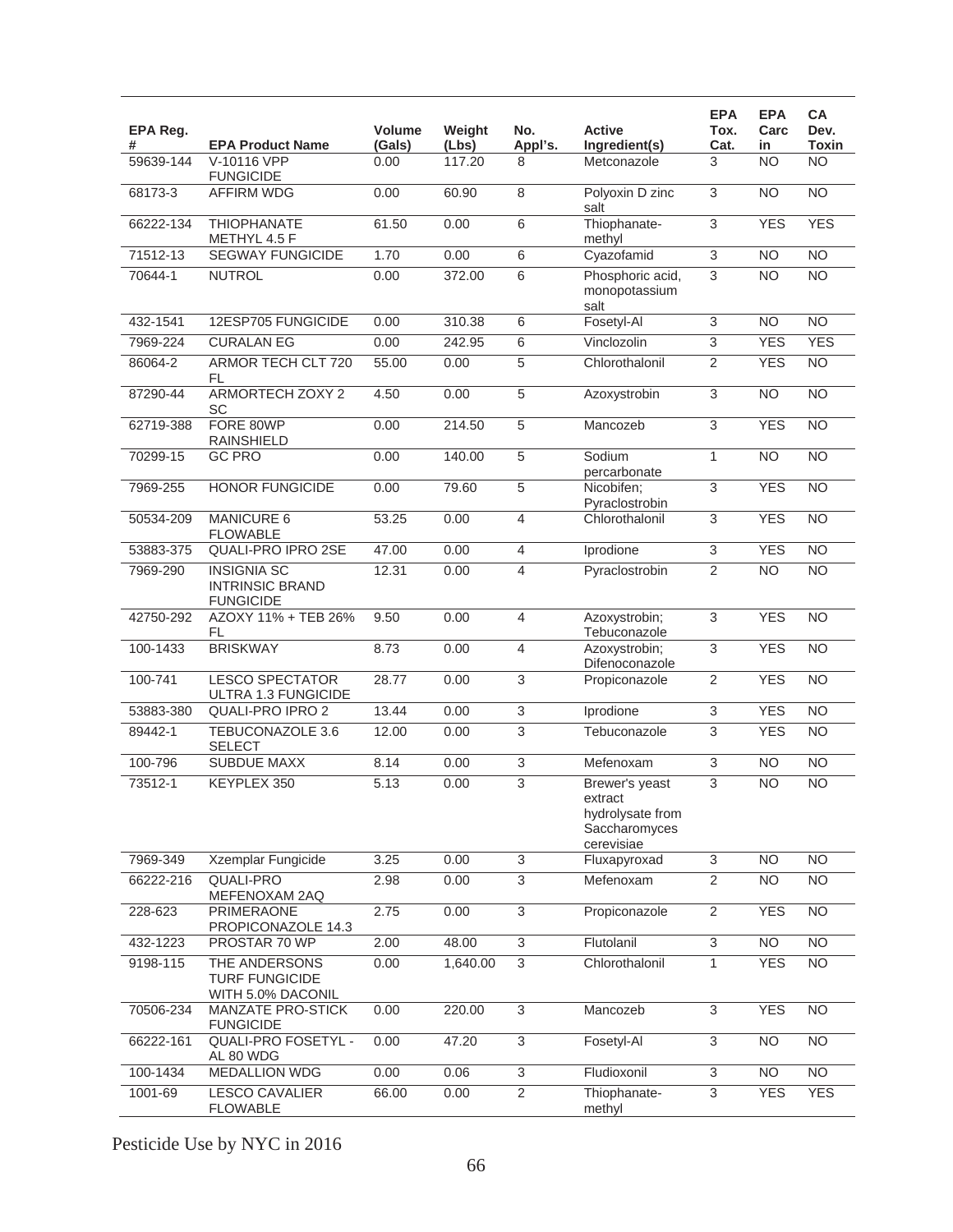| EPA Reg.<br># | <b>EPA Product Name</b>                                          | Volume<br>(Gals) | Weight<br>(Lbs) | No.<br>Appl's.            | <b>Active</b><br>Ingredient(s)                                               | <b>EPA</b><br>Tox.<br>Cat. | <b>EPA</b><br>Carc<br>in | <b>CA</b><br>Dev.<br><b>Toxin</b> |
|---------------|------------------------------------------------------------------|------------------|-----------------|---------------------------|------------------------------------------------------------------------------|----------------------------|--------------------------|-----------------------------------|
| 59639-144     | V-10116 VPP<br><b>FUNGICIDE</b>                                  | 0.00             | 117.20          | 8                         | Metconazole                                                                  | 3                          | <b>NO</b>                | <b>NO</b>                         |
| 68173-3       | <b>AFFIRM WDG</b>                                                | 0.00             | 60.90           | 8                         | Polyoxin D zinc<br>salt                                                      | $\overline{3}$             | <b>NO</b>                | $\overline{NO}$                   |
| 66222-134     | <b>THIOPHANATE</b><br>METHYL 4.5 F                               | 61.50            | 0.00            | 6                         | Thiophanate-<br>methyl                                                       | $\overline{3}$             | <b>YES</b>               | <b>YES</b>                        |
| 71512-13      | <b>SEGWAY FUNGICIDE</b>                                          | 1.70             | 0.00            | $\,6$                     | Cyazofamid                                                                   | 3                          | <b>NO</b>                | <b>NO</b>                         |
| 70644-1       | <b>NUTROL</b>                                                    | 0.00             | 372.00          | 6                         | Phosphoric acid,<br>monopotassium<br>salt                                    | $\overline{3}$             | <b>NO</b>                | $\overline{NO}$                   |
| 432-1541      | 12ESP705 FUNGICIDE                                               | 0.00             | 310.38          | 6                         | Fosetyl-Al                                                                   | $\overline{3}$             | N <sub>O</sub>           | $\overline{NO}$                   |
| 7969-224      | <b>CURALAN EG</b>                                                | 0.00             | 242.95          | 6                         | Vinclozolin                                                                  | 3                          | <b>YES</b>               | <b>YES</b>                        |
| 86064-2       | <b>ARMOR TECH CLT 720</b><br>FL                                  | 55.00            | 0.00            | 5                         | Chlorothalonil                                                               | 2                          | <b>YES</b>               | <b>NO</b>                         |
| 87290-44      | <b>ARMORTECH ZOXY 2</b><br>SC                                    | 4.50             | 0.00            | 5                         | Azoxystrobin                                                                 | 3                          | N <sub>O</sub>           | $\overline{NO}$                   |
| 62719-388     | FORE 80WP<br><b>RAINSHIELD</b>                                   | 0.00             | 214.50          | 5                         | Mancozeb                                                                     | $\overline{3}$             | <b>YES</b>               | $\overline{NO}$                   |
| 70299-15      | <b>GC PRO</b>                                                    | 0.00             | 140.00          | 5                         | Sodium<br>percarbonate                                                       | $\mathbf{1}$               | $\overline{NO}$          | $\overline{NO}$                   |
| 7969-255      | <b>HONOR FUNGICIDE</b>                                           | 0.00             | 79.60           | 5                         | Nicobifen;<br>Pyraclostrobin                                                 | 3                          | <b>YES</b>               | $\overline{NO}$                   |
| 50534-209     | <b>MANICURE 6</b><br><b>FLOWABLE</b>                             | 53.25            | 0.00            | 4                         | Chlorothalonil                                                               | $\overline{3}$             | <b>YES</b>               | $\overline{NO}$                   |
| 53883-375     | <b>QUALI-PRO IPRO 2SE</b>                                        | 47.00            | 0.00            | $\overline{4}$            | Iprodione                                                                    | $\overline{3}$             | <b>YES</b>               | <b>NO</b>                         |
| 7969-290      | <b>INSIGNIA SC</b><br><b>INTRINSIC BRAND</b><br><b>FUNGICIDE</b> | 12.31            | 0.00            | $\overline{4}$            | Pyraclostrobin                                                               | $\overline{2}$             | <b>NO</b>                | $\overline{NO}$                   |
| 42750-292     | AZOXY 11% + TEB 26%<br>FL                                        | 9.50             | 0.00            | $\overline{4}$            | Azoxystrobin;<br>Tebuconazole                                                | $\overline{3}$             | <b>YES</b>               | $\overline{NO}$                   |
| 100-1433      | <b>BRISKWAY</b>                                                  | 8.73             | 0.00            | $\overline{4}$            | Azoxystrobin;<br>Difenoconazole                                              | $\overline{3}$             | <b>YES</b>               | $\overline{NO}$                   |
| 100-741       | <b>LESCO SPECTATOR</b><br>ULTRA 1.3 FUNGICIDE                    | 28.77            | 0.00            | 3                         | Propiconazole                                                                | $\overline{2}$             | <b>YES</b>               | $\overline{NO}$                   |
| 53883-380     | <b>QUALI-PRO IPRO 2</b>                                          | 13.44            | 0.00            | $\ensuremath{\mathsf{3}}$ | Iprodione                                                                    | 3                          | <b>YES</b>               | <b>NO</b>                         |
| 89442-1       | TEBUCONAZOLE 3.6<br><b>SELECT</b>                                | 12.00            | 0.00            | 3                         | Tebuconazole                                                                 | 3                          | <b>YES</b>               | <b>NO</b>                         |
| 100-796       | <b>SUBDUE MAXX</b>                                               | 8.14             | 0.00            | $\overline{3}$            | Mefenoxam                                                                    | $\overline{3}$             | NO                       | $\overline{NO}$                   |
| 73512-1       | KEYPLEX 350                                                      | 5.13             | 0.00            | 3                         | Brewer's yeast<br>extract<br>hydrolysate from<br>Saccharomyces<br>cerevisiae | $\overline{3}$             | <b>NO</b>                | <b>NO</b>                         |
| 7969-349      | <b>Xzemplar Fungicide</b>                                        | 3.25             | 0.00            | $\overline{3}$            | Fluxapyroxad                                                                 | $\overline{3}$             | <b>NO</b>                | $\overline{NO}$                   |
| 66222-216     | QUALI-PRO<br>MEFENOXAM 2AQ                                       | 2.98             | 0.00            | 3                         | Mefenoxam                                                                    | $\overline{2}$             | <b>NO</b>                | <b>NO</b>                         |
| 228-623       | PRIMERAONE<br>PROPICONAZOLE 14.3                                 | 2.75             | 0.00            | $\overline{3}$            | Propiconazole                                                                | $\overline{2}$             | <b>YES</b>               | $\overline{NO}$                   |
| 432-1223      | PROSTAR 70 WP                                                    | 2.00             | 48.00           | $\,$ 3 $\,$               | Flutolanil                                                                   | $\overline{3}$             | <b>NO</b>                | <b>NO</b>                         |
| 9198-115      | THE ANDERSONS<br><b>TURF FUNGICIDE</b><br>WITH 5.0% DACONIL      | 0.00             | 1,640.00        | 3                         | Chlorothalonil                                                               | $\mathbf{1}$               | <b>YES</b>               | <b>NO</b>                         |
| 70506-234     | <b>MANZATE PRO-STICK</b><br><b>FUNGICIDE</b>                     | 0.00             | 220.00          | $\overline{3}$            | Mancozeb                                                                     | 3                          | <b>YES</b>               | $\overline{NO}$                   |
| 66222-161     | QUALI-PRO FOSETYL -<br>AL 80 WDG                                 | 0.00             | 47.20           | 3                         | Fosetyl-Al                                                                   | $\overline{3}$             | <b>NO</b>                | <b>NO</b>                         |
| 100-1434      | <b>MEDALLION WDG</b>                                             | 0.00             | 0.06            | $\overline{3}$            | Fludioxonil                                                                  | $\overline{3}$             | <b>NO</b>                | $\overline{NO}$                   |
| 1001-69       | <b>LESCO CAVALIER</b><br><b>FLOWABLE</b>                         | 66.00            | 0.00            | $\overline{2}$            | Thiophanate-<br>methyl                                                       | 3                          | <b>YES</b>               | <b>YES</b>                        |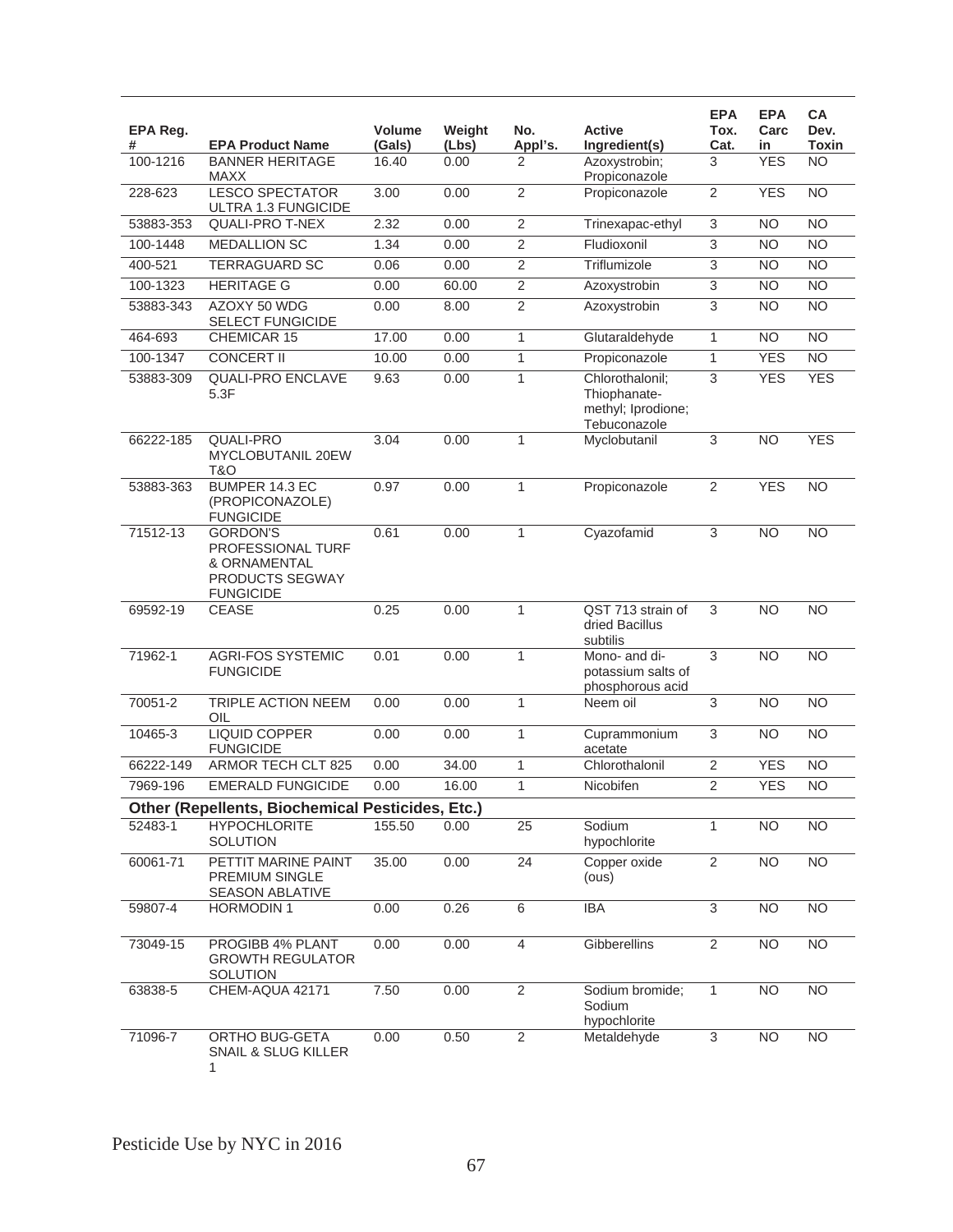| EPA Reg.<br># | <b>EPA Product Name</b>                                                                     | Volume<br>(Gals) | Weight<br>(Lbs) | No.<br>Appl's.  | <b>Active</b><br>Ingredient(s)                                        | <b>EPA</b><br>Tox.<br>Cat. | <b>EPA</b><br>Carc<br>in | СA<br>Dev.<br><b>Toxin</b> |
|---------------|---------------------------------------------------------------------------------------------|------------------|-----------------|-----------------|-----------------------------------------------------------------------|----------------------------|--------------------------|----------------------------|
| 100-1216      | <b>BANNER HERITAGE</b><br>MAXX                                                              | 16.40            | 0.00            | 2               | Azoxystrobin;<br>Propiconazole                                        | 3                          | <b>YES</b>               | <b>NO</b>                  |
| 228-623       | <b>LESCO SPECTATOR</b><br>ULTRA 1.3 FUNGICIDE                                               | 3.00             | 0.00            | $\overline{2}$  | Propiconazole                                                         | $\overline{2}$             | <b>YES</b>               | <b>NO</b>                  |
| 53883-353     | <b>QUALI-PRO T-NEX</b>                                                                      | 2.32             | 0.00            | $\overline{2}$  | Trinexapac-ethyl                                                      | 3                          | <b>NO</b>                | <b>NO</b>                  |
| 100-1448      | <b>MEDALLION SC</b>                                                                         | 1.34             | 0.00            | $\overline{c}$  | Fludioxonil                                                           | 3                          | <b>NO</b>                | <b>NO</b>                  |
| 400-521       | <b>TERRAGUARD SC</b>                                                                        | 0.06             | 0.00            | $\overline{2}$  | Triflumizole                                                          | $\overline{3}$             | <b>NO</b>                | <b>NO</b>                  |
| 100-1323      | <b>HERITAGE G</b>                                                                           | 0.00             | 60.00           | $\overline{c}$  | Azoxystrobin                                                          | $\overline{3}$             | $\overline{NO}$          | $\overline{NO}$            |
| 53883-343     | AZOXY 50 WDG<br><b>SELECT FUNGICIDE</b>                                                     | 0.00             | 8.00            | $\overline{2}$  | Azoxystrobin                                                          | $\overline{3}$             | <b>NO</b>                | <b>NO</b>                  |
| 464-693       | CHEMICAR 15                                                                                 | 17.00            | 0.00            | 1               | Glutaraldehyde                                                        | 1                          | <b>NO</b>                | <b>NO</b>                  |
| 100-1347      | <b>CONCERT II</b>                                                                           | 10.00            | 0.00            | 1               | Propiconazole                                                         | $\mathbf{1}$               | <b>YES</b>               | <b>NO</b>                  |
| 53883-309     | <b>QUALI-PRO ENCLAVE</b><br>5.3F                                                            | 9.63             | 0.00            | $\mathbf{1}$    | Chlorothalonil;<br>Thiophanate-<br>methyl; Iprodione;<br>Tebuconazole | 3                          | <b>YES</b>               | <b>YES</b>                 |
| 66222-185     | <b>QUALI-PRO</b><br><b>MYCLOBUTANIL 20EW</b><br>T&O                                         | 3.04             | 0.00            | $\mathbf{1}$    | Myclobutanil                                                          | 3                          | <b>NO</b>                | <b>YES</b>                 |
| 53883-363     | BUMPER 14.3 EC<br>(PROPICONAZOLE)<br><b>FUNGICIDE</b>                                       | 0.97             | 0.00            | $\mathbf{1}$    | Propiconazole                                                         | $\overline{2}$             | <b>YES</b>               | <b>NO</b>                  |
| 71512-13      | <b>GORDON'S</b><br>PROFESSIONAL TURF<br>& ORNAMENTAL<br>PRODUCTS SEGWAY<br><b>FUNGICIDE</b> | 0.61             | 0.00            | $\mathbf{1}$    | Cyazofamid                                                            | 3                          | <b>NO</b>                | <b>NO</b>                  |
| 69592-19      | <b>CEASE</b>                                                                                | 0.25             | 0.00            | $\mathbf{1}$    | QST 713 strain of<br>dried Bacillus<br>subtilis                       | 3                          | <b>NO</b>                | <b>NO</b>                  |
| 71962-1       | <b>AGRI-FOS SYSTEMIC</b><br><b>FUNGICIDE</b>                                                | 0.01             | 0.00            | $\mathbf{1}$    | Mono- and di-<br>potassium salts of<br>phosphorous acid               | 3                          | N <sub>O</sub>           | $\overline{NO}$            |
| 70051-2       | <b>TRIPLE ACTION NEEM</b><br>OIL                                                            | 0.00             | 0.00            | 1               | Neem oil                                                              | 3                          | <b>NO</b>                | $\overline{NO}$            |
| 10465-3       | <b>LIQUID COPPER</b><br><b>FUNGICIDE</b>                                                    | 0.00             | 0.00            | $\mathbf{1}$    | Cuprammonium<br>acetate                                               | $\overline{3}$             | N <sub>O</sub>           | $\overline{NO}$            |
| 66222-149     | ARMOR TECH CLT 825                                                                          | 0.00             | 34.00           | 1               | Chlorothalonil                                                        | $\overline{2}$             | <b>YES</b>               | <b>NO</b>                  |
| 7969-196      | <b>EMERALD FUNGICIDE</b>                                                                    | 0.00             | 16.00           | 1               | Nicobifen                                                             | $\overline{2}$             | <b>YES</b>               | <b>NO</b>                  |
|               | Other (Repellents, Biochemical Pesticides, Etc.)                                            |                  |                 |                 |                                                                       |                            |                          |                            |
| 52483-1       | <b>HYPOCHLORITE</b><br>SOLUTION                                                             | 155.50           | 0.00            | 25              | Sodium<br>hypochlorite                                                | $\mathbf{1}$               | <b>NO</b>                | $\overline{NO}$            |
| 60061-71      | PETTIT MARINE PAINT<br>PREMIUM SINGLE<br><b>SEASON ABLATIVE</b>                             | 35.00            | 0.00            | $\overline{24}$ | Copper oxide<br>(ous)                                                 | $\overline{2}$             | NO <sub>1</sub>          | $\overline{NO}$            |
| 59807-4       | <b>HORMODIN1</b>                                                                            | 0.00             | 0.26            | 6               | <b>IBA</b>                                                            | $\overline{3}$             | <b>NO</b>                | $\overline{NO}$            |
| 73049-15      | PROGIBB 4% PLANT<br><b>GROWTH REGULATOR</b><br>SOLUTION                                     | 0.00             | 0.00            | 4               | Gibberellins                                                          | $\overline{2}$             | <b>NO</b>                | <b>NO</b>                  |
| 63838-5       | CHEM-AQUA 42171                                                                             | 7.50             | 0.00            | $\overline{2}$  | Sodium bromide;<br>Sodium<br>hypochlorite                             | $\mathbf{1}$               | N <sub>O</sub>           | NO                         |
| 71096-7       | ORTHO BUG-GETA<br>SNAIL & SLUG KILLER<br>1                                                  | 0.00             | 0.50            | $\overline{2}$  | Metaldehyde                                                           | 3                          | <b>NO</b>                | <b>NO</b>                  |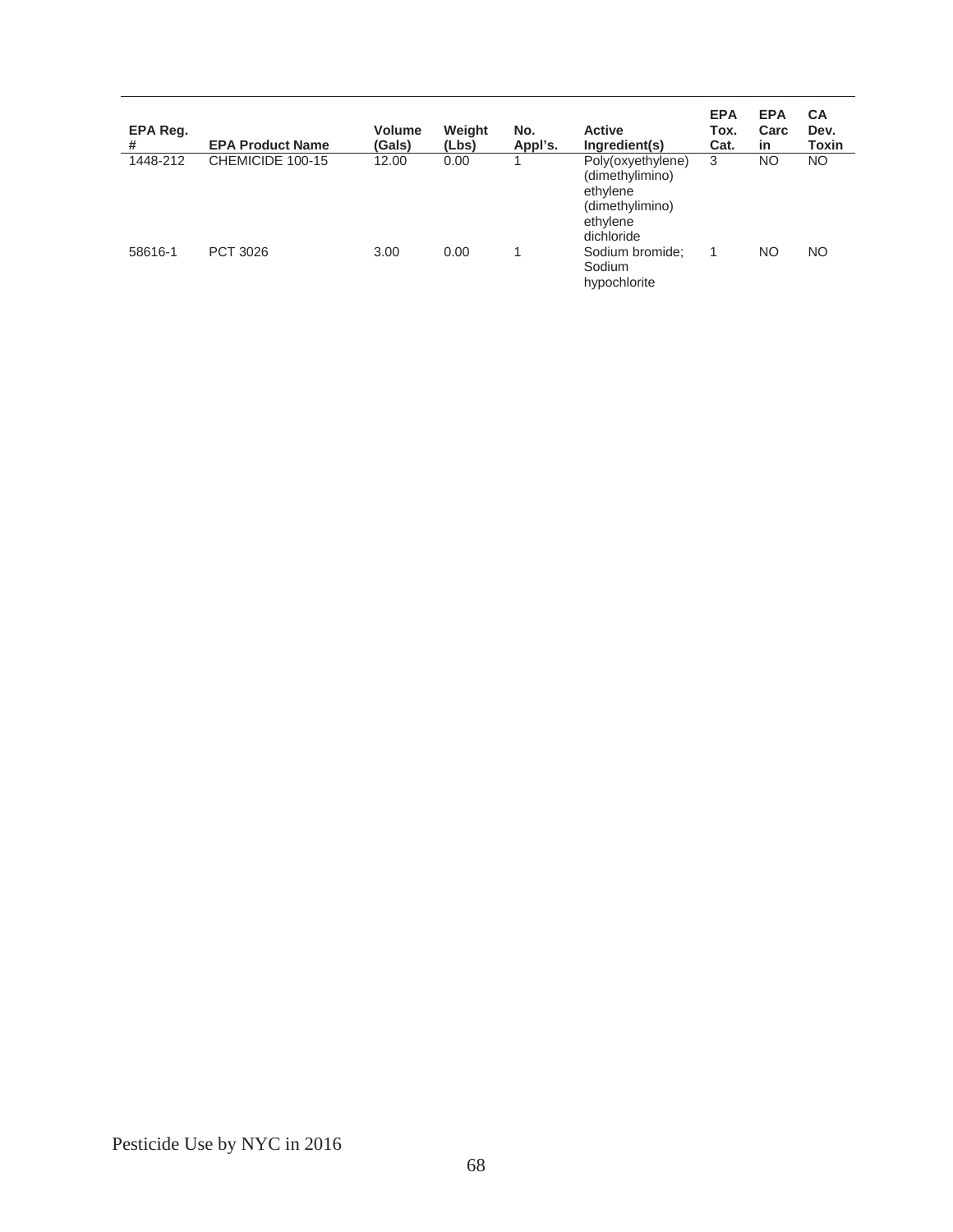| EPA Reg.<br># | <b>EPA Product Name</b> | <b>Volume</b><br>(Gals) | Weight<br>(Lbs) | No.<br>Appl's. | <b>Active</b><br>Ingredient(s)                                                                | <b>EPA</b><br>Tox.<br>Cat. | <b>EPA</b><br>Carc<br>in | <b>CA</b><br>Dev.<br><b>Toxin</b> |
|---------------|-------------------------|-------------------------|-----------------|----------------|-----------------------------------------------------------------------------------------------|----------------------------|--------------------------|-----------------------------------|
| 1448-212      | CHEMICIDE 100-15        | 12.00                   | 0.00            |                | Poly(oxyethylene)<br>(dimethylimino)<br>ethylene<br>(dimethylimino)<br>ethylene<br>dichloride | 3                          | NO                       | NO.                               |
| 58616-1       | PCT 3026                | 3.00                    | 0.00            |                | Sodium bromide;<br>Sodium<br>hypochlorite                                                     |                            | NO.                      | <b>NO</b>                         |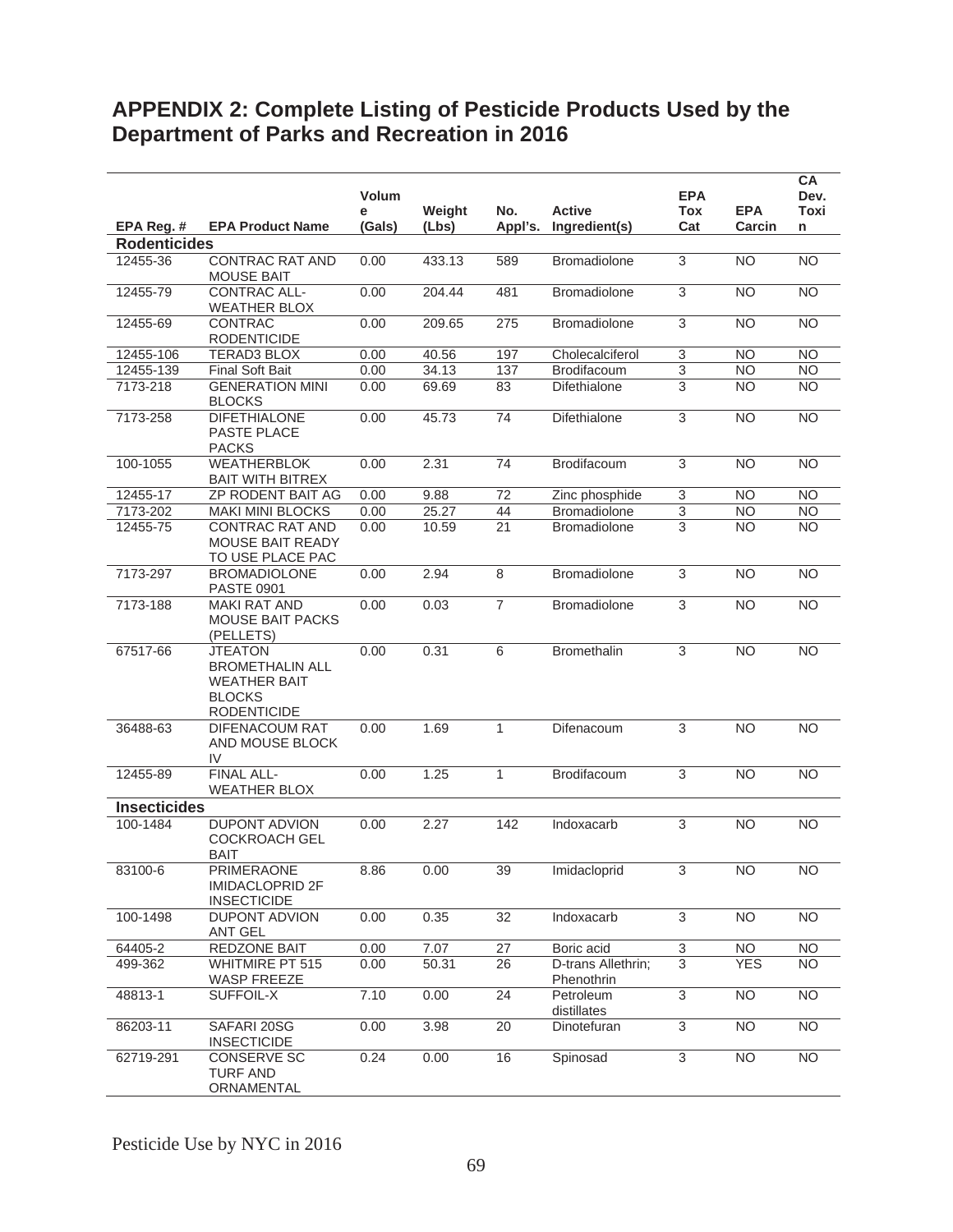# **APPENDIX 2: Complete Listing of Pesticide Products Used by the Department of Parks and Recreation in 2016**

|                     |                                                                                                        | <b>Volum</b><br>е | Weight | No.            | <b>Active</b>                    | <b>EPA</b><br><b>Tox</b> | <b>EPA</b> | CA<br>Dev.<br>Toxi |
|---------------------|--------------------------------------------------------------------------------------------------------|-------------------|--------|----------------|----------------------------------|--------------------------|------------|--------------------|
| EPA Reg. #          | <b>EPA Product Name</b>                                                                                | (Gals)            | (Lbs)  | Appl's.        | Ingredient(s)                    | Cat                      | Carcin     | n                  |
| <b>Rodenticides</b> |                                                                                                        |                   |        |                |                                  |                          |            |                    |
| 12455-36            | <b>CONTRAC RAT AND</b><br><b>MOUSE BAIT</b>                                                            | 0.00              | 433.13 | 589            | Bromadiolone                     | 3                        | <b>NO</b>  | NO.                |
| 12455-79            | <b>CONTRAC ALL-</b><br><b>WEATHER BLOX</b>                                                             | 0.00              | 204.44 | 481            | Bromadiolone                     | $\overline{3}$           | <b>NO</b>  | <b>NO</b>          |
| 12455-69            | <b>CONTRAC</b><br><b>RODENTICIDE</b>                                                                   | 0.00              | 209.65 | 275            | <b>Bromadiolone</b>              | $\sqrt{3}$               | <b>NO</b>  | <b>NO</b>          |
| 12455-106           | <b>TERAD3 BLOX</b>                                                                                     | 0.00              | 40.56  | 197            | Cholecalciferol                  | $\mathsf 3$              | <b>NO</b>  | <b>NO</b>          |
| 12455-139           | <b>Final Soft Bait</b>                                                                                 | 0.00              | 34.13  | 137            | Brodifacoum                      | $\overline{3}$           | <b>NO</b>  | <b>NO</b>          |
| 7173-218            | <b>GENERATION MINI</b><br><b>BLOCKS</b>                                                                | 0.00              | 69.69  | 83             | <b>Difethialone</b>              | 3                        | <b>NO</b>  | NO.                |
| 7173-258            | <b>DIFETHIALONE</b><br>PASTE PLACE<br><b>PACKS</b>                                                     | 0.00              | 45.73  | 74             | Difethialone                     | $\sqrt{3}$               | <b>NO</b>  | N <sub>O</sub>     |
| 100-1055            | <b>WEATHERBLOK</b><br><b>BAIT WITH BITREX</b>                                                          | 0.00              | 2.31   | 74             | Brodifacoum                      | 3                        | <b>NO</b>  | NO.                |
| 12455-17            | ZP RODENT BAIT AG                                                                                      | 0.00              | 9.88   | 72             | Zinc phosphide                   | $\overline{3}$           | <b>NO</b>  | <b>NO</b>          |
| 7173-202            | <b>MAKI MINI BLOCKS</b>                                                                                | 0.00              | 25.27  | 44             | <b>Bromadiolone</b>              | $\overline{3}$           | <b>NO</b>  | <b>NO</b>          |
| 12455-75            | <b>CONTRAC RAT AND</b><br>MOUSE BAIT READY<br>TO USE PLACE PAC                                         | 0.00              | 10.59  | 21             | <b>Bromadiolone</b>              | 3                        | <b>NO</b>  | <b>NO</b>          |
| 7173-297            | <b>BROMADIOLONE</b><br><b>PASTE 0901</b>                                                               | 0.00              | 2.94   | 8              | <b>Bromadiolone</b>              | 3                        | <b>NO</b>  | <b>NO</b>          |
| 7173-188            | <b>MAKI RAT AND</b><br><b>MOUSE BAIT PACKS</b><br>(PELLETS)                                            | 0.00              | 0.03   | $\overline{7}$ | Bromadiolone                     | $\sqrt{3}$               | <b>NO</b>  | <b>NO</b>          |
| 67517-66            | <b>JTEATON</b><br><b>BROMETHALIN ALL</b><br><b>WEATHER BAIT</b><br><b>BLOCKS</b><br><b>RODENTICIDE</b> | 0.00              | 0.31   | 6              | <b>Bromethalin</b>               | 3                        | <b>NO</b>  | <b>NO</b>          |
| 36488-63            | DIFENACOUM RAT<br>AND MOUSE BLOCK<br>IV                                                                | 0.00              | 1.69   | $\mathbf{1}$   | Difenacoum                       | 3                        | <b>NO</b>  | <b>NO</b>          |
| 12455-89            | FINAL ALL-<br><b>WEATHER BLOX</b>                                                                      | 0.00              | 1.25   | $\mathbf{1}$   | Brodifacoum                      | 3                        | <b>NO</b>  | <b>NO</b>          |
| <b>Insecticides</b> |                                                                                                        |                   |        |                |                                  |                          |            |                    |
| 100-1484            | <b>DUPONT ADVION</b><br><b>COCKROACH GEL</b><br><b>BAIT</b>                                            | 0.00              | 2.27   | 142            | Indoxacarb                       | $\overline{3}$           | NO         | N <sub>O</sub>     |
| 83100-6             | <b>PRIMERAONE</b><br>IMIDACLOPRID 2F<br><b>INSECTICIDE</b>                                             | 8.86              | 0.00   | 39             | Imidacloprid                     | 3                        | <b>NO</b>  | <b>NO</b>          |
| 100-1498            | <b>DUPONT ADVION</b><br>ANT GEL                                                                        | 0.00              | 0.35   | 32             | Indoxacarb                       | $\overline{3}$           | <b>NO</b>  | <b>NO</b>          |
| 64405-2             | REDZONE BAIT                                                                                           | 0.00              | 7.07   | 27             | Boric acid                       | $\mathbf{3}$             | <b>NO</b>  | <b>NO</b>          |
| 499-362             | <b>WHITMIRE PT 515</b><br>WASP FREEZE                                                                  | 0.00              | 50.31  | 26             | D-trans Allethrin;<br>Phenothrin | $\overline{3}$           | <b>YES</b> | <b>NO</b>          |
| 48813-1             | SUFFOIL-X                                                                                              | 7.10              | 0.00   | 24             | Petroleum<br>distillates         | $\mathfrak{S}$           | <b>NO</b>  | <b>NO</b>          |
| 86203-11            | SAFARI 20SG<br><b>INSECTICIDE</b>                                                                      | 0.00              | 3.98   | 20             | Dinotefuran                      | 3                        | <b>NO</b>  | <b>NO</b>          |
| 62719-291           | <b>CONSERVE SC</b><br><b>TURF AND</b><br>ORNAMENTAL                                                    | 0.24              | 0.00   | 16             | Spinosad                         | $\overline{3}$           | <b>NO</b>  | <b>NO</b>          |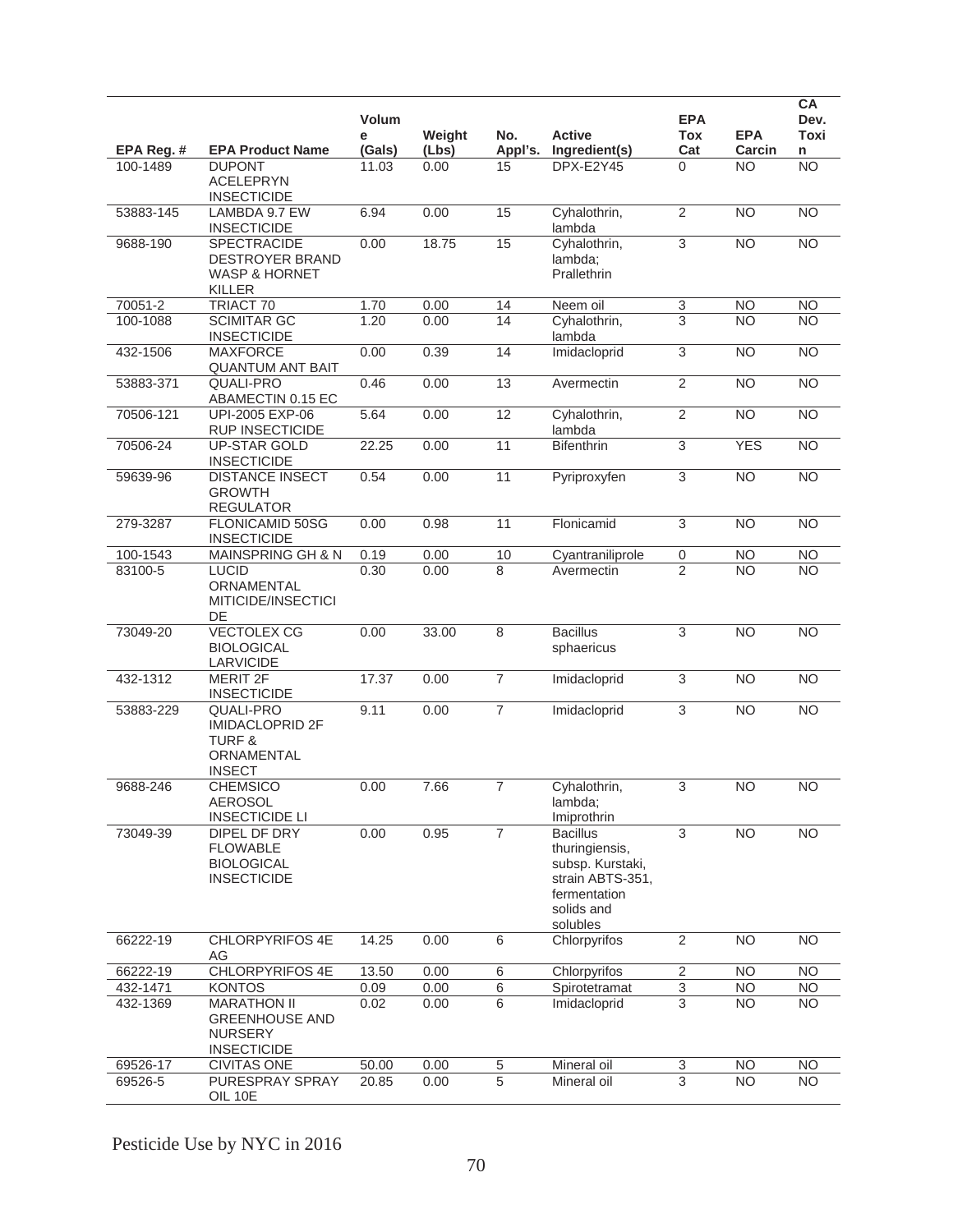|            |                                                                                                | Volum<br>е | Weight | No.             | <b>Active</b>                                                                                                       | <b>EPA</b><br><b>Tox</b>  | <b>EPA</b>      | <b>CA</b><br>Dev.<br><b>Toxi</b> |
|------------|------------------------------------------------------------------------------------------------|------------|--------|-----------------|---------------------------------------------------------------------------------------------------------------------|---------------------------|-----------------|----------------------------------|
| EPA Reg. # | <b>EPA Product Name</b>                                                                        | (Gals)     | (Lbs)  | Appl's.         | Ingredient(s)                                                                                                       | Cat                       | Carcin          | n                                |
| 100-1489   | <b>DUPONT</b><br><b>ACELEPRYN</b><br><b>INSECTICIDE</b>                                        | 11.03      | 0.00   | 15              | DPX-E2Y45                                                                                                           | $\Omega$                  | <b>NO</b>       | <b>NO</b>                        |
| 53883-145  | LAMBDA 9.7 EW<br><b>INSECTICIDE</b>                                                            | 6.94       | 0.00   | 15              | Cyhalothrin,<br>lambda                                                                                              | $\overline{2}$            | <b>NO</b>       | N <sub>O</sub>                   |
| 9688-190   | <b>SPECTRACIDE</b><br><b>DESTROYER BRAND</b><br><b>WASP &amp; HORNET</b><br><b>KILLER</b>      | 0.00       | 18.75  | 15              | Cyhalothrin,<br>lambda;<br>Prallethrin                                                                              | 3                         | <b>NO</b>       | $\overline{NO}$                  |
| 70051-2    | TRIACT 70                                                                                      | 1.70       | 0.00   | 14              | Neem oil                                                                                                            | 3                         | <b>NO</b>       | <b>NO</b>                        |
| 100-1088   | <b>SCIMITAR GC</b><br><b>INSECTICIDE</b>                                                       | 1.20       | 0.00   | 14              | Cyhalothrin,<br>lambda                                                                                              | 3                         | <b>NO</b>       | <b>NO</b>                        |
| 432-1506   | <b>MAXFORCE</b><br><b>QUANTUM ANT BAIT</b>                                                     | 0.00       | 0.39   | 14              | Imidacloprid                                                                                                        | $\overline{3}$            | <b>NO</b>       | NO                               |
| 53883-371  | <b>QUALI-PRO</b><br>ABAMECTIN 0.15 EC                                                          | 0.46       | 0.00   | $\overline{13}$ | Avermectin                                                                                                          | $\overline{2}$            | $\overline{NO}$ | N <sub>O</sub>                   |
| 70506-121  | UPI-2005 EXP-06<br><b>RUP INSECTICIDE</b>                                                      | 5.64       | 0.00   | 12              | Cyhalothrin,<br>lambda                                                                                              | $\overline{2}$            | NO              | N <sub>O</sub>                   |
| 70506-24   | <b>UP-STAR GOLD</b><br><b>INSECTICIDE</b>                                                      | 22.25      | 0.00   | 11              | <b>Bifenthrin</b>                                                                                                   | 3                         | <b>YES</b>      | $\overline{NO}$                  |
| 59639-96   | <b>DISTANCE INSECT</b><br><b>GROWTH</b><br><b>REGULATOR</b>                                    | 0.54       | 0.00   | $\overline{11}$ | Pyriproxyfen                                                                                                        | $\overline{3}$            | <b>NO</b>       | $\overline{NO}$                  |
| 279-3287   | FLONICAMID 50SG<br><b>INSECTICIDE</b>                                                          | 0.00       | 0.98   | 11              | Flonicamid                                                                                                          | 3                         | <b>NO</b>       | <b>NO</b>                        |
| 100-1543   | <b>MAINSPRING GH &amp; N</b>                                                                   | 0.19       | 0.00   | 10              | Cyantraniliprole                                                                                                    | $\pmb{0}$                 | N <sub>O</sub>  | NO                               |
| 83100-5    | <b>LUCID</b><br>ORNAMENTAL<br>MITICIDE/INSECTICI<br>DE                                         | 0.30       | 0.00   | 8               | Avermectin                                                                                                          | $\overline{2}$            | <b>NO</b>       | <b>NO</b>                        |
| 73049-20   | <b>VECTOLEX CG</b><br><b>BIOLOGICAL</b><br>LARVICIDE                                           | 0.00       | 33.00  | 8               | <b>Bacillus</b><br>sphaericus                                                                                       | $\overline{3}$            | <b>NO</b>       | N <sub>O</sub>                   |
| 432-1312   | <b>MERIT 2F</b><br><b>INSECTICIDE</b>                                                          | 17.37      | 0.00   | $\overline{7}$  | Imidacloprid                                                                                                        | 3                         | <b>NO</b>       | N <sub>O</sub>                   |
| 53883-229  | <b>QUALI-PRO</b><br><b>IMIDACLOPRID 2F</b><br><b>TURF &amp;</b><br>ORNAMENTAL<br><b>INSECT</b> | 9.11       | 0.00   | $\overline{7}$  | Imidacloprid                                                                                                        | 3                         | $\overline{NO}$ | NO                               |
| 9688-246   | <b>CHEMSICO</b><br><b>AEROSOL</b><br><b>INSECTICIDE LI</b>                                     | 0.00       | 7.66   | $\overline{7}$  | Cyhalothrin,<br>lambda;<br>Imiprothrin                                                                              | 3                         | <b>NO</b>       | <b>NO</b>                        |
| 73049-39   | DIPEL DF DRY<br><b>FLOWABLE</b><br><b>BIOLOGICAL</b><br><b>INSECTICIDE</b>                     | 0.00       | 0.95   | $\overline{7}$  | <b>Bacillus</b><br>thuringiensis,<br>subsp. Kurstaki,<br>strain ABTS-351,<br>fermentation<br>solids and<br>solubles | 3                         | <b>NO</b>       | <b>NO</b>                        |
| 66222-19   | <b>CHLORPYRIFOS 4E</b><br>AG                                                                   | 14.25      | 0.00   | 6               | Chlorpyrifos                                                                                                        | $\overline{2}$            | <b>NO</b>       | <b>NO</b>                        |
| 66222-19   | CHLORPYRIFOS 4E                                                                                | 13.50      | 0.00   | $\,6\,$         | Chlorpyrifos                                                                                                        | $\sqrt{2}$                | <b>NO</b>       | <b>NO</b>                        |
| 432-1471   | <b>KONTOS</b>                                                                                  | 0.09       | 0.00   | 6               | Spirotetramat                                                                                                       | $\ensuremath{\mathsf{3}}$ | <b>NO</b>       | <b>NO</b>                        |
| 432-1369   | <b>MARATHON II</b><br><b>GREENHOUSE AND</b><br><b>NURSERY</b><br><b>INSECTICIDE</b>            | 0.02       | 0.00   | 6               | Imidacloprid                                                                                                        | 3                         | <b>NO</b>       | <b>NO</b>                        |
| 69526-17   | <b>CIVITAS ONE</b>                                                                             | 50.00      | 0.00   | $\,$ 5 $\,$     | Mineral oil                                                                                                         | 3                         | <b>NO</b>       | <b>NO</b>                        |
| 69526-5    | PURESPRAY SPRAY<br>OIL 10E                                                                     | 20.85      | 0.00   | $\overline{5}$  | Mineral oil                                                                                                         | $\overline{3}$            | <b>NO</b>       | <b>NO</b>                        |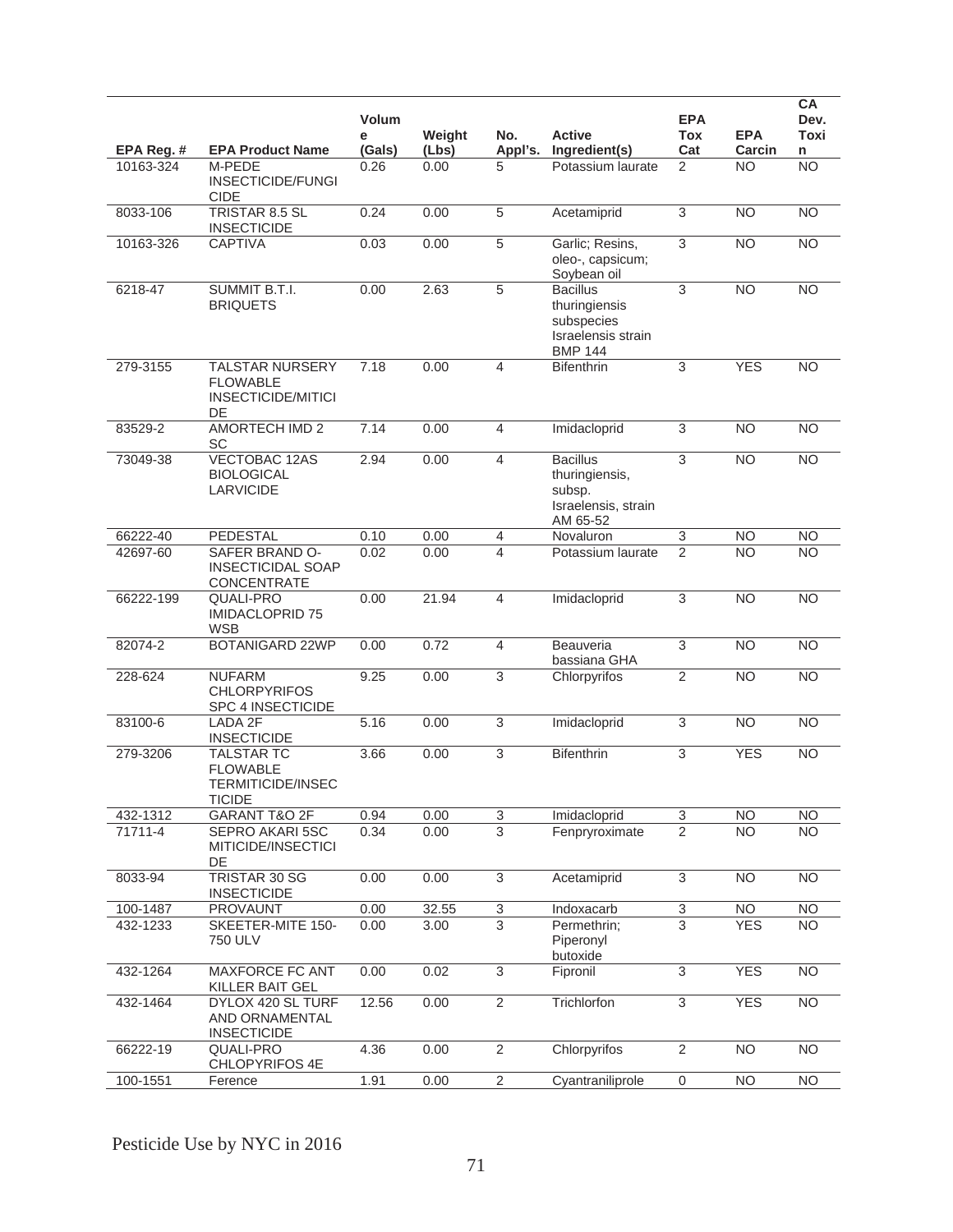|            |                                                                                   | <b>Volum</b><br>е | Weight | No.            | <b>Active</b>                                                                          | <b>EPA</b><br>Tox         | <b>EPA</b>     | CA<br>Dev.<br>Toxi |
|------------|-----------------------------------------------------------------------------------|-------------------|--------|----------------|----------------------------------------------------------------------------------------|---------------------------|----------------|--------------------|
| EPA Reg. # | <b>EPA Product Name</b>                                                           | (Gals)            | (Lbs)  | Appl's.        | Ingredient(s)                                                                          | Cat                       | Carcin         | n                  |
| 10163-324  | M-PEDE<br><b>INSECTICIDE/FUNGI</b><br><b>CIDE</b>                                 | 0.26              | 0.00   | 5              | Potassium laurate                                                                      | $\overline{2}$            | <b>NO</b>      | $\overline{NO}$    |
| 8033-106   | <b>TRISTAR 8.5 SL</b><br><b>INSECTICIDE</b>                                       | 0.24              | 0.00   | $\overline{5}$ | Acetamiprid                                                                            | $\overline{3}$            | <b>NO</b>      | N <sub>O</sub>     |
| 10163-326  | <b>CAPTIVA</b>                                                                    | 0.03              | 0.00   | 5              | Garlic; Resins,<br>oleo-, capsicum;<br>Soybean oil                                     | 3                         | <b>NO</b>      | <b>NO</b>          |
| 6218-47    | SUMMIT B.T.I.<br><b>BRIQUETS</b>                                                  | 0.00              | 2.63   | 5              | <b>Bacillus</b><br>thuringiensis<br>subspecies<br>Israelensis strain<br><b>BMP 144</b> | 3                         | <b>NO</b>      | <b>NO</b>          |
| 279-3155   | <b>TALSTAR NURSERY</b><br><b>FLOWABLE</b><br>INSECTICIDE/MITICI<br>DE             | 7.18              | 0.00   | 4              | <b>Bifenthrin</b>                                                                      | 3                         | <b>YES</b>     | <b>NO</b>          |
| 83529-2    | <b>AMORTECH IMD 2</b><br>SC                                                       | 7.14              | 0.00   | $\overline{4}$ | Imidacloprid                                                                           | 3                         | <b>NO</b>      | <b>NO</b>          |
| 73049-38   | <b>VECTOBAC 12AS</b><br><b>BIOLOGICAL</b><br><b>LARVICIDE</b>                     | 2.94              | 0.00   | $\overline{4}$ | <b>Bacillus</b><br>thuringiensis,<br>subsp.<br>Israelensis, strain<br>AM 65-52         | $\overline{3}$            | <b>NO</b>      | <b>NO</b>          |
| 66222-40   | PEDESTAL                                                                          | 0.10              | 0.00   | 4              | Novaluron                                                                              | 3                         | <b>NO</b>      | <b>NO</b>          |
| 42697-60   | SAFER BRAND O-<br><b>INSECTICIDAL SOAP</b><br>CONCENTRATE                         | 0.02              | 0.00   | 4              | Potassium laurate                                                                      | 2                         | NΟ             | <b>NO</b>          |
| 66222-199  | QUALI-PRO<br><b>IMIDACLOPRID 75</b><br><b>WSB</b>                                 | 0.00              | 21.94  | $\overline{4}$ | Imidacloprid                                                                           | $\overline{3}$            | <b>NO</b>      | <b>NO</b>          |
| 82074-2    | <b>BOTANIGARD 22WP</b>                                                            | 0.00              | 0.72   | $\overline{4}$ | Beauveria<br>bassiana GHA                                                              | $\overline{3}$            | <b>NO</b>      | <b>NO</b>          |
| 228-624    | <b>NUFARM</b><br><b>CHLORPYRIFOS</b><br>SPC 4 INSECTICIDE                         | 9.25              | 0.00   | $\overline{3}$ | Chlorpyrifos                                                                           | $\overline{2}$            | <b>NO</b>      | <b>NO</b>          |
| 83100-6    | LADA 2F<br><b>INSECTICIDE</b>                                                     | 5.16              | 0.00   | $\sqrt{3}$     | Imidacloprid                                                                           | $\ensuremath{\mathsf{3}}$ | <b>NO</b>      | <b>NO</b>          |
| 279-3206   | <b>TALSTAR TC</b><br><b>FLOWABLE</b><br><b>TERMITICIDE/INSEC</b><br><b>TICIDE</b> | 3.66              | 0.00   | 3              | <b>Bifenthrin</b>                                                                      | 3                         | <b>YES</b>     | $\overline{NO}$    |
| 432-1312   | GARANT T&O 2F                                                                     | 0.94              | 0.00   | $\overline{3}$ | Imidacloprid                                                                           | 3                         | <b>NO</b>      | <b>NO</b>          |
| 71711-4    | SEPRO AKARI 5SC<br>MITICIDE/INSECTICI<br>DE                                       | 0.34              | 0.00   | $\overline{3}$ | Fenpryroximate                                                                         | $\overline{2}$            | <b>NO</b>      | <b>NO</b>          |
| 8033-94    | <b>TRISTAR 30 SG</b><br><b>INSECTICIDE</b>                                        | 0.00              | 0.00   | 3              | Acetamiprid                                                                            | $\overline{3}$            | <b>NO</b>      | <b>NO</b>          |
| 100-1487   | <b>PROVAUNT</b>                                                                   | 0.00              | 32.55  | 3              | Indoxacarb                                                                             | $\overline{3}$            | <b>NO</b>      | <b>NO</b>          |
| 432-1233   | SKEETER-MITE 150-<br>750 ULV                                                      | 0.00              | 3.00   | $\overline{3}$ | Permethrin;<br>Piperonyl<br>butoxide                                                   | $\overline{3}$            | <b>YES</b>     | <b>NO</b>          |
| 432-1264   | MAXFORCE FC ANT<br>KILLER BAIT GEL                                                | 0.00              | 0.02   | $\overline{3}$ | Fipronil                                                                               | $\overline{3}$            | <b>YES</b>     | <b>NO</b>          |
| 432-1464   | DYLOX 420 SL TURF<br>AND ORNAMENTAL<br><b>INSECTICIDE</b>                         | 12.56             | 0.00   | $\overline{2}$ | Trichlorfon                                                                            | $\overline{3}$            | <b>YES</b>     | NO                 |
| 66222-19   | <b>QUALI-PRO</b><br>CHLOPYRIFOS 4E                                                | 4.36              | 0.00   | $\overline{2}$ | Chlorpyrifos                                                                           | 2                         | <b>NO</b>      | <b>NO</b>          |
| 100-1551   | Ference                                                                           | 1.91              | 0.00   | $\overline{2}$ | Cyantraniliprole                                                                       | $\mathbf 0$               | N <sub>O</sub> | N <sub>O</sub>     |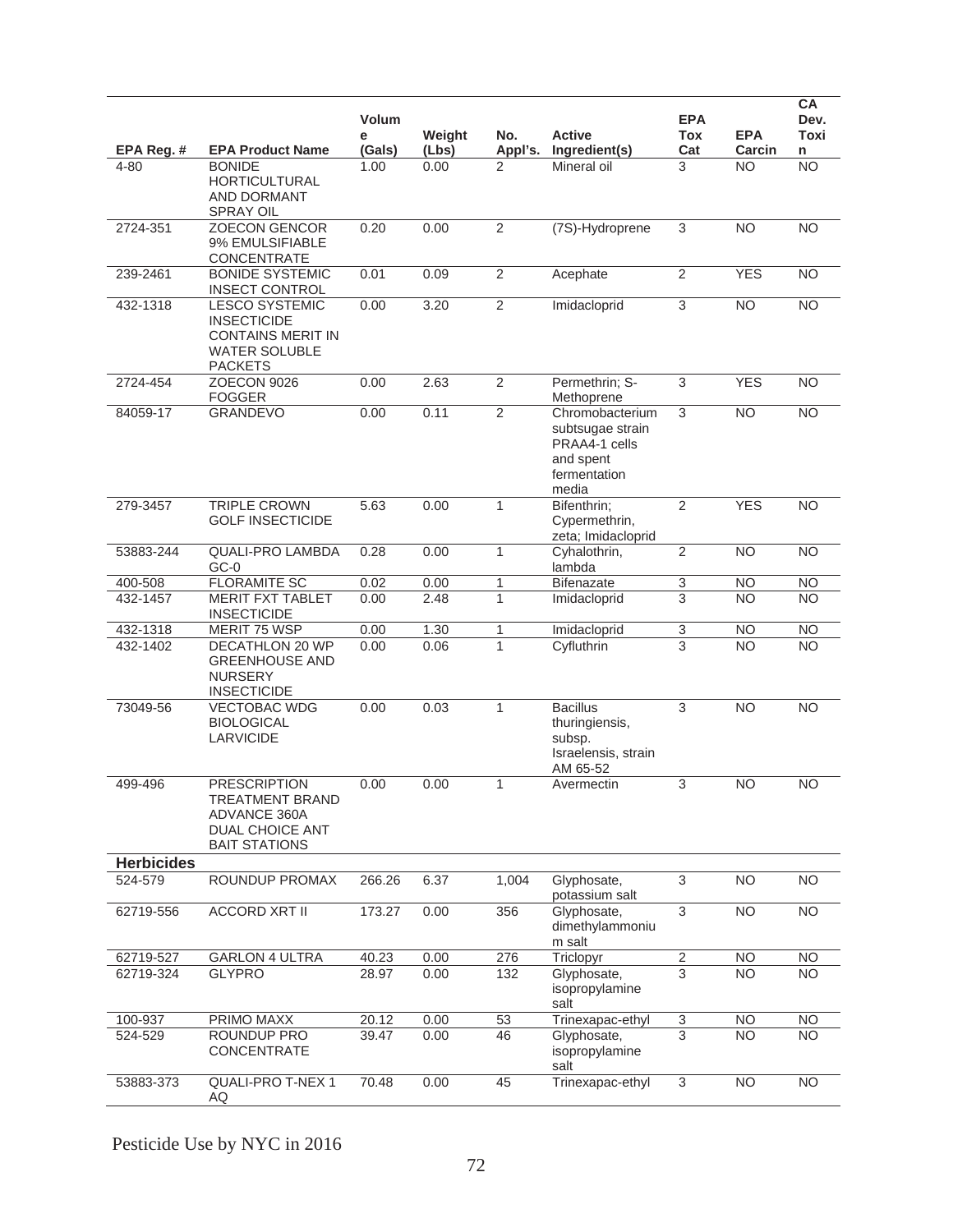|                   |                                                                                                                   | Volum<br>е | Weight | No.            | <b>Active</b>                                                                              | <b>EPA</b><br>Tox         | <b>EPA</b>      | <b>CA</b><br>Dev.<br><b>Toxi</b> |
|-------------------|-------------------------------------------------------------------------------------------------------------------|------------|--------|----------------|--------------------------------------------------------------------------------------------|---------------------------|-----------------|----------------------------------|
| EPA Reg. #        | <b>EPA Product Name</b>                                                                                           | (Gals)     | (Lbs)  | Appl's.        | Ingredient(s)                                                                              | Cat                       | Carcin          | n                                |
| 4-80              | <b>BONIDE</b><br><b>HORTICULTURAL</b><br>AND DORMANT<br><b>SPRAY OIL</b>                                          | 1.00       | 0.00   | 2              | Mineral oil                                                                                | 3                         | <b>NO</b>       | <b>NO</b>                        |
| 2724-351          | <b>ZOECON GENCOR</b><br>9% EMULSIFIABLE<br>CONCENTRATE                                                            | 0.20       | 0.00   | $\overline{2}$ | (7S)-Hydroprene                                                                            | $\sqrt{3}$                | <b>NO</b>       | <b>NO</b>                        |
| 239-2461          | <b>BONIDE SYSTEMIC</b><br><b>INSECT CONTROL</b>                                                                   | 0.01       | 0.09   | $\overline{2}$ | Acephate                                                                                   | $\overline{2}$            | <b>YES</b>      | <b>NO</b>                        |
| 432-1318          | <b>LESCO SYSTEMIC</b><br><b>INSECTICIDE</b><br><b>CONTAINS MERIT IN</b><br><b>WATER SOLUBLE</b><br><b>PACKETS</b> | 0.00       | 3.20   | $\overline{2}$ | Imidacloprid                                                                               | $\overline{3}$            | $\overline{NO}$ | N <sub>O</sub>                   |
| 2724-454          | ZOECON 9026<br>FOGGER                                                                                             | 0.00       | 2.63   | $\overline{2}$ | Permethrin; S-<br>Methoprene                                                               | 3                         | <b>YES</b>      | <b>NO</b>                        |
| 84059-17          | <b>GRANDEVO</b>                                                                                                   | 0.00       | 0.11   | $\overline{2}$ | Chromobacterium<br>subtsugae strain<br>PRAA4-1 cells<br>and spent<br>fermentation<br>media | 3                         | <b>NO</b>       | <b>NO</b>                        |
| 279-3457          | <b>TRIPLE CROWN</b><br><b>GOLF INSECTICIDE</b>                                                                    | 5.63       | 0.00   | $\mathbf{1}$   | Bifenthrin;<br>Cypermethrin,<br>zeta; Imidacloprid                                         | $\overline{2}$            | <b>YES</b>      | N <sub>O</sub>                   |
| 53883-244         | <b>QUALI-PRO LAMBDA</b><br>$GC-0$                                                                                 | 0.28       | 0.00   | $\mathbf{1}$   | Cyhalothrin,<br>lambda                                                                     | $\overline{2}$            | <b>NO</b>       | <b>NO</b>                        |
| 400-508           | <b>FLORAMITE SC</b>                                                                                               | 0.02       | 0.00   | 1              | <b>Bifenazate</b>                                                                          | $\ensuremath{\mathsf{3}}$ | <b>NO</b>       | NO                               |
| 432-1457          | <b>MERIT FXT TABLET</b><br><b>INSECTICIDE</b>                                                                     | 0.00       | 2.48   | $\mathbf{1}$   | Imidacloprid                                                                               | 3                         | <b>NO</b>       | <b>NO</b>                        |
| 432-1318          | <b>MERIT 75 WSP</b>                                                                                               | 0.00       | 1.30   | 1              | Imidacloprid                                                                               | $\sqrt{3}$                | <b>NO</b>       | N <sub>O</sub>                   |
| 432-1402          | <b>DECATHLON 20 WP</b><br><b>GREENHOUSE AND</b><br><b>NURSERY</b><br><b>INSECTICIDE</b>                           | 0.00       | 0.06   | $\mathbf{1}$   | Cyfluthrin                                                                                 | $\overline{3}$            | <b>NO</b>       | <b>NO</b>                        |
| 73049-56          | <b>VECTOBAC WDG</b><br><b>BIOLOGICAL</b><br><b>LARVICIDE</b>                                                      | 0.00       | 0.03   | $\mathbf{1}$   | <b>Bacillus</b><br>thuringiensis,<br>subsp.<br>Israelensis, strain<br>AM 65-52             | $\overline{3}$            | N <sub>O</sub>  | N <sub>O</sub>                   |
| 499-496           | <b>PRESCRIPTION</b><br>TREATMENT BRAND<br><b>ADVANCE 360A</b><br>DUAL CHOICE ANT<br><b>BAIT STATIONS</b>          | 0.00       | 0.00   | $\mathbf{1}$   | Avermectin                                                                                 | 3                         | <b>NO</b>       | <b>NO</b>                        |
| <b>Herbicides</b> |                                                                                                                   |            |        |                |                                                                                            |                           |                 |                                  |
| 524-579           | ROUNDUP PROMAX                                                                                                    | 266.26     | 6.37   | 1.004          | Glyphosate,<br>potassium salt                                                              | 3                         | <b>NO</b>       | <b>NO</b>                        |
| 62719-556         | <b>ACCORD XRT II</b>                                                                                              | 173.27     | 0.00   | 356            | Glyphosate,<br>dimethylammoniu<br>m salt                                                   | 3                         | <b>NO</b>       | <b>NO</b>                        |
| 62719-527         | <b>GARLON 4 ULTRA</b>                                                                                             | 40.23      | 0.00   | 276            | Triclopyr                                                                                  | $\sqrt{2}$                | NO.             | <b>NO</b>                        |
| 62719-324         | <b>GLYPRO</b>                                                                                                     | 28.97      | 0.00   | 132            | Glyphosate,<br>isopropylamine<br>salt                                                      | 3                         | <b>NO</b>       | NO.                              |
| 100-937           | PRIMO MAXX                                                                                                        | 20.12      | 0.00   | 53             | Trinexapac-ethyl                                                                           | $\ensuremath{\mathsf{3}}$ | NO.             | <b>NO</b>                        |
| 524-529           | ROUNDUP PRO<br>CONCENTRATE                                                                                        | 39.47      | 0.00   | 46             | Glyphosate,<br>isopropylamine<br>salt                                                      | $\overline{3}$            | $\overline{NO}$ | <b>NO</b>                        |
| 53883-373         | QUALI-PRO T-NEX 1<br>AQ                                                                                           | 70.48      | 0.00   | 45             | Trinexapac-ethyl                                                                           | 3                         | <b>NO</b>       | <b>NO</b>                        |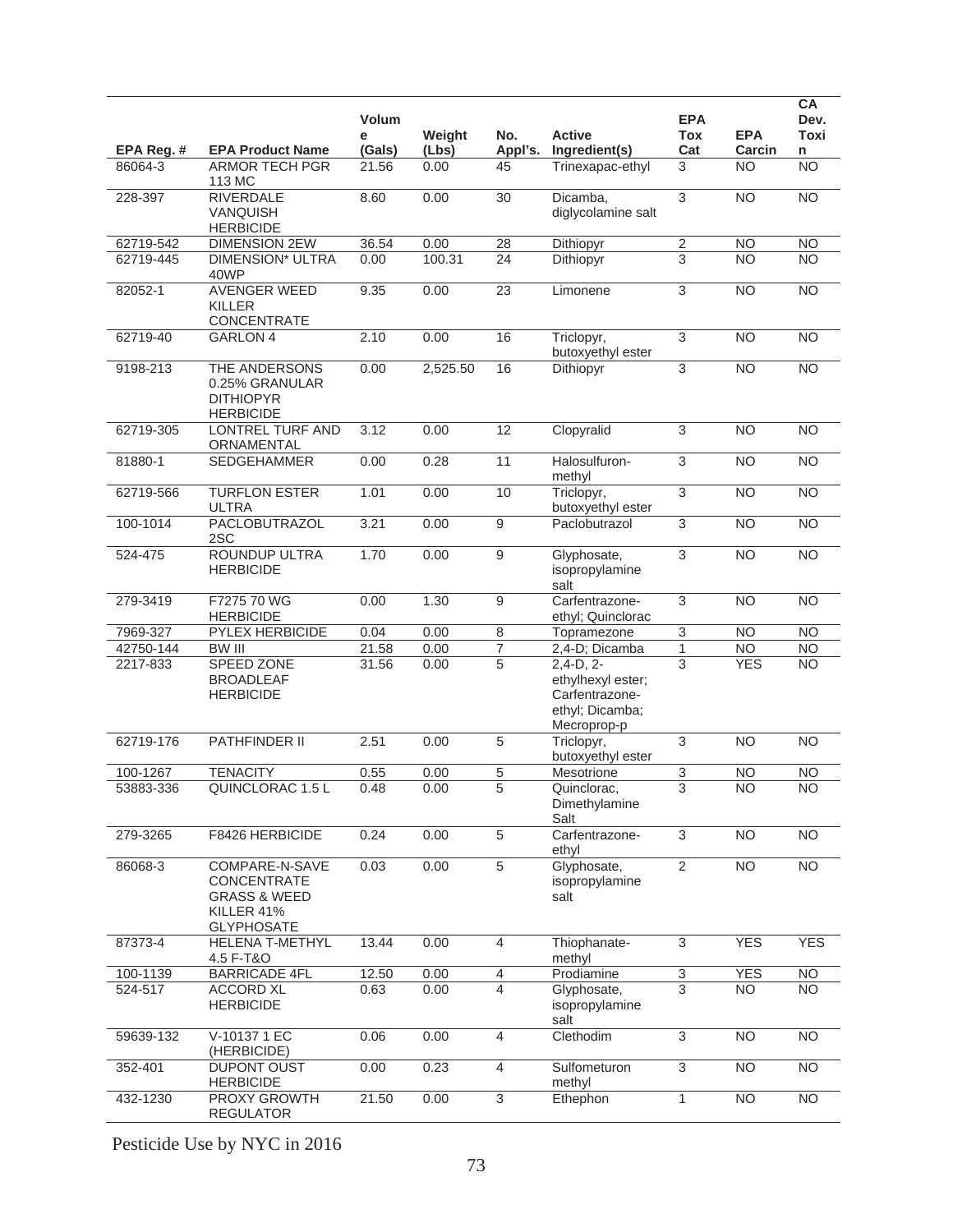|                       |                                                     | Volum           |               |                  |                                   | <b>EPA</b>                |                         | <b>CA</b><br>Dev.      |
|-----------------------|-----------------------------------------------------|-----------------|---------------|------------------|-----------------------------------|---------------------------|-------------------------|------------------------|
|                       |                                                     | е               | Weight        | No.              | <b>Active</b>                     | Tox                       | <b>EPA</b>              | <b>Toxi</b>            |
| EPA Reg. #<br>86064-3 | <b>EPA Product Name</b><br><b>ARMOR TECH PGR</b>    | (Gals)<br>21.56 | (Lbs)<br>0.00 | Appl's.<br>45    | Ingredient(s)<br>Trinexapac-ethyl | Cat<br>3                  | Carcin<br><b>NO</b>     | n<br>$\overline{NO}$   |
|                       | 113 MC                                              |                 |               |                  |                                   |                           |                         |                        |
| 228-397               | <b>RIVERDALE</b>                                    | 8.60            | 0.00          | $\overline{30}$  | Dicamba,                          | $\overline{3}$            | $\overline{NO}$         | N <sub>O</sub>         |
|                       | <b>VANQUISH</b>                                     |                 |               |                  | diglycolamine salt                |                           |                         |                        |
| 62719-542             | <b>HERBICIDE</b><br><b>DIMENSION 2EW</b>            | 36.54           | 0.00          | 28               | Dithiopyr                         | $\overline{\mathbf{c}}$   | <b>NO</b>               | <b>NO</b>              |
| 62719-445             | <b>DIMENSION* ULTRA</b>                             | 0.00            | 100.31        | 24               | Dithiopyr                         | $\overline{3}$            | <b>NO</b>               | <b>NO</b>              |
|                       | 40WP                                                |                 |               |                  |                                   |                           |                         |                        |
| 82052-1               | <b>AVENGER WEED</b>                                 | 9.35            | 0.00          | 23               | Limonene                          | 3                         | <b>NO</b>               | <b>NO</b>              |
|                       | <b>KILLER</b><br>CONCENTRATE                        |                 |               |                  |                                   |                           |                         |                        |
| 62719-40              | <b>GARLON 4</b>                                     | 2.10            | 0.00          | 16               | Triclopyr,                        | $\overline{3}$            | <b>NO</b>               | N <sub>O</sub>         |
|                       |                                                     |                 |               |                  | butoxyethyl ester                 |                           |                         |                        |
| 9198-213              | THE ANDERSONS<br>0.25% GRANULAR<br><b>DITHIOPYR</b> | 0.00            | 2,525.50      | 16               | Dithiopyr                         | $\ensuremath{\mathsf{3}}$ | <b>NO</b>               | $\overline{NO}$        |
|                       | <b>HERBICIDE</b>                                    |                 |               |                  |                                   |                           |                         |                        |
| 62719-305             | <b>LONTREL TURF AND</b>                             | 3.12            | 0.00          | 12               | Clopyralid                        | $\ensuremath{\mathsf{3}}$ | <b>NO</b>               | N <sub>O</sub>         |
|                       | ORNAMENTAL                                          |                 |               |                  |                                   |                           |                         |                        |
| 81880-1               | <b>SEDGEHAMMER</b>                                  | 0.00            | 0.28          | 11               | Halosulfuron-<br>methyl           | $\overline{3}$            | <b>NO</b>               | <b>NO</b>              |
| 62719-566             | <b>TURFLON ESTER</b><br>ULTRA                       | 1.01            | 0.00          | 10               | Triclopyr,<br>butoxyethyl ester   | $\overline{3}$            | <b>NO</b>               | N <sub>O</sub>         |
| 100-1014              | PACLOBUTRAZOL<br>2SC                                | 3.21            | 0.00          | $\overline{9}$   | Paclobutrazol                     | 3                         | <b>NO</b>               | $\overline{NO}$        |
| 524-475               | ROUNDUP ULTRA                                       | 1.70            | 0.00          | $\overline{9}$   | Glyphosate,                       | $\ensuremath{\mathsf{3}}$ | <b>NO</b>               | N <sub>O</sub>         |
|                       | <b>HERBICIDE</b>                                    |                 |               |                  | isopropylamine<br>salt            |                           |                         |                        |
| 279-3419              | F7275 70 WG                                         | 0.00            | 1.30          | $\boldsymbol{9}$ | Carfentrazone-                    | $\overline{3}$            | <b>NO</b>               | <b>NO</b>              |
|                       | <b>HERBICIDE</b>                                    |                 |               |                  | ethyl; Quinclorac                 |                           |                         |                        |
| 7969-327              | PYLEX HERBICIDE                                     | 0.04            | 0.00          | $\overline{8}$   | Topramezone                       | $\overline{3}$            | <b>NO</b>               | <b>NO</b>              |
| 42750-144<br>2217-833 | <b>BW III</b><br>SPEED ZONE                         | 21.58<br>31.56  | 0.00<br>0.00  | 7<br>5           | 2,4-D; Dicamba<br>$2,4-D, 2-$     | 1<br>3                    | <b>NO</b><br><b>YES</b> | <b>NO</b><br><b>NO</b> |
|                       | <b>BROADLEAF</b>                                    |                 |               |                  | ethylhexyl ester;                 |                           |                         |                        |
|                       | <b>HERBICIDE</b>                                    |                 |               |                  | Carfentrazone-                    |                           |                         |                        |
|                       |                                                     |                 |               |                  | ethyl; Dicamba;<br>Mecroprop-p    |                           |                         |                        |
| 62719-176             | <b>PATHFINDER II</b>                                | 2.51            | 0.00          | $\overline{5}$   | Triclopyr,                        | 3                         | <b>NO</b>               | <b>NO</b>              |
|                       |                                                     |                 |               |                  | butoxyethyl ester                 |                           |                         |                        |
| 100-1267              | <b>TENACITY</b>                                     | 0.55            | 0.00          | 5                | Mesotrione                        | 3                         | <b>NO</b>               | <b>NO</b>              |
| 53883-336             | QUINCLORAC 1.5 L                                    | 0.48            | 0.00          | 5                | Quinclorac.<br>Dimethylamine      | 3                         | <b>NO</b>               | <b>NO</b>              |
|                       |                                                     |                 |               |                  | Salt                              |                           |                         |                        |
| 279-3265              | F8426 HERBICIDE                                     | 0.24            | 0.00          | $\overline{5}$   | Carfentrazone-<br>ethyl           | $\overline{3}$            | <b>NO</b>               | $\overline{NO}$        |
| 86068-3               | COMPARE-N-SAVE                                      | 0.03            | 0.00          | $\overline{5}$   | Glyphosate,                       | $\overline{2}$            | <b>NO</b>               | N <sub>O</sub>         |
|                       | CONCENTRATE                                         |                 |               |                  | isopropylamine                    |                           |                         |                        |
|                       | <b>GRASS &amp; WEED</b>                             |                 |               |                  | salt                              |                           |                         |                        |
|                       | KILLER 41%<br><b>GLYPHOSATE</b>                     |                 |               |                  |                                   |                           |                         |                        |
| 87373-4               | <b>HELENA T-METHYL</b>                              | 13.44           | 0.00          | $\overline{4}$   | Thiophanate-                      | $\overline{3}$            | <b>YES</b>              | <b>YES</b>             |
|                       | 4.5 F-T&O                                           |                 |               |                  | methyl                            |                           |                         |                        |
| 100-1139              | <b>BARRICADE 4FL</b>                                | 12.50           | 0.00          | $\overline{4}$   | Prodiamine                        | $\overline{3}$            | <b>YES</b>              | N <sub>O</sub>         |
| 524-517               | <b>ACCORD XL</b><br><b>HERBICIDE</b>                | 0.63            | 0.00          | $\overline{4}$   | Glyphosate,<br>isopropylamine     | $\overline{3}$            | N <sub>O</sub>          | <b>NO</b>              |
|                       |                                                     |                 |               |                  | salt                              |                           |                         |                        |
| 59639-132             | V-10137 1 EC                                        | 0.06            | 0.00          | $\overline{4}$   | Clethodim                         | 3                         | N <sub>O</sub>          | $\overline{NO}$        |
| 352-401               | (HERBICIDE)<br>DUPONT OUST                          | 0.00            | 0.23          | $\overline{4}$   |                                   | 3                         | <b>NO</b>               | $\overline{NO}$        |
|                       | <b>HERBICIDE</b>                                    |                 |               |                  | Sulfometuron<br>methyl            |                           |                         |                        |
| 432-1230              | PROXY GROWTH<br><b>REGULATOR</b>                    | 21.50           | 0.00          | $\sqrt{3}$       | Ethephon                          | 1                         | <b>NO</b>               | N <sub>O</sub>         |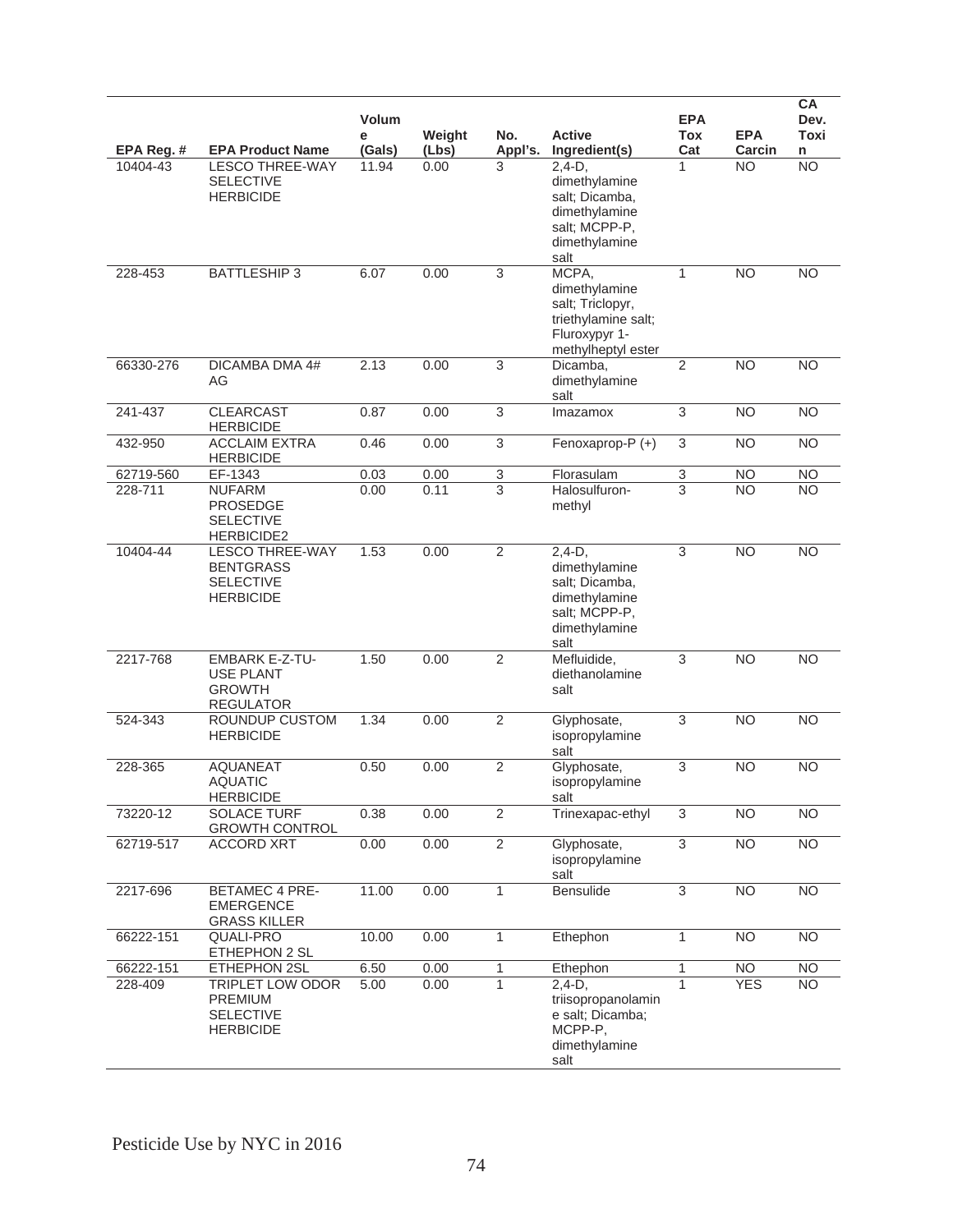|            |                                                                                    | Volum<br>е | Weight | No.            | <b>Active</b>                                                                                            | <b>EPA</b><br><b>Tox</b>  | <b>EPA</b>      | CA<br>Dev.<br>Toxi |
|------------|------------------------------------------------------------------------------------|------------|--------|----------------|----------------------------------------------------------------------------------------------------------|---------------------------|-----------------|--------------------|
| EPA Reg. # | <b>EPA Product Name</b>                                                            | (Gals)     | (Lbs)  | Appl's.        | Ingredient(s)                                                                                            | Cat                       | Carcin          | n                  |
| 10404-43   | <b>LESCO THREE-WAY</b><br><b>SELECTIVE</b><br><b>HERBICIDE</b>                     | 11.94      | 0.00   | 3              | $2,4-D,$<br>dimethylamine<br>salt; Dicamba,<br>dimethylamine<br>salt; MCPP-P,<br>dimethylamine<br>salt   | 1                         | <b>NO</b>       | $\overline{NO}$    |
| 228-453    | <b>BATTLESHIP3</b>                                                                 | 6.07       | 0.00   | $\overline{3}$ | MCPA,<br>dimethylamine<br>salt; Triclopyr,<br>triethylamine salt;<br>Fluroxypyr 1-<br>methylheptyl ester | $\mathbf{1}$              | <b>NO</b>       | <b>NO</b>          |
| 66330-276  | DICAMBA DMA 4#<br>AG                                                               | 2.13       | 0.00   | $\overline{3}$ | Dicamba,<br>dimethylamine<br>salt                                                                        | 2                         | <b>NO</b>       | <b>NO</b>          |
| 241-437    | <b>CLEARCAST</b><br><b>HERBICIDE</b>                                               | 0.87       | 0.00   | $\sqrt{3}$     | Imazamox                                                                                                 | $\overline{3}$            | <b>NO</b>       | <b>NO</b>          |
| 432-950    | <b>ACCLAIM EXTRA</b><br><b>HERBICIDE</b>                                           | 0.46       | 0.00   | $\sqrt{3}$     | Fenoxaprop-P (+)                                                                                         | $\sqrt{3}$                | <b>NO</b>       | <b>NO</b>          |
| 62719-560  | EF-1343                                                                            | 0.03       | 0.00   | $\overline{3}$ | Florasulam                                                                                               | $\ensuremath{\mathsf{3}}$ | <b>NO</b>       | <b>NO</b>          |
| 228-711    | <b>NUFARM</b><br><b>PROSEDGE</b><br><b>SELECTIVE</b><br><b>HERBICIDE2</b>          | 0.00       | 0.11   | $\overline{3}$ | Halosulfuron-<br>methyl                                                                                  | $\overline{3}$            | <b>NO</b>       | <b>NO</b>          |
| 10404-44   | <b>LESCO THREE-WAY</b><br><b>BENTGRASS</b><br><b>SELECTIVE</b><br><b>HERBICIDE</b> | 1.53       | 0.00   | $\overline{2}$ | $2,4-D,$<br>dimethylamine<br>salt; Dicamba,<br>dimethylamine<br>salt; MCPP-P,<br>dimethylamine<br>salt   | 3                         | <b>NO</b>       | <b>NO</b>          |
| 2217-768   | <b>EMBARK E-Z-TU-</b><br><b>USE PLANT</b><br><b>GROWTH</b><br><b>REGULATOR</b>     | 1.50       | 0.00   | $\overline{2}$ | Mefluidide,<br>diethanolamine<br>salt                                                                    | 3                         | <b>NO</b>       | <b>NO</b>          |
| 524-343    | ROUNDUP CUSTOM<br><b>HERBICIDE</b>                                                 | 1.34       | 0.00   | $\overline{2}$ | Glyphosate,<br>isopropylamine<br>salt                                                                    | $\sqrt{3}$                | <b>NO</b>       | <b>NO</b>          |
| 228-365    | <b>AQUANEAT</b><br><b>AQUATIC</b><br><b>HERBICIDE</b>                              | 0.50       | 0.00   | $\overline{2}$ | Glyphosate,<br>isopropylamine<br>salt                                                                    | $\overline{3}$            | <b>NO</b>       | <b>NO</b>          |
| 73220-12   | SOLACE TURF<br><b>GROWTH CONTROL</b>                                               | 0.38       | 0.00   | $\overline{2}$ | Trinexapac-ethyl                                                                                         | $\overline{3}$            | NO              | N <sub>O</sub>     |
| 62719-517  | <b>ACCORD XRT</b>                                                                  | 0.00       | 0.00   | $\overline{2}$ | Glyphosate,<br>isopropylamine<br>salt                                                                    | $\overline{3}$            | NO              | N <sub>O</sub>     |
| 2217-696   | <b>BETAMEC 4 PRE-</b><br><b>EMERGENCE</b><br><b>GRASS KILLER</b>                   | 11.00      | 0.00   | $\mathbf{1}$   | Bensulide                                                                                                | $\overline{3}$            | N <sub>O</sub>  | NO                 |
| 66222-151  | <b>QUALI-PRO</b><br>ETHEPHON 2 SL                                                  | 10.00      | 0.00   | $\mathbf{1}$   | Ethephon                                                                                                 | $\mathbf{1}$              | <b>NO</b>       | <b>NO</b>          |
| 66222-151  | ETHEPHON 2SL                                                                       | 6.50       | 0.00   | 1              | Ethephon                                                                                                 | $\mathbf{1}$              | NO <sub>1</sub> | $\overline{NO}$    |
| 228-409    | TRIPLET LOW ODOR<br><b>PREMIUM</b><br><b>SELECTIVE</b><br><b>HERBICIDE</b>         | 5.00       | 0.00   | $\mathbf{1}$   | $2,4-D$ ,<br>triisopropanolamin<br>e salt; Dicamba;<br>MCPP-P.<br>dimethylamine<br>salt                  | $\mathbf{1}$              | <b>YES</b>      | <b>NO</b>          |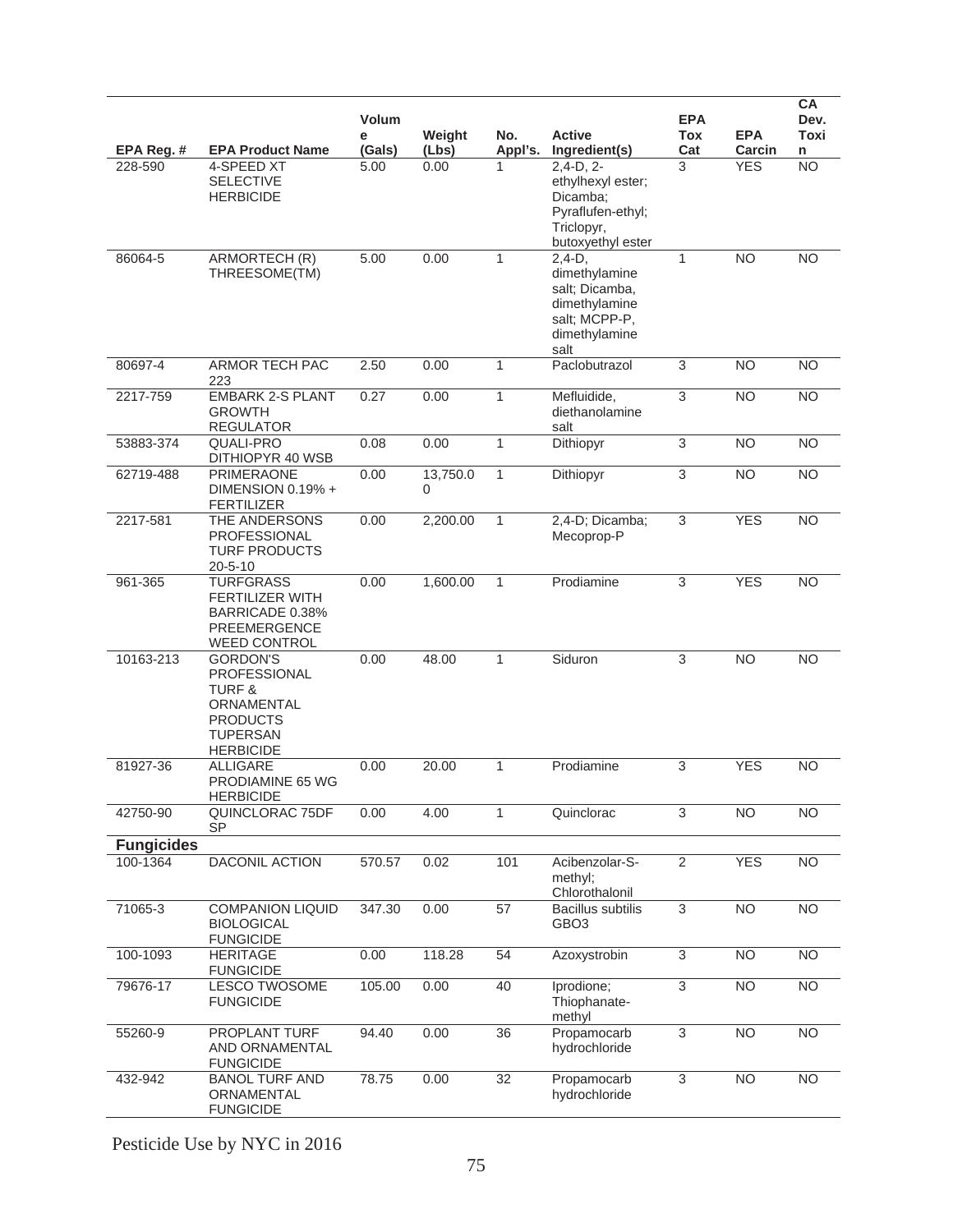|                   |                                                                                                                                     | <b>Volum</b><br>е | Weight        | No.          | <b>Active</b>                                                                                          | <b>EPA</b><br>Tox         | <b>EPA</b>      | CA<br>Dev.<br>Toxi |
|-------------------|-------------------------------------------------------------------------------------------------------------------------------------|-------------------|---------------|--------------|--------------------------------------------------------------------------------------------------------|---------------------------|-----------------|--------------------|
| EPA Reg. #        | <b>EPA Product Name</b>                                                                                                             | (Gals)            | (Lbs)         | Appl's.      | Ingredient(s)                                                                                          | Cat                       | Carcin          | n                  |
| 228-590           | 4-SPEED XT<br><b>SELECTIVE</b><br><b>HERBICIDE</b>                                                                                  | 5.00              | 0.00          |              | $2,4-D, 2-$<br>ethylhexyl ester;<br>Dicamba;<br>Pyraflufen-ethyl;<br>Triclopyr,<br>butoxyethyl ester   | 3                         | <b>YES</b>      | $\overline{NO}$    |
| 86064-5           | ARMORTECH (R)<br>THREESOME(TM)                                                                                                      | 5.00              | 0.00          | $\mathbf{1}$ | $2.4-D.$<br>dimethylamine<br>salt; Dicamba,<br>dimethylamine<br>salt; MCPP-P,<br>dimethylamine<br>salt | $\mathbf{1}$              | <b>NO</b>       | $\overline{NO}$    |
| 80697-4           | ARMOR TECH PAC<br>223                                                                                                               | 2.50              | 0.00          | $\mathbf{1}$ | Paclobutrazol                                                                                          | 3                         | <b>NO</b>       | <b>NO</b>          |
| 2217-759          | <b>EMBARK 2-S PLANT</b><br><b>GROWTH</b><br><b>REGULATOR</b>                                                                        | 0.27              | 0.00          | $\mathbf{1}$ | Mefluidide,<br>diethanolamine<br>salt                                                                  | $\overline{3}$            | <b>NO</b>       | <b>NO</b>          |
| 53883-374         | <b>QUALI-PRO</b><br>DITHIOPYR 40 WSB                                                                                                | 0.08              | 0.00          | $\mathbf{1}$ | Dithiopyr                                                                                              | $\ensuremath{\mathsf{3}}$ | <b>NO</b>       | <b>NO</b>          |
| 62719-488         | <b>PRIMERAONE</b><br>DIMENSION 0.19% +<br><b>FERTILIZER</b>                                                                         | 0.00              | 13,750.0<br>0 | $\mathbf{1}$ | Dithiopyr                                                                                              | 3                         | $\overline{NO}$ | $\overline{NO}$    |
| 2217-581          | THE ANDERSONS<br><b>PROFESSIONAL</b><br><b>TURF PRODUCTS</b><br>$20 - 5 - 10$                                                       | 0.00              | 2,200.00      | $\mathbf{1}$ | 2,4-D; Dicamba;<br>Mecoprop-P                                                                          | $\overline{3}$            | <b>YES</b>      | N <sub>O</sub>     |
| 961-365           | <b>TURFGRASS</b><br><b>FERTILIZER WITH</b><br>BARRICADE 0.38%<br>PREEMERGENCE<br><b>WEED CONTROL</b>                                | 0.00              | 1,600.00      | $\mathbf{1}$ | Prodiamine                                                                                             | 3                         | <b>YES</b>      | <b>NO</b>          |
| 10163-213         | <b>GORDON'S</b><br>PROFESSIONAL<br><b>TURF &amp;</b><br><b>ORNAMENTAL</b><br><b>PRODUCTS</b><br><b>TUPERSAN</b><br><b>HERBICIDE</b> | 0.00              | 48.00         | $\mathbf{1}$ | Siduron                                                                                                | 3                         | <b>NO</b>       | <b>NO</b>          |
| 81927-36          | <b>ALLIGARE</b><br>PRODIAMINE 65 WG<br><b>HERBICIDE</b>                                                                             | 0.00              | 20.00         | 1            | Prodiamine                                                                                             | 3                         | YES             | <b>NO</b>          |
| 42750-90          | QUINCLORAC 75DF<br><b>SP</b>                                                                                                        | 0.00              | 4.00          | $\mathbf{1}$ | Quinclorac                                                                                             | $\overline{3}$            | <b>NO</b>       | <b>NO</b>          |
| <b>Fungicides</b> |                                                                                                                                     |                   |               |              |                                                                                                        |                           |                 |                    |
| 100-1364          | <b>DACONIL ACTION</b>                                                                                                               | 570.57            | 0.02          | 101          | Acibenzolar-S-<br>methyl;<br>Chlorothalonil                                                            | 2                         | <b>YES</b>      | <b>NO</b>          |
| 71065-3           | <b>COMPANION LIQUID</b><br><b>BIOLOGICAL</b><br><b>FUNGICIDE</b>                                                                    | 347.30            | 0.00          | 57           | <b>Bacillus subtilis</b><br>GBO <sub>3</sub>                                                           | 3                         | <b>NO</b>       | <b>NO</b>          |
| 100-1093          | <b>HERITAGE</b><br><b>FUNGICIDE</b>                                                                                                 | 0.00              | 118.28        | 54           | Azoxystrobin                                                                                           | 3                         | N <sub>O</sub>  | N <sub>O</sub>     |
| 79676-17          | <b>LESCO TWOSOME</b><br><b>FUNGICIDE</b>                                                                                            | 105.00            | 0.00          | 40           | Iprodione;<br>Thiophanate-<br>methyl                                                                   | $\overline{3}$            | $\overline{NO}$ | N <sub>O</sub>     |
| 55260-9           | PROPLANT TURF<br>AND ORNAMENTAL<br><b>FUNGICIDE</b>                                                                                 | 94.40             | 0.00          | 36           | Propamocarb<br>hydrochloride                                                                           | $\overline{3}$            | N <sub>O</sub>  | $\overline{NO}$    |
| 432-942           | <b>BANOL TURF AND</b><br>ORNAMENTAL<br><b>FUNGICIDE</b>                                                                             | 78.75             | 0.00          | 32           | Propamocarb<br>hydrochloride                                                                           | 3                         | <b>NO</b>       | <b>NO</b>          |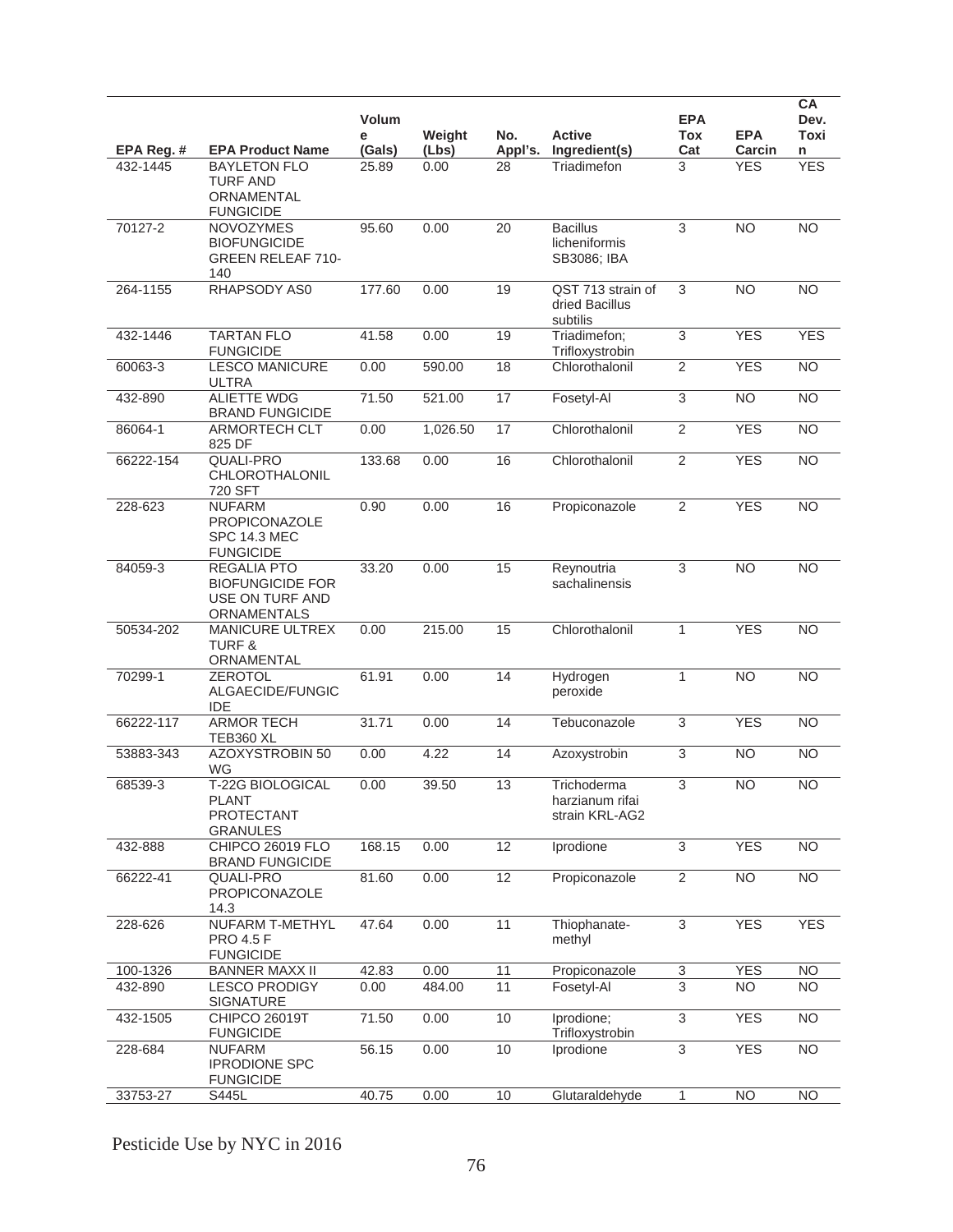|            |                                                                                 | Volum<br>е | Weight   | No.             | <b>Active</b>                                    | <b>EPA</b><br><b>Tox</b>  | <b>EPA</b>     | <b>CA</b><br>Dev.<br><b>Toxi</b> |
|------------|---------------------------------------------------------------------------------|------------|----------|-----------------|--------------------------------------------------|---------------------------|----------------|----------------------------------|
| EPA Reg. # | <b>EPA Product Name</b>                                                         | (Gals)     | (Lbs)    | Appl's.         | Ingredient(s)                                    | Cat                       | Carcin         | n                                |
| 432-1445   | <b>BAYLETON FLO</b><br><b>TURF AND</b><br>ORNAMENTAL<br><b>FUNGICIDE</b>        | 25.89      | 0.00     | 28              | Triadimefon                                      | 3                         | <b>YES</b>     | <b>YES</b>                       |
| 70127-2    | <b>NOVOZYMES</b><br><b>BIOFUNGICIDE</b><br><b>GREEN RELEAF 710-</b><br>140      | 95.60      | 0.00     | 20              | <b>Bacillus</b><br>licheniformis<br>SB3086; IBA  | 3                         | <b>NO</b>      | $\overline{NO}$                  |
| 264-1155   | RHAPSODY AS0                                                                    | 177.60     | 0.00     | 19              | QST 713 strain of<br>dried Bacillus<br>subtilis  | 3                         | N <sub>O</sub> | $\overline{NO}$                  |
| 432-1446   | <b>TARTAN FLO</b><br><b>FUNGICIDE</b>                                           | 41.58      | 0.00     | 19              | Triadimefon;<br>Trifloxystrobin                  | 3                         | <b>YES</b>     | <b>YES</b>                       |
| 60063-3    | <b>LESCO MANICURE</b><br><b>ULTRA</b>                                           | 0.00       | 590.00   | 18              | Chlorothalonil                                   | $\overline{2}$            | <b>YES</b>     | N <sub>O</sub>                   |
| 432-890    | <b>ALIETTE WDG</b><br><b>BRAND FUNGICIDE</b>                                    | 71.50      | 521.00   | 17              | Fosetyl-Al                                       | $\overline{3}$            | <b>NO</b>      | $\overline{NO}$                  |
| 86064-1    | ARMORTECH CLT<br>825 DF                                                         | 0.00       | 1,026.50 | $\overline{17}$ | Chlorothalonil                                   | $\overline{2}$            | <b>YES</b>     | $\overline{NO}$                  |
| 66222-154  | <b>QUALI-PRO</b><br>CHLOROTHALONIL<br>720 SFT                                   | 133.68     | 0.00     | 16              | Chlorothalonil                                   | 2                         | <b>YES</b>     | <b>NO</b>                        |
| 228-623    | <b>NUFARM</b><br>PROPICONAZOLE<br><b>SPC 14.3 MEC</b><br><b>FUNGICIDE</b>       | 0.90       | 0.00     | 16              | Propiconazole                                    | 2                         | <b>YES</b>     | <b>NO</b>                        |
| 84059-3    | <b>REGALIA PTO</b><br><b>BIOFUNGICIDE FOR</b><br>USE ON TURF AND<br>ORNAMENTALS | 33.20      | 0.00     | 15              | Reynoutria<br>sachalinensis                      | 3                         | N <sub>O</sub> | $\overline{NO}$                  |
| 50534-202  | <b>MANICURE ULTREX</b><br><b>TURF &amp;</b><br>ORNAMENTAL                       | 0.00       | 215.00   | 15              | Chlorothalonil                                   | 1                         | <b>YES</b>     | N <sub>O</sub>                   |
| 70299-1    | <b>ZEROTOL</b><br>ALGAECIDE/FUNGIC<br><b>IDE</b>                                | 61.91      | 0.00     | 14              | Hydrogen<br>peroxide                             | $\mathbf{1}$              | <b>NO</b>      | <b>NO</b>                        |
| 66222-117  | <b>ARMOR TECH</b><br>TEB360 XL                                                  | 31.71      | 0.00     | 14              | Tebuconazole                                     | 3                         | <b>YES</b>     | <b>NO</b>                        |
| 53883-343  | AZOXYSTROBIN 50<br>WG                                                           | 0.00       | 4.22     | 14              | Azoxystrobin                                     | $\ensuremath{\mathsf{3}}$ | <b>NO</b>      | <b>NO</b>                        |
| 68539-3    | T-22G BIOLOGICAL<br><b>PLANT</b><br><b>PROTECTANT</b><br><b>GRANULES</b>        | 0.00       | 39.50    | 13              | Trichoderma<br>harzianum rifai<br>strain KRL-AG2 | 3                         | N <sub>O</sub> | <b>NO</b>                        |
| 432-888    | CHIPCO 26019 FLO<br><b>BRAND FUNGICIDE</b>                                      | 168.15     | 0.00     | 12              | Iprodione                                        | $\overline{3}$            | <b>YES</b>     | N <sub>O</sub>                   |
| 66222-41   | <b>QUALI-PRO</b><br>PROPICONAZOLE<br>14.3                                       | 81.60      | 0.00     | 12              | Propiconazole                                    | $\overline{2}$            | <b>NO</b>      | <b>NO</b>                        |
| 228-626    | NUFARM T-METHYL<br><b>PRO 4.5 F</b><br><b>FUNGICIDE</b>                         | 47.64      | 0.00     | 11              | Thiophanate-<br>methyl                           | 3                         | <b>YES</b>     | <b>YES</b>                       |
| 100-1326   | <b>BANNER MAXX II</b>                                                           | 42.83      | 0.00     | 11              | Propiconazole                                    | $\ensuremath{\mathsf{3}}$ | <b>YES</b>     | NO                               |
| 432-890    | <b>LESCO PRODIGY</b><br><b>SIGNATURE</b>                                        | 0.00       | 484.00   | 11              | Fosetyl-Al                                       | $\overline{3}$            | <b>NO</b>      | <b>NO</b>                        |
| 432-1505   | <b>CHIPCO 26019T</b><br><b>FUNGICIDE</b>                                        | 71.50      | 0.00     | 10              | Iprodione;<br>Trifloxystrobin                    | $\overline{3}$            | <b>YES</b>     | <b>NO</b>                        |
| 228-684    | <b>NUFARM</b><br><b>IPRODIONE SPC</b><br><b>FUNGICIDE</b>                       | 56.15      | 0.00     | 10              | Iprodione                                        | 3                         | <b>YES</b>     | <b>NO</b>                        |
| 33753-27   | S445L                                                                           | 40.75      | 0.00     | 10              | Glutaraldehyde                                   | 1                         | <b>NO</b>      | NO                               |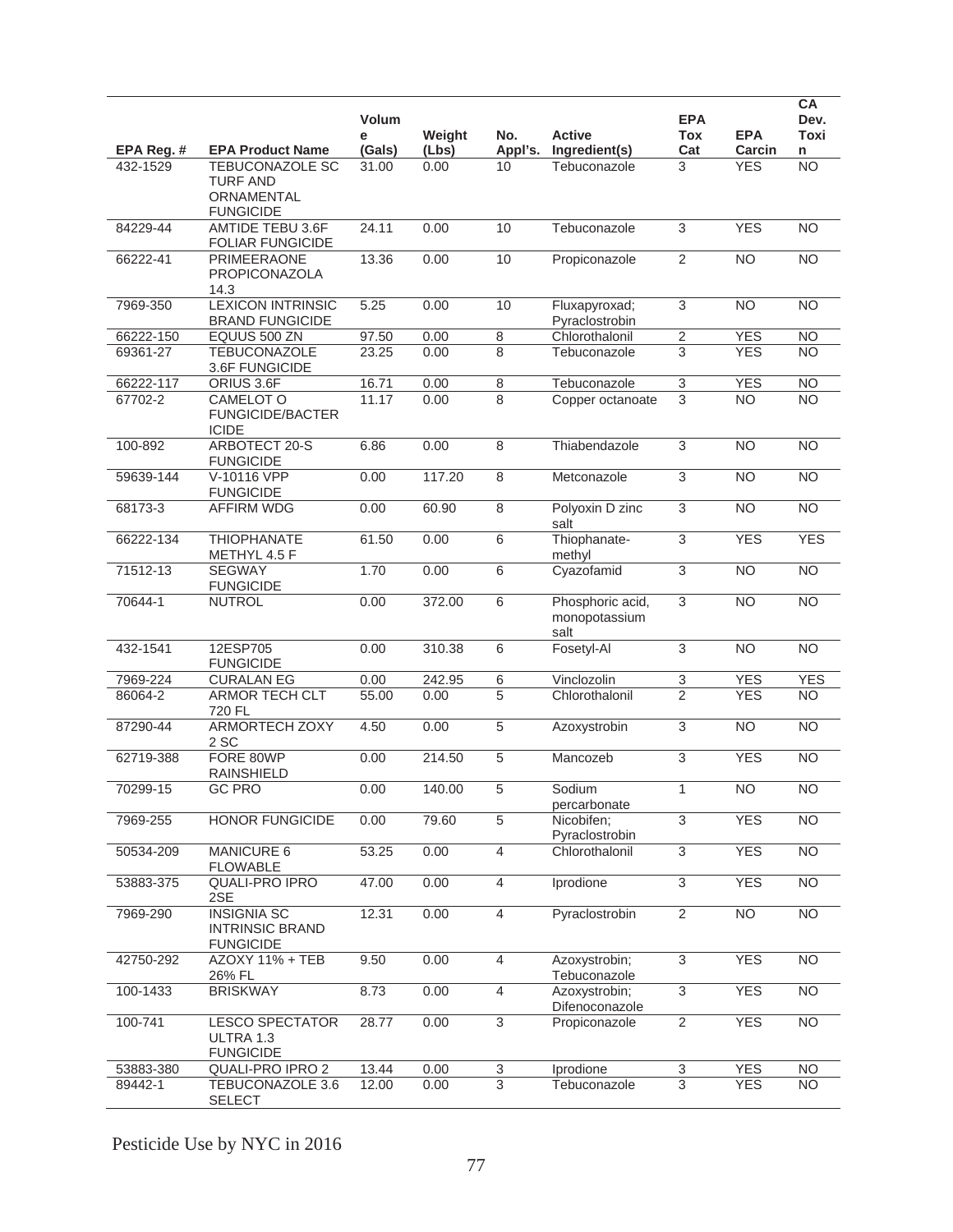|            |                                                                             | Volum<br>е | Weight | No.            | <b>Active</b>                             | <b>EPA</b><br><b>Tox</b>  | <b>EPA</b>      | <b>CA</b><br>Dev.<br>Toxi |
|------------|-----------------------------------------------------------------------------|------------|--------|----------------|-------------------------------------------|---------------------------|-----------------|---------------------------|
| EPA Reg. # | <b>EPA Product Name</b>                                                     | (Gals)     | (Lbs)  | Appl's.        | Ingredient(s)                             | Cat                       | Carcin          | n                         |
| 432-1529   | <b>TEBUCONAZOLE SC</b><br><b>TURF AND</b><br>ORNAMENTAL<br><b>FUNGICIDE</b> | 31.00      | 0.00   | 10             | Tebuconazole                              | 3                         | <b>YES</b>      | <b>NO</b>                 |
| 84229-44   | <b>AMTIDE TEBU 3.6F</b><br><b>FOLIAR FUNGICIDE</b>                          | 24.11      | 0.00   | 10             | Tebuconazole                              | $\overline{3}$            | <b>YES</b>      | <b>NO</b>                 |
| 66222-41   | PRIMEERAONE<br>PROPICONAZOLA<br>14.3                                        | 13.36      | 0.00   | 10             | Propiconazole                             | 2                         | <b>NO</b>       | <b>NO</b>                 |
| 7969-350   | <b>LEXICON INTRINSIC</b><br><b>BRAND FUNGICIDE</b>                          | 5.25       | 0.00   | 10             | Fluxapyroxad;<br>Pyraclostrobin           | $\ensuremath{\mathsf{3}}$ | <b>NO</b>       | <b>NO</b>                 |
| 66222-150  | EQUUS 500 ZN                                                                | 97.50      | 0.00   | 8              | Chlorothalonil                            | $\sqrt{2}$                | <b>YES</b>      | <b>NO</b>                 |
| 69361-27   | <b>TEBUCONAZOLE</b><br>3.6F FUNGICIDE                                       | 23.25      | 0.00   | 8              | Tebuconazole                              | 3                         | <b>YES</b>      | NO                        |
| 66222-117  | ORIUS 3.6F                                                                  | 16.71      | 0.00   | $\,8\,$        | Tebuconazole                              | $\ensuremath{\mathsf{3}}$ | <b>YES</b>      | <b>NO</b>                 |
| 67702-2    | CAMELOT O<br><b>FUNGICIDE/BACTER</b><br><b>ICIDE</b>                        | 11.17      | 0.00   | 8              | Copper octanoate                          | $\overline{3}$            | <b>NO</b>       | <b>NO</b>                 |
| 100-892    | ARBOTECT 20-S<br><b>FUNGICIDE</b>                                           | 6.86       | 0.00   | 8              | Thiabendazole                             | $\overline{3}$            | <b>NO</b>       | $\overline{NO}$           |
| 59639-144  | V-10116 VPP<br><b>FUNGICIDE</b>                                             | 0.00       | 117.20 | $\overline{8}$ | Metconazole                               | $\overline{3}$            | <b>NO</b>       | <b>NO</b>                 |
| 68173-3    | <b>AFFIRM WDG</b>                                                           | 0.00       | 60.90  | 8              | Polyoxin D zinc<br>salt                   | $\ensuremath{\mathsf{3}}$ | <b>NO</b>       | <b>NO</b>                 |
| 66222-134  | <b>THIOPHANATE</b><br>METHYL 4.5 F                                          | 61.50      | 0.00   | 6              | Thiophanate-<br>methyl                    | $\overline{3}$            | <b>YES</b>      | <b>YES</b>                |
| 71512-13   | <b>SEGWAY</b><br><b>FUNGICIDE</b>                                           | 1.70       | 0.00   | $\overline{6}$ | Cyazofamid                                | $\overline{3}$            | $\overline{NO}$ | N <sub>O</sub>            |
| 70644-1    | <b>NUTROL</b>                                                               | 0.00       | 372.00 | 6              | Phosphoric acid,<br>monopotassium<br>salt | $\ensuremath{\mathsf{3}}$ | <b>NO</b>       | $\overline{NO}$           |
| 432-1541   | 12ESP705<br><b>FUNGICIDE</b>                                                | 0.00       | 310.38 | 6              | Fosetyl-Al                                | 3                         | <b>NO</b>       | <b>NO</b>                 |
| 7969-224   | <b>CURALAN EG</b>                                                           | 0.00       | 242.95 | 6              | Vinclozolin                               | 3                         | <b>YES</b>      | <b>YES</b>                |
| 86064-2    | ARMOR TECH CLT<br>720 FL                                                    | 55.00      | 0.00   | 5              | Chlorothalonil                            | $\overline{2}$            | <b>YES</b>      | N <sub>O</sub>            |
| 87290-44   | <b>ARMORTECH ZOXY</b><br>2 SC                                               | 4.50       | 0.00   | $\overline{5}$ | Azoxystrobin                              | $\overline{3}$            | N <sub>O</sub>  | N <sub>O</sub>            |
| 62719-388  | FORE 80WP<br><b>RAINSHIELD</b>                                              | 0.00       | 214.50 | 5              | Mancozeb                                  | $\overline{3}$            | <b>YES</b>      | <b>NO</b>                 |
| 70299-15   | <b>GC PRO</b>                                                               | 0.00       | 140.00 | 5              | Sodium<br>percarbonate                    | $\mathbf{1}$              | <b>NO</b>       | <b>NO</b>                 |
| 7969-255   | <b>HONOR FUNGICIDE</b>                                                      | 0.00       | 79.60  | $\overline{5}$ | Nicobifen;<br>Pyraclostrobin              | $\overline{3}$            | <b>YES</b>      | N <sub>O</sub>            |
| 50534-209  | MANICURE 6<br><b>FLOWABLE</b>                                               | 53.25      | 0.00   | $\overline{4}$ | Chlorothalonil                            | 3                         | <b>YES</b>      | $\overline{NO}$           |
| 53883-375  | <b>QUALI-PRO IPRO</b><br>2SE                                                | 47.00      | 0.00   | 4              | Iprodione                                 | 3                         | <b>YES</b>      | $\overline{NO}$           |
| 7969-290   | <b>INSIGNIA SC</b><br><b>INTRINSIC BRAND</b><br><b>FUNGICIDE</b>            | 12.31      | 0.00   | $\overline{4}$ | Pyraclostrobin                            | $\overline{2}$            | N <sub>O</sub>  | N <sub>O</sub>            |
| 42750-292  | AZOXY 11% + TEB<br>26% FL                                                   | 9.50       | 0.00   | $\overline{4}$ | Azoxystrobin;<br>Tebuconazole             | $\overline{3}$            | <b>YES</b>      | N <sub>O</sub>            |
| 100-1433   | <b>BRISKWAY</b>                                                             | 8.73       | 0.00   | $\overline{4}$ | Azoxystrobin:<br>Difenoconazole           | $\overline{3}$            | <b>YES</b>      | $\overline{NO}$           |
| 100-741    | <b>LESCO SPECTATOR</b><br>ULTRA 1.3<br><b>FUNGICIDE</b>                     | 28.77      | 0.00   | $\overline{3}$ | Propiconazole                             | $\overline{2}$            | <b>YES</b>      | $\overline{NO}$           |
| 53883-380  | QUALI-PRO IPRO 2                                                            | 13.44      | 0.00   | $\overline{3}$ | Iprodione                                 | $\overline{3}$            | <b>YES</b>      | <b>NO</b>                 |
| 89442-1    | TEBUCONAZOLE 3.6<br><b>SELECT</b>                                           | 12.00      | 0.00   | 3              | Tebuconazole                              | 3                         | <b>YES</b>      | <b>NO</b>                 |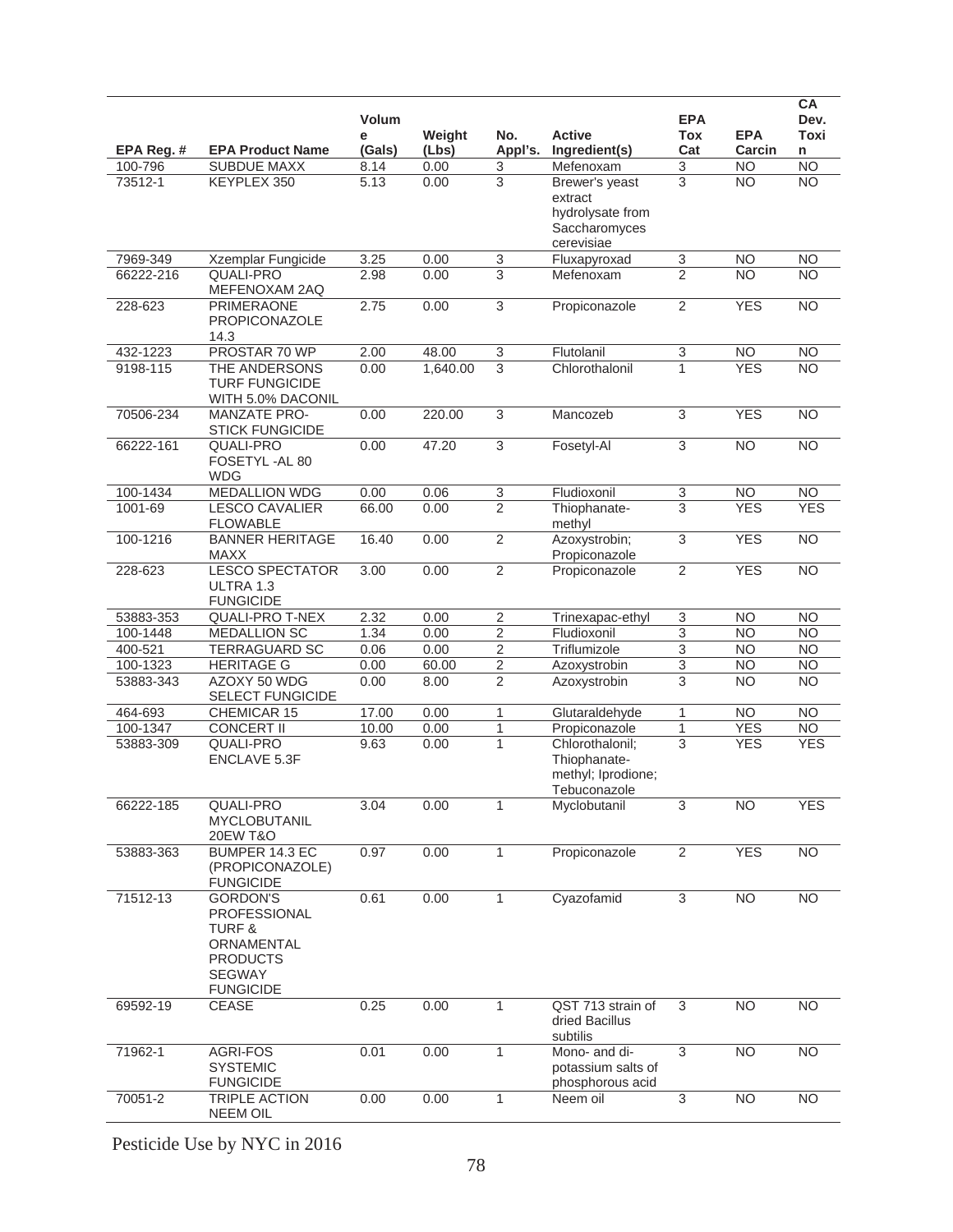|            |                                                                                                                            | Volum<br>е | Weight   | No.                       | <b>Active</b>                                                                | <b>EPA</b><br>Tox         | <b>EPA</b>      | CA<br>Dev.<br>Toxi |
|------------|----------------------------------------------------------------------------------------------------------------------------|------------|----------|---------------------------|------------------------------------------------------------------------------|---------------------------|-----------------|--------------------|
| EPA Reg. # | <b>EPA Product Name</b>                                                                                                    | (Gals)     | (Lbs)    | Appl's.                   | Ingredient(s)                                                                | Cat                       | Carcin          | n                  |
| 100-796    | <b>SUBDUE MAXX</b>                                                                                                         | 8.14       | 0.00     | $\ensuremath{\mathsf{3}}$ | Mefenoxam                                                                    | $\ensuremath{\mathsf{3}}$ | <b>NO</b>       | $\overline{NO}$    |
| 73512-1    | KEYPLEX 350                                                                                                                | 5.13       | 0.00     | $\overline{3}$            | Brewer's yeast<br>extract<br>hydrolysate from<br>Saccharomyces<br>cerevisiae | 3                         | NO.             | <b>NO</b>          |
| 7969-349   | Xzemplar Fungicide                                                                                                         | 3.25       | 0.00     | $\overline{3}$            | Fluxapyroxad                                                                 | 3                         | <b>NO</b>       | <b>NO</b>          |
| 66222-216  | <b>QUALI-PRO</b><br>MEFENOXAM 2AQ                                                                                          | 2.98       | 0.00     | 3                         | Mefenoxam                                                                    | $\overline{2}$            | NO.             | NO.                |
| 228-623    | <b>PRIMERAONE</b><br><b>PROPICONAZOLE</b><br>14.3                                                                          | 2.75       | 0.00     | $\overline{3}$            | Propiconazole                                                                | $\overline{2}$            | <b>YES</b>      | $\overline{NO}$    |
| 432-1223   | PROSTAR 70 WP                                                                                                              | 2.00       | 48.00    | $\overline{3}$            | Flutolanil                                                                   | 3                         | <b>NO</b>       | N <sub>O</sub>     |
| 9198-115   | THE ANDERSONS<br><b>TURF FUNGICIDE</b><br>WITH 5.0% DACONIL                                                                | 0.00       | 1,640.00 | 3                         | Chlorothalonil                                                               | 1                         | <b>YES</b>      | <b>NO</b>          |
| 70506-234  | <b>MANZATE PRO-</b><br><b>STICK FUNGICIDE</b>                                                                              | 0.00       | 220.00   | $\overline{3}$            | Mancozeb                                                                     | $\overline{3}$            | <b>YES</b>      | <b>NO</b>          |
| 66222-161  | <b>QUALI-PRO</b><br>FOSETYL-AL 80<br><b>WDG</b>                                                                            | 0.00       | 47.20    | $\overline{3}$            | Fosetyl-Al                                                                   | $\overline{3}$            | $\overline{NO}$ | $\overline{NO}$    |
| 100-1434   | <b>MEDALLION WDG</b>                                                                                                       | 0.00       | 0.06     | 3                         | Fludioxonil                                                                  | 3                         | <b>NO</b>       | <b>NO</b>          |
| 1001-69    | <b>LESCO CAVALIER</b><br><b>FLOWABLE</b>                                                                                   | 66.00      | 0.00     | $\overline{2}$            | Thiophanate-<br>methyl                                                       | 3                         | <b>YES</b>      | <b>YES</b>         |
| 100-1216   | <b>BANNER HERITAGE</b><br>MAXX                                                                                             | 16.40      | 0.00     | $\overline{2}$            | Azoxystrobin;<br>Propiconazole                                               | $\overline{3}$            | <b>YES</b>      | <b>NO</b>          |
| 228-623    | <b>LESCO SPECTATOR</b><br>ULTRA 1.3<br><b>FUNGICIDE</b>                                                                    | 3.00       | 0.00     | $\overline{2}$            | Propiconazole                                                                | $\overline{2}$            | <b>YES</b>      | <b>NO</b>          |
| 53883-353  | <b>QUALI-PRO T-NEX</b>                                                                                                     | 2.32       | 0.00     | $\overline{2}$            | Trinexapac-ethyl                                                             | $\ensuremath{\mathsf{3}}$ | <b>NO</b>       | <b>NO</b>          |
| 100-1448   | <b>MEDALLION SC</b>                                                                                                        | 1.34       | 0.00     | $\overline{2}$            | Fludioxonil                                                                  | $\overline{3}$            | N <sub>O</sub>  | N <sub>O</sub>     |
| 400-521    | TERRAGUARD SC                                                                                                              | 0.06       | 0.00     | $\overline{2}$            | Triflumizole                                                                 | $\overline{3}$            | <b>NO</b>       | <b>NO</b>          |
| 100-1323   | <b>HERITAGE G</b>                                                                                                          | 0.00       | 60.00    | 2                         | Azoxystrobin                                                                 | $\overline{3}$            | N <sub>O</sub>  | <b>NO</b>          |
| 53883-343  | AZOXY 50 WDG<br><b>SELECT FUNGICIDE</b>                                                                                    | 0.00       | 8.00     | $\overline{2}$            | Azoxystrobin                                                                 | 3                         | <b>NO</b>       | <b>NO</b>          |
| 464-693    | CHEMICAR 15                                                                                                                | 17.00      | 0.00     | 1                         | Glutaraldehyde                                                               | 1                         | <b>NO</b>       | <b>NO</b>          |
| 100-1347   | <b>CONCERT II</b>                                                                                                          | 10.00      | 0.00     | 1                         | Propiconazole                                                                | $\mathbf{1}$              | <b>YES</b>      | <b>NO</b>          |
| 53883-309  | <b>QUALI-PRO</b><br><b>ENCLAVE 5.3F</b>                                                                                    | 9.63       | 0.00     | $\mathbf{1}$              | Chlorothalonil;<br>Thiophanate-<br>methyl; Iprodione;<br>Tebuconazole        | 3                         | <b>YES</b>      | <b>YES</b>         |
| 66222-185  | QUALI-PRO<br><b>MYCLOBUTANIL</b><br><b>20EW T&amp;O</b>                                                                    | 3.04       | 0.00     | 1                         | Myclobutanil                                                                 | 3                         | <b>NO</b>       | <b>YES</b>         |
| 53883-363  | BUMPER 14.3 EC<br>(PROPICONAZOLE)<br><b>FUNGICIDE</b>                                                                      | 0.97       | 0.00     | $\mathbf{1}$              | Propiconazole                                                                | $\overline{2}$            | <b>YES</b>      | $\overline{NO}$    |
| 71512-13   | <b>GORDON'S</b><br>PROFESSIONAL<br><b>TURF &amp;</b><br>ORNAMENTAL<br><b>PRODUCTS</b><br><b>SEGWAY</b><br><b>FUNGICIDE</b> | 0.61       | 0.00     | $\mathbf{1}$              | Cyazofamid                                                                   | 3                         | <b>NO</b>       | <b>NO</b>          |
| 69592-19   | <b>CEASE</b>                                                                                                               | 0.25       | 0.00     | $\mathbf{1}$              | QST 713 strain of<br>dried Bacillus<br>subtilis                              | 3                         | <b>NO</b>       | <b>NO</b>          |
| 71962-1    | AGRI-FOS<br><b>SYSTEMIC</b><br><b>FUNGICIDE</b>                                                                            | 0.01       | 0.00     | $\mathbf{1}$              | Mono- and di-<br>potassium salts of<br>phosphorous acid                      | 3                         | N <sub>O</sub>  | $\overline{NO}$    |
| 70051-2    | TRIPLE ACTION<br><b>NEEM OIL</b>                                                                                           | 0.00       | 0.00     | $\mathbf{1}$              | Neem oil                                                                     | $\overline{3}$            | N <sub>O</sub>  | $\overline{NO}$    |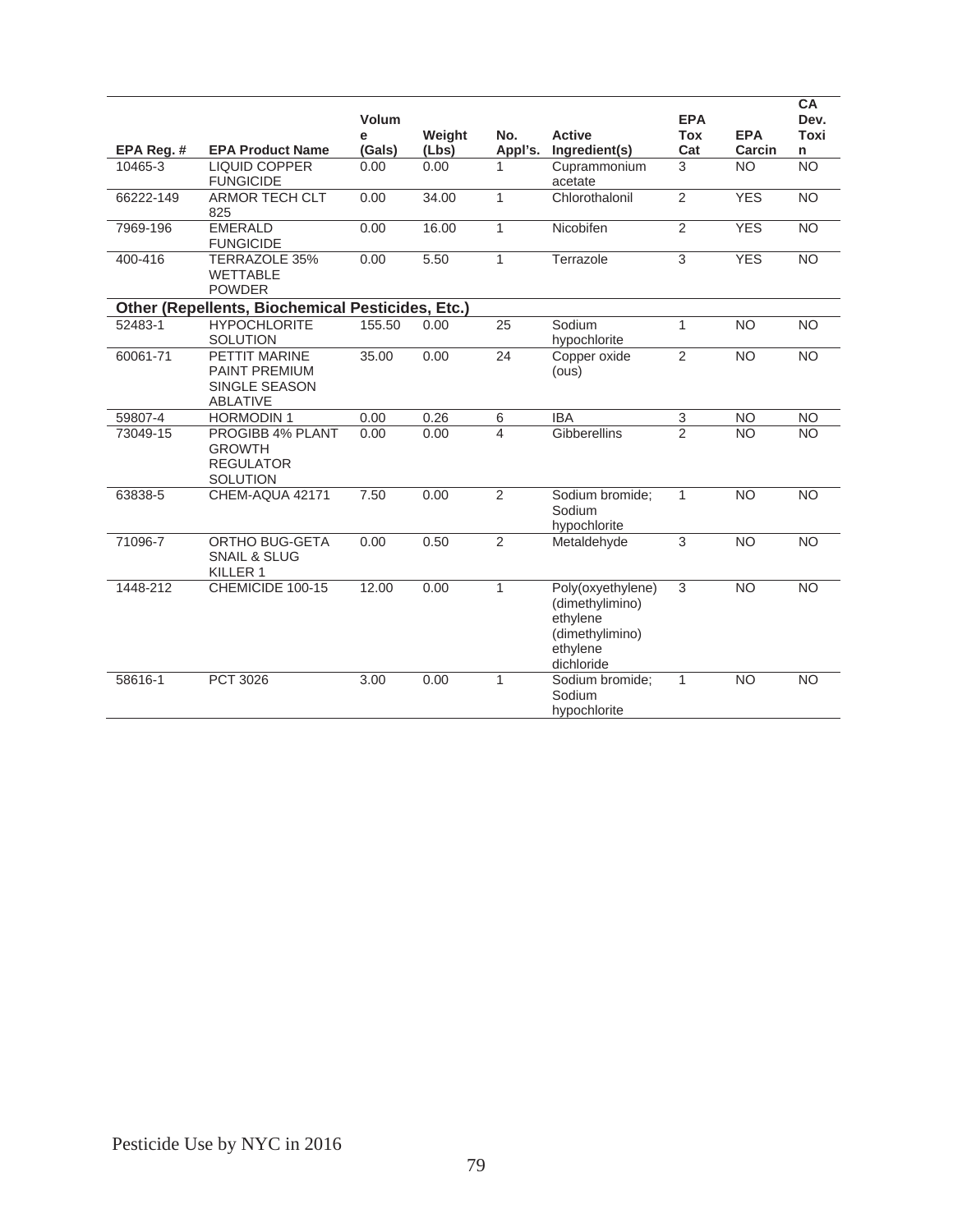|            |                                                                                         | Volum<br>e | Weight | No.            | <b>Active</b>                                                                                 | <b>EPA</b><br><b>Tox</b> | <b>EPA</b>      | <b>CA</b><br>Dev.<br><b>Toxi</b> |
|------------|-----------------------------------------------------------------------------------------|------------|--------|----------------|-----------------------------------------------------------------------------------------------|--------------------------|-----------------|----------------------------------|
| EPA Reg. # | <b>EPA Product Name</b>                                                                 | (Gals)     | (Lbs)  | Appl's.        | Ingredient(s)                                                                                 | Cat                      | Carcin          | n                                |
| 10465-3    | <b>LIQUID COPPER</b><br><b>FUNGICIDE</b>                                                | 0.00       | 0.00   | 1              | Cuprammonium<br>acetate                                                                       | 3                        | <b>NO</b>       | <b>NO</b>                        |
| 66222-149  | <b>ARMOR TECH CLT</b><br>825                                                            | 0.00       | 34.00  | $\mathbf{1}$   | Chlorothalonil                                                                                | $\overline{2}$           | <b>YES</b>      | $\overline{NO}$                  |
| 7969-196   | <b>EMERALD</b><br><b>FUNGICIDE</b>                                                      | 0.00       | 16.00  | $\mathbf{1}$   | Nicobifen                                                                                     | $\overline{2}$           | <b>YES</b>      | <b>NO</b>                        |
| 400-416    | <b>TERRAZOLE 35%</b><br><b>WETTABLE</b><br><b>POWDER</b>                                | 0.00       | 5.50   | $\mathbf{1}$   | Terrazole                                                                                     | $\overline{3}$           | <b>YES</b>      | $\overline{NO}$                  |
|            | <b>Other (Repellents, Biochemical Pesticides, Etc.)</b>                                 |            |        |                |                                                                                               |                          |                 |                                  |
| 52483-1    | <b>HYPOCHLORITE</b><br><b>SOLUTION</b>                                                  | 155.50     | 0.00   | 25             | Sodium<br>hypochlorite                                                                        | $\mathbf{1}$             | <b>NO</b>       | <b>NO</b>                        |
| 60061-71   | <b>PETTIT MARINE</b><br><b>PAINT PREMIUM</b><br><b>SINGLE SEASON</b><br><b>ABLATIVE</b> | 35.00      | 0.00   | 24             | Copper oxide<br>(ous)                                                                         | $\overline{2}$           | <b>NO</b>       | <b>NO</b>                        |
| 59807-4    | <b>HORMODIN1</b>                                                                        | 0.00       | 0.26   | 6              | <b>IBA</b>                                                                                    | 3                        | <b>NO</b>       | <b>NO</b>                        |
| 73049-15   | PROGIBB 4% PLANT<br><b>GROWTH</b><br><b>REGULATOR</b><br><b>SOLUTION</b>                | 0.00       | 0.00   | 4              | Gibberellins                                                                                  | $\overline{2}$           | $\overline{NO}$ | <b>NO</b>                        |
| 63838-5    | CHEM-AQUA 42171                                                                         | 7.50       | 0.00   | $\overline{2}$ | Sodium bromide;<br>Sodium<br>hypochlorite                                                     | $\mathbf{1}$             | <b>NO</b>       | <b>NO</b>                        |
| 71096-7    | <b>ORTHO BUG-GETA</b><br><b>SNAIL &amp; SLUG</b><br>KILLER <sub>1</sub>                 | 0.00       | 0.50   | $\overline{2}$ | Metaldehyde                                                                                   | 3                        | N <sub>O</sub>  | $\overline{NO}$                  |
| 1448-212   | CHEMICIDE 100-15                                                                        | 12.00      | 0.00   | $\mathbf{1}$   | Poly(oxyethylene)<br>(dimethylimino)<br>ethylene<br>(dimethylimino)<br>ethylene<br>dichloride | 3                        | <b>NO</b>       | $\overline{NO}$                  |
| 58616-1    | PCT 3026                                                                                | 3.00       | 0.00   | $\mathbf{1}$   | Sodium bromide;<br>Sodium<br>hypochlorite                                                     | $\mathbf{1}$             | <b>NO</b>       | <b>NO</b>                        |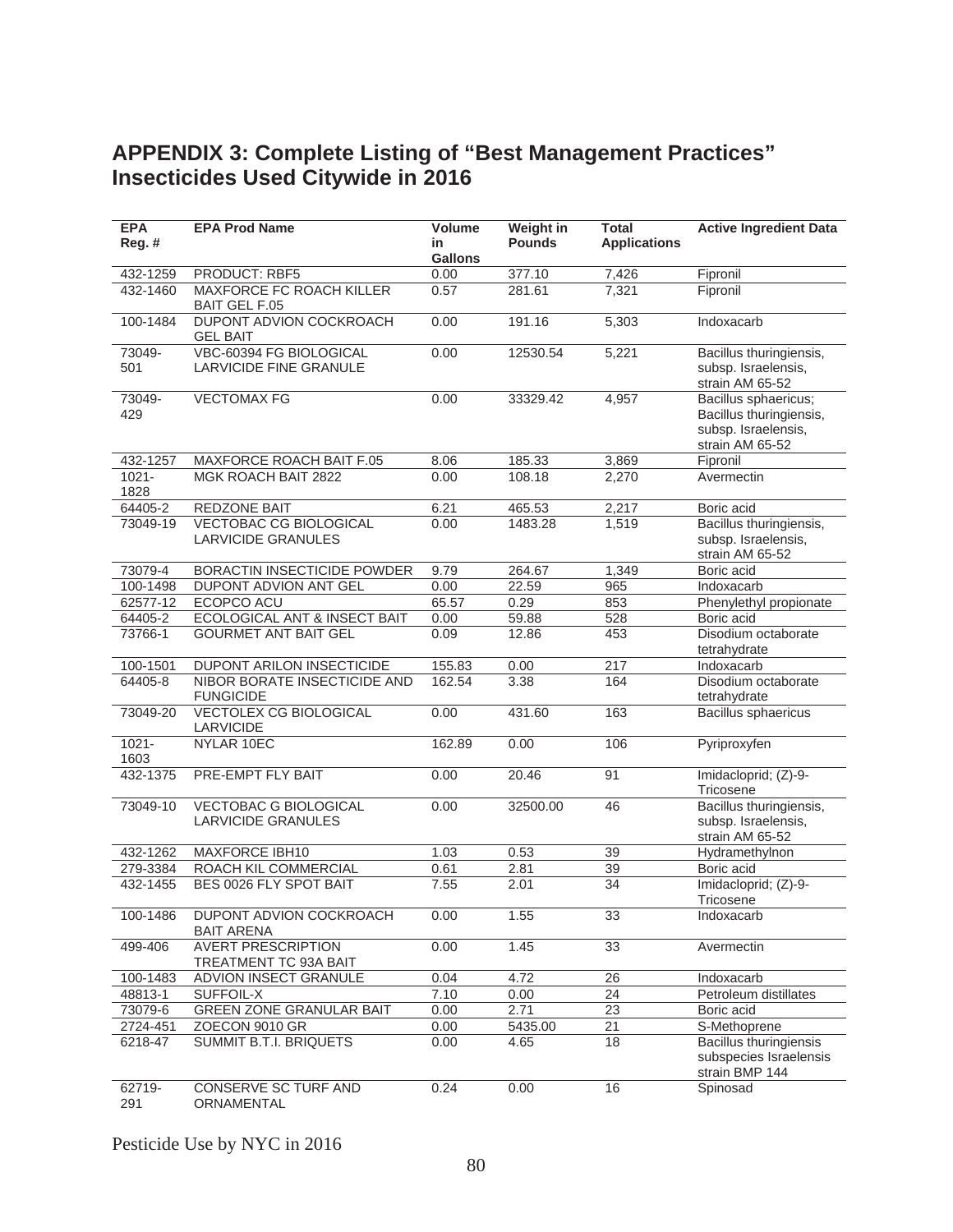## **APPENDIX 3: Complete Listing of "Best Management Practices" Insecticides Used Citywide in 2016**

| <b>EPA</b><br>Reg. # | <b>EPA Prod Name</b>                                              | <b>Volume</b><br>in | Weight in<br><b>Pounds</b> | <b>Total</b><br><b>Applications</b> | <b>Active Ingredient Data</b>                                                             |
|----------------------|-------------------------------------------------------------------|---------------------|----------------------------|-------------------------------------|-------------------------------------------------------------------------------------------|
|                      |                                                                   | <b>Gallons</b>      |                            |                                     |                                                                                           |
| 432-1259<br>432-1460 | PRODUCT: RBF5<br>MAXFORCE FC ROACH KILLER<br><b>BAIT GEL F.05</b> | 0.00<br>0.57        | 377.10<br>281.61           | 7,426<br>7,321                      | Fipronil<br>Fipronil                                                                      |
| 100-1484             | DUPONT ADVION COCKROACH<br><b>GEL BAIT</b>                        | 0.00                | 191.16                     | 5,303                               | Indoxacarb                                                                                |
| 73049-<br>501        | VBC-60394 FG BIOLOGICAL<br><b>LARVICIDE FINE GRANULE</b>          | 0.00                | 12530.54                   | 5,221                               | Bacillus thuringiensis,<br>subsp. Israelensis,<br>strain AM 65-52                         |
| 73049-<br>429        | <b>VECTOMAX FG</b>                                                | 0.00                | 33329.42                   | 4,957                               | Bacillus sphaericus;<br>Bacillus thuringiensis,<br>subsp. Israelensis,<br>strain AM 65-52 |
| 432-1257             | <b>MAXFORCE ROACH BAIT F.05</b>                                   | 8.06                | 185.33                     | 3,869                               | Fipronil                                                                                  |
| $1021 -$<br>1828     | MGK ROACH BAIT 2822                                               | 0.00                | 108.18                     | 2,270                               | Avermectin                                                                                |
| 64405-2              | REDZONE BAIT                                                      | 6.21                | 465.53                     | 2,217                               | Boric acid                                                                                |
| 73049-19             | <b>VECTOBAC CG BIOLOGICAL</b><br><b>LARVICIDE GRANULES</b>        | 0.00                | 1483.28                    | 1,519                               | Bacillus thuringiensis,<br>subsp. Israelensis,<br>strain AM 65-52                         |
| 73079-4              | BORACTIN INSECTICIDE POWDER                                       | 9.79                | 264.67                     | 1,349                               | Boric acid                                                                                |
| 100-1498             | DUPONT ADVION ANT GEL                                             | 0.00                | 22.59                      | 965                                 | Indoxacarb                                                                                |
| 62577-12             | ECOPCO ACU                                                        | 65.57               | 0.29                       | 853                                 | Phenylethyl propionate                                                                    |
| 64405-2              | <b>ECOLOGICAL ANT &amp; INSECT BAIT</b>                           | 0.00                | 59.88                      | 528                                 | Boric acid                                                                                |
| 73766-1              | <b>GOURMET ANT BAIT GEL</b>                                       | 0.09                | 12.86                      | 453                                 | Disodium octaborate<br>tetrahydrate                                                       |
| 100-1501             | <b>DUPONT ARILON INSECTICIDE</b>                                  | 155.83              | 0.00                       | 217                                 | Indoxacarb                                                                                |
| 64405-8              | NIBOR BORATE INSECTICIDE AND<br><b>FUNGICIDE</b>                  | 162.54              | 3.38                       | 164                                 | Disodium octaborate<br>tetrahydrate                                                       |
| 73049-20             | <b>VECTOLEX CG BIOLOGICAL</b><br>LARVICIDE                        | 0.00                | 431.60                     | 163                                 | Bacillus sphaericus                                                                       |
| $1021 -$<br>1603     | NYLAR 10EC                                                        | 162.89              | 0.00                       | 106                                 | Pyriproxyfen                                                                              |
| 432-1375             | <b>PRE-EMPT FLY BAIT</b>                                          | 0.00                | 20.46                      | 91                                  | Imidacloprid; (Z)-9-<br>Tricosene                                                         |
| 73049-10             | <b>VECTOBAC G BIOLOGICAL</b><br><b>LARVICIDE GRANULES</b>         | 0.00                | 32500.00                   | 46                                  | Bacillus thuringiensis,<br>subsp. Israelensis,<br>strain AM 65-52                         |
| 432-1262             | MAXFORCE IBH10                                                    | 1.03                | 0.53                       | 39                                  | Hydramethylnon                                                                            |
| 279-3384             | ROACH KIL COMMERCIAL                                              | 0.61                | 2.81                       | 39                                  | Boric acid                                                                                |
| 432-1455             | BES 0026 FLY SPOT BAIT                                            | 7.55                | 2.01                       | 34                                  | Imidacloprid; (Z)-9-<br>Tricosene                                                         |
| 100-1486             | DUPONT ADVION COCKROACH<br><b>BAIT ARENA</b>                      | 0.00                | 1.55                       | $\overline{33}$                     | Indoxacarb                                                                                |
| 499-406              | <b>AVERT PRESCRIPTION</b><br>TREATMENT TC 93A BAIT                | 0.00                | 1.45                       | 33                                  | Avermectin                                                                                |
| 100-1483             | ADVION INSECT GRANULE                                             | 0.04                | 4.72                       | 26                                  | Indoxacarb                                                                                |
| 48813-1              | SUFFOIL-X                                                         | 7.10                | 0.00                       | 24                                  | Petroleum distillates                                                                     |
| 73079-6              | <b>GREEN ZONE GRANULAR BAIT</b>                                   | 0.00                | 2.71                       | 23                                  | Boric acid                                                                                |
| 2724-451             | ZOECON 9010 GR                                                    | 0.00                | 5435.00                    | 21                                  | S-Methoprene                                                                              |
| 6218-47              | <b>SUMMIT B.T.I. BRIQUETS</b>                                     | 0.00                | 4.65                       | 18                                  | <b>Bacillus thuringiensis</b><br>subspecies Israelensis<br>strain BMP 144                 |
| 62719-<br>291        | CONSERVE SC TURF AND<br>ORNAMENTAL                                | 0.24                | 0.00                       | 16                                  | Spinosad                                                                                  |